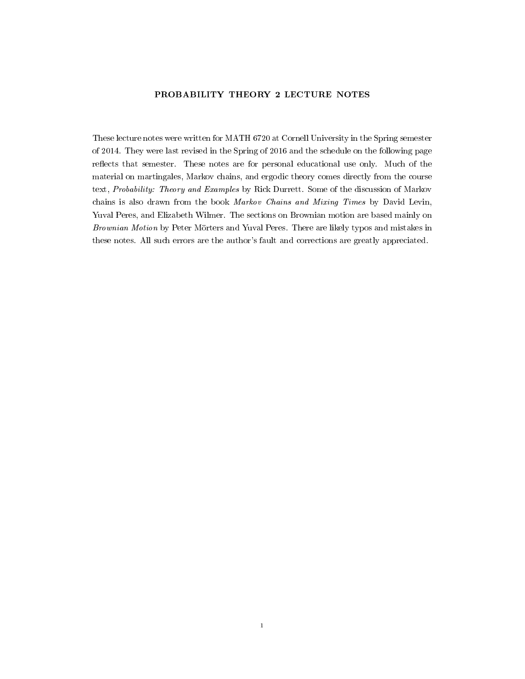# PROBABILITY THEORY 2 LECTURE NOTES

These lecture notes were written for MATH 6720 at Cornell University in the Spring semester of 2014. They were last revised in the Spring of 2016 and the schedule on the following page reflects that semester. These notes are for personal educational use only. Much of the material on martingales, Markov chains, and ergodic theory comes directly from the course text, Probability: Theory and Examples by Rick Durrett. Some of the discussion of Markov chains is also drawn from the book Markov Chains and Mixing Times by David Levin, Yuval Peres, and Elizabeth Wilmer. The sections on Brownian motion are based mainly on Brownian Motion by Peter Mörters and Yuval Peres. There are likely typos and mistakes in these notes. All such errors are the author's fault and corrections are greatly appreciated.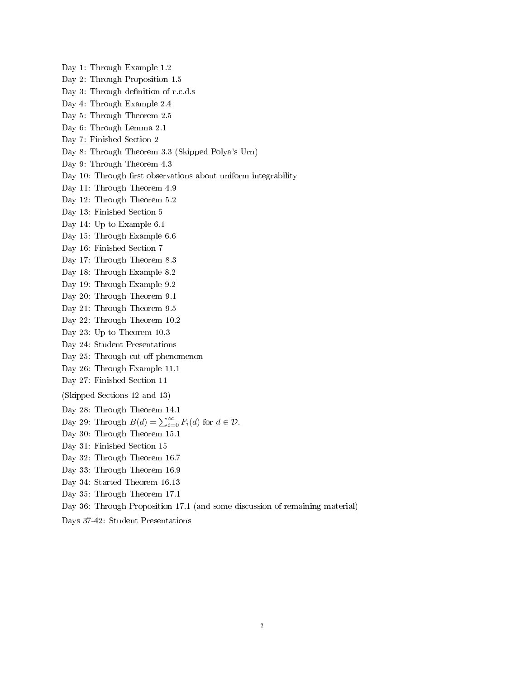Day 1: Through Example 1.2

- Day 2: Through Proposition 1.5
- Day 3: Through definition of r.c.d.s
- Day 4: Through Example 2.4
- Day 5: Through Theorem 2.5
- Day 6: Through Lemma 2.1
- Day 7: Finished Section 2
- Day 8: Through Theorem 3.3 (Skipped Polya's Urn)
- Day 9: Through Theorem 4.3
- Day 10: Through first observations about uniform integrability
- Day 11: Through Theorem 4.9
- Day 12: Through Theorem 5.2
- Day 13: Finished Section 5
- Day 14: Up to Example 6.1
- Day 15: Through Example 6.6
- Day 16: Finished Section 7
- Day 17: Through Theorem 8.3
- Day 18: Through Example 8.2
- Day 19: Through Example 9.2
- Day 20: Through Theorem 9.1
- Day 21: Through Theorem 9.5
- Day 22: Through Theorem 10.2
- Day 23: Up to Theorem 10.3
- Day 24: Student Presentations
- Day 25: Through cut-off phenomenon
- Day 26: Through Example 11.1
- Day 27: Finished Section 11
- (Skipped Sections 12 and 13)
- Day 28: Through Theorem 14.1
- Day 29: Through  $B(d) = \sum_{i=0}^{\infty} F_i(d)$  for  $d \in \mathcal{D}$ .
- Day 30: Through Theorem 15.1
- Day 31: Finished Section 15
- Day 32: Through Theorem 16.7
- Day 33: Through Theorem 16.9
- Day 34: Started Theorem 16.13
- Day 35: Through Theorem 17.1
- Day 36: Through Proposition 17.1 (and some discussion of remaining material)
- Days 37-42: Student Presentations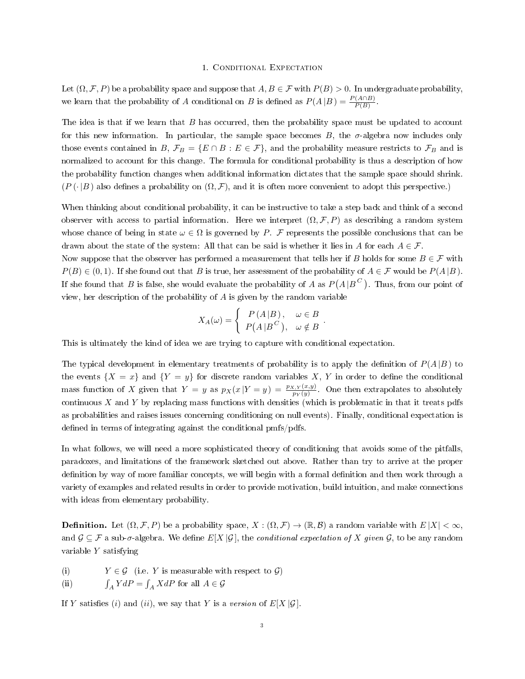#### 1. Conditional Expectation

Let  $(\Omega, \mathcal{F}, P)$  be a probability space and suppose that  $A, B \in \mathcal{F}$  with  $P(B) > 0$ . In undergraduate probability, we learn that the probability of A conditional on B is defined as  $P(A|B) = \frac{P(A \cap B)}{P(B)}$ .

The idea is that if we learn that B has occurred, then the probability space must be updated to account for this new information. In particular, the sample space becomes  $B$ , the  $\sigma$ -algebra now includes only those events contained in B,  $\mathcal{F}_B = \{E \cap B : E \in \mathcal{F}\}\$ , and the probability measure restricts to  $\mathcal{F}_B$  and is normalized to account for this change. The formula for conditional probability is thus a description of how the probability function changes when additional information dictates that the sample space should shrink.  $(P(\cdot|B)$  also defines a probability on  $(\Omega, \mathcal{F})$ , and it is often more convenient to adopt this perspective.)

When thinking about conditional probability, it can be instructive to take a step back and think of a second observer with access to partial information. Here we interpret  $(\Omega, \mathcal{F}, P)$  as describing a random system whose chance of being in state  $\omega \in \Omega$  is governed by P. F represents the possible conclusions that can be drawn about the state of the system: All that can be said is whether it lies in A for each  $A \in \mathcal{F}$ .

Now suppose that the observer has performed a measurement that tells her if B holds for some  $B \in \mathcal{F}$  with  $P(B) \in (0, 1)$ . If she found out that B is true, her assessment of the probability of  $A \in \mathcal{F}$  would be  $P(A|B)$ . If she found that  $B$  is false, she would evaluate the probability of  $A$  as  $P(A|B^C)$ . Thus, from our point of view, her description of the probability of A is given by the random variable

$$
X_A(\omega) = \begin{cases} P(A|B), & \omega \in B \\ P(A|B^C), & \omega \notin B \end{cases}
$$

.

This is ultimately the kind of idea we are trying to capture with conditional expectation.

The typical development in elementary treatments of probability is to apply the definition of  $P(A|B)$  to the events  $\{X = x\}$  and  $\{Y = y\}$  for discrete random variables X, Y in order to define the conditional mass function of X given that  $Y = y$  as  $p_X(x|Y = y) = \frac{p_{X,Y}(x,y)}{p_Y(y)}$ . One then extrapolates to absolutely continuous  $X$  and  $Y$  by replacing mass functions with densities (which is problematic in that it treats pdfs as probabilities and raises issues concerning conditioning on null events). Finally, conditional expectation is defined in terms of integrating against the conditional pmfs/pdfs.

In what follows, we will need a more sophisticated theory of conditioning that avoids some of the pitfalls, paradoxes, and limitations of the framework sketched out above. Rather than try to arrive at the proper definition by way of more familiar concepts, we will begin with a formal definition and then work through a variety of examples and related results in order to provide motivation, build intuition, and make connections with ideas from elementary probability.

**Definition.** Let  $(\Omega, \mathcal{F}, P)$  be a probability space,  $X : (\Omega, \mathcal{F}) \to (\mathbb{R}, \mathcal{B})$  a random variable with  $E|X| < \infty$ , and  $\mathcal{G} \subseteq \mathcal{F}$  a sub- $\sigma$ -algebra. We define  $E[X|\mathcal{G}]$ , the *conditional expectation of* X given  $\mathcal{G}$ , to be any random variable Y satisfying

(i)  $Y \in \mathcal{G}$  (i.e. Y is measurable with respect to  $\mathcal{G}$ )

 $(ii)$  $\int_A Y dP = \int_A X dP$  for all  $A \in \mathcal{G}$ 

If Y satisfies (i) and (ii), we say that Y is a version of  $E[X|\mathcal{G}]$ .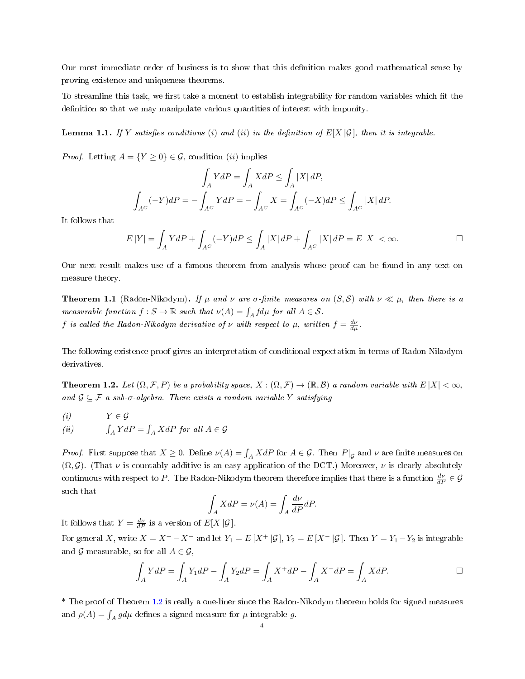Our most immediate order of business is to show that this definition makes good mathematical sense by proving existence and uniqueness theorems.

To streamline this task, we first take a moment to establish integrability for random variables which fit the definition so that we may manipulate various quantities of interest with impunity.

<span id="page-3-1"></span>**Lemma 1.1.** If Y satisfies conditions (i) and (ii) in the definition of  $E[X|\mathcal{G}]$ , then it is integrable.

*Proof.* Letting  $A = \{Y \geq 0\} \in \mathcal{G}$ , condition *(ii)* implies

$$
\int_{A} YdP = \int_{A} XdP \le \int_{A} |X| dP,
$$
  

$$
\int_{A^C} (-Y)dP = -\int_{A^C} YdP = -\int_{A^C} X = \int_{A^C} (-X)dP \le \int_{A^C} |X| dP.
$$

It follows that

$$
E\left|Y\right|=\int_{A}YdP+\int_{A^C}(-Y)dP\leq\int_{A}\left|X\right|dP+\int_{A^C}\left|X\right|dP=E\left|X\right|<\infty.\hspace{1.0in}\square
$$

Our next result makes use of a famous theorem from analysis whose proof can be found in any text on measure theory.

**Theorem 1.1** (Radon-Nikodym). If  $\mu$  and  $\nu$  are  $\sigma$ -finite measures on  $(S, S)$  with  $\nu \ll \mu$ , then there is a measurable function  $f : S \to \mathbb{R}$  such that  $\nu(A) = \int_A f d\mu$  for all  $A \in \mathcal{S}$ . f is called the Radon-Nikodym derivative of  $\nu$  with respect to  $\mu$ , written  $f = \frac{d\nu}{d\mu}$ .

The following existence proof gives an interpretation of conditional expectation in terms of Radon-Nikodym derivatives.

<span id="page-3-0"></span>**Theorem 1.2.** Let  $(\Omega, \mathcal{F}, P)$  be a probability space,  $X : (\Omega, \mathcal{F}) \to (\mathbb{R}, \mathcal{B})$  a random variable with  $E|X| < \infty$ , and  $\mathcal{G} \subseteq \mathcal{F}$  a sub- $\sigma$ -algebra. There exists a random variable Y satisfying

(i) 
$$
Y \in \mathcal{G}
$$
  
\n(ii)  $\int_A YdP = \int_A XdP$  for all  $A \in \mathcal{G}$ 

*Proof.* First suppose that  $X \ge 0$ . Define  $\nu(A) = \int_A X dP$  for  $A \in \mathcal{G}$ . Then  $P|_{\mathcal{G}}$  and  $\nu$  are finite measures on  $(\Omega, \mathcal{G})$ . (That  $\nu$  is countably additive is an easy application of the DCT.) Moreover,  $\nu$  is clearly absolutely continuous with respect to P. The Radon-Nikodym theorem therefore implies that there is a function  $\frac{d\nu}{dP} \in \mathcal{G}$ such that

$$
\int_A XdP = \nu(A) = \int_A \frac{d\nu}{dP} dP.
$$

It follows that  $Y = \frac{d\nu}{dP}$  is a version of  $E[X|\mathcal{G}]$ .

For general X, write  $X = X^+ - X^-$  and let  $Y_1 = E[X^+ | \mathcal{G}], Y_2 = E[X^- | \mathcal{G}].$  Then  $Y = Y_1 - Y_2$  is integrable and G-measurable, so for all  $A \in \mathcal{G}$ ,

$$
\int_{A} YdP = \int_{A} Y_1 dP - \int_{A} Y_2 dP = \int_{A} X^+ dP - \int_{A} X^- dP = \int_{A} XdP.
$$

\* The proof of Theorem [1.2](#page-3-0) is really a one-liner since the Radon-Nikodym theorem holds for signed measures and  $\rho(A) = \int_A g d\mu$  defines a signed measure for  $\mu$ -integrable g.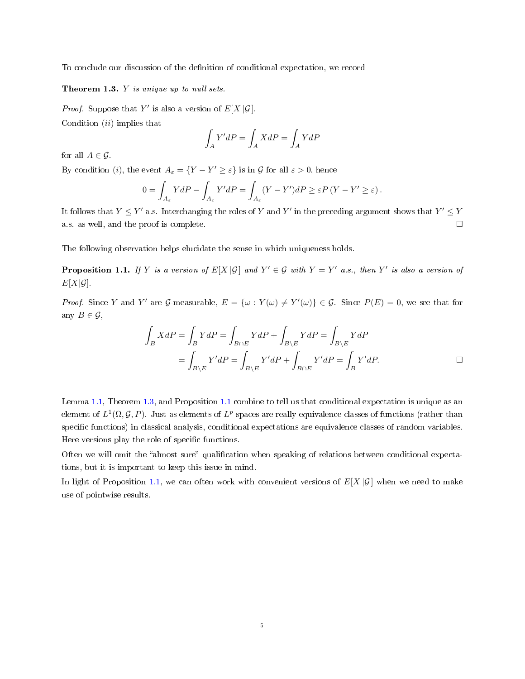To conclude our discussion of the denition of conditional expectation, we record

<span id="page-4-0"></span>Theorem 1.3. Y is unique up to null sets.

*Proof.* Suppose that Y' is also a version of  $E[X|\mathcal{G}]$ . Condition  $(ii)$  implies that

$$
\int_{A} Y'dP = \int_{A} XdP = \int_{A} YdP
$$

for all  $A \in \mathcal{G}$ .

By condition (*i*), the event  $A_{\varepsilon} = \{ Y - Y' \geq \varepsilon \}$  is in G for all  $\varepsilon > 0$ , hence

$$
0 = \int_{A_{\varepsilon}} YdP - \int_{A_{\varepsilon}} Y'dP = \int_{A_{\varepsilon}} (Y - Y')dP \geq \varepsilon P (Y - Y' \geq \varepsilon).
$$

It follows that  $Y \leq Y'$  a.s. Interchanging the roles of Y and Y' in the preceding argument shows that  $Y' \leq Y$ a.s. as well, and the proof is complete.  $\Box$ 

The following observation helps elucidate the sense in which uniqueness holds.

<span id="page-4-1"></span>**Proposition 1.1.** If Y is a version of  $E[X|\mathcal{G}]$  and  $Y' \in \mathcal{G}$  with  $Y = Y'$  a.s., then Y' is also a version of  $E[X|\mathcal{G}]$ .

*Proof.* Since Y and Y' are G-measurable,  $E = {\omega : Y(\omega) \neq Y'(\omega)} \in G$ . Since  $P(E) = 0$ , we see that for any  $B \in \mathcal{G}$ ,

$$
\int_{B} XdP = \int_{B} YdP = \int_{B \cap E} YdP + \int_{B \setminus E} YdP = \int_{B \setminus E} YdP
$$

$$
= \int_{B \setminus E} Y'dP = \int_{B \setminus E} Y'dP + \int_{B \cap E} Y'dP = \int_{B} Y'dP.
$$

Lemma [1.1,](#page-3-1) Theorem [1.3,](#page-4-0) and Proposition [1.1](#page-4-1) combine to tell us that conditional expectation is unique as an element of  $L^1(\Omega,\mathcal{G},P)$ . Just as elements of  $L^p$  spaces are really equivalence classes of functions (rather than specific functions) in classical analysis, conditional expectations are equivalence classes of random variables. Here versions play the role of specific functions.

Often we will omit the "almost sure" qualification when speaking of relations between conditional expectations, but it is important to keep this issue in mind.

In light of Proposition [1.1,](#page-4-1) we can often work with convenient versions of  $E[X|\mathcal{G}]$  when we need to make use of pointwise results.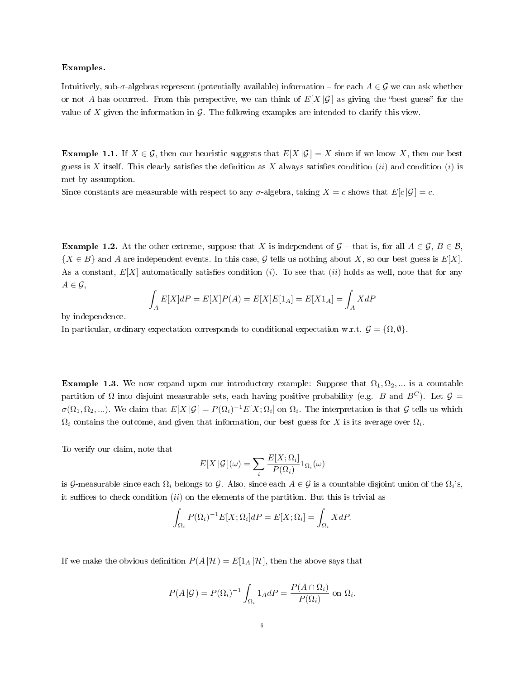## Examples.

Intuitively, sub-σ-algebras represent (potentially available) information  $-$  for each  $A \in \mathcal{G}$  we can ask whether or not A has occurred. From this perspective, we can think of  $E[X|\mathcal{G}]$  as giving the "best guess" for the value of  $X$  given the information in  $G$ . The following examples are intended to clarify this view.

<span id="page-5-0"></span>**Example 1.1.** If  $X \in \mathcal{G}$ , then our heuristic suggests that  $E[X|\mathcal{G}] = X$  since if we know X, then our best guess is X itself. This clearly satisfies the definition as X always satisfies condition (ii) and condition (i) is met by assumption.

Since constants are measurable with respect to any  $\sigma$ -algebra, taking  $X = c$  shows that  $E[c|\mathcal{G}] = c$ .

**Example 1.2.** At the other extreme, suppose that X is independent of  $\mathcal{G}$  – that is, for all  $A \in \mathcal{G}, B \in \mathcal{B}$ ,  ${X \in B}$  and A are independent events. In this case, G tells us nothing about X, so our best guess is  $E[X]$ . As a constant,  $E[X]$  automatically satisfies condition (i). To see that (ii) holds as well, note that for any  $A \in \mathcal{G}$ ,

$$
\int_{A} E[X]dP = E[X]P(A) = E[X]E[1_A] = E[X1_A] = \int_{A} XdP
$$

by independence.

In particular, ordinary expectation corresponds to conditional expectation w.r.t.  $\mathcal{G} = \{ \Omega, \emptyset \}.$ 

**Example 1.3.** We now expand upon our introductory example: Suppose that  $\Omega_1, \Omega_2, ...$  is a countable partition of  $\Omega$  into disjoint measurable sets, each having positive probability (e.g. B and  $B^C$ ). Let  $\mathcal{G} =$  $\sigma(\Omega_1,\Omega_2,...)$ . We claim that  $E[X|\mathcal{G}] = P(\Omega_i)^{-1}E[X;\Omega_i]$  on  $\Omega_i$ . The interpretation is that  $\mathcal G$  tells us which  $\Omega_i$  contains the outcome, and given that information, our best guess for X is its average over  $\Omega_i$ .

To verify our claim, note that

$$
E[X | \mathcal{G}](\omega) = \sum_{i} \frac{E[X; \Omega_i]}{P(\Omega_i)} 1_{\Omega_i}(\omega)
$$

is G-measurable since each  $\Omega_i$  belongs to G. Also, since each  $A\in\mathcal{G}$  is a countable disjoint union of the  $\Omega_i$ 's, it suffices to check condition  $(ii)$  on the elements of the partition. But this is trivial as

$$
\int_{\Omega_i} P(\Omega_i)^{-1} E[X; \Omega_i] dP = E[X; \Omega_i] = \int_{\Omega_i} X dP.
$$

If we make the obvious definition  $P(A|\mathcal{H}) = E[1_A|\mathcal{H}]$ , then the above says that

$$
P(A | \mathcal{G}) = P(\Omega_i)^{-1} \int_{\Omega_i} 1_A dP = \frac{P(A \cap \Omega_i)}{P(\Omega_i)} \text{ on } \Omega_i.
$$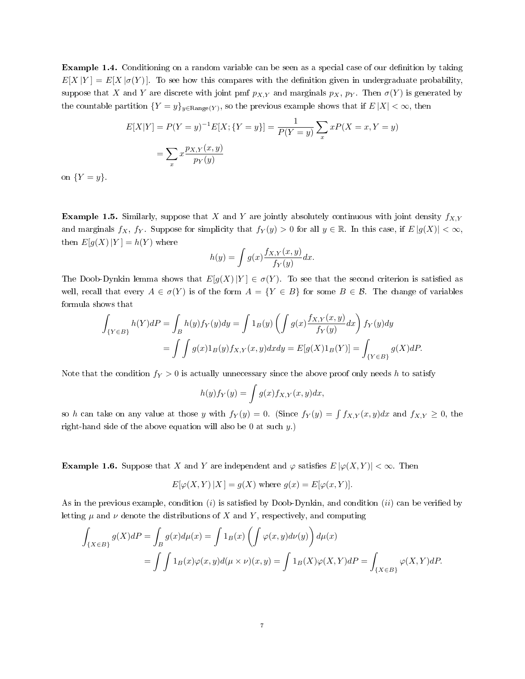**Example 1.4.** Conditioning on a random variable can be seen as a special case of our definition by taking  $E[X|Y] = E[X|\sigma(Y)]$ . To see how this compares with the definition given in undergraduate probability, suppose that X and Y are discrete with joint pmf  $p_{X,Y}$  and marginals  $p_X$ ,  $p_Y$ . Then  $\sigma(Y)$  is generated by the countable partition  $\{Y=y\}_{y\in \text{Range}(Y)},$  so the previous example shows that if  $E\,|X|<\infty,$  then

$$
E[X|Y] = P(Y = y)^{-1}E[X; \{Y = y\}] = \frac{1}{P(Y = y)} \sum_{x} xP(X = x, Y = y)
$$

$$
= \sum_{x} x \frac{p_{X,Y}(x,y)}{p_Y(y)}
$$

on  $\{Y=y\}$ .

**Example 1.5.** Similarly, suppose that X and Y are jointly absolutely continuous with joint density  $f_{X,Y}$ and marginals  $f_X$ ,  $f_Y$ . Suppose for simplicity that  $f_Y(y) > 0$  for all  $y \in \mathbb{R}$ . In this case, if  $E |g(X)| < \infty$ , then  $E[g(X)|Y] = h(Y)$  where

$$
h(y) = \int g(x) \frac{f_{X,Y}(x,y)}{f_Y(y)} dx.
$$

The Doob-Dynkin lemma shows that  $E[g(X)|Y] \in \sigma(Y)$ . To see that the second criterion is satisfied as well, recall that every  $A \in \sigma(Y)$  is of the form  $A = \{Y \in B\}$  for some  $B \in \mathcal{B}$ . The change of variables formula shows that

$$
\int_{\{Y \in B\}} h(Y)dP = \int_B h(y)f_Y(y)dy = \int 1_B(y)\left(\int g(x)\frac{f_{X,Y}(x,y)}{f_Y(y)}dx\right)f_Y(y)dy
$$

$$
= \int \int g(x)1_B(y)f_{X,Y}(x,y)dxdy = E[g(X)1_B(Y)] = \int_{\{Y \in B\}} g(X)dP.
$$

Note that the condition  $f_Y > 0$  is actually unnecessary since the above proof only needs h to satisfy

$$
h(y)f_Y(y) = \int g(x)f_{X,Y}(x,y)dx,
$$

so h can take on any value at those y with  $f_Y(y) = 0$ . (Since  $f_Y(y) = \int f_{X,Y}(x, y)dx$  and  $f_{X,Y} \ge 0$ , the right-hand side of the above equation will also be 0 at such  $y$ .)

**Example 1.6.** Suppose that X and Y are independent and  $\varphi$  satisfies  $E[\varphi(X, Y)] < \infty$ . Then

$$
E[\varphi(X, Y) | X] = g(X) \text{ where } g(x) = E[\varphi(x, Y)].
$$

As in the previous example, condition  $(i)$  is satisfied by Doob-Dynkin, and condition  $(ii)$  can be verified by letting  $\mu$  and  $\nu$  denote the distributions of X and Y, respectively, and computing

$$
\int_{\{X \in B\}} g(X)dP = \int_{B} g(x)d\mu(x) = \int 1_B(x)\left(\int \varphi(x,y)d\nu(y)\right)d\mu(x)
$$

$$
= \int \int 1_B(x)\varphi(x,y)d(\mu \times \nu)(x,y) = \int 1_B(X)\varphi(X,Y)dP = \int_{\{X \in B\}} \varphi(X,Y)dP.
$$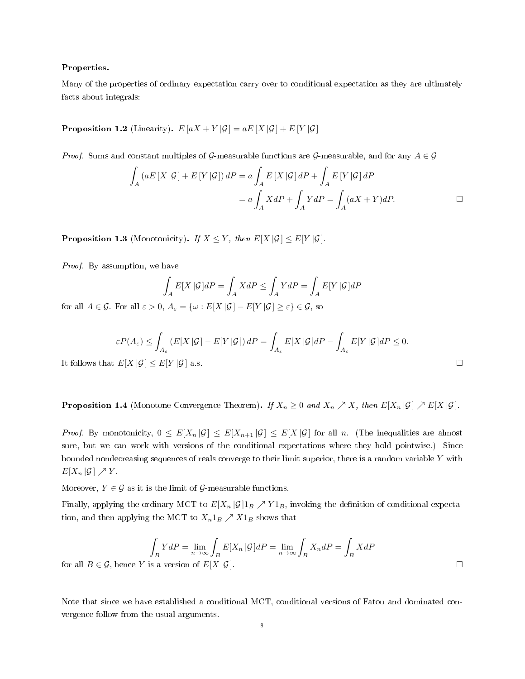## Properties.

Many of the properties of ordinary expectation carry over to conditional expectation as they are ultimately facts about integrals:

**Proposition 1.2** (Linearity).  $E[aX + Y|\mathcal{G}] = aE[X|\mathcal{G}] + E[Y|\mathcal{G}]$ 

*Proof.* Sums and constant multiples of G-measurable functions are G-measurable, and for any  $A \in \mathcal{G}$ 

$$
\int_{A} (aE[X|\mathcal{G}] + E[Y|\mathcal{G}]) dP = a \int_{A} E[X|\mathcal{G}] dP + \int_{A} E[Y|\mathcal{G}] dP
$$

$$
= a \int_{A} X dP + \int_{A} Y dP = \int_{A} (aX + Y) dP.
$$

**Proposition 1.3** (Monotonicity). If  $X \leq Y$ , then  $E[X|\mathcal{G}] \leq E[Y|\mathcal{G}]$ .

Proof. By assumption, we have

$$
\int_{A} E[X \mid \mathcal{G}]dP = \int_{A} XdP \le \int_{A} YdP = \int_{A} E[Y \mid \mathcal{G}]dP
$$

for all  $A \in \mathcal{G}$ . For all  $\varepsilon > 0$ ,  $A_{\varepsilon} = {\omega : E[X|\mathcal{G}]-E[Y|\mathcal{G}] \geq \varepsilon} \in \mathcal{G}$ , so

$$
\varepsilon P(A_{\varepsilon}) \le \int_{A_{\varepsilon}} (E[X \mid \mathcal{G}] - E[Y \mid \mathcal{G}]) dP = \int_{A_{\varepsilon}} E[X \mid \mathcal{G}] dP - \int_{A_{\varepsilon}} E[Y \mid \mathcal{G}] dP \le 0.
$$
  
It follows that  $E[X \mid \mathcal{G}] \le E[Y \mid \mathcal{G}]$  a.s.

**Proposition 1.4** (Monotone Convergence Theorem). If  $X_n \geq 0$  and  $X_n \nearrow X$ , then  $E[X_n | \mathcal{G}] \nearrow E[X | \mathcal{G}]$ .

*Proof.* By monotonicity,  $0 \leq E[X_n | \mathcal{G}] \leq E[X_{n+1} | \mathcal{G}] \leq E[X | \mathcal{G}]$  for all n. (The inequalities are almost sure, but we can work with versions of the conditional expectations where they hold pointwise.) Since bounded nondecreasing sequences of reals converge to their limit superior, there is a random variable  $Y$  with  $E[X_n | \mathcal{G}] \nearrow Y$ .

Moreover,  $Y \in \mathcal{G}$  as it is the limit of  $\mathcal{G}$ -measurable functions.

Finally, applying the ordinary MCT to  $E[X_n | \mathcal{G}]_B \nearrow Y1_B$ , invoking the definition of conditional expectation, and then applying the MCT to  $X_n1_B \nearrow X1_B$  shows that

$$
\int_B YdP = \lim_{n \to \infty} \int_B E[X_n | \mathcal{G}]dP = \lim_{n \to \infty} \int_B X_n dP = \int_B XdP
$$
  
for all  $B \in \mathcal{G}$ , hence Y is a version of  $E[X | \mathcal{G}]$ .

Note that since we have established a conditional MCT, conditional versions of Fatou and dominated convergence follow from the usual arguments.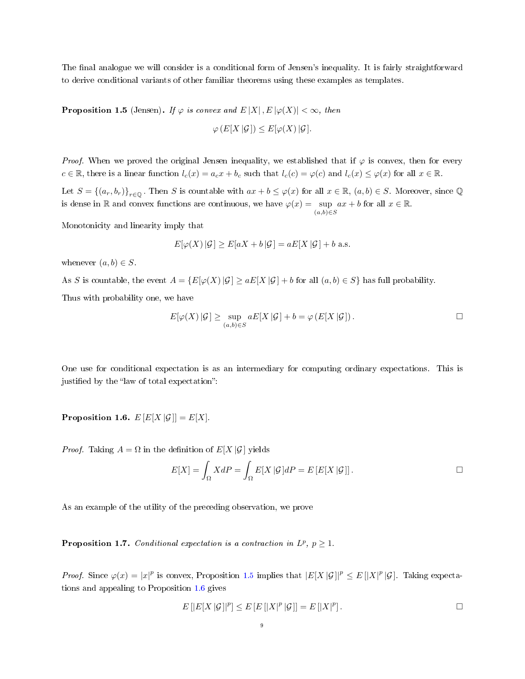The final analogue we will consider is a conditional form of Jensen's inequality. It is fairly straightforward to derive conditional variants of other familiar theorems using these examples as templates.

<span id="page-8-0"></span>**Proposition 1.5** (Jensen). If  $\varphi$  is convex and  $E[X], E[\varphi(X)] < \infty$ , then  $\varphi(E[Y|\mathcal{C}]) > E^{[\varphi]}(Y|\mathcal{C})$ 

$$
\varphi(E[X|\mathcal{G}]) \leq E[\varphi(X)|\mathcal{G}].
$$

*Proof.* When we proved the original Jensen inequality, we established that if  $\varphi$  is convex, then for every  $c \in \mathbb{R}$ , there is a linear function  $l_c(x) = a_c x + b_c$  such that  $l_c(c) = \varphi(c)$  and  $l_c(x) \leq \varphi(x)$  for all  $x \in \mathbb{R}$ .

Let  $S = \{(a_r, b_r)\}_{r \in \mathbb{Q}}$ . Then S is countable with  $ax + b \leq \varphi(x)$  for all  $x \in \mathbb{R}$ ,  $(a, b) \in S$ . Moreover, since  $\mathbb{Q}$ is dense in R and convex functions are continuous, we have  $\varphi(x) = \sup$  $(a,b) \in S$  $ax + b$  for all  $x \in \mathbb{R}$ .

Monotonicity and linearity imply that

$$
E[\varphi(X) | \mathcal{G}] \ge E[aX + b | \mathcal{G}] = aE[X | \mathcal{G}] + b \text{ a.s.}
$$

whenever  $(a, b) \in S$ .

As S is countable, the event  $A = \{E[\varphi(X)|\mathcal{G}] \ge aE[X|\mathcal{G}] + b$  for all  $(a, b) \in S\}$  has full probability. Thus with probability one, we have

$$
E[\varphi(X) | \mathcal{G}] \ge \sup_{(a,b)\in S} aE[X | \mathcal{G}] + b = \varphi(E[X | \mathcal{G}]).
$$

One use for conditional expectation is as an intermediary for computing ordinary expectations. This is justified by the "law of total expectation":

<span id="page-8-1"></span>Proposition 1.6.  $E[E[X|\mathcal{G}]] = E[X].$ 

*Proof.* Taking  $A = \Omega$  in the definition of  $E[X|\mathcal{G}]$  yields

$$
E[X] = \int_{\Omega} X dP = \int_{\Omega} E[X \, | \mathcal{G}] dP = E[E[X \, | \mathcal{G}]].
$$

As an example of the utility of the preceding observation, we prove

<span id="page-8-2"></span>**Proposition 1.7.** Conditional expectation is a contraction in  $L^p$ ,  $p \geq 1$ .

*Proof.* Since  $\varphi(x) = |x|^p$  is convex, Proposition [1.5](#page-8-0) implies that  $|E[X|\mathcal{G}|]^p \leq E[|X|^p|\mathcal{G}|$ . Taking expectations and appealing to Proposition [1.6](#page-8-1) gives

$$
E\left[|E[X|\mathcal{G}]|^p\right] \leq E\left[E\left[|X|^p|\mathcal{G}]\right] = E\left[|X|^p\right].\tag{}
$$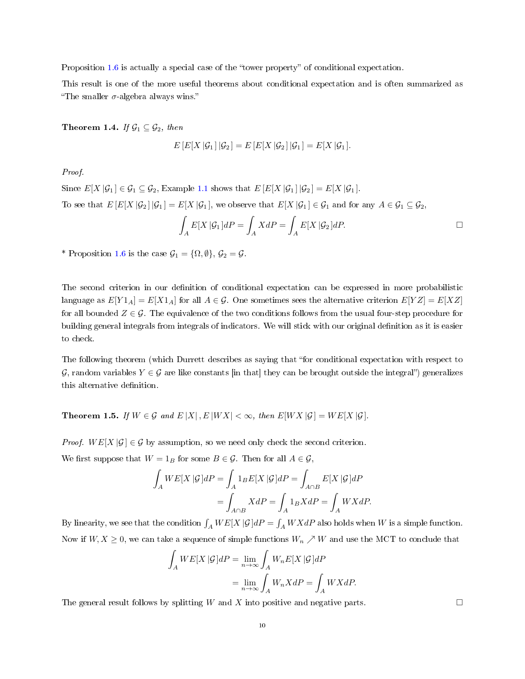Proposition  $1.6$  is actually a special case of the "tower property" of conditional expectation.

This result is one of the more useful theorems about conditional expectation and is often summarized as "The smaller  $\sigma$ -algebra always wins."

Theorem 1.4. If  $\mathcal{G}_1 \subseteq \mathcal{G}_2$ , then

$$
E\left[E[X \,|\mathcal{G}_1\right]|\mathcal{G}_2\right] = E\left[E[X \,|\mathcal{G}_2\right]|\mathcal{G}_1\right] = E[X \,|\mathcal{G}_1].
$$

## Proof.

Since  $E[X \mid \mathcal{G}_1] \in \mathcal{G}_1 \subseteq \mathcal{G}_2$ , Example [1.1](#page-5-0) shows that  $E[E[X \mid \mathcal{G}_1] \mid \mathcal{G}_2] = E[X \mid \mathcal{G}_1]$ . To see that  $E\left[E[X|\mathcal{G}_2]|\mathcal{G}_1\right] = E[X|\mathcal{G}_1]$ , we observe that  $E[X|\mathcal{G}_1] \in \mathcal{G}_1$  and for any  $A \in \mathcal{G}_1 \subseteq \mathcal{G}_2$ ,

$$
\int_{A} E[X \, | \mathcal{G}_1] dP = \int_{A} X dP = \int_{A} E[X \, | \mathcal{G}_2] dP.
$$

\* Proposition [1.6](#page-8-1) is the case  $\mathcal{G}_1 = {\Omega, \emptyset}, \mathcal{G}_2 = \mathcal{G}$ .

The second criterion in our definition of conditional expectation can be expressed in more probabilistic language as  $E[Y1_A] = E[X1_A]$  for all  $A \in \mathcal{G}$ . One sometimes sees the alternative criterion  $E[YZ] = E[XZ]$ for all bounded  $Z \in \mathcal{G}$ . The equivalence of the two conditions follows from the usual four-step procedure for building general integrals from integrals of indicators. We will stick with our original definition as it is easier to check.

The following theorem (which Durrett describes as saying that "for conditional expectation with respect to G, random variables  $Y \in \mathcal{G}$  are like constants [in that] they can be brought outside the integral") generalizes this alternative definition.

<span id="page-9-0"></span>Theorem 1.5. If  $W \in \mathcal{G}$  and  $E[X], E[WX] < \infty$ , then  $E[WX|\mathcal{G}] = WE[X|\mathcal{G}]$ .

*Proof.*  $WE[X | \mathcal{G}] \in \mathcal{G}$  by assumption, so we need only check the second criterion.

We first suppose that  $W = 1_B$  for some  $B \in \mathcal{G}$ . Then for all  $A \in \mathcal{G}$ ,

$$
\int_{A} WE[X \mid \mathcal{G}]dP = \int_{A} 1_{B} E[X \mid \mathcal{G}]dP = \int_{A \cap B} E[X \mid \mathcal{G}]dP
$$

$$
= \int_{A \cap B} XdP = \int_{A} 1_{B} XdP = \int_{A} WXdP.
$$

By linearity, we see that the condition  $\int_A WE[X\,|\mathcal{G}]dP = \int_A WXdP$  also holds when  $W$  is a simple function. Now if  $W, X \geq 0$ , we can take a sequence of simple functions  $W_n \nearrow W$  and use the MCT to conclude that

$$
\int_{A} WE[X \,|\mathcal{G}]dP = \lim_{n \to \infty} \int_{A} W_n E[X \,|\mathcal{G}]dP
$$

$$
= \lim_{n \to \infty} \int_{A} W_n XdP = \int_{A} W XdP.
$$

The general result follows by splitting W and X into positive and negative parts.  $\Box$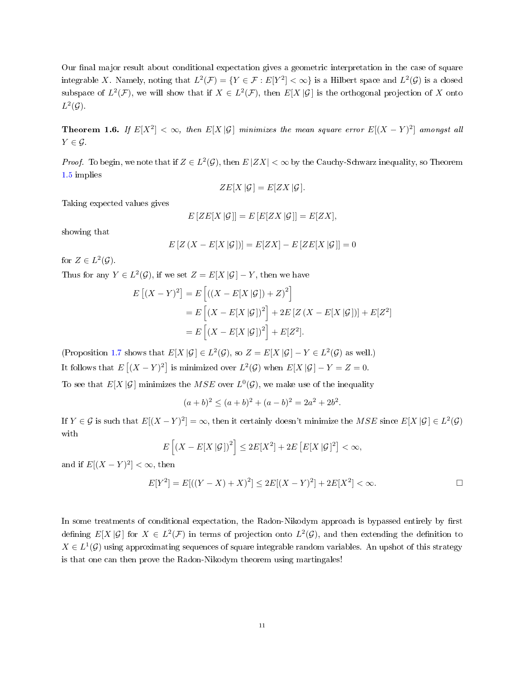Our final major result about conditional expectation gives a geometric interpretation in the case of square integrable X. Namely, noting that  $L^2(\mathcal{F}) = \{ Y \in \mathcal{F} : E[Y^2] < \infty \}$  is a Hilbert space and  $L^2(\mathcal{G})$  is a closed subspace of  $L^2(\mathcal{F})$ , we will show that if  $X \in L^2(\mathcal{F})$ , then  $E[X|\mathcal{G}]$  is the orthogonal projection of X onto  $L^2(\mathcal{G})$ .

Theorem 1.6. If  $E[X^2]<\infty$ , then  $E[X|\mathcal{G}]$  minimizes the mean square error  $E[(X-Y)^2]$  amongst all  $Y \in \mathcal{G}$ .

*Proof.* To begin, we note that if  $Z \in L^2(\mathcal{G})$ , then  $E|ZX| < \infty$  by the Cauchy-Schwarz inequality, so Theorem [1.5](#page-9-0) implies

$$
ZE[X|\mathcal{G}] = E[ZX|\mathcal{G}].
$$

Taking expected values gives

$$
E[ZE[X|\mathcal{G}]] = E[E[ZX|\mathcal{G}]] = E[ZX],
$$

showing that

$$
E[Z(X - E[X|G])] = E[ZX] - E[ZE[X|G]] = 0
$$

for  $Z \in L^2(\mathcal{G})$ .

Thus for any  $Y \in L^2(\mathcal{G})$ , if we set  $Z = E[X | \mathcal{G}] - Y$ , then we have

$$
E [(X - Y)^{2}] = E [(X - E[X | \mathcal{G}]) + Z)^{2}]
$$
  
= 
$$
E [(X - E[X | \mathcal{G}])^{2}] + 2E [Z (X - E[X | \mathcal{G}])] + E[Z^{2}]
$$
  
= 
$$
E [(X - E[X | \mathcal{G}])^{2}] + E[Z^{2}].
$$

(Proposition [1.7](#page-8-2) shows that  $E[X|\mathcal{G}] \in L^2(\mathcal{G})$ , so  $Z = E[X|\mathcal{G}] - Y \in L^2(\mathcal{G})$  as well.) It follows that  $E[(X - Y)^2]$  is minimized over  $L^2(\mathcal{G})$  when  $E[X|\mathcal{G}] - Y = Z = 0$ .

To see that  $E[X|\mathcal{G}]$  minimizes the  $MSE$  over  $L^0(\mathcal{G})$ , we make use of the inequality

$$
(a+b)^2 \le (a+b)^2 + (a-b)^2 = 2a^2 + 2b^2.
$$

If  $Y \in \mathcal{G}$  is such that  $E[(X - Y)^2] = \infty$ , then it certainly doesn't minimize the MSE since  $E[X | \mathcal{G}] \in L^2(\mathcal{G})$ with

$$
E\left[\left(X - E[X|\mathcal{G}]\right)^2\right] \le 2E[X^2] + 2E\left[E[X|\mathcal{G}]^2\right] < \infty,
$$

and if  $E[(X - Y)^2] < \infty$ , then

$$
E[Y^{2}] = E[((Y - X) + X)^{2}] \le 2E[(X - Y)^{2}] + 2E[X^{2}] < \infty.
$$

In some treatments of conditional expectation, the Radon-Nikodym approach is bypassed entirely by first defining  $E[X|\mathcal{G}]$  for  $X \in L^2(\mathcal{F})$  in terms of projection onto  $L^2(\mathcal{G})$ , and then extending the definition to  $X \in L^1(\mathcal{G})$  using approximating sequences of square integrable random variables. An upshot of this strategy is that one can then prove the Radon-Nikodym theorem using martingales!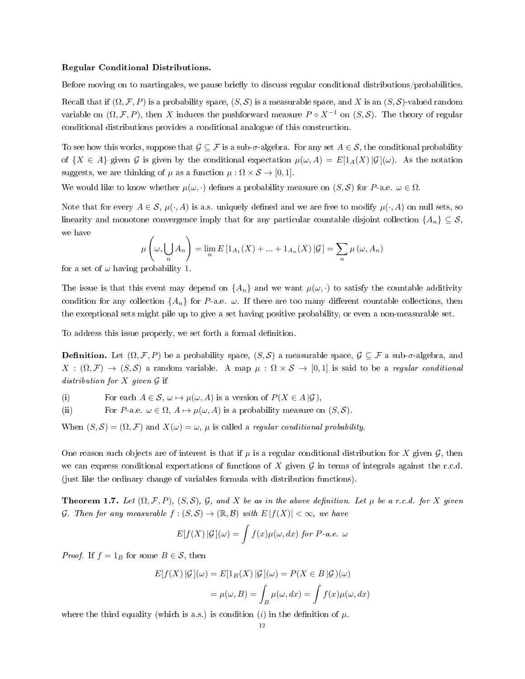#### Regular Conditional Distributions.

Before moving on to martingales, we pause briefly to discuss regular conditional distributions/probabilities.

Recall that if  $(\Omega, \mathcal{F}, P)$  is a probability space,  $(S, \mathcal{S})$  is a measurable space, and X is an  $(S, \mathcal{S})$ -valued random variable on  $(\Omega, \mathcal{F}, P)$ , then X induces the pushforward measure  $P \circ X^{-1}$  on  $(S, \mathcal{S})$ . The theory of regular conditional distributions provides a conditional analogue of this construction.

To see how this works, suppose that  $\mathcal{G} \subseteq \mathcal{F}$  is a sub- $\sigma$ -algebra. For any set  $A \in \mathcal{S}$ , the conditional probability of  $\{X \in A\}$  given G is given by the conditional expectation  $\mu(\omega, A) = E[1_A(X)|\mathcal{G}](\omega)$ . As the notation suggests, we are thinking of  $\mu$  as a function  $\mu : \Omega \times S \to [0, 1]$ .

We would like to know whether  $\mu(\omega, \cdot)$  defines a probability measure on  $(S, S)$  for P-a.e.  $\omega \in \Omega$ .

Note that for every  $A \in \mathcal{S}$ ,  $\mu(\cdot, A)$  is a.s. uniquely defined and we are free to modify  $\mu(\cdot, A)$  on null sets, so linearity and monotone convergence imply that for any particular countable disjoint collection  $\{A_n\} \subseteq S$ , we have

$$
\mu\left(\omega,\bigcup_{n} A_{n}\right) = \lim_{n} E\left[1_{A_{1}}(X) + \dots + 1_{A_{n}}(X)\right] \mathcal{G}\right] = \sum_{n} \mu\left(\omega, A_{n}\right)
$$

for a set of  $\omega$  having probability 1.

The issue is that this event may depend on  $\{A_n\}$  and we want  $\mu(\omega, \cdot)$  to satisfy the countable additivity condition for any collection  $\{A_n\}$  for P-a.e.  $\omega$ . If there are too many different countable collections, then the exceptional sets might pile up to give a set having positive probability, or even a non-measurable set.

To address this issue properly, we set forth a formal definition.

**Definition.** Let  $(\Omega, \mathcal{F}, P)$  be a probability space,  $(S, \mathcal{S})$  a measurable space,  $\mathcal{G} \subseteq \mathcal{F}$  a sub- $\sigma$ -algebra, and  $X : (\Omega, \mathcal{F}) \to (S, \mathcal{S})$  a random variable. A map  $\mu : \Omega \times \mathcal{S} \to [0, 1]$  is said to be a regular conditional distribution for  $X$  given  $G$  if

(i) For each  $A \in \mathcal{S}$ ,  $\omega \mapsto \mu(\omega, A)$  is a version of  $P(X \in A | \mathcal{G})$ ,

(ii) For P-a.e.  $\omega \in \Omega$ ,  $A \mapsto \mu(\omega, A)$  is a probability measure on  $(S, S)$ .

When  $(S, S) = (\Omega, \mathcal{F})$  and  $X(\omega) = \omega$ ,  $\mu$  is called a *regular conditional probability*.

One reason such objects are of interest is that if  $\mu$  is a regular conditional distribution for X given  $\mathcal{G}$ , then we can express conditional expectations of functions of X given  $\mathcal G$  in terms of integrals against the r.c.d. (just like the ordinary change of variables formula with distribution functions).

**Theorem 1.7.** Let  $(\Omega, \mathcal{F}, P)$ ,  $(S, \mathcal{S})$ , G, and X be as in the above definition. Let  $\mu$  be a r.c.d. for X given G. Then for any measurable  $f:(S,\mathcal{S})\to(\mathbb{R},\mathcal{B})$  with  $E|f(X)|<\infty$ , we have

$$
E[f(X) | \mathcal{G}](\omega) = \int f(x) \mu(\omega, dx) \text{ for } P \text{-}a.e. \omega
$$

*Proof.* If  $f = 1_B$  for some  $B \in \mathcal{S}$ , then

$$
E[f(X) | \mathcal{G}](\omega) = E[1_B(X) | \mathcal{G}](\omega) = P(X \in B | \mathcal{G})(\omega)
$$

$$
= \mu(\omega, B) = \int_B \mu(\omega, dx) = \int f(x)\mu(\omega, dx)
$$

where the third equality (which is a.s.) is condition (i) in the definition of  $\mu$ .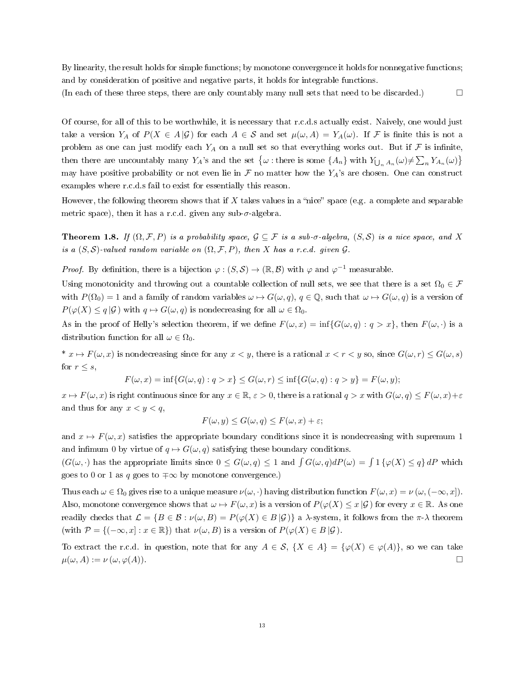By linearity, the result holds for simple functions; by monotone convergence it holds for nonnegative functions; and by consideration of positive and negative parts, it holds for integrable functions.

(In each of these three steps, there are only countably many null sets that need to be discarded.)  $\Box$ 

Of course, for all of this to be worthwhile, it is necessary that r.c.d.s actually exist. Naively, one would just take a version  $Y_A$  of  $P(X \in A | \mathcal{G})$  for each  $A \in \mathcal{S}$  and set  $\mu(\omega, A) = Y_A(\omega)$ . If F is finite this is not a problem as one can just modify each  $Y_A$  on a null set so that everything works out. But if F is infinite, then there are uncountably many  $Y_A$ 's and the set  $\{\omega :$  there is some  $\{A_n\}$  with  $Y_{\bigcup_n A_n}(\omega) \neq \sum_n Y_{A_n}(\omega)\}$ may have positive probability or not even lie in  $\mathcal F$  no matter how the  $Y_A$ 's are chosen. One can construct examples where r.c.d.s fail to exist for essentially this reason.

However, the following theorem shows that if  $X$  takes values in a "nice" space (e.g. a complete and separable metric space), then it has a r.c.d. given any sub- $\sigma$ -algebra.

**Theorem 1.8.** If  $(\Omega, \mathcal{F}, P)$  is a probability space,  $\mathcal{G} \subseteq \mathcal{F}$  is a sub- $\sigma$ -algebra,  $(S, \mathcal{S})$  is a nice space, and X is a  $(S, S)$ -valued random variable on  $(\Omega, \mathcal{F}, P)$ , then X has a r.c.d. given  $\mathcal{G}$ .

*Proof.* By definition, there is a bijection  $\varphi$  :  $(S, S) \to (\mathbb{R}, \mathcal{B})$  with  $\varphi$  and  $\varphi^{-1}$  measurable.

Using monotonicity and throwing out a countable collection of null sets, we see that there is a set  $\Omega_0 \in \mathcal{F}$ with  $P(\Omega_0) = 1$  and a family of random variables  $\omega \mapsto G(\omega, q)$ ,  $q \in \mathbb{Q}$ , such that  $\omega \mapsto G(\omega, q)$  is a version of  $P(\varphi(X) \leq q | \mathcal{G})$  with  $q \mapsto G(\omega, q)$  is nondecreasing for all  $\omega \in \Omega_0$ .

As in the proof of Helly's selection theorem, if we define  $F(\omega, x) = \inf\{G(\omega, q) : q > x\}$ , then  $F(\omega, \cdot)$  is a distribution function for all  $\omega \in \Omega_0$ .

\*  $x \mapsto F(\omega, x)$  is nondecreasing since for any  $x < y$ , there is a rational  $x < r < y$  so, since  $G(\omega, r) \leq G(\omega, s)$ for  $r \leq s$ ,

 $F(\omega, x) = \inf \{ G(\omega, q) : q > x \} \le G(\omega, r) \le \inf \{ G(\omega, q) : q > y \} = F(\omega, y);$ 

 $x \mapsto F(\omega, x)$  is right continuous since for any  $x \in \mathbb{R}$ ,  $\varepsilon > 0$ , there is a rational  $q > x$  with  $G(\omega, q) \leq F(\omega, x) + \varepsilon$ and thus for any  $x < y < q$ ,

$$
F(\omega, y) \le G(\omega, q) \le F(\omega, x) + \varepsilon;
$$

and  $x \mapsto F(\omega, x)$  satisfies the appropriate boundary conditions since it is nondecreasing with supremum 1 and infimum 0 by virtue of  $q \mapsto G(\omega, q)$  satisfying these boundary conditions.

 $(G(\omega, \cdot))$  has the appropriate limits since  $0 \le G(\omega, q) \le 1$  and  $\int G(\omega, q) dP(\omega) = \int 1 \{\varphi(X) \le q\} dP$  which goes to 0 or 1 as q goes to  $\mp \infty$  by monotone convergence.)

Thus each  $\omega \in \Omega_0$  gives rise to a unique measure  $\nu(\omega, \cdot)$  having distribution function  $F(\omega, x) = \nu(\omega, (-\infty, x])$ . Also, monotone convergence shows that  $\omega \mapsto F(\omega, x)$  is a version of  $P(\varphi(X) \leq x | \mathcal{G})$  for every  $x \in \mathbb{R}$ . As one readily checks that  $\mathcal{L} = \{B \in \mathcal{B} : \nu(\omega, B) = P(\varphi(X) \in B | \mathcal{G})\}$  a  $\lambda$ -system, it follows from the  $\pi$ - $\lambda$  theorem (with  $\mathcal{P} = \{(-\infty, x] : x \in \mathbb{R}\}\)$  that  $\nu(\omega, B)$  is a version of  $P(\varphi(X) \in B | \mathcal{G})$ .

To extract the r.c.d. in question, note that for any  $A \in \mathcal{S}$ ,  $\{X \in A\} = \{\varphi(X) \in \varphi(A)\}\)$ , so we can take  $\mu(\omega, A) := \nu(\omega, \varphi(A)).$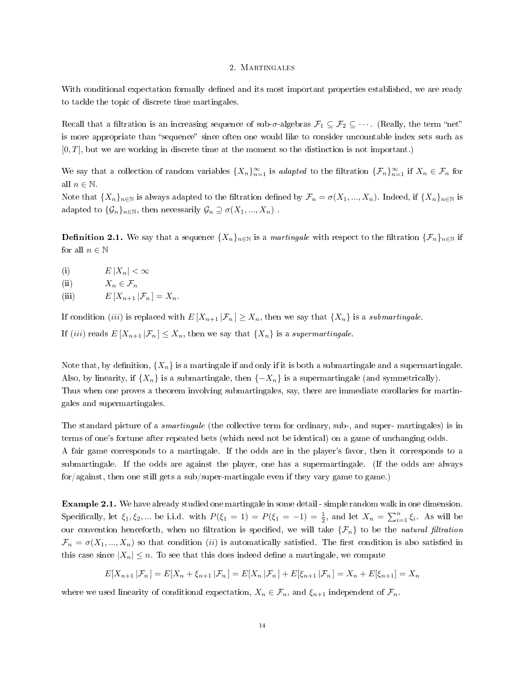#### 2. Martingales

With conditional expectation formally defined and its most important properties established, we are ready to tackle the topic of discrete time martingales.

Recall that a filtration is an increasing sequence of sub- $\sigma$ -algebras  $\mathcal{F}_1 \subseteq \mathcal{F}_2 \subseteq \cdots$ . (Really, the term "net" is more appropriate than "sequence" since often one would like to consider uncountable index sets such as  $[0, T]$ , but we are working in discrete time at the moment so the distinction is not important.)

We say that a collection of random variables  $\{X_n\}_{n=1}^{\infty}$  is *adapted* to the filtration  $\{\mathcal{F}_n\}_{n=1}^{\infty}$  if  $X_n \in \mathcal{F}_n$  for all  $n \in \mathbb{N}$ .

Note that  $\{X_n\}_{n\in\mathbb{N}}$  is always adapted to the filtration defined by  $\mathcal{F}_n = \sigma(X_1, ..., X_n)$ . Indeed, if  $\{X_n\}_{n\in\mathbb{N}}$  is adapted to  $\{\mathcal{G}_n\}_{n\in\mathbb{N}}$ , then necessarily  $\mathcal{G}_n \supseteq \sigma(X_1, ..., X_n)$ .

**Definition 2.1.** We say that a sequence  $\{X_n\}_{n\in\mathbb{N}}$  is a martingale with respect to the filtration  $\{\mathcal{F}_n\}_{n\in\mathbb{N}}$  if for all  $n \in \mathbb{N}$ 

- (i)  $E |X_n| < \infty$
- (ii)  $X_n \in \mathcal{F}_n$
- (iii)  $E[X_{n+1} | \mathcal{F}_n] = X_n$ .

If condition *(iii)* is replaced with  $E[X_{n+1} | \mathcal{F}_n] \geq X_n$ , then we say that  $\{X_n\}$  is a *submartingale*. If (iii) reads  $E[X_{n+1} | \mathcal{F}_n] \leq X_n$ , then we say that  $\{X_n\}$  is a supermartingale.

Note that, by definition,  $\{X_n\}$  is a martingale if and only if it is both a submartingale and a supermartingale. Also, by linearity, if  $\{X_n\}$  is a submartingale, then  $\{-X_n\}$  is a supermartingale (and symmetrically). Thus when one proves a theorem involving submartingales, say, there are immediate corollaries for martingales and supermartingales.

The standard picture of a smartingale (the collective term for ordinary, sub-, and super- martingales) is in terms of one's fortune after repeated bets (which need not be identical) on a game of unchanging odds. A fair game corresponds to a martingale. If the odds are in the player's favor, then it corresponds to a submartingale. If the odds are against the player, one has a supermartingale. (If the odds are always for/against, then one still gets a sub/super-martingale even if they vary game to game.)

Example 2.1. We have already studied one martingale in some detail - simple random walk in one dimension. Specifically, let  $\xi_1, \xi_2, ...$  be i.i.d. with  $P(\xi_1 = 1) = P(\xi_1 = -1) = \frac{1}{2}$ , and let  $X_n = \sum_{i=1}^n \xi_i$ . As will be our convention henceforth, when no filtration is specified, we will take  $\{\mathcal{F}_n\}$  to be the natural filtration  $\mathcal{F}_n = \sigma(X_1, ..., X_n)$  so that condition *(ii)* is automatically satisfied. The first condition is also satisfied in this case since  $|X_n| \leq n$ . To see that this does indeed define a martingale, we compute

$$
E[X_{n+1} | \mathcal{F}_n] = E[X_n + \xi_{n+1} | \mathcal{F}_n] = E[X_n | \mathcal{F}_n] + E[\xi_{n+1} | \mathcal{F}_n] = X_n + E[\xi_{n+1}] = X_n
$$

where we used linearity of conditional expectation,  $X_n \in \mathcal{F}_n$ , and  $\xi_{n+1}$  independent of  $\mathcal{F}_n$ .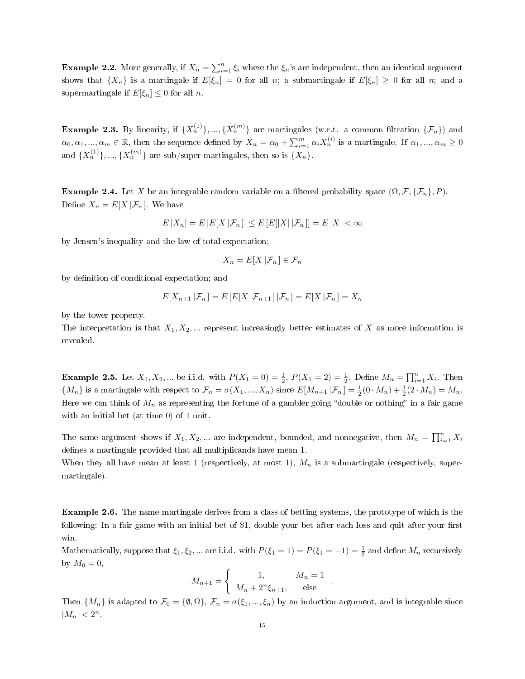**Example 2.2.** More generally, if  $X_n = \sum_{i=1}^n \xi_i$  where the  $\xi_n$ 's are independent, then an identical argument shows that  $\{X_n\}$  is a martingale if  $E[\xi_n] = 0$  for all n; a submartingale if  $E[\xi_n] \geq 0$  for all n; and a supermartingale if  $E[\xi_n] \leq 0$  for all *n*.

**Example 2.3.** By linearity, if  $\{X_n^{(1)}\}, ..., \{X_n^{(m)}\}$  are martingales (w.r.t. a common filtration  $\{\mathcal{F}_n\}$ ) and  $\alpha_0, \alpha_1, ..., \alpha_m \in \mathbb{R}$ , then the sequence defined by  $X_n = \alpha_0 + \sum_{i=1}^m \alpha_i X_n^{(i)}$  is a martingale. If  $\alpha_1, ..., \alpha_m \ge 0$ and  $\{X_n^{(1)}\},..., \{X_n^{(m)}\}$  are sub/super-martingales, then so is  $\{X_n\}.$ 

**Example 2.4.** Let X be an integrable random variable on a filtered probability space  $(\Omega, \mathcal{F}, \{\mathcal{F}_n\}, P)$ . Define  $X_n = E[X | \mathcal{F}_n]$ . We have

$$
E|X_n| = E|E[X|\mathcal{F}_n]| \le E[E[|X||\mathcal{F}_n]] = E|X| < \infty
$$

by Jensen's inequality and the law of total expectation;

$$
X_n = E[X | \mathcal{F}_n] \in \mathcal{F}_n
$$

by definition of conditional expectation; and

$$
E[X_{n+1}|\mathcal{F}_n] = E\left[E[X|\mathcal{F}_{n+1}|\mathcal{F}_n\right] = E[X|\mathcal{F}_n] = X_n
$$

by the tower property.

The interpretation is that  $X_1, X_2, ...$  represent increasingly better estimates of X as more information is revealed.

**Example 2.5.** Let  $X_1, X_2, ...$  be i.i.d. with  $P(X_1 = 0) = \frac{1}{2}$ ,  $P(X_1 = 2) = \frac{1}{2}$ . Define  $M_n = \prod_{i=1}^n X_i$ . Then  $\{M_n\}$  is a martingale with respect to  $\mathcal{F}_n = \sigma(X_1, ..., X_n)$  since  $E[M_{n+1} | \mathcal{F}_n] = \frac{1}{2}(0 \cdot M_n) + \frac{1}{2}(2 \cdot M_n) = M_n$ . Here we can think of  $M_n$  as representing the fortune of a gambler going "double or nothing" in a fair game with an initial bet (at time 0) of 1 unit.

The same argument shows if  $X_1, X_2, ...$  are independent, bounded, and nonnegative, then  $M_n = \prod_{i=1}^n X_i$ defines a martingale provided that all multiplicands have mean 1.

When they all have mean at least 1 (respectively, at most 1),  $M_n$  is a submartingale (respectively, supermartingale).

Example 2.6. The name martingale derives from a class of betting systems, the prototype of which is the following: In a fair game with an initial bet of \$1, double your bet after each loss and quit after your first win.

Mathematically, suppose that  $\xi_1, \xi_2, ...$  are i.i.d. with  $P(\xi_1 = 1) = P(\xi_1 = -1) = \frac{1}{2}$  and define  $M_n$  recursively by  $M_0 = 0$ ,

$$
M_{n+1} = \begin{cases} 1, & M_n = 1 \\ M_n + 2^n \xi_{n+1}, & \text{else} \end{cases}.
$$

Then  $\{M_n\}$  is adapted to  $\mathcal{F}_0 = \{\emptyset, \Omega\}, \mathcal{F}_n = \sigma(\xi_1, ..., \xi_n)$  by an induction argument, and is integrable since  $|M_n| < 2^n$ .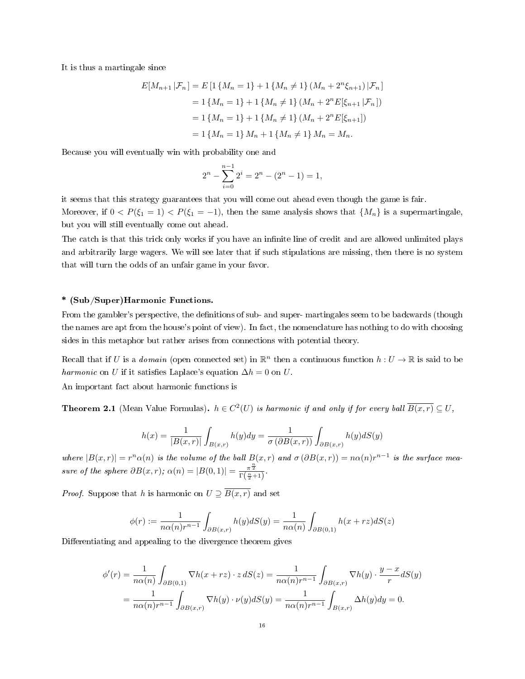It is thus a martingale since

$$
E[M_{n+1}|\mathcal{F}_n] = E\left[1\left\{M_n = 1\right\} + 1\left\{M_n \neq 1\right\}\left(M_n + 2^n \xi_{n+1}\right)|\mathcal{F}_n\right\}\right]
$$
  
= 1\left\{M\_n = 1\right\} + 1\left\{M\_n \neq 1\right\}\left(M\_n + 2^n E[\xi\_{n+1}|\mathcal{F}\_n]\right)  
= 1\left\{M\_n = 1\right\} + 1\left\{M\_n \neq 1\right\}\left(M\_n + 2^n E[\xi\_{n+1}]\right)  
= 1\left\{M\_n = 1\right\}M\_n + 1\left\{M\_n \neq 1\right\}M\_n = M\_n.

Because you will eventually win with probability one and

$$
2^{n} - \sum_{i=0}^{n-1} 2^{i} = 2^{n} - (2^{n} - 1) = 1,
$$

it seems that this strategy guarantees that you will come out ahead even though the game is fair. Moreover, if  $0 < P(\xi_1 = 1) < P(\xi_1 = -1)$ , then the same analysis shows that  $\{M_n\}$  is a supermartingale, but you will still eventually come out ahead.

The catch is that this trick only works if you have an infinite line of credit and are allowed unlimited plays and arbitrarily large wagers. We will see later that if such stipulations are missing, then there is no system that will turn the odds of an unfair game in your favor.

## \* (Sub/Super)Harmonic Functions.

From the gambler's perspective, the definitions of sub- and super- martingales seem to be backwards (though the names are apt from the house's point of view). In fact, the nomenclature has nothing to do with choosing sides in this metaphor but rather arises from connections with potential theory.

Recall that if U is a *domain* (open connected set) in  $\mathbb{R}^n$  then a continuous function  $h: U \to \mathbb{R}$  is said to be harmonic on U if it satisfies Laplace's equation  $\Delta h = 0$  on U.

An important fact about harmonic functions is

<span id="page-15-0"></span>**Theorem 2.1** (Mean Value Formulas).  $h \in C^2(U)$  is harmonic if and only if for every ball  $\overline{B(x,r)} \subseteq U$ ,

$$
h(x) = \frac{1}{|B(x,r)|} \int_{B(x,r)} h(y) dy = \frac{1}{\sigma(\partial B(x,r))} \int_{\partial B(x,r)} h(y) dS(y)
$$

where  $|B(x,r)| = r^n \alpha(n)$  is the volume of the ball  $B(x,r)$  and  $\sigma(\partial B(x,r)) = n\alpha(n)r^{n-1}$  is the surface measure of the sphere  $\partial B(x,r)$ ;  $\alpha(n) = |B(0,1)| = \frac{\pi^{\frac{n}{2}}}{\Gamma(\frac{n}{2}+1)}$ .

*Proof.* Suppose that h is harmonic on  $U \supseteq \overline{B(x,r)}$  and set

$$
\phi(r) := \frac{1}{n\alpha(n)r^{n-1}} \int_{\partial B(x,r)} h(y)dS(y) = \frac{1}{n\alpha(n)} \int_{\partial B(0,1)} h(x+rz)dS(z)
$$

Differentiating and appealing to the divergence theorem gives

$$
\phi'(r) = \frac{1}{n\alpha(n)} \int_{\partial B(0,1)} \nabla h(x+rz) \cdot z \, dS(z) = \frac{1}{n\alpha(n)r^{n-1}} \int_{\partial B(x,r)} \nabla h(y) \cdot \frac{y-x}{r} dS(y)
$$

$$
= \frac{1}{n\alpha(n)r^{n-1}} \int_{\partial B(x,r)} \nabla h(y) \cdot \nu(y) dS(y) = \frac{1}{n\alpha(n)r^{n-1}} \int_{B(x,r)} \Delta h(y) dy = 0.
$$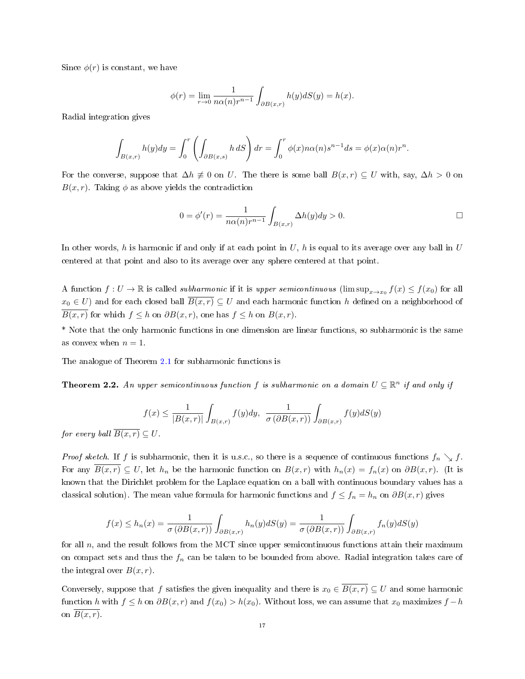Since  $\phi(r)$  is constant, we have

$$
\phi(r) = \lim_{r \to 0} \frac{1}{n\alpha(n)r^{n-1}} \int_{\partial B(x,r)} h(y)dS(y) = h(x).
$$

Radial integration gives

$$
\int_{B(x,r)} h(y) dy = \int_0^r \left( \int_{\partial B(x,s)} h \, dS \right) dr = \int_0^r \phi(x) n \alpha(n) s^{n-1} ds = \phi(x) \alpha(n) r^n.
$$

For the converse, suppose that  $\Delta h \neq 0$  on U. The there is some ball  $B(x, r) \subseteq U$  with, say,  $\Delta h > 0$  on  $B(x, r)$ . Taking  $\phi$  as above yields the contradiction

$$
0 = \phi'(r) = \frac{1}{n\alpha(n)r^{n-1}} \int_{B(x,r)} \Delta h(y) dy > 0.
$$

In other words, h is harmonic if and only if at each point in  $U$ , h is equal to its average over any ball in  $U$ centered at that point and also to its average over any sphere centered at that point.

A function  $f: U \to \mathbb{R}$  is called *subharmonic* if it is *upper semicontinuous* (lim  $\sup_{x\to x_0} f(x) \le f(x_0)$  for all  $x_0 \in U$ ) and for each closed ball  $\overline{B(x,r)} \subseteq U$  and each harmonic function h defined on a neighborhood of  $\overline{B(x,r)}$  for which  $f \leq h$  on  $\partial B(x,r)$ , one has  $f \leq h$  on  $B(x,r)$ .

\* Note that the only harmonic functions in one dimension are linear functions, so subharmonic is the same as convex when  $n = 1$ .

The analogue of Theorem [2.1](#page-15-0) for subharmonic functions is

**Theorem 2.2.** An upper semicontinuous function f is subharmonic on a domain  $U \subseteq \mathbb{R}^n$  if and only if

$$
f(x) \le \frac{1}{|B(x,r)|} \int_{B(x,r)} f(y) dy, \ \frac{1}{\sigma(\partial B(x,r))} \int_{\partial B(x,r)} f(y) dS(y)
$$

for every ball  $\overline{B(x,r)} \subseteq U$ .

*Proof sketch.* If f is subharmonic, then it is u.s.c., so there is a sequence of continuous functions  $f_n \searrow f$ . For any  $\overline{B(x,r)} \subseteq U$ , let  $h_n$  be the harmonic function on  $B(x,r)$  with  $h_n(x) = f_n(x)$  on  $\partial B(x,r)$ . (It is known that the Dirichlet problem for the Laplace equation on a ball with continuous boundary values has a classical solution). The mean value formula for harmonic functions and  $f \leq f_n = h_n$  on  $\partial B(x, r)$  gives

$$
f(x) \le h_n(x) = \frac{1}{\sigma(\partial B(x,r))} \int_{\partial B(x,r)} h_n(y) dS(y) = \frac{1}{\sigma(\partial B(x,r))} \int_{\partial B(x,r)} f_n(y) dS(y)
$$

for all  $n$ , and the result follows from the MCT since upper semicontinuous functions attain their maximum on compact sets and thus the  $f_n$  can be taken to be bounded from above. Radial integration takes care of the integral over  $B(x, r)$ .

Conversely, suppose that f satisfies the given inequality and there is  $x_0 \in \overline{B(x,r)} \subseteq U$  and some harmonic function h with  $f \leq h$  on  $\partial B(x, r)$  and  $f(x_0) > h(x_0)$ . Without loss, we can assume that  $x_0$  maximizes  $f - h$ on  $\overline{B(x,r)}$ .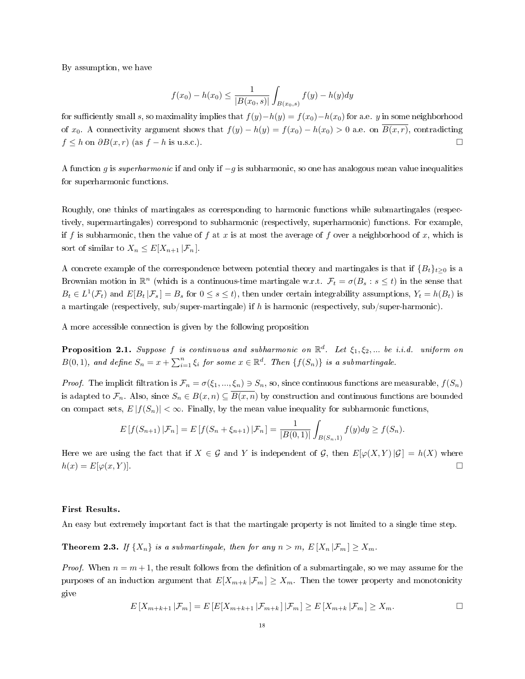By assumption, we have

$$
f(x_0) - h(x_0) \le \frac{1}{|B(x_0, s)|} \int_{B(x_0, s)} f(y) - h(y) dy
$$

for sufficiently small s, so maximality implies that  $f(y)-h(y) = f(x_0)-h(x_0)$  for a.e. y in some neighborhood of  $x_0$ . A connectivity argument shows that  $f(y) - h(y) = f(x_0) - h(x_0) > 0$  a.e. on  $\overline{B(x,r)}$ , contradicting  $f \leq h$  on  $\partial B(x,r)$  (as  $f - h$  is u.s.c.).

A function g is superharmonic if and only if  $-g$  is subharmonic, so one has analogous mean value inequalities for superharmonic functions.

Roughly, one thinks of martingales as corresponding to harmonic functions while submartingales (respectively, supermartingales) correspond to subharmonic (respectively, superharmonic) functions. For example, if f is subharmonic, then the value of f at x is at most the average of f over a neighborhood of x, which is sort of similar to  $X_n \leq E[X_{n+1} | \mathcal{F}_n]$ .

A concrete example of the correspondence between potential theory and martingales is that if  ${B_t}_{t\geq0}$  is a Brownian motion in  $\mathbb{R}^n$  (which is a continuous-time martingale w.r.t.  $\mathcal{F}_t = \sigma(B_s : s \le t)$  in the sense that  $B_t \in L^1(\mathcal{F}_t)$  and  $E[B_t | \mathcal{F}_s] = B_s$  for  $0 \le s \le t$ , then under certain integrability assumptions,  $Y_t = h(B_t)$  is a martingale (respectively, sub/super-martingale) if h is harmonic (respectively, sub/super-harmonic).

A more accessible connection is given by the following proposition

**Proposition 2.1.** Suppose f is continuous and subharmonic on  $\mathbb{R}^d$ . Let  $\xi_1, \xi_2, ...$  be i.i.d. uniform on  $B(0,1)$ , and define  $S_n = x + \sum_{i=1}^n \xi_i$  for some  $x \in \mathbb{R}^d$ . Then  $\{f(S_n)\}$  is a submartingale.

*Proof.* The implicit filtration is  $\mathcal{F}_n = \sigma(\xi_1, ..., \xi_n) \ni S_n$ , so, since continuous functions are measurable,  $f(S_n)$ is adapted to  $\mathcal{F}_n$ . Also, since  $S_n \in B(x,n) \subseteq \overline{B(x,n)}$  by construction and continuous functions are bounded on compact sets,  $E |f(S_n)| < \infty$ . Finally, by the mean value inequality for subharmonic functions,

$$
E[f(S_{n+1})|\mathcal{F}_n] = E[f(S_n + \xi_{n+1})|\mathcal{F}_n] = \frac{1}{|B(0,1)|} \int_{B(S_n,1)} f(y) dy \ge f(S_n).
$$

Here we are using the fact that if  $X \in \mathcal{G}$  and Y is independent of  $\mathcal{G}$ , then  $E[\varphi(X, Y) | \mathcal{G}] = h(X)$  where  $h(x) = E[\varphi(x, Y)].$ 

## First Results.

An easy but extremely important fact is that the martingale property is not limited to a single time step.

<span id="page-17-0"></span>**Theorem 2.3.** If  $\{X_n\}$  is a submartingale, then for any  $n > m$ ,  $E[X_n | \mathcal{F}_m] \geq X_m$ .

*Proof.* When  $n = m + 1$ , the result follows from the definition of a submartingale, so we may assume for the purposes of an induction argument that  $E[X_{m+k} | \mathcal{F}_m] \geq X_m$ . Then the tower property and monotonicity give

$$
E[X_{m+k+1}|\mathcal{F}_m] = E[E[X_{m+k+1}|\mathcal{F}_{m+k}]|\mathcal{F}_m] \ge E[X_{m+k}|\mathcal{F}_m] \ge X_m.
$$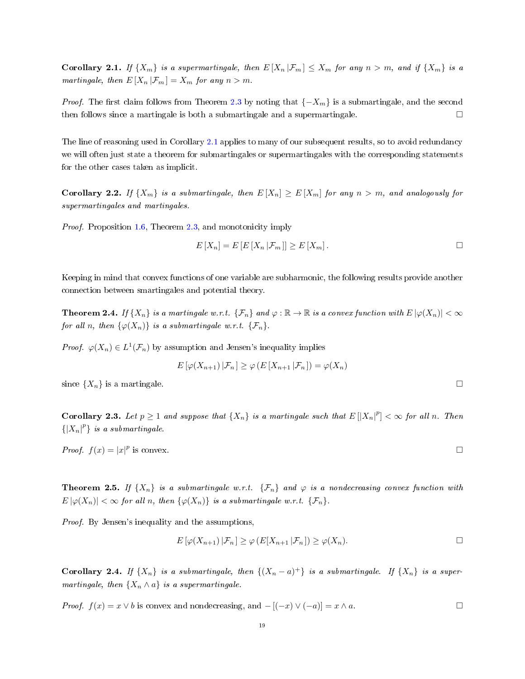<span id="page-18-0"></span>**Corollary 2.1.** If  $\{X_m\}$  is a supermartingale, then  $E[X_n|\mathcal{F}_m] \leq X_m$  for any  $n > m$ , and if  $\{X_m\}$  is a martingale, then  $E[X_n | \mathcal{F}_m] = X_m$  for any  $n > m$ .

*Proof.* The first claim follows from Theorem [2.3](#page-17-0) by noting that  $\{-X_m\}$  is a submartingale, and the second then follows since a martingale is both a submartingale and a supermartingale.  $□$ 

The line of reasoning used in Corollary [2.1](#page-18-0) applies to many of our subsequent results, so to avoid redundancy we will often just state a theorem for submartingales or supermartingales with the corresponding statements for the other cases taken as implicit.

<span id="page-18-1"></span>**Corollary 2.2.** If  $\{X_m\}$  is a submartingale, then  $E[X_n] \geq E[X_m]$  for any  $n > m$ , and analogously for supermartingales and martingales.

Proof. Proposition [1.6,](#page-8-1) Theorem [2.3,](#page-17-0) and monotonicity imply

$$
E[X_n] = E[E[X_n | \mathcal{F}_m]] \ge E[X_m].
$$

Keeping in mind that convex functions of one variable are subharmonic, the following results provide another connection between smartingales and potential theory.

**Theorem 2.4.** If  $\{X_n\}$  is a martingale w.r.t.  $\{\mathcal{F}_n\}$  and  $\varphi : \mathbb{R} \to \mathbb{R}$  is a convex function with  $E |\varphi(X_n)| < \infty$ for all n, then  $\{\varphi(X_n)\}\$ is a submartingale w.r.t.  $\{\mathcal{F}_n\}.$ 

*Proof.*  $\varphi(X_n) \in L^1(\mathcal{F}_n)$  by assumption and Jensen's inequality implies

$$
E\left[\varphi(X_{n+1})\,|\mathcal{F}_n\right]\geq\varphi\left(E\left[X_{n+1}\,|\mathcal{F}_n\right]\right)=\varphi(X_n)
$$

since  $\{X_n\}$  is a martingale.  $\Box$ 

**Corollary 2.3.** Let  $p \ge 1$  and suppose that  $\{X_n\}$  is a martingale such that  $E[|X_n|^p] < \infty$  for all n. Then  ${[X_n]}^p$  is a submartingale.

Proof.  $f(x) = |x|^p$ is convex.  $\Box$ 

**Theorem 2.5.** If  $\{X_n\}$  is a submartingale w.r.t.  $\{\mathcal{F}_n\}$  and  $\varphi$  is a nondecreasing convex function with  $E |\varphi(X_n)| < \infty$  for all n, then  $\{\varphi(X_n)\}\$ is a submartingale w.r.t.  $\{\mathcal{F}_n\}.$ 

Proof. By Jensen's inequality and the assumptions,

$$
E\left[\varphi(X_{n+1})\,|\mathcal{F}_n\right] \ge \varphi\left(E[X_{n+1}\,|\mathcal{F}_n]\right) \ge \varphi(X_n).
$$

**Corollary 2.4.** If  $\{X_n\}$  is a submartingale, then  $\{(X_n - a)^+\}$  is a submartingale. If  $\{X_n\}$  is a supermartingale, then  $\{X_n \wedge a\}$  is a supermartingale.

*Proof.*  $f(x) = x \vee b$  is convex and nondecreasing, and  $-[(-x) \vee (-a)] = x \wedge a$ . □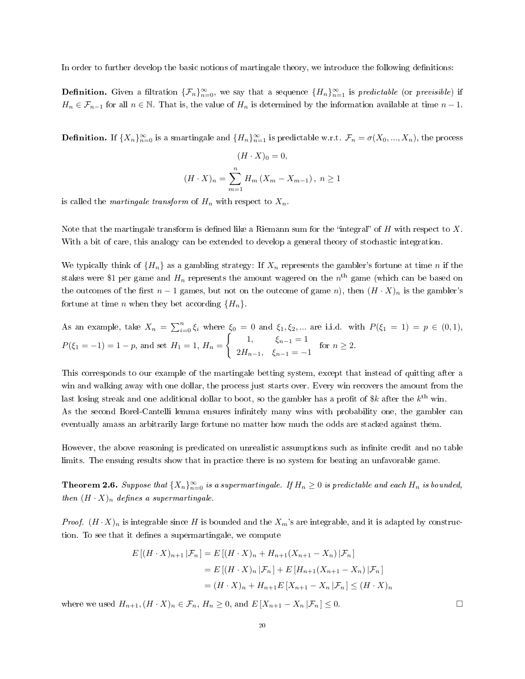In order to further develop the basic notions of martingale theory, we introduce the following definitions:

**Definition.** Given a filtration  $\{\mathcal{F}_n\}_{n=0}^{\infty}$ , we say that a sequence  $\{H_n\}_{n=1}^{\infty}$  is predictable (or previsible) if  $H_n \in \mathcal{F}_{n-1}$  for all  $n \in \mathbb{N}$ . That is, the value of  $H_n$  is determined by the information available at time  $n-1$ .

**Definition.** If  $\{X_n\}_{n=0}^{\infty}$  is a smartingale and  $\{H_n\}_{n=1}^{\infty}$  is predictable w.r.t.  $\mathcal{F}_n = \sigma(X_0, ..., X_n)$ , the process

$$
(H \cdot X)_0 = 0,
$$
  

$$
(H \cdot X)_n = \sum_{m=1}^n H_m (X_m - X_{m-1}), \ n \ge 1
$$

is called the *martingale transform* of  $H_n$  with respect to  $X_n$ .

Note that the martingale transform is defined like a Riemann sum for the "integral" of H with respect to X. With a bit of care, this analogy can be extended to develop a general theory of stochastic integration.

We typically think of  $\{H_n\}$  as a gambling strategy: If  $X_n$  represents the gambler's fortune at time n if the stakes were \$1 per game and  $H_n$  represents the amount wagered on the  $n^{\text{th}}$  game (which can be based on the outcomes of the first  $n - 1$  games, but not on the outcome of game n), then  $(H \cdot X)_n$  is the gambler's fortune at time *n* when they bet according  $\{H_n\}$ .

As an example, take 
$$
X_n = \sum_{i=0}^n \xi_i
$$
 where  $\xi_0 = 0$  and  $\xi_1, \xi_2, ...$  are i.i.d. with  $P(\xi_1 = 1) = p \in (0, 1)$ ,  
 $P(\xi_1 = -1) = 1 - p$ , and set  $H_1 = 1$ ,  $H_n = \begin{cases} 1, & \xi_{n-1} = 1 \\ 2H_{n-1}, & \xi_{n-1} = -1 \end{cases}$  for  $n \ge 2$ .

This corresponds to our example of the martingale betting system, except that instead of quitting after a win and walking away with one dollar, the process just starts over. Every win recovers the amount from the last losing streak and one additional dollar to boot, so the gambler has a profit of  $k$  after the  $k^{\text{th}}$  win. As the second Borel-Cantelli lemma ensures infinitely many wins with probability one, the gambler can eventually amass an arbitrarily large fortune no matter how much the odds are stacked against them.

However, the above reasoning is predicated on unrealistic assumptions such as infinite credit and no table limits. The ensuing results show that in practice there is no system for beating an unfavorable game.

<span id="page-19-0"></span>**Theorem 2.6.** Suppose that  $\{X_n\}_{n=0}^{\infty}$  is a supermartingale. If  $H_n \geq 0$  is predictable and each  $H_n$  is bounded, then  $(H \cdot X)_n$  defines a supermartingale.

*Proof.*  $(H \cdot X)_n$  is integrable since H is bounded and the  $X_m$ 's are integrable, and it is adapted by construction. To see that it defines a supermartingale, we compute

$$
E[(H \cdot X)_{n+1} | \mathcal{F}_n] = E[(H \cdot X)_n + H_{n+1}(X_{n+1} - X_n) | \mathcal{F}_n]
$$
  
=  $E[(H \cdot X)_n | \mathcal{F}_n] + E[H_{n+1}(X_{n+1} - X_n) | \mathcal{F}_n]$   
=  $(H \cdot X)_n + H_{n+1}E[X_{n+1} - X_n | \mathcal{F}_n] \le (H \cdot X)_n$ 

where we used  $H_{n+1}$ ,  $(H \cdot X)_n \in \mathcal{F}_n$ ,  $H_n \geq 0$ , and  $E[X_{n+1} - X_n | \mathcal{F}_n] \leq 0$ .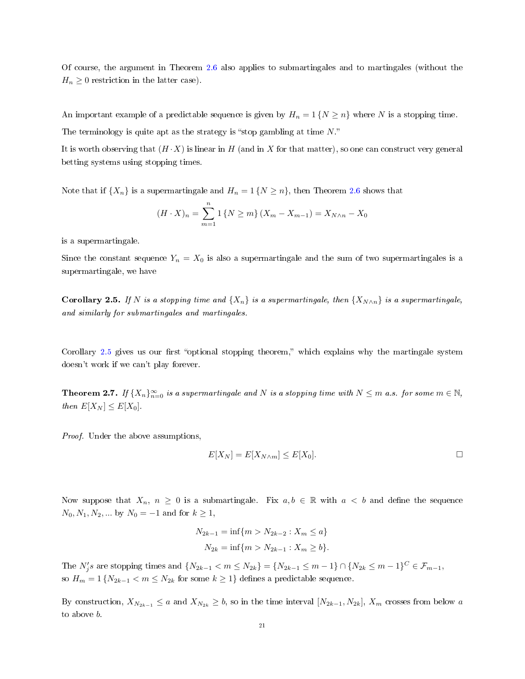Of course, the argument in Theorem [2.6](#page-19-0) also applies to submartingales and to martingales (without the  $H_n \geq 0$  restriction in the latter case).

An important example of a predictable sequence is given by  $H_n = 1$  { $N \ge n$ } where N is a stopping time. The terminology is quite apt as the strategy is "stop gambling at time  $N$ ."

It is worth observing that  $(H \cdot X)$  is linear in H (and in X for that matter), so one can construct very general betting systems using stopping times.

Note that if  $\{X_n\}$  is a supermartingale and  $H_n = 1 \{N \geq n\}$ , then Theorem [2.6](#page-19-0) shows that

$$
(H \cdot X)_n = \sum_{m=1}^n 1 \{ N \ge m \} (X_m - X_{m-1}) = X_{N \wedge n} - X_0
$$

is a supermartingale.

Since the constant sequence  $Y_n = X_0$  is also a supermartingale and the sum of two supermartingales is a supermartingale, we have

<span id="page-20-0"></span>**Corollary 2.5.** If N is a stopping time and  $\{X_n\}$  is a supermartingale, then  $\{X_{N \wedge n}\}$  is a supermartingale, and similarly for submartingales and martingales.

Corollary [2.5](#page-20-0) gives us our first "optional stopping theorem," which explains why the martingale system doesn't work if we can't play forever.

<span id="page-20-1"></span>**Theorem 2.7.** If  $\{X_n\}_{n=0}^{\infty}$  is a supermartingale and N is a stopping time with  $N \leq m$  a.s. for some  $m \in \mathbb{N}$ , then  $E[X_N] \leq E[X_0]$ .

Proof. Under the above assumptions,

$$
E[X_N] = E[X_{N \wedge m}] \le E[X_0].
$$

Now suppose that  $X_n$ ,  $n \geq 0$  is a submartingale. Fix  $a, b \in \mathbb{R}$  with  $a < b$  and define the sequence  $N_0, N_1, N_2, ...$  by  $N_0 = -1$  and for  $k \ge 1$ ,

$$
N_{2k-1} = \inf\{m > N_{2k-2} : X_m \le a\}
$$
  

$$
N_{2k} = \inf\{m > N_{2k-1} : X_m \ge b\}.
$$

The  $N'_j s$  are stopping times and  $\{N_{2k-1} < m \le N_{2k}\} = \{N_{2k-1} \le m-1\} \cap \{N_{2k} \le m-1\}^C \in \mathcal{F}_{m-1}$ , so  $H_m = 1 \{ N_{2k-1} < m \le N_{2k} \}$  for some  $k \ge 1 \}$  defines a predictable sequence.

By construction,  $X_{N_{2k-1}} \le a$  and  $X_{N_{2k}} \ge b$ , so in the time interval  $[N_{2k-1}, N_{2k}]$ ,  $X_m$  crosses from below a to above b.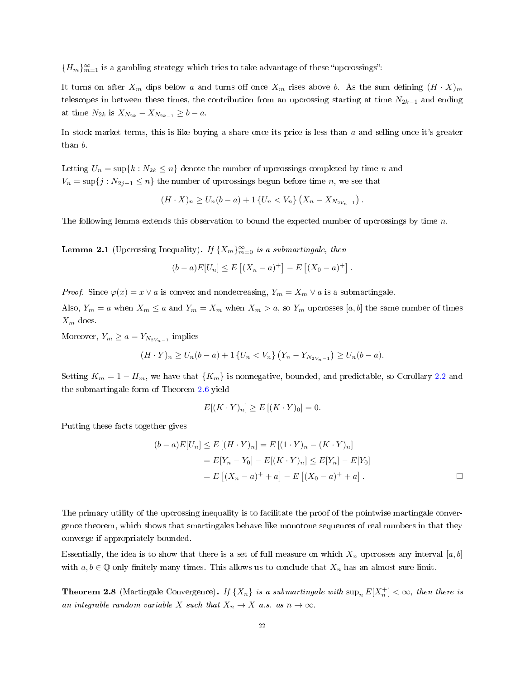${H_m}_{m=1}^{\infty}$  is a gambling strategy which tries to take advantage of these "upcrossings":

It turns on after  $X_m$  dips below a and turns off once  $X_m$  rises above b. As the sum defining  $(H \cdot X)_m$ telescopes in between these times, the contribution from an upcrossing starting at time  $N_{2k-1}$  and ending at time  $N_{2k}$  is  $X_{N_{2k}} - X_{N_{2k-1}} \geq b - a$ .

In stock market terms, this is like buying a share once its price is less than  $a$  and selling once it's greater than b.

Letting  $U_n = \sup\{k : N_{2k} \leq n\}$  denote the number of upcrossings completed by time n and  $V_n = \sup\{j : N_{2j-1} \leq n\}$  the number of upcrossings begun before time n, we see that

$$
(H \cdot X)_n \ge U_n(b-a) + 1 \{U_n < V_n\} \left(X_n - X_{N_2 V_{n-1}}\right).
$$

The following lemma extends this observation to bound the expected number of upcrossings by time  $n$ .

<span id="page-21-0"></span>**Lemma 2.1** (Upcrossing Inequality). If  $\{X_m\}_{m=0}^{\infty}$  is a submartingale, then

$$
(b-a)E[U_n] \le E\left[ (X_n - a)^+ \right] - E\left[ (X_0 - a)^+ \right].
$$

*Proof.* Since  $\varphi(x) = x \vee a$  is convex and nondecreasing,  $Y_m = X_m \vee a$  is a submartingale.

Also,  $Y_m = a$  when  $X_m \le a$  and  $Y_m = X_m$  when  $X_m > a$ , so  $Y_m$  upcrosses [a, b] the same number of times  $X_m$  does.

Moreover,  $Y_m \ge a = Y_{N_2 V_{n-1}}$  implies

$$
(H \cdot Y)_n \ge U_n(b-a) + 1 \{ U_n < V_n \} \left( Y_n - Y_{N_2 V_{n-1}} \right) \ge U_n(b-a).
$$

Setting  $K_m = 1 - H_m$ , we have that  $\{K_m\}$  is nonnegative, bounded, and predictable, so Corollary [2.2](#page-18-1) and the submartingale form of Theorem [2.6](#page-19-0) yield

$$
E[(K \cdot Y)_n] \ge E[(K \cdot Y)_0] = 0.
$$

Putting these facts together gives

$$
(b-a)E[U_n] \le E[(H \cdot Y)_n] = E[(1 \cdot Y)_n - (K \cdot Y)_n]
$$
  
=  $E[Y_n - Y_0] - E[(K \cdot Y)_n] \le E[Y_n] - E[Y_0]$   
=  $E[(X_n - a)^+ + a] - E[(X_0 - a)^+ + a]$ .

The primary utility of the upcrossing inequality is to facilitate the proof of the pointwise martingale convergence theorem, which shows that smartingales behave like monotone sequences of real numbers in that they converge if appropriately bounded.

Essentially, the idea is to show that there is a set of full measure on which  $X_n$  upcrosses any interval [a, b] with  $a, b \in \mathbb{Q}$  only finitely many times. This allows us to conclude that  $X_n$  has an almost sure limit.

<span id="page-21-1"></span>**Theorem 2.8** (Martingale Convergence). If  $\{X_n\}$  is a submartingale with  $\sup_n E[X_n^+] < \infty$ , then there is an integrable random variable X such that  $X_n \to X$  a.s. as  $n \to \infty$ .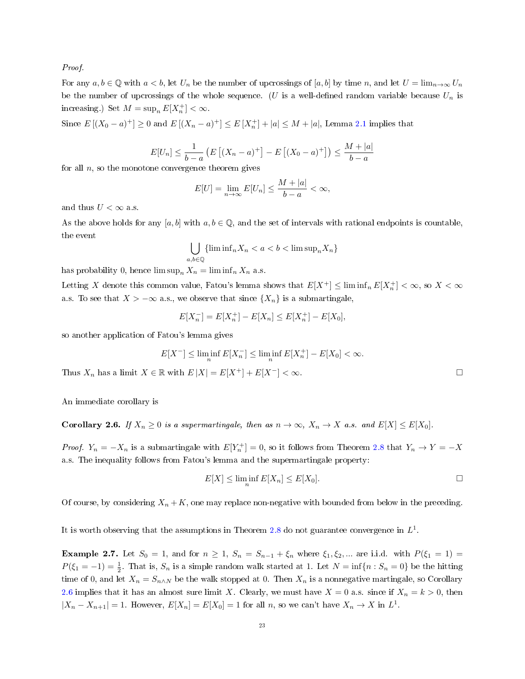Proof.

For any  $a, b \in \mathbb{Q}$  with  $a < b$ , let  $U_n$  be the number of upcrossings of  $[a, b]$  by time n, and let  $U = \lim_{n\to\infty} U_n$ be the number of upcrossings of the whole sequence. (U is a well-defined random variable because  $U_n$  is increasing.) Set  $M = \sup_n E[X_n^+] < \infty$ .

Since  $E[(X_0 - a)^+] \ge 0$  and  $E[(X_n - a)^+] \le E[X_n^+] + |a| \le M + |a|$ , Lemma [2.1](#page-21-0) implies that

$$
E[U_n] \le \frac{1}{b-a} \left( E\left[ (X_n - a)^+ \right] - E\left[ (X_0 - a)^+ \right] \right) \le \frac{M + |a|}{b - a}
$$

for all  $n$ , so the monotone convergence theorem gives

$$
E[U] = \lim_{n \to \infty} E[U_n] \le \frac{M + |a|}{b - a} < \infty,
$$

and thus  $U < \infty$  a.s.

As the above holds for any [a, b] with  $a, b \in \mathbb{Q}$ , and the set of intervals with rational endpoints is countable, the event

$$
\bigcup_{a,b\in\mathbb{Q}} \{\liminf_{n} X_n < a < b < \limsup_{n} X_n\}
$$

has probability 0, hence  $\limsup_n X_n = \liminf_n X_n$  a.s.

Letting X denote this common value, Fatou's lemma shows that  $E[X^+] \leq \liminf_n E[X_n^+] < \infty$ , so  $X < \infty$ a.s. To see that  $X > -\infty$  a.s., we observe that since  $\{X_n\}$  is a submartingale,

$$
E[X_n^-] = E[X_n^+] - E[X_n] \le E[X_n^+] - E[X_0],
$$

so another application of Fatou's lemma gives

$$
E[X^-] \le \liminf_n E[X_n^-] \le \liminf_n E[X_n^+] - E[X_0] < \infty.
$$

Thus  $X_n$  has a limit  $X \in \mathbb{R}$  with  $E|X| = E[X^+] + E[X^-] < \infty$ .  $\Box$ 

An immediate corollary is

<span id="page-22-0"></span>**Corollary 2.6.** If  $X_n \geq 0$  is a supermartingale, then as  $n \to \infty$ ,  $X_n \to X$  a.s. and  $E[X] \leq E[X_0]$ .

*Proof.*  $Y_n = -X_n$  is a submartingale with  $E[Y_n^+] = 0$ , so it follows from Theorem [2.8](#page-21-1) that  $Y_n \to Y = -X$ a.s. The inequality follows from Fatou's lemma and the supermartingale property:

$$
E[X] \le \liminf_{n} E[X_n] \le E[X_0].
$$

Of course, by considering  $X_n + K$ , one may replace non-negative with bounded from below in the preceding.

It is worth observing that the assumptions in Theorem [2.8](#page-21-1) do not guarantee convergence in  $L^1$ .

**Example 2.7.** Let  $S_0 = 1$ , and for  $n \ge 1$ ,  $S_n = S_{n-1} + \xi_n$  where  $\xi_1, \xi_2, ...$  are i.i.d. with  $P(\xi_1 = 1) =$  $P(\xi_1 = -1) = \frac{1}{2}$ . That is,  $S_n$  is a simple random walk started at 1. Let  $N = \inf\{n : S_n = 0\}$  be the hitting time of 0, and let  $X_n = S_{n \wedge N}$  be the walk stopped at 0. Then  $X_n$  is a nonnegative martingale, so Corollary [2.6](#page-22-0) implies that it has an almost sure limit X. Clearly, we must have  $X = 0$  a.s. since if  $X_n = k > 0$ , then  $|X_n - X_{n+1}| = 1$ . However,  $E[X_n] = E[X_0] = 1$  for all n, so we can't have  $X_n \to X$  in  $L^1$ .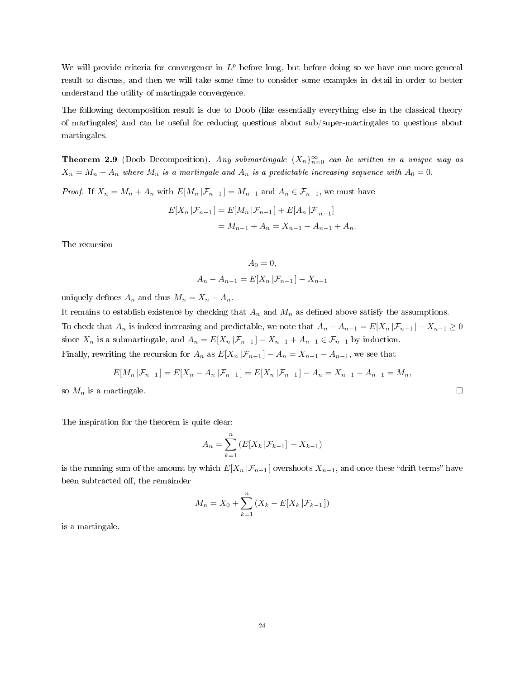We will provide criteria for convergence in  $L^p$  before long, but before doing so we have one more general result to discuss, and then we will take some time to consider some examples in detail in order to better understand the utility of martingale convergence.

The following decomposition result is due to Doob (like essentially everything else in the classical theory of martingales) and can be useful for reducing questions about sub/super-martingales to questions about martingales.

**Theorem 2.9** (Doob Decomposition). Any submartingale  $\{X_n\}_{n=0}^{\infty}$  can be written in a unique way as  $X_n = M_n + A_n$  where  $M_n$  is a martingale and  $A_n$  is a predictable increasing sequence with  $A_0 = 0$ .

*Proof.* If  $X_n = M_n + A_n$  with  $E[M_n | \mathcal{F}_{n-1}] = M_{n-1}$  and  $A_n \in \mathcal{F}_{n-1}$ , we must have

$$
E[X_n | \mathcal{F}_{n-1}] = E[M_n | \mathcal{F}_{n-1}] + E[A_n | \mathcal{F}_{n-1}]
$$
  
=  $M_{n-1} + A_n = X_{n-1} - A_{n-1} + A_n$ .

The recursion

$$
A_0 = 0,
$$
  

$$
A_n - A_{n-1} = E[X_n | \mathcal{F}_{n-1}] - X_{n-1}
$$

uniquely defines  $A_n$  and thus  $M_n = X_n - A_n$ .

It remains to establish existence by checking that  $A_n$  and  $M_n$  as defined above satisfy the assumptions. To check that  $A_n$  is indeed increasing and predictable, we note that  $A_n - A_{n-1} = E[X_n | \mathcal{F}_{n-1}] - X_{n-1} \ge 0$ since  $X_n$  is a submartingale, and  $A_n = E[X_n | \mathcal{F}_{n-1}] - X_{n-1} + A_{n-1} \in \mathcal{F}_{n-1}$  by induction. Finally, rewriting the recursion for  $A_n$  as  $E[X_n | \mathcal{F}_{n-1}] - A_n = X_{n-1} - A_{n-1}$ , we see that

$$
E[M_n | \mathcal{F}_{n-1}] = E[X_n - A_n | \mathcal{F}_{n-1}] = E[X_n | \mathcal{F}_{n-1}] - A_n = X_{n-1} - A_{n-1} = M_n,
$$

so  $M_n$  is a martingale.  $\Box$ 

The inspiration for the theorem is quite clear:

$$
A_n = \sum_{k=1}^n \left( E[X_k | \mathcal{F}_{k-1}] - X_{k-1} \right)
$$

is the running sum of the amount by which  $E[X_n | \mathcal{F}_{n-1}]$  overshoots  $X_{n-1}$ , and once these "drift terms" have been subtracted off, the remainder

$$
M_n = X_0 + \sum_{k=1}^n (X_k - E[X_k | \mathcal{F}_{k-1}])
$$

is a martingale.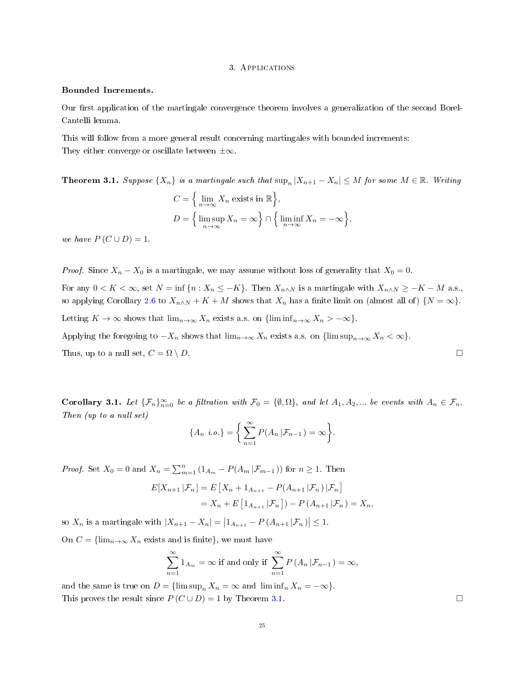#### 3. Applications

## Bounded Increments.

Our first application of the martingale convergence theorem involves a generalization of the second Borel-Cantelli lemma.

This will follow from a more general result concerning martingales with bounded increments: They either converge or oscillate between  $\pm \infty$ .

<span id="page-24-0"></span>**Theorem 3.1.** Suppose  $\{X_n\}$  is a martingale such that  $\sup_n |X_{n+1} - X_n| \leq M$  for some  $M \in \mathbb{R}$ . Writing  $C = \left\{ \lim_{n \to \infty} X_n \text{ exists in } \mathbb{R} \right\},\$  $D = \Big\{\limsup_{n \to \infty} X_n = \infty\Big\} \cap \Big\{\liminf_{n \to \infty} X_n = -\infty\Big\},\$ 

we have 
$$
P(C \cup D) = 1
$$
.

*Proof.* Since  $X_n - X_0$  is a martingale, we may assume without loss of generality that  $X_0 = 0$ .

For any  $0 < K < \infty$ , set  $N = \inf \{n : X_n \leq -K\}$ . Then  $X_{n \wedge N}$  is a martingale with  $X_{n \wedge N} \geq -K - M$  a.s., so applying Corollary [2.6](#page-22-0) to  $X_{n\wedge N} + K + M$  shows that  $X_n$  has a finite limit on (almost all of)  $\{N = \infty\}$ . Letting  $K \to \infty$  shows that  $\lim_{n\to\infty} X_n$  exists a.s. on  $\{\liminf_{n\to\infty} X_n > -\infty\}.$ 

Applying the foregoing to  $-X_n$  shows that  $\lim_{n\to\infty} X_n$  exists a.s. on  $\{\limsup_{n\to\infty} X_n < \infty\}$ . Thus, up to a null set,  $C = \Omega \setminus D$ .

**Corollary 3.1.** Let  $\{\mathcal{F}_n\}_{n=0}^{\infty}$  be a filtration with  $\mathcal{F}_0 = \{\emptyset, \Omega\}$ , and let  $A_1, A_2, ...$  be events with  $A_n \in \mathcal{F}_n$ . Then (up to a null set)

$$
\{A_n \ i.o.\} = \left\{ \sum_{n=1}^{\infty} P(A_n | \mathcal{F}_{n-1}) = \infty \right\}.
$$

*Proof.* Set  $X_0 = 0$  and  $X_n = \sum_{m=1}^n (1_{A_m} - P(A_m | \mathcal{F}_{m-1}))$  for  $n \ge 1$ . Then

$$
E[X_{n+1} | \mathcal{F}_n] = E\left[X_n + 1_{A_{n+1}} - P(A_{n+1} | \mathcal{F}_n) | \mathcal{F}_n\right]
$$
  
=  $X_n + E\left[1_{A_{n+1}} | \mathcal{F}_n\right] - P(A_{n+1} | \mathcal{F}_n) = X_n$ ,

so  $X_n$  is a martingale with  $|X_{n+1} - X_n| = |1_{A_{n+1}} - P(A_{n+1} | \mathcal{F}_n)| \leq 1$ .

On  $C = \{\lim_{n\to\infty} X_n \text{ exists and is finite}\},\$  we must have

$$
\sum_{n=1}^{\infty} 1_{A_m} = \infty \text{ if and only if } \sum_{n=1}^{\infty} P(A_n | \mathcal{F}_{n-1}) = \infty,
$$

and the same is true on  $D = \{\limsup_n X_n = \infty \text{ and } \liminf_n X_n = -\infty\}.$ This proves the result since  $P(C \cup D) = 1$  by Theorem [3.1.](#page-24-0) □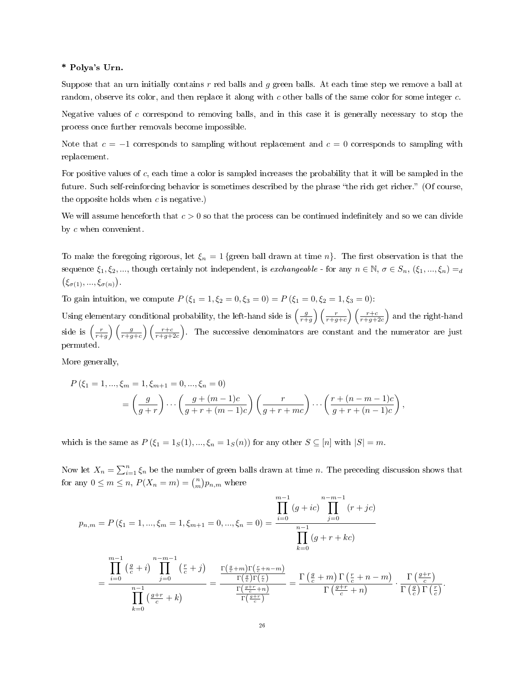## \* Polya's Urn.

Suppose that an urn initially contains  $r$  red balls and  $g$  green balls. At each time step we remove a ball at random, observe its color, and then replace it along with c other balls of the same color for some integer c.

Negative values of  $c$  correspond to removing balls, and in this case it is generally necessary to stop the process once further removals become impossible.

Note that  $c = -1$  corresponds to sampling without replacement and  $c = 0$  corresponds to sampling with replacement.

For positive values of c, each time a color is sampled increases the probability that it will be sampled in the future. Such self-reinforcing behavior is sometimes described by the phrase "the rich get richer." (Of course, the opposite holds when  $c$  is negative.)

We will assume henceforth that  $c > 0$  so that the process can be continued indefinitely and so we can divide by c when convenient.

To make the foregoing rigorous, let  $\xi_n = 1$  {green ball drawn at time n}. The first observation is that the sequence  $\xi_1, \xi_2, ...,$  though certainly not independent, is exchangeable - for any  $n \in \mathbb{N}$ ,  $\sigma \in S_n$ ,  $(\xi_1, ..., \xi_n) = d$  $(\xi_{\sigma(1)},...,\xi_{\sigma(n)})$ .

To gain intuition, we compute  $P(\xi_1 = 1, \xi_2 = 0, \xi_3 = 0) = P(\xi_1 = 0, \xi_2 = 1, \xi_3 = 0)$ :

Using elementary conditional probability, the left-hand side is  $\left(\frac{g}{r+g}\right)\left(\frac{r}{r+g+c}\right)\left(\frac{r+c}{r+g+2c}\right)$  and the right-hand side is  $\left(\frac{r}{r+g}\right)\left(\frac{g}{r+g+c}\right)\left(\frac{r+c}{r+g+2c}\right)$ . The successive denominators are constant and the numerator are just permuted.

More generally,

$$
P(\xi_1 = 1, ..., \xi_m = 1, \xi_{m+1} = 0, ..., \xi_n = 0)
$$
  
=  $\left(\frac{g}{g+r}\right) \cdots \left(\frac{g+(m-1)c}{g+r+(m-1)c}\right) \left(\frac{r}{g+r+mc}\right) \cdots \left(\frac{r+(n-m-1)c}{g+r+(n-1)c}\right),$ 

which is the same as  $P(\xi_1 = 1_S(1), ..., \xi_n = 1_S(n))$  for any other  $S \subseteq [n]$  with  $|S| = m$ .

Now let  $X_n = \sum_{i=1}^n \xi_i$  be the number of green balls drawn at time n. The preceding discussion shows that for any  $0 \leq m \leq n$ ,  $P(X_n = m) = {n \choose m} p_{n,m}$  where

$$
p_{n,m} = P(\xi_1 = 1, ..., \xi_m = 1, \xi_{m+1} = 0, ..., \xi_n = 0) = \frac{\prod_{i=0}^{m-1} (g + ic) \prod_{j=0}^{n-m-1} (r + jc)}{\prod_{k=0}^{m-1} (g + r + kc)}
$$

$$
= \frac{\prod_{i=0}^{m-1} (\frac{g}{c} + i) \prod_{j=0}^{n-m-1} (\frac{r}{c} + j)}{\prod_{k=0}^{m-1} (\frac{g+r}{c})} = \frac{\Gamma(\frac{g}{c} + m) \Gamma(\frac{r}{c} + n - m)}{\Gamma(\frac{g+r}{c})} = \frac{\Gamma(\frac{g}{c} + m) \Gamma(\frac{r}{c} + n - m)}{\Gamma(\frac{g+r}{c})} \cdot \frac{\Gamma(\frac{g+r}{c})}{\Gamma(\frac{g}{c}) \Gamma(\frac{r}{c})}.
$$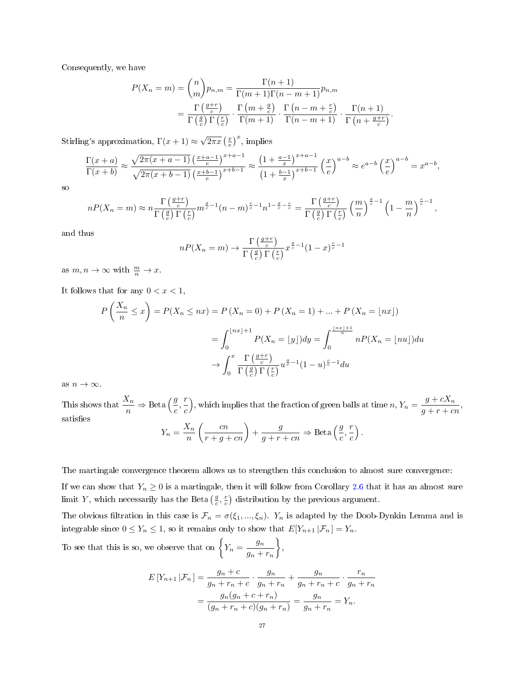Consequently, we have

$$
P(X_n = m) = {n \choose m} p_{n,m} = \frac{\Gamma(n+1)}{\Gamma(m+1)\Gamma(n-m+1)} p_{n,m}
$$
  
= 
$$
\frac{\Gamma(\frac{q+r}{c})}{\Gamma(\frac{q}{c})\Gamma(\frac{r}{c})} \cdot \frac{\Gamma(m+\frac{q}{c})}{\Gamma(m+1)} \cdot \frac{\Gamma(n-m+\frac{r}{c})}{\Gamma(n-m+1)} \cdot \frac{\Gamma(n+1)}{\Gamma(n+\frac{q+r}{c})}.
$$

Stirling's approximation,  $\Gamma(x+1) \approx$  $\sqrt{2\pi x} \left(\frac{x}{e}\right)^x$ , implies

$$
\frac{\Gamma(x+a)}{\Gamma(x+b)} \approx \frac{\sqrt{2\pi(x+a-1)}\left(\frac{x+a-1}{e}\right)^{x+a-1}}{\sqrt{2\pi(x+b-1)}\left(\frac{x+b-1}{e}\right)^{x+b-1}} \approx \frac{\left(1+\frac{a-1}{x}\right)^{x+a-1}}{\left(1+\frac{b-1}{x}\right)^{x+b-1}} \left(\frac{x}{e}\right)^{a-b} \approx e^{a-b} \left(\frac{x}{e}\right)^{a-b} = x^{a-b},
$$

so

$$
nP(X_n = m) \approx n \frac{\Gamma\left(\frac{g+r}{c}\right)}{\Gamma\left(\frac{g}{c}\right)\Gamma\left(\frac{r}{c}\right)} m^{\frac{g}{c}-1} (n-m)^{\frac{r}{c}-1} n^{1-\frac{g}{c}-\frac{r}{c}} = \frac{\Gamma\left(\frac{g+r}{c}\right)}{\Gamma\left(\frac{g}{c}\right)\Gamma\left(\frac{r}{c}\right)} \left(\frac{m}{n}\right)^{\frac{g}{c}-1} \left(1 - \frac{m}{n}\right)^{\frac{r}{c}-1},
$$

and thus

$$
nP(X_n = m) \to \frac{\Gamma\left(\frac{g+r}{c}\right)}{\Gamma\left(\frac{g}{c}\right)\Gamma\left(\frac{r}{c}\right)} x^{\frac{g}{c}-1} (1-x)^{\frac{r}{c}-1}
$$

as  $m, n \to \infty$  with  $\frac{m}{n} \to x$ .

It follows that for any  $0 < x < 1$ ,

$$
P\left(\frac{X_n}{n} \le x\right) = P(X_n \le nx) = P\left(X_n = 0\right) + P\left(X_n = 1\right) + \dots + P\left(X_n = \lfloor nx \rfloor\right)
$$

$$
= \int_0^{\lfloor nx \rfloor + 1} P(X_n = \lfloor y \rfloor) dy = \int_0^{\frac{\lfloor nx \rfloor + 1}{n}} n P(X_n = \lfloor nu \rfloor) du
$$

$$
\to \int_0^x \frac{\Gamma\left(\frac{g+r}{c}\right)}{\Gamma\left(\frac{g}{c}\right)\Gamma\left(\frac{r}{c}\right)} u^{\frac{g}{c} - 1} (1 - u)^{\frac{r}{c} - 1} du
$$

as  $n \to \infty$ .

This shows that  $\frac{X_n}{n} \Rightarrow \text{Beta}\left(\frac{g}{c}, \frac{r}{c}\right)$ c ), which implies that the fraction of green balls at time  $n, Y_n = \frac{g + cX_n}{g + cX_n}$  $\frac{g + c n}{g + r + c n},$ satisfies  $Y_n = \frac{X_n}{n}$ n  $\left(\frac{cn}{r+g+cn}\right)+\frac{g}{g+r}$  $\frac{g}{g+r+cn} \Rightarrow \text{Beta}\left(\frac{g}{c}, \frac{r}{c}\right)$ c  $\big)$  .

The martingale convergence theorem allows us to strengthen this conclusion to almost sure convergence:

If we can show that  $Y_n \geq 0$  is a martingale, then it will follow from Corollary [2.6](#page-22-0) that it has an almost sure limit Y, which necessarily has the Beta  $(\frac{g}{c}, \frac{r}{c})$  distribution by the previous argument.

The obvious filtration in this case is  $\mathcal{F}_n = \sigma(\xi_1, ..., \xi_n)$ . Y<sub>n</sub> is adapted by the Doob-Dynkin Lemma and is integrable since  $0 \le Y_n \le 1$ , so it remains only to show that  $E[Y_{n+1} | \mathcal{F}_n] = Y_n$ .

To see that this is so, we observe that on  $\left\{Y_n = \frac{g_n}{\sqrt{g}}\right\}$  $g_n + r_n$  $\big\}$ 

$$
E[Y_{n+1} | \mathcal{F}_n] = \frac{g_n + c}{g_n + r_n + c} \cdot \frac{g_n}{g_n + r_n} + \frac{g_n}{g_n + r_n + c} \cdot \frac{r_n}{g_n + r_n}
$$
  
= 
$$
\frac{g_n(g_n + c + r_n)}{(g_n + r_n + c)(g_n + r_n)} = \frac{g_n}{g_n + r_n} = Y_n.
$$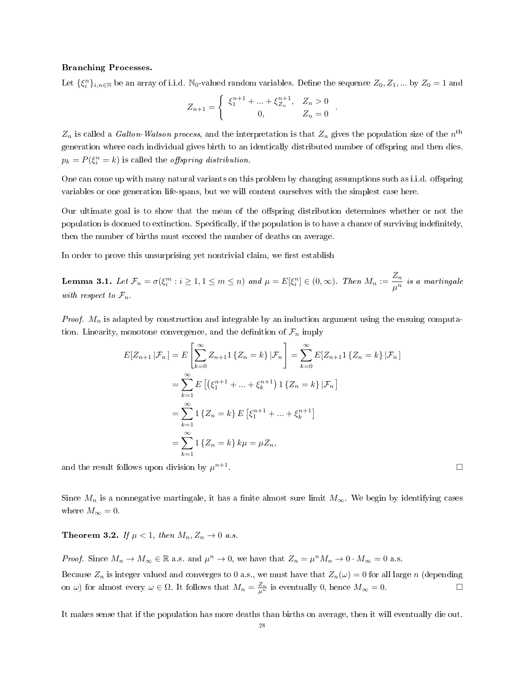#### Branching Processes.

Let  $\{\xi_i^n\}_{i,n\in\mathbb{N}}$  be an array of i.i.d. N<sub>0</sub>-valued random variables. Define the sequence  $Z_0, Z_1, ...$  by  $Z_0 = 1$  and

$$
Z_{n+1} = \begin{cases} \xi_1^{n+1} + \dots + \xi_{Z_n}^{n+1}, & Z_n > 0 \\ 0, & Z_n = 0 \end{cases}.
$$

 $Z_n$  is called a Galton-Watson process, and the interpretation is that  $Z_n$  gives the population size of the  $n^{\text{th}}$ generation where each individual gives birth to an identically distributed number of offspring and then dies.  $p_k = P(\xi_i^n = k)$  is called the *offspring distribution*.

One can come up with many natural variants on this problem by changing assumptions such as i.i.d. offspring variables or one generation life-spans, but we will content ourselves with the simplest case here.

Our ultimate goal is to show that the mean of the offspring distribution determines whether or not the population is doomed to extinction. Specifically, if the population is to have a chance of surviving indefinitely, then the number of births must exceed the number of deaths on average.

In order to prove this unsurprising yet nontrivial claim, we first establish

**Lemma 3.1.** Let  $\mathcal{F}_n = \sigma(\xi_i^m : i \geq 1, 1 \leq m \leq n)$  and  $\mu = E[\xi_i^n] \in (0, \infty)$ . Then  $M_n := \frac{Z_n}{\mu^n}$  $\frac{2\pi}{\mu^n}$  is a martingale with respect to  $\mathcal{F}_n$ .

*Proof.*  $M_n$  is adapted by construction and integrable by an induction argument using the ensuing computation. Linearity, monotone convergence, and the definition of  $\mathcal{F}_n$  imply

$$
E[Z_{n+1} | \mathcal{F}_n] = E\left[\sum_{k=0}^{\infty} Z_{n+1} \{Z_n = k\} | \mathcal{F}_n\right] = \sum_{k=0}^{\infty} E[Z_{n+1} \{Z_n = k\} | \mathcal{F}_n]
$$
  
\n
$$
= \sum_{k=1}^{\infty} E\left[\left(\xi_1^{n+1} + \dots + \xi_k^{n+1}\right) \mathbb{1} \{Z_n = k\} | \mathcal{F}_n\right]
$$
  
\n
$$
= \sum_{k=1}^{\infty} \mathbb{1} \{Z_n = k\} E\left[\xi_1^{n+1} + \dots + \xi_k^{n+1}\right]
$$
  
\n
$$
= \sum_{k=1}^{\infty} \mathbb{1} \{Z_n = k\} k\mu = \mu Z_n,
$$

and the result follows upon division by  $\mu^{n+1}$ 

Since  $M_n$  is a nonnegative martingale, it has a finite almost sure limit  $M_\infty$ . We begin by identifying cases where  $M_{\infty} = 0$ .

**Theorem 3.2.** If  $\mu < 1$ , then  $M_n, Z_n \to 0$  a.s.

*Proof.* Since  $M_n \to M_\infty \in \mathbb{R}$  a.s. and  $\mu^n \to 0$ , we have that  $Z_n = \mu^n M_n \to 0 \cdot M_\infty = 0$  a.s.

Because  $Z_n$  is integer valued and converges to 0 a.s., we must have that  $Z_n(\omega) = 0$  for all large n (depending on  $\omega$ ) for almost every  $\omega \in \Omega$ . It follows that  $M_n = \frac{Z_n}{\mu^n}$  is eventually 0, hence  $M_{\infty} = 0$ .

It makes sense that if the population has more deaths than births on average, then it will eventually die out.

. □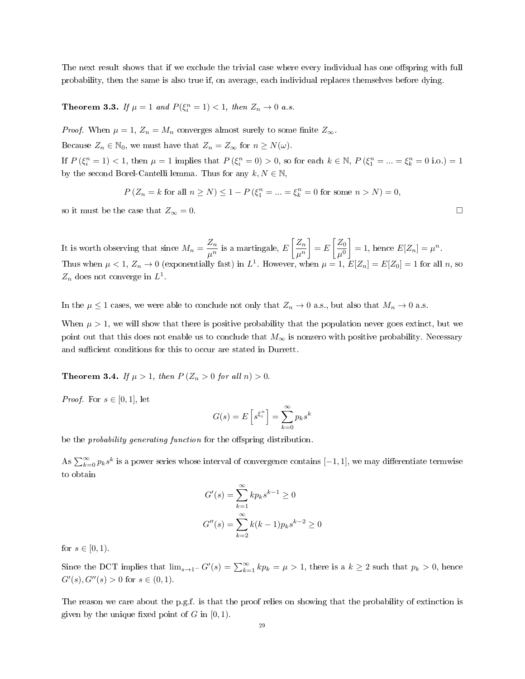The next result shows that if we exclude the trivial case where every individual has one offspring with full probability, then the same is also true if, on average, each individual replaces themselves before dying.

**Theorem 3.3.** If  $\mu = 1$  and  $P(\xi_i^n = 1) < 1$ , then  $Z_n \to 0$  a.s.

*Proof.* When  $\mu = 1$ ,  $Z_n = M_n$  converges almost surely to some finite  $Z_{\infty}$ .

Because  $Z_n \in \mathbb{N}_0$ , we must have that  $Z_n = Z_\infty$  for  $n \geq N(\omega)$ .

If  $P(\xi_i^n = 1) < 1$ , then  $\mu = 1$  implies that  $P(\xi_i^n = 0) > 0$ , so for each  $k \in \mathbb{N}$ ,  $P(\xi_1^n = ... = \xi_k^n = 0 \text{ i.o.}) = 1$ by the second Borel-Cantelli lemma. Thus for any  $k, N \in \mathbb{N}$ ,

$$
P(Z_n = k \text{ for all } n \ge N) \le 1 - P(\xi_1^n = ... = \xi_k^n = 0 \text{ for some } n > N) = 0,
$$

so it must be the case that  $Z_{\infty} = 0$ .

It is worth observing that since  $M_n = \frac{Z_n}{\sqrt{n}}$  $\frac{Z_n}{\mu^n}$  is a martingale,  $E\left[\frac{Z_n}{\mu^n}\right]$  $\mu^n$  $\Big] = E \Big[ \frac{Z_0}{2} \Big]$  $\mu^0$  $= 1$ , hence  $E[Z_n] = \mu^n$ . Thus when  $\mu < 1$ ,  $Z_n \to 0$  (exponentially fast) in  $L^1$ . However, when  $\mu = 1$ ,  $E[Z_n] = E[Z_0] = 1$  for all n, so  $Z_n$  does not converge in  $L^1$ .

In the  $\mu \leq 1$  cases, we were able to conclude not only that  $Z_n \to 0$  a.s., but also that  $M_n \to 0$  a.s.

When  $\mu > 1$ , we will show that there is positive probability that the population never goes extinct, but we point out that this does not enable us to conclude that  $M_{\infty}$  is nonzero with positive probability. Necessary and sufficient conditions for this to occur are stated in Durrett.

**Theorem 3.4.** If  $\mu > 1$ , then  $P(Z_n > 0$  for all  $n) > 0$ .

*Proof.* For  $s \in [0, 1]$ , let

$$
G(s) = E\left[s^{\xi_i^n}\right] = \sum_{k=0}^{\infty} p_k s^k
$$

be the *probability generating function* for the offspring distribution.

As  $\sum_{k=0}^{\infty} p_k s^k$  is a power series whose interval of convergence contains  $[-1, 1]$ , we may differentiate termwise to obtain

$$
G'(s) = \sum_{k=1}^{\infty} k p_k s^{k-1} \ge 0
$$
  

$$
G''(s) = \sum_{k=2}^{\infty} k(k-1) p_k s^{k-2} \ge 0
$$

for  $s \in [0, 1)$ .

Since the DCT implies that  $\lim_{s\to 1^-} G'(s) = \sum_{k=1}^{\infty} k p_k = \mu > 1$ , there is a  $k \geq 2$  such that  $p_k > 0$ , hence  $G'(s), G''(s) > 0$  for  $s \in (0,1)$ .

The reason we care about the p.g.f. is that the proof relies on showing that the probability of extinction is given by the unique fixed point of  $G$  in  $[0, 1)$ .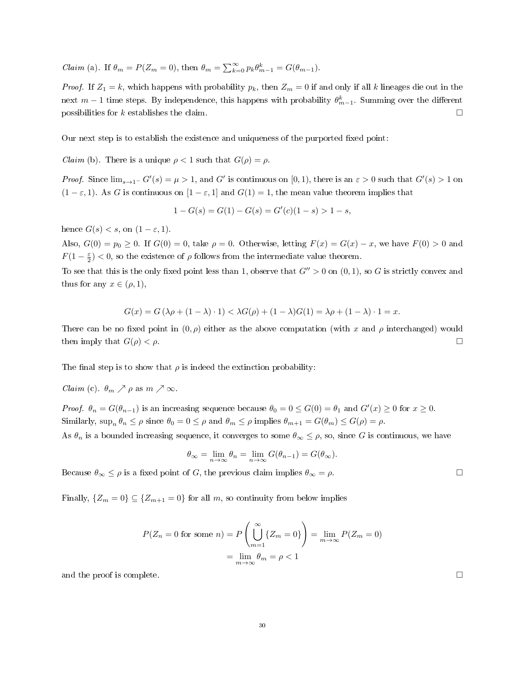*Claim* (a). If  $\theta_m = P(Z_m = 0)$ , then  $\theta_m = \sum_{k=0}^{\infty} p_k \theta_{m-1}^k = G(\theta_{m-1})$ .

*Proof.* If  $Z_1 = k$ , which happens with probability  $p_k$ , then  $Z_m = 0$  if and only if all k lineages die out in the next  $m-1$  time steps. By independence, this happens with probability  $\theta_{m-1}^k$ . Summing over the different possibilities for k establishes the claim.  $\Box$ 

Our next step is to establish the existence and uniqueness of the purported fixed point:

*Claim* (b). There is a unique  $\rho < 1$  such that  $G(\rho) = \rho$ .

*Proof.* Since  $\lim_{s\to 1^-} G'(s) = \mu > 1$ , and G' is continuous on [0,1], there is an  $\varepsilon > 0$  such that  $G'(s) > 1$  on  $(1 - \varepsilon, 1)$ . As G is continuous on  $[1 - \varepsilon, 1]$  and  $G(1) = 1$ , the mean value theorem implies that

$$
1 - G(s) = G(1) - G(s) = G'(c)(1 - s) > 1 - s,
$$

hence  $G(s) < s$ , on  $(1 - \varepsilon, 1)$ .

Also,  $G(0) = p_0 \ge 0$ . If  $G(0) = 0$ , take  $\rho = 0$ . Otherwise, letting  $F(x) = G(x) - x$ , we have  $F(0) > 0$  and  $F(1-\frac{\varepsilon}{2})$  < 0, so the existence of  $\rho$  follows from the intermediate value theorem.

To see that this is the only fixed point less than 1, observe that  $G'' > 0$  on  $(0, 1)$ , so G is strictly convex and thus for any  $x \in (\rho, 1)$ ,

$$
G(x) = G(\lambda \rho + (1 - \lambda) \cdot 1) < \lambda G(\rho) + (1 - \lambda)G(1) = \lambda \rho + (1 - \lambda) \cdot 1 = x.
$$

There can be no fixed point in  $(0, \rho)$  either as the above computation (with x and  $\rho$  interchanged) would then imply that  $G(\rho) < \rho$ .

The final step is to show that  $\rho$  is indeed the extinction probability:

*Claim* (c).  $\theta_m \nearrow \rho$  as  $m \nearrow \infty$ .

*Proof.*  $\theta_n = G(\theta_{n-1})$  is an increasing sequence because  $\theta_0 = 0 \le G(0) = \theta_1$  and  $G'(x) \ge 0$  for  $x \ge 0$ . Similarly,  $\sup_n \theta_n \le \rho$  since  $\theta_0 = 0 \le \rho$  and  $\theta_m \le \rho$  implies  $\theta_{m+1} = G(\theta_m) \le G(\rho) = \rho$ .

As  $\theta_n$  is a bounded increasing sequence, it converges to some  $\theta_\infty \leq \rho$ , so, since G is continuous, we have

$$
\theta_{\infty} = \lim_{n \to \infty} \theta_n = \lim_{n \to \infty} G(\theta_{n-1}) = G(\theta_{\infty}).
$$

Because  $\theta_{\infty} \leq \rho$  is a fixed point of G, the previous claim implies  $\theta_{\infty} = \rho$ .

Finally,  $\{Z_m = 0\} \subseteq \{Z_{m+1} = 0\}$  for all m, so continuity from below implies

$$
P(Z_n = 0 \text{ for some } n) = P\left(\bigcup_{m=1}^{\infty} \{Z_m = 0\}\right) = \lim_{m \to \infty} P(Z_m = 0)
$$

$$
= \lim_{m \to \infty} \theta_m = \rho < 1
$$

and the proof is complete.  $\Box$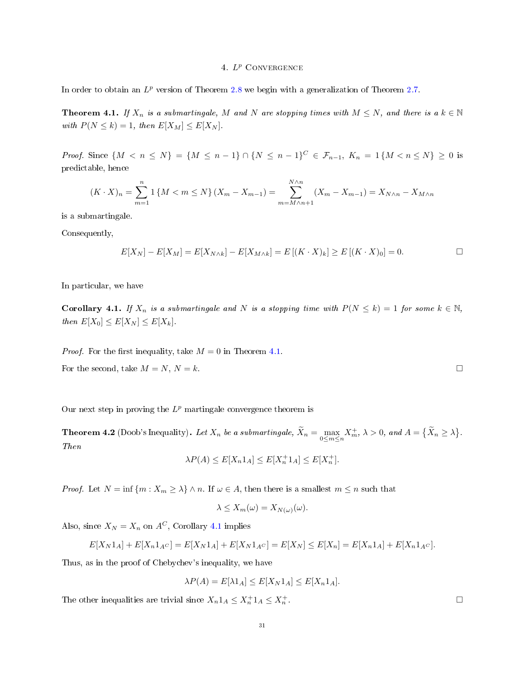# 4.  $L^p$  CONVERGENCE

In order to obtain an  $L^p$  version of Theorem [2.8](#page-21-1) we begin with a generalization of Theorem [2.7.](#page-20-1)

<span id="page-30-0"></span>**Theorem 4.1.** If  $X_n$  is a submartingale, M and N are stopping times with  $M \leq N$ , and there is a  $k \in \mathbb{N}$ with  $P(N \le k) = 1$ , then  $E[X_M] \le E[X_N]$ .

*Proof.* Since  $\{M \le n \le N\} = \{M \le n-1\} \cap \{N \le n-1\}^C \in \mathcal{F}_{n-1}, K_n = 1\{M \le n \le N\} \ge 0$  is predictable, hence

$$
(K \cdot X)_n = \sum_{m=1}^n 1 \{ M < m \le N \} \left( X_m - X_{m-1} \right) = \sum_{m=M \wedge n+1}^{N \wedge n} \left( X_m - X_{m-1} \right) = X_{N \wedge n} - X_{M \wedge n}
$$

is a submartingale.

Consequently,

$$
E[X_N] - E[X_M] = E[X_{N \wedge k}] - E[X_{M \wedge k}] = E[(K \cdot X)_k] \ge E[(K \cdot X)_0] = 0.
$$

In particular, we have

<span id="page-30-1"></span>Corollary 4.1. If  $X_n$  is a submartingale and N is a stopping time with  $P(N \le k) = 1$  for some  $k \in \mathbb{N}$ , then  $E[X_0] \leq E[X_N] \leq E[X_k]$ .

*Proof.* For the first inequality, take  $M = 0$  in Theorem [4.1.](#page-30-0)

For the second, take  $M = N$ ,  $N = k$ .  $\Box$ 

Our next step in proving the  $L^p$  martingale convergence theorem is

<span id="page-30-2"></span>**Theorem 4.2** (Doob's Inequality). Let  $X_n$  be a submartingale,  $\widetilde{X}_n = \max_{0 \le m \le n} X_m^+$ ,  $\lambda > 0$ , and  $A = \{\widetilde{X}_n \ge \lambda\}$ . Then

$$
\lambda P(A) \le E[X_n 1_A] \le E[X_n^+ 1_A] \le E[X_n^+].
$$

*Proof.* Let  $N = \inf \{m : X_m \geq \lambda\} \wedge n$ . If  $\omega \in A$ , then there is a smallest  $m \leq n$  such that

$$
\lambda \le X_m(\omega) = X_{N(\omega)}(\omega).
$$

Also, since  $X_N = X_n$  on  $A^C$ , Corollary [4.1](#page-30-1) implies

$$
E[X_N 1_A] + E[X_n 1_{A^C}] = E[X_N 1_A] + E[X_N 1_{A^C}] = E[X_N] \le E[X_n] = E[X_n 1_A] + E[X_n 1_{A^C}].
$$

Thus, as in the proof of Chebychev's inequality, we have

$$
\lambda P(A) = E[\lambda 1_A] \le E[X_N 1_A] \le E[X_n 1_A].
$$

The other inequalities are trivial since  $X_n 1_A \leq X_n^+ 1_A \leq X_n^+$ 

. □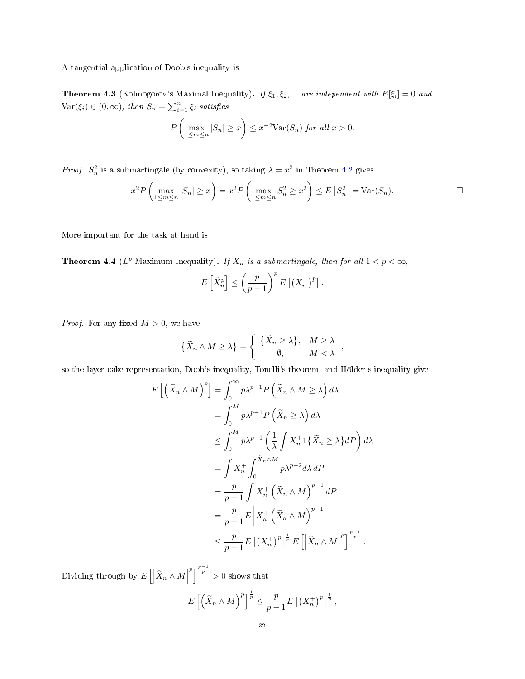## A tangential application of Doob's inequality is

**Theorem 4.3** (Kolmogorov's Maximal Inequality). If  $\xi_1, \xi_2, ...$  are independent with  $E[\xi_i] = 0$  and  $\text{Var}(\xi_i) \in (0, \infty)$ , then  $S_n = \sum_{i=1}^n \xi_i$  satisfies

$$
P\left(\max_{1\leq m\leq n}|S_n|\geq x\right)\leq x^{-2}\text{Var}(S_n) \text{ for all } x>0.
$$

*Proof.*  $S_n^2$  is a submartingale (by convexity), so taking  $\lambda = x^2$  in Theorem [4.2](#page-30-2) gives

$$
x^2 P\left(\max_{1\leq m\leq n}|S_n|\geq x\right) = x^2 P\left(\max_{1\leq m\leq n}S_n^2\geq x^2\right) \leq E\left[S_n^2\right] = \text{Var}(S_n).
$$

More important for the task at hand is

**Theorem 4.4** ( $L^p$  Maximum Inequality). If  $X_n$  is a submartingale, then for all  $1 < p < \infty$ ,

$$
E\left[\widetilde{X}_n^p\right] \le \left(\frac{p}{p-1}\right)^p E\left[\left(X_n^+\right)^p\right].
$$

*Proof.* For any fixed  $M > 0$ , we have

$$
\{\widetilde{X}_n \wedge M \ge \lambda\} = \left\{ \begin{array}{cc} \{\widetilde{X}_n \ge \lambda\}, & M \ge \lambda \\ \emptyset, & M < \lambda \end{array} \right.,
$$

so the layer cake representation, Doob's inequality, Tonelli's theorem, and Hölder's inequality give

$$
E\left[\left(\tilde{X}_n \wedge M\right)^p\right] = \int_0^\infty p\lambda^{p-1} P\left(\tilde{X}_n \wedge M \ge \lambda\right) d\lambda
$$
  
\n
$$
= \int_0^M p\lambda^{p-1} P\left(\tilde{X}_n \ge \lambda\right) d\lambda
$$
  
\n
$$
\le \int_0^M p\lambda^{p-1} \left(\frac{1}{\lambda} \int X_n^+ 1\{\tilde{X}_n \ge \lambda\} dP\right) d\lambda
$$
  
\n
$$
= \int X_n^+ \int_0^{\tilde{X}_n \wedge M} p\lambda^{p-2} d\lambda dP
$$
  
\n
$$
= \frac{p}{p-1} \int X_n^+ \left(\tilde{X}_n \wedge M\right)^{p-1} dP
$$
  
\n
$$
= \frac{p}{p-1} E\left|X_n^+ \left(\tilde{X}_n \wedge M\right)^{p-1}\right|
$$
  
\n
$$
\le \frac{p}{p-1} E\left[\left(X_n^+\right)^p\right]^{\frac{1}{p}} E\left[\left|\tilde{X}_n \wedge M\right|^p\right]^{\frac{p-1}{p}}.
$$

Dividing through by  $E\left[\left|\widetilde{X}_n\wedge M\right|\right]$  $\binom{p}{p}^{\frac{p-1}{p}} > 0$  shows that  $E\left[\left(\widetilde{X}_n \wedge M\right)^p\right]^{\frac{1}{p}} \leq \frac{p}{p-1}$  $\frac{p}{p-1}E\left[\left(X_n^+\right)^p\right]^{\frac{1}{p}},$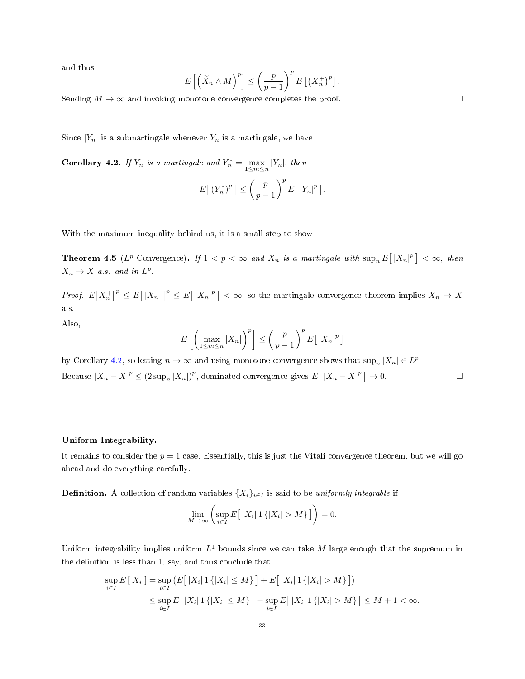and thus

$$
E\left[\left(\widetilde{X}_n \wedge M\right)^p\right] \le \left(\frac{p}{p-1}\right)^p E\left[\left(X_n^+\right)^p\right].
$$

Sending  $M \to \infty$  and invoking monotone convergence completes the proof.  $\Box$ 

Since  $|Y_n|$  is a submartingale whenever  $Y_n$  is a martingale, we have

<span id="page-32-0"></span>**Corollary 4.2.** If  $Y_n$  is a martingale and  $Y_n^* = \max_{1 \le m \le n} |Y_n|$ , then

$$
E\left[\left(Y_n^*\right)^p\right] \le \left(\frac{p}{p-1}\right)^p E\left[\left|Y_n\right|^p\right].
$$

With the maximum inequality behind us, it is a small step to show

**Theorem 4.5** ( $L^p$  Convergence). If  $1 < p < \infty$  and  $X_n$  is a martingale with  $\sup_n E[|X_n|^p] < \infty$ , then  $X_n \to X$  a.s. and in  $L^p$ .

*Proof.*  $E(X_n^{\dagger})^p \leq E[|X_n|^p] \leq E[|X_n|^p] < \infty$ , so the martingale convergence theorem implies  $X_n \to X$ a.s.

Also,

$$
E\left[\left(\max_{1\leq m\leq n}|X_n|\right)^p\right]\leq \left(\frac{p}{p-1}\right)^p E\left[\,|X_n|^p\,\right]
$$

by Corollary [4.2,](#page-32-0) so letting  $n \to \infty$  and using monotone convergence shows that  $\sup_n |X_n| \in L^p$ . Because  $|X_n - X|^p \le (2 \sup_n |X_n|)^p$ , dominated convergence gives  $E[|X_n - X|^p] \to 0$ .

#### Uniform Integrability.

It remains to consider the  $p = 1$  case. Essentially, this is just the Vitali convergence theorem, but we will go ahead and do everything carefully.

**Definition.** A collection of random variables  $\{X_i\}_{i\in I}$  is said to be *uniformly integrable* if

$$
\lim_{M \to \infty} \left( \sup_{i \in I} E\big[ |X_i| \, 1\left\{|X_i| > M\right\} \big] \right) = 0.
$$

Uniform integrability implies uniform  $L^1$  bounds since we can take  $M$  large enough that the supremum in the definition is less than 1, say, and thus conclude that

$$
\sup_{i \in I} E[|X_i|] = \sup_{i \in I} (E[|X_i| \, 1\{|X_i| \le M\}] + E[|X_i| \, 1\{|X_i| > M\}])
$$
  

$$
\le \sup_{i \in I} E[|X_i| \, 1\{|X_i| \le M\}] + \sup_{i \in I} E[|X_i| \, 1\{|X_i| > M\}] \le M + 1 < \infty.
$$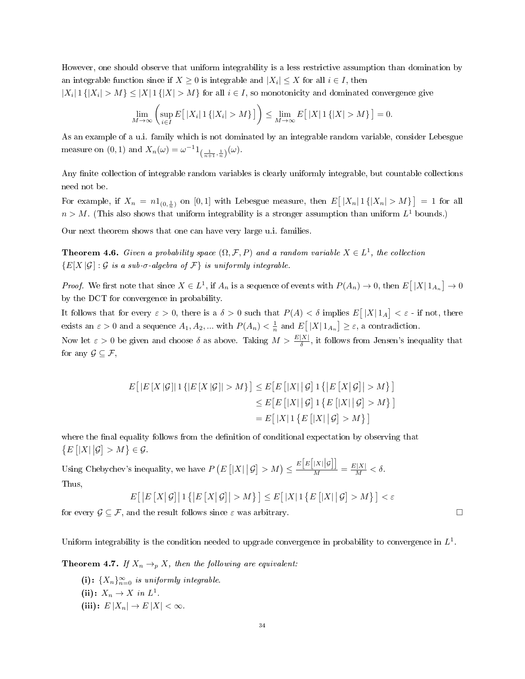However, one should observe that uniform integrability is a less restrictive assumption than domination by an integrable function since if  $X\geq 0$  is integrable and  $|X_i|\leq X$  for all  $i\in I,$  then

 $|X_i|\, 1\,\{|X_i|>M\}\le |X|\, 1\,\{|X|>M\}$  for all  $i\in I,$  so monotonicity and dominated convergence give

$$
\lim_{M\to\infty}\left(\sup_{i\in I}E\big[\,|X_i|\,1\,\{|X_i|>M\}\,\big]\right)\leq \lim_{M\to\infty}E\big[\,|X|\,1\,\{|X|>M\}\,\big]=0.
$$

As an example of a u.i. family which is not dominated by an integrable random variable, consider Lebesgue measure on (0, 1) and  $X_n(\omega) = \omega^{-1} 1_{\left(\frac{1}{n+1},\frac{1}{n}\right)}(\omega)$ .

Any finite collection of integrable random variables is clearly uniformly integrable, but countable collections need not be.

For example, if  $X_n = n1_{(0, \frac{1}{n})}$  on [0,1] with Lebesgue measure, then  $E[|X_n|1\{|X_n| > M\}] = 1$  for all  $n > M$ . (This also shows that uniform integrability is a stronger assumption than uniform  $L^1$  bounds.)

Our next theorem shows that one can have very large u.i. families.

<span id="page-33-1"></span>**Theorem 4.6.** Given a probability space  $(\Omega, \mathcal{F}, P)$  and a random variable  $X \in L^1$ , the collection  ${E[X|\mathcal{G}]:\mathcal{G}$ is a sub- $\sigma$ -algebra of  $\mathcal{F}$ } is uniformly integrable.$ 

*Proof.* We first note that since  $X \in L^1$ , if  $A_n$  is a sequence of events with  $P(A_n) \to 0$ , then  $E[|X|1_{A_n}] \to 0$ by the DCT for convergence in probability.

It follows that for every  $\varepsilon > 0$ , there is a  $\delta > 0$  such that  $P(A) < \delta$  implies  $E[|X|1_A] < \varepsilon$  - if not, there exists an  $\varepsilon > 0$  and a sequence  $A_1, A_2, ...$  with  $P(A_n) < \frac{1}{n}$  and  $E[|X| \mathbb{1}_{A_n}] \geq \varepsilon$ , a contradiction.

Now let  $\varepsilon > 0$  be given and choose  $\delta$  as above. Taking  $M > \frac{E[X]}{\delta}$ , it follows from Jensen's inequality that for any  $\mathcal{G} \subseteq \mathcal{F}$ ,

$$
E[|E[X|\mathcal{G}]|1\{|E[X|\mathcal{G}]|>M\}] \leq E[E[|X||\mathcal{G}]1\{|E[X|\mathcal{G}]|>M\}]
$$
  

$$
\leq E[E[|X||\mathcal{G}]1\{E[|X||\mathcal{G}]>M\}]
$$
  

$$
= E[|X|1\{E[|X||\mathcal{G}]>M\}]
$$

where the final equality follows from the definition of conditional expectation by observing that  $\{E\left[|X|\big|\mathcal{G}\right]>M\}\in\mathcal{G}.$ 

Using Chebychev's inequality, we have  $P(E[|X| | \mathcal{G}] > M) \leq \frac{E[E[|X| | \mathcal{G}]]}{M}$  $\frac{|X||\mathcal{Y}|}{M} = \frac{E|X|}{M} < \delta.$ Thus,

$$
E\big[\left|E[X|\mathcal{G}]\right|1\left\{\left|E[X|\mathcal{G}]\right|>M\right\}\big] \leq E\big[\left|X\right|1\left\{E\left[\left|X\right|\big|\mathcal{G}\right]>M\right\}\big] < \varepsilon
$$

for every  $\mathcal{G} \subseteq \mathcal{F}$ , and the result follows since  $\varepsilon$  was arbitrary.  $\Box$ 

Uniform integrability is the condition needed to upgrade convergence in probability to convergence in  $L^1$ .

<span id="page-33-0"></span>**Theorem 4.7.** If  $X_n \to_p X$ , then the following are equivalent:

(i):  $\{X_n\}_{n=0}^{\infty}$  is uniformly integrable. (ii):  $X_n \to X$  in  $L^1$ . (iii):  $E |X_n| \to E |X| < \infty$ .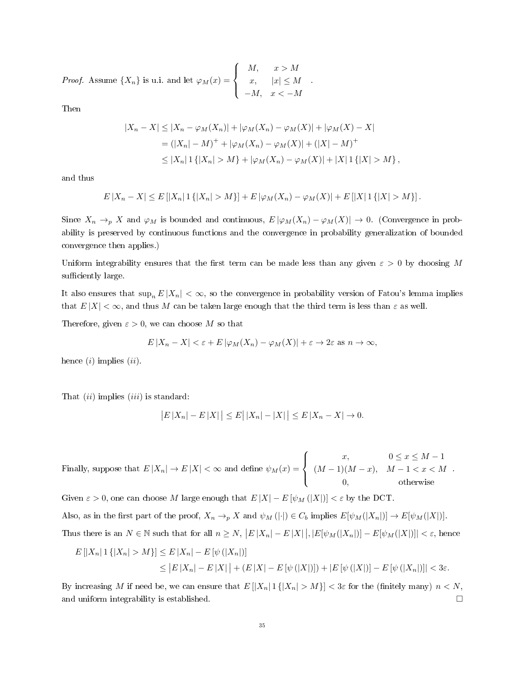*Proof.* Assume  $\{X_n\}$  is u.i. and let  $\varphi_M(x) =$  $\sqrt{ }$  $\int$  $\overline{a}$  $M, \quad x > M$  $x, \quad |x| \leq M$  $-M, \quad x < -M$ .

Then

$$
|X_n - X| \le |X_n - \varphi_M(X_n)| + |\varphi_M(X_n) - \varphi_M(X)| + |\varphi_M(X) - X|
$$
  
=  $(|X_n| - M)^+ + |\varphi_M(X_n) - \varphi_M(X)| + (|X| - M)^+$   
 $\le |X_n| 1 { |X_n| > M } + |\varphi_M(X_n) - \varphi_M(X)| + |X| 1 { |X| > M }$ ,

and thus

$$
E|X_n - X| \le E[|X_n| \, 1\{|X_n| > M\}] + E|\varphi_M(X_n) - \varphi_M(X)| + E[|X| \, 1\{|X| > M\}].
$$

Since  $X_n \to_p X$  and  $\varphi_M$  is bounded and continuous,  $E[\varphi_M(X_n) - \varphi_M(X)] \to 0$ . (Convergence in probability is preserved by continuous functions and the convergence in probability generalization of bounded convergence then applies.)

Uniform integrability ensures that the first term can be made less than any given  $\varepsilon > 0$  by choosing M sufficiently large.

It also ensures that  $\sup_n E |X_n| < \infty$ , so the convergence in probability version of Fatou's lemma implies that  $E|X| < \infty$ , and thus M can be taken large enough that the third term is less than  $\varepsilon$  as well.

Therefore, given  $\varepsilon > 0$ , we can choose M so that

$$
E|X_n - X| < \varepsilon + E|\varphi_M(X_n) - \varphi_M(X)| + \varepsilon \to 2\varepsilon \text{ as } n \to \infty,
$$

hence  $(i)$  implies  $(ii)$ .

That  $(ii)$  implies  $(iii)$  is standard:

$$
|E|X_n| - E|X| \le E|X_n| - |X| \le E|X_n - X| \to 0.
$$

Finally, suppose that  $E |X_n| \to E |X| < \infty$  and define  $\psi_M(x) =$  $\sqrt{ }$  $\int$  $\overline{a}$  $x, \hspace{1cm} 0 \leq x \leq M-1$  $(M-1)(M-x), M-1 < x < M$ 0, otherwise .

Given  $\varepsilon > 0$ , one can choose M large enough that  $E |X| - E [\psi_M(|X|)] < \varepsilon$  by the DCT. Also, as in the first part of the proof,  $X_n \to_p X$  and  $\psi_M(|\cdot|) \in C_b$  implies  $E[\psi_M(|X_n|)] \to E[\psi_M(|X|)]$ . Thus there is an  $N \in \mathbb{N}$  such that for all  $n \ge N$ ,  $|E|X_n| - E|X|$ ,  $|E[\psi_M(|X_n|)] - E[\psi_M(|X|)]| < \varepsilon$ , hence

$$
E[|X_n| \, 1\{|X_n| > M\}] \le E|X_n| - E[\psi(|X_n|)]
$$
\n
$$
\le |E|X_n| - E|X| + (E|X| - E[\psi(|X|)]) + |E[\psi(|X|)] - E[\psi(|X_n|)]| < 3\varepsilon.
$$

By increasing M if need be, we can ensure that  $E[|X_n| \cdot |X_n| > M] < 3\varepsilon$  for the (finitely many)  $n < N$ , and uniform integrability is established.  $\Box$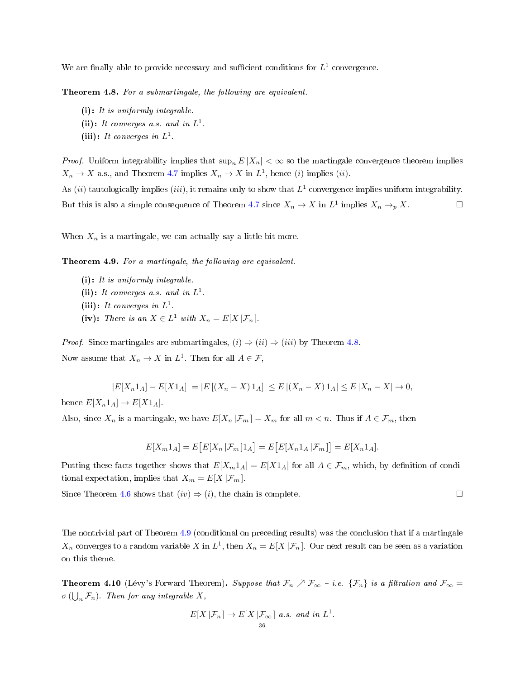We are finally able to provide necessary and sufficient conditions for  $L^1$  convergence.

<span id="page-35-0"></span>Theorem 4.8. For a submartingale, the following are equivalent.

- (i): It is uniformly integrable.
- (ii): It converges a.s. and in  $L^1$ .
- (iii): It converges in  $L^1$ .

*Proof.* Uniform integrability implies that  $\sup_n E |X_n| < \infty$  so the martingale convergence theorem implies  $X_n \to X$  a.s., and Theorem [4.7](#page-33-0) implies  $X_n \to X$  in  $L^1$ , hence (i) implies (ii).

As (ii) tautologically implies (iii), it remains only to show that  $L^1$  convergence implies uniform integrability. But this is also a simple consequence of Theorem [4.7](#page-33-0) since  $X_n \to X$  in  $L^1$  implies  $X_n \to_p X$ .

When  $X_n$  is a martingale, we can actually say a little bit more.

<span id="page-35-1"></span>Theorem 4.9. For a martingale, the following are equivalent.

- (i): It is uniformly integrable.
- (ii): It converges a.s. and in  $L^1$ .
- (iii): It converges in  $L^1$ .
- (iv): There is an  $X \in L^1$  with  $X_n = E[X | \mathcal{F}_n]$ .

*Proof.* Since martingales are submartingales,  $(i) \Rightarrow (ii) \Rightarrow (iii)$  by Theorem [4.8.](#page-35-0) Now assume that  $X_n \to X$  in  $L^1$ . Then for all  $A \in \mathcal{F}$ ,

 $|E[X_n1_A] - E[X1_A]| = |E[(X_n - X)1_A]| \leq E[(X_n - X)1_A] \leq E[X_n - X] \rightarrow 0,$ hence  $E[X_n1_A] \rightarrow E[X1_A]$ .

Also, since  $X_n$  is a martingale, we have  $E[X_n | \mathcal{F}_m] = X_m$  for all  $m < n$ . Thus if  $A \in \mathcal{F}_m$ , then

$$
E[X_m 1_A] = E\big[E[X_n | \mathcal{F}_m] 1_A\big] = E\big[E[X_n 1_A | \mathcal{F}_m]\big] = E[X_n 1_A].
$$

Putting these facts together shows that  $E[X_m1_A] = E[X1_A]$  for all  $A \in \mathcal{F}_m$ , which, by definition of conditional expectation, implies that  $X_m = E[X | \mathcal{F}_m]$ .

Since Theorem [4.6](#page-33-1) shows that  $(iv) \Rightarrow (i)$ , the chain is complete.  $\Box$ 

The nontrivial part of Theorem [4.9](#page-35-1) (conditional on preceding results) was the conclusion that if a martingale  $X_n$  converges to a random variable X in  $L^1$ , then  $X_n = E[X | \mathcal{F}_n]$ . Our next result can be seen as a variation on this theme.

**Theorem 4.10** (Lévy's Forward Theorem). Suppose that  $\mathcal{F}_n \nearrow \mathcal{F}_{\infty}$  - i.e.  $\{\mathcal{F}_n\}$  is a filtration and  $\mathcal{F}_{\infty}$  =  $\sigma\left(\bigcup_{n} \mathcal{F}_n\right)$ . Then for any integrable X,

$$
E[X | \mathcal{F}_n] \to E[X | \mathcal{F}_\infty]
$$
 a.s. and in  $L^1$ .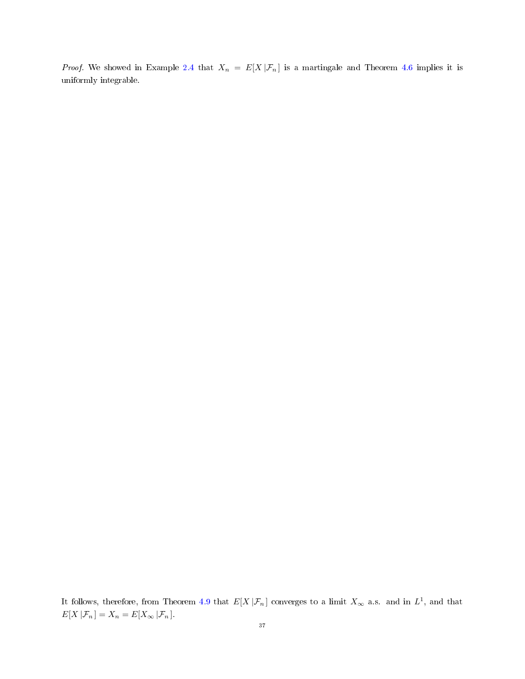*Proof.* We showed in Example [2.4](#page-14-0) that  $X_n = E[X | \mathcal{F}_n]$  is a martingale and Theorem [4.6](#page-33-0) implies it is uniformly integrable.

It follows, therefore, from Theorem [4.9](#page-35-0) that  $E[X|\mathcal{F}_n]$  converges to a limit  $X_\infty$  a.s. and in  $L^1$ , and that  $E[X | \mathcal{F}_n] = X_n = E[X_\infty | \mathcal{F}_n].$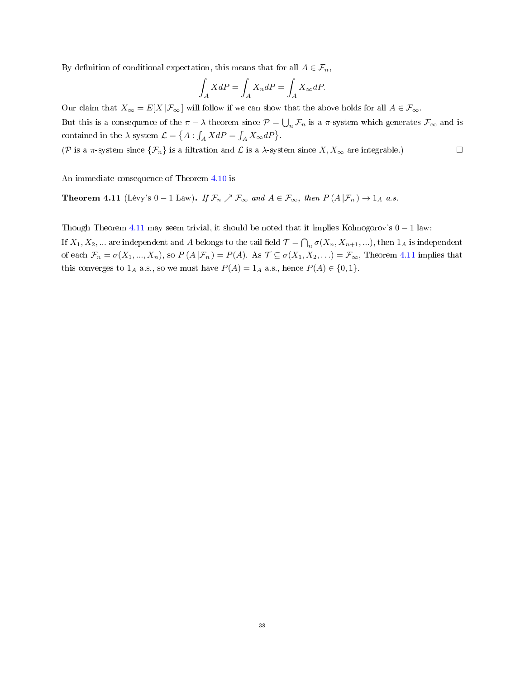By definition of conditional expectation, this means that for all  $A \in \mathcal{F}_n$ ,

$$
\int_A XdP = \int_A X_n dP = \int_A X_\infty dP.
$$

Our claim that  $X_{\infty} = E[X | \mathcal{F}_{\infty}]$  will follow if we can show that the above holds for all  $A \in \mathcal{F}_{\infty}$ .

But this is a consequence of the  $\pi-\lambda$  theorem since  $\mathcal{P}=\bigcup_n \mathcal{F}_n$  is a  $\pi$ -system which generates  $\mathcal{F}_{\infty}$  and is contained in the  $\lambda$ -system  $\mathcal{L} = \{ A : \int_A X dP = \int_A X_\infty dP \}.$ 

(P is a  $\pi$ -system since  $\{\mathcal{F}_n\}$  is a filtration and  $\mathcal{L}$  is a  $\lambda$ -system since  $X, X_\infty$  are integrable.)  $\Box$ 

An immediate consequence of Theorem [4.10](#page-35-1) is

<span id="page-37-0"></span>**Theorem 4.11** (Lévy's  $0 - 1$  Law). If  $\mathcal{F}_n \nearrow \mathcal{F}_{\infty}$  and  $A \in \mathcal{F}_{\infty}$ , then  $P(A | \mathcal{F}_n) \to 1_A$  a.s.

Though Theorem [4.11](#page-37-0) may seem trivial, it should be noted that it implies Kolmogorov's  $0 - 1$  law:

If  $X_1, X_2, ...$  are independent and A belongs to the tail field  $\mathcal{T} = \bigcap_n \sigma(X_n, X_{n+1}, ...)$ , then  $1_A$  is independent of each  $\mathcal{F}_n = \sigma(X_1, ..., X_n)$ , so  $P(A | \mathcal{F}_n) = P(A)$ . As  $\mathcal{T} \subseteq \sigma(X_1, X_2, ...) = \mathcal{F}_{\infty}$ , Theorem [4.11](#page-37-0) implies that this converges to  $1_A$  a.s., so we must have  $P(A) = 1_A$  a.s., hence  $P(A) \in \{0, 1\}$ .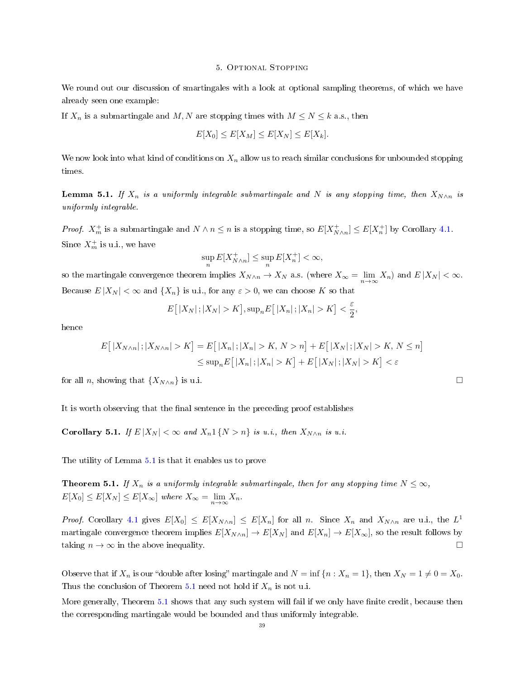#### 5. Optional Stopping

We round out our discussion of smartingales with a look at optional sampling theorems, of which we have already seen one example:

If  $X_n$  is a submartingale and  $M, N$  are stopping times with  $M \leq N \leq k$  a.s., then

$$
E[X_0] \le E[X_M] \le E[X_N] \le E[X_k].
$$

We now look into what kind of conditions on  $X_n$  allow us to reach similar conclusions for unbounded stopping times.

<span id="page-38-0"></span>**Lemma 5.1.** If  $X_n$  is a uniformly integrable submartingale and N is any stopping time, then  $X_{N\wedge n}$  is uniformly integrable.

*Proof.*  $X_m^+$  is a submartingale and  $N \wedge n \leq n$  is a stopping time, so  $E[X_{N \wedge n}^+] \leq E[X_n^+]$  by Corollary [4.1.](#page-30-0) Since  $X_m^+$  is u.i., we have

$$
\sup_n E[X_{N \wedge n}^+] \le \sup_n E[X_n^+] < \infty,
$$

so the martingale convergence theorem implies  $X_{N\wedge n} \to X_N$  a.s. (where  $X_\infty = \lim_{n\to\infty} X_n$ ) and  $E|X_N| < \infty$ . Because  $E|X_N| < \infty$  and  $\{X_n\}$  is u.i., for any  $\varepsilon > 0$ , we can choose K so that

$$
E\big[|X_N|\,;|X_N|>K\big],\sup_n E\big[|X_n|\,;|X_n|>K\big]<\frac{\varepsilon}{2},
$$

hence

$$
E\big[|X_{N\wedge n}|;|X_{N\wedge n}|>K\big] = E\big[|X_n|;|X_n|>K,N>n\big] + E\big[|X_N|;|X_N|>K,N\leq n\big]
$$
  

$$
\leq \sup_n E\big[|X_n|;|X_n|>K\big] + E\big[|X_N|;|X_N|>K\big] < \varepsilon
$$

for all *n*, showing that  $\{X_{N\wedge n}\}\$ is u.i.

It is worth observing that the final sentence in the preceding proof establishes

<span id="page-38-2"></span>Corollary 5.1. If  $E |X_N| < \infty$  and  $X_n 1 \{N > n\}$  is u.i., then  $X_{N \wedge n}$  is u.i.

The utility of Lemma [5.1](#page-38-0) is that it enables us to prove

<span id="page-38-1"></span>**Theorem 5.1.** If  $X_n$  is a uniformly integrable submartingale, then for any stopping time  $N \leq \infty$ ,  $E[X_0] \le E[X_N] \le E[X_\infty]$  where  $X_\infty = \lim_{n \to \infty} X_n$ .

*Proof.* Corollary [4.1](#page-30-0) gives  $E[X_0] \le E[X_{N \wedge n}] \le E[X_n]$  for all n. Since  $X_n$  and  $X_{N \wedge n}$  are u.i., the  $L^1$ martingale convergence theorem implies  $E[X_{N\wedge n}] \to E[X_N]$  and  $E[X_n] \to E[X_{\infty}],$  so the result follows by taking  $n \to \infty$  in the above inequality.

Observe that if  $X_n$  is our "double after losing" martingale and  $N = \inf \{n : X_n = 1\}$ , then  $X_N = 1 \neq 0 = X_0$ . Thus the conclusion of Theorem [5.1](#page-38-1) need not hold if  $X_n$  is not u.i.

More generally, Theorem [5.1](#page-38-1) shows that any such system will fail if we only have finite credit, because then the corresponding martingale would be bounded and thus uniformly integrable.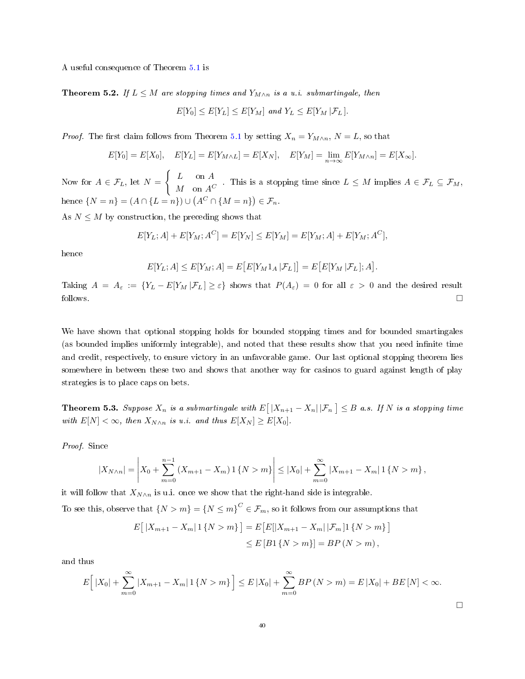A useful consequence of Theorem [5.1](#page-38-1) is

<span id="page-39-0"></span>**Theorem 5.2.** If  $L \leq M$  are stopping times and  $Y_{M \wedge n}$  is a u.i. submartingale, then

$$
E[Y_0] \le E[Y_L] \le E[Y_M] \text{ and } Y_L \le E[Y_M | \mathcal{F}_L].
$$

*Proof.* The first claim follows from Theorem [5.1](#page-38-1) by setting  $X_n = Y_{M \wedge n}$ ,  $N = L$ , so that

$$
E[Y_0] = E[X_0], \quad E[Y_L] = E[Y_{M \wedge L}] = E[X_N], \quad E[Y_M] = \lim_{n \to \infty} E[Y_{M \wedge n}] = E[X_{\infty}].
$$

Now for  $A \in \mathcal{F}_L$ , let  $N =$  $\int L$  on A  $M \text{ on } A^C$ . This is a stopping time since  $L \leq M$  implies  $A \in \mathcal{F}_L \subseteq \mathcal{F}_M$ , hence  $\{N = n\} = (A \cap \{L = n\}) \cup (A^C \cap \{M = n\}) \in \mathcal{F}_n$ .

As  $N \leq M$  by construction, the preceding shows that

$$
E[Y_L; A] + E[Y_M; A^C] = E[Y_N] \le E[Y_M] = E[Y_M; A] + E[Y_M; A^C],
$$

hence

$$
E[Y_L; A] \leq E[Y_M; A] = E\big[E[Y_M 1_A | \mathcal{F}_L]\big] = E\big[E[Y_M | \mathcal{F}_L]; A\big].
$$

Taking  $A = A_{\varepsilon} := \{Y_L - E[Y_M | \mathcal{F}_L] \geq \varepsilon\}$  shows that  $P(A_{\varepsilon}) = 0$  for all  $\varepsilon > 0$  and the desired result follows.  $\Box$ 

We have shown that optional stopping holds for bounded stopping times and for bounded smartingales (as bounded implies uniformly integrable), and noted that these results show that you need infinite time and credit, respectively, to ensure victory in an unfavorable game. Our last optional stopping theorem lies somewhere in between these two and shows that another way for casinos to guard against length of play strategies is to place caps on bets.

**Theorem 5.3.** Suppose  $X_n$  is a submartingale with  $E\big[\,|X_{n+1}-X_n|\,|\mathcal{F}_n\,\big]\leq B$  a.s. If  $N$  is a stopping time with  $E[N] < \infty$ , then  $X_{N \wedge n}$  is u.i. and thus  $E[X_N] \geq E[X_0]$ .

Proof. Since

$$
|X_{N\wedge n}| = \left| X_0 + \sum_{m=0}^{n-1} (X_{m+1} - X_m) \mathbf{1} \{ N > m \} \right| \leq |X_0| + \sum_{m=0}^{\infty} |X_{m+1} - X_m| \mathbf{1} \{ N > m \},
$$

it will follow that  $X_{N\wedge n}$  is u.i. once we show that the right-hand side is integrable.

To see this, observe that  $\{N > m\} = \{N \le m\}^C \in \mathcal{F}_m$ , so it follows from our assumptions that

$$
E[|X_{m+1} - X_m| 1\{N > m\}] = E[E[|X_{m+1} - X_m| |\mathcal{F}_m] 1\{N > m\}]
$$
  

$$
\leq E[B1\{N > m\}] = BP(N > m),
$$

and thus

$$
E\Big[|X_0| + \sum_{m=0}^{\infty} |X_{m+1} - X_m| \, 1\{N > m\}\Big] \le E\,|X_0| + \sum_{m=0}^{\infty} BP\,(N > m) = E\,|X_0| + BE\,[N] < \infty.
$$

□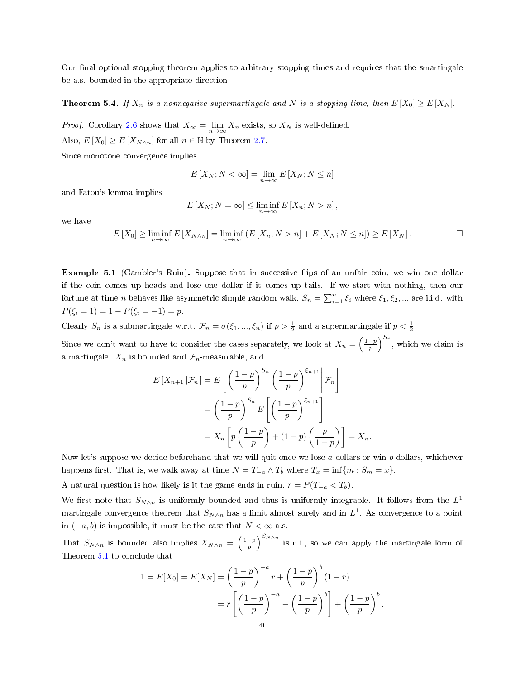Our final optional stopping theorem applies to arbitrary stopping times and requires that the smartingale be a.s. bounded in the appropriate direction.

**Theorem 5.4.** If  $X_n$  is a nonnegative supermartingale and N is a stopping time, then  $E[X_0] \ge E[X_N]$ .

*Proof.* Corollary [2.6](#page-22-0) shows that  $X_{\infty} = \lim_{n \to \infty} X_n$  exists, so  $X_N$  is well-defined.

Also,  $E[X_0] \ge E[X_{N \wedge n}]$  for all  $n \in \mathbb{N}$  by Theorem [2.7.](#page-20-0)

Since monotone convergence implies

$$
E\left[X_N;N<\infty\right]=\lim_{n\to\infty}E\left[X_N;N\leq n\right]
$$

and Fatou's lemma implies

$$
E[X_N; N = \infty] \le \liminf_{n \to \infty} E[X_n; N > n],
$$

we have

$$
E[X_0] \geq \liminf_{n \to \infty} E[X_{N \wedge n}] = \liminf_{n \to \infty} \left( E[X_n; N > n] + E[X_N; N \leq n] \right) \geq E[X_N].
$$

Example 5.1 (Gambler's Ruin). Suppose that in successive flips of an unfair coin, we win one dollar if the coin comes up heads and lose one dollar if it comes up tails. If we start with nothing, then our fortune at time *n* behaves like asymmetric simple random walk,  $S_n = \sum_{i=1}^n \xi_i$  where  $\xi_1, \xi_2, ...$  are i.i.d. with  $P(\xi_i = 1) = 1 - P(\xi_i = -1) = p.$ 

Clearly  $S_n$  is a submartingale w.r.t.  $\mathcal{F}_n = \sigma(\xi_1, ..., \xi_n)$  if  $p > \frac{1}{2}$  and a supermartingale if  $p < \frac{1}{2}$ .

Since we don't want to have to consider the cases separately, we look at  $X_n = \left(\frac{1-p}{p}\right)^{S_n}$ , which we claim is a martingale:  $X_n$  is bounded and  $\mathcal{F}_n$ -measurable, and

$$
E\left[X_{n+1}|\mathcal{F}_n\right] = E\left[\left(\frac{1-p}{p}\right)^{S_n}\left(\frac{1-p}{p}\right)^{\xi_{n+1}}\middle|\mathcal{F}_n\right]
$$

$$
= \left(\frac{1-p}{p}\right)^{S_n} E\left[\left(\frac{1-p}{p}\right)^{\xi_{n+1}}\right]
$$

$$
= X_n \left[p\left(\frac{1-p}{p}\right) + (1-p)\left(\frac{p}{1-p}\right)\right] = X_n.
$$

Now let's suppose we decide beforehand that we will quit once we lose  $\alpha$  dollars or win b dollars, whichever happens first. That is, we walk away at time  $N = T_{-a} \wedge T_b$  where  $T_x = \inf\{m : S_m = x\}.$ 

A natural question is how likely is it the game ends in ruin,  $r = P(T_{-a} < T_b)$ .

We first note that  $S_{N\wedge n}$  is uniformly bounded and thus is uniformly integrable. It follows from the  $L^1$ martingale convergence theorem that  $S_{N\wedge n}$  has a limit almost surely and in  $L^1.$  As convergence to a point in  $(-a, b)$  is impossible, it must be the case that  $N < ∞$  a.s.

That  $S_{N\wedge n}$  is bounded also implies  $X_{N\wedge n} = \left(\frac{1-p}{p}\right)^{S_{N\wedge n}}$  is u.i., so we can apply the martingale form of Theorem [5.1](#page-38-1) to conclude that

$$
1 = E[X_0] = E[X_N] = \left(\frac{1-p}{p}\right)^{-a} r + \left(\frac{1-p}{p}\right)^{b} (1-r)
$$

$$
= r \left[ \left(\frac{1-p}{p}\right)^{-a} - \left(\frac{1-p}{p}\right)^{b} \right] + \left(\frac{1-p}{p}\right)^{b}.
$$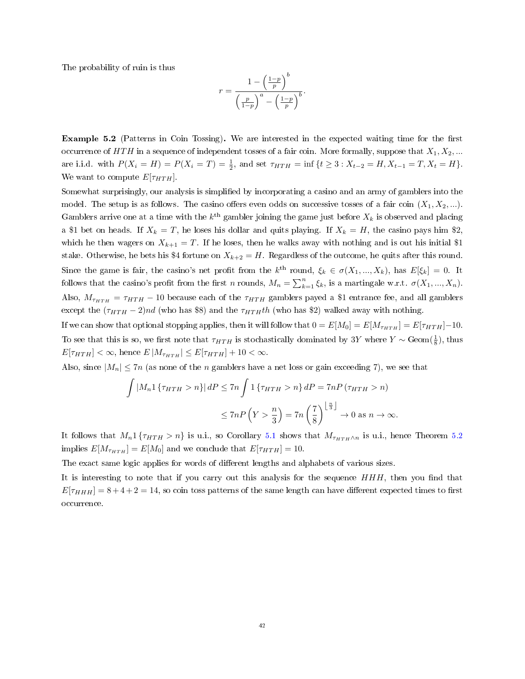The probability of ruin is thus

$$
r = \frac{1 - \left(\frac{1-p}{p}\right)^b}{\left(\frac{p}{1-p}\right)^a - \left(\frac{1-p}{p}\right)^b}.
$$

**Example 5.2** (Patterns in Coin Tossing). We are interested in the expected waiting time for the first occurrence of  $HTH$  in a sequence of independent tosses of a fair coin. More formally, suppose that  $X_1, X_2, ...$ are i.i.d. with  $P(X_i = H) = P(X_i = T) = \frac{1}{2}$ , and set  $\tau_{HTH} = \inf \{ t \geq 3 : X_{t-2} = H, X_{t-1} = T, X_t = H \}.$ We want to compute  $E[\tau_{HTH}]$ .

Somewhat surprisingly, our analysis is simplied by incorporating a casino and an army of gamblers into the model. The setup is as follows. The casino offers even odds on successive tosses of a fair coin  $(X_1, X_2, ...)$ . Gamblers arrive one at a time with the  $k^{\text{th}}$  gambler joining the game just before  $X_k$  is observed and placing a \$1 bet on heads. If  $X_k = T$ , he loses his dollar and quits playing. If  $X_k = H$ , the casino pays him \$2, which he then wagers on  $X_{k+1} = T$ . If he loses, then he walks away with nothing and is out his initial \$1 stake. Otherwise, he bets his \$4 fortune on  $X_{k+2} = H$ . Regardless of the outcome, he quits after this round. Since the game is fair, the casino's net profit from the  $k^{\text{th}}$  round,  $\xi_k \in \sigma(X_1, ..., X_k)$ , has  $E[\xi_k] = 0$ . It follows that the casino's profit from the first n rounds,  $M_n = \sum_{k=1}^n \xi_k$ , is a martingale w.r.t.  $\sigma(X_1, ..., X_n)$ . Also,  $M_{\tau_{HTH}} = \tau_{HTH} - 10$  because each of the  $\tau_{HTH}$  gamblers payed a \$1 entrance fee, and all gamblers except the  $(\tau_{HTH} - 2)nd$  (who has \$8) and the  $\tau_{HTH}th$  (who has \$2) walked away with nothing.

If we can show that optional stopping applies, then it will follow that  $0 = E[M_0] = E[M_{\tau_{HTH}}] = E[\tau_{HTH}] - 10$ . To see that this is so, we first note that  $\tau_{HTH}$  is stochastically dominated by 3Y where  $Y \sim \text{Geom}(\frac{1}{8})$ , thus  $E[\tau_{HTH}] < \infty$ , hence  $E|M_{\tau_{HTH}}| \leq E[\tau_{HTH}] + 10 < \infty$ .

Also, since  $|M_n| \leq 7n$  (as none of the *n* gamblers have a net loss or gain exceeding 7), we see that

$$
\int |M_n \mathbb{1}\left\{\tau_{HTH} > n\right\}| dP \leq 7n \int \mathbb{1}\left\{\tau_{HTH} > n\right\} dP = 7nP \left(\tau_{HTH} > n\right)
$$

$$
\leq 7nP \left(Y > \frac{n}{3}\right) = 7n \left(\frac{7}{8}\right)^{\left\lfloor \frac{n}{3} \right\rfloor} \to 0 \text{ as } n \to \infty.
$$

It follows that  $M_n 1\{\tau_{HTH} > n\}$  is u.i., so Corollary [5.1](#page-38-2) shows that  $M_{\tau_{HTH}\wedge n}$  is u.i., hence Theorem [5.2](#page-39-0) implies  $E[M_{\tau_{HTH}}] = E[M_0]$  and we conclude that  $E[\tau_{HTH}] = 10$ .

The exact same logic applies for words of different lengths and alphabets of various sizes.

It is interesting to note that if you carry out this analysis for the sequence  $HHH$ , then you find that  $E[\tau_{HHH}] = 8 + 4 + 2 = 14$ , so coin toss patterns of the same length can have different expected times to first occurrence.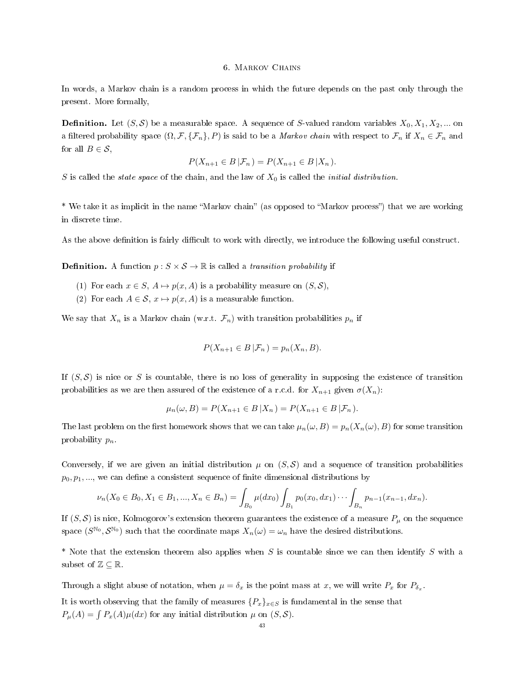#### 6. Markov Chains

In words, a Markov chain is a random process in which the future depends on the past only through the present. More formally,

**Definition.** Let  $(S, \mathcal{S})$  be a measurable space. A sequence of S-valued random variables  $X_0, X_1, X_2, ...$  on a filtered probability space  $(\Omega, \mathcal{F}, \{\mathcal{F}_n\}, P)$  is said to be a *Markov chain* with respect to  $\mathcal{F}_n$  if  $X_n \in \mathcal{F}_n$  and for all  $B \in \mathcal{S}$ ,

$$
P(X_{n+1} \in B | \mathcal{F}_n) = P(X_{n+1} \in B | X_n).
$$

S is called the *state space* of the chain, and the law of  $X_0$  is called the *initial distribution*.

\* We take it as implicit in the name "Markov chain" (as opposed to "Markov process") that we are working in discrete time.

As the above definition is fairly difficult to work with directly, we introduce the following useful construct.

**Definition.** A function  $p: S \times S \rightarrow \mathbb{R}$  is called a *transition probability* if

- (1) For each  $x \in S$ ,  $A \mapsto p(x, A)$  is a probability measure on  $(S, S)$ ,
- (2) For each  $A \in \mathcal{S}$ ,  $x \mapsto p(x, A)$  is a measurable function.

We say that  $X_n$  is a Markov chain (w.r.t.  $\mathcal{F}_n$ ) with transition probabilities  $p_n$  if

$$
P(X_{n+1} \in B | \mathcal{F}_n) = p_n(X_n, B).
$$

If  $(S, S)$  is nice or S is countable, there is no loss of generality in supposing the existence of transition probabilities as we are then assured of the existence of a r.c.d. for  $X_{n+1}$  given  $\sigma(X_n)$ :

$$
\mu_n(\omega, B) = P(X_{n+1} \in B | X_n) = P(X_{n+1} \in B | \mathcal{F}_n).
$$

The last problem on the first homework shows that we can take  $\mu_n(\omega, B) = p_n(X_n(\omega), B)$  for some transition probability  $p_n$ .

Conversely, if we are given an initial distribution  $\mu$  on  $(S, S)$  and a sequence of transition probabilities  $p_0, p_1, \ldots$ , we can define a consistent sequence of finite dimensional distributions by

$$
\nu_n(X_0 \in B_0, X_1 \in B_1, ..., X_n \in B_n) = \int_{B_0} \mu(dx_0) \int_{B_1} p_0(x_0, dx_1) \cdots \int_{B_n} p_{n-1}(x_{n-1}, dx_n).
$$

If  $(S, S)$  is nice, Kolmogorov's extension theorem guarantees the existence of a measure  $P_\mu$  on the sequence space  $(S^{\mathbb{N}_0}, S^{\mathbb{N}_0})$  such that the coordinate maps  $X_n(\omega) = \omega_n$  have the desired distributions.

\* Note that the extension theorem also applies when S is countable since we can then identify S with a subset of  $\mathbb{Z} \subseteq \mathbb{R}$ .

Through a slight abuse of notation, when  $\mu = \delta_x$  is the point mass at x, we will write  $P_x$  for  $P_{\delta_x}$ .

It is worth observing that the family of measures  $\{P_x\}_{x\in S}$  is fundamental in the sense that  $P_{\mu}(A) = \int P_x(A)\mu(dx)$  for any initial distribution  $\mu$  on  $(S, \mathcal{S})$ .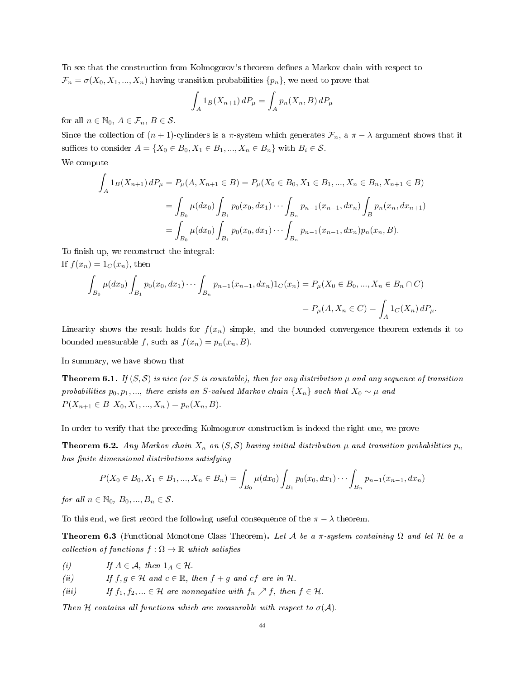To see that the construction from Kolmogorov's theorem defines a Markov chain with respect to  $\mathcal{F}_n = \sigma(X_0, X_1, ..., X_n)$  having transition probabilities  $\{p_n\}$ , we need to prove that

$$
\int_A 1_B(X_{n+1}) dP_\mu = \int_A p_n(X_n, B) dP_\mu
$$

for all  $n \in \mathbb{N}_0$ ,  $A \in \mathcal{F}_n$ ,  $B \in \mathcal{S}$ .

Since the collection of  $(n + 1)$ -cylinders is a  $\pi$ -system which generates  $\mathcal{F}_n$ , a  $\pi - \lambda$  argument shows that it suffices to consider  $A = \{X_0 \in B_0, X_1 \in B_1, ..., X_n \in B_n\}$  with  $B_i \in \mathcal{S}$ .

We compute

$$
\int_{A} 1_{B}(X_{n+1}) dP_{\mu} = P_{\mu}(A, X_{n+1} \in B) = P_{\mu}(X_{0} \in B_{0}, X_{1} \in B_{1}, ..., X_{n} \in B_{n}, X_{n+1} \in B)
$$
\n
$$
= \int_{B_{0}} \mu(dx_{0}) \int_{B_{1}} p_{0}(x_{0}, dx_{1}) \cdots \int_{B_{n}} p_{n-1}(x_{n-1}, dx_{n}) \int_{B} p_{n}(x_{n}, dx_{n+1})
$$
\n
$$
= \int_{B_{0}} \mu(dx_{0}) \int_{B_{1}} p_{0}(x_{0}, dx_{1}) \cdots \int_{B_{n}} p_{n-1}(x_{n-1}, dx_{n}) p_{n}(x_{n}, B).
$$

To finish up, we reconstruct the integral: If  $f(x_n) = 1_C(x_n)$ , then

$$
\int_{B_0} \mu(dx_0) \int_{B_1} p_0(x_0, dx_1) \cdots \int_{B_n} p_{n-1}(x_{n-1}, dx_n) 1_C(x_n) = P_\mu(X_0 \in B_0, ..., X_n \in B_n \cap C)
$$
  
=  $P_\mu(A, X_n \in C) = \int_A 1_C(X_n) dP_\mu.$ 

Linearity shows the result holds for  $f(x_n)$  simple, and the bounded convergence theorem extends it to bounded measurable f, such as  $f(x_n) = p_n(x_n, B)$ .

In summary, we have shown that

**Theorem 6.1.** If  $(S, S)$  is nice (or S is countable), then for any distribution  $\mu$  and any sequence of transition probabilities  $p_0, p_1, \ldots$ , there exists an S-valued Markov chain  $\{X_n\}$  such that  $X_0 \sim \mu$  and  $P(X_{n+1} \in B | X_0, X_1, ..., X_n) = p_n(X_n, B).$ 

In order to verify that the preceding Kolmogorov construction is indeed the right one, we prove

<span id="page-43-0"></span>**Theorem 6.2.** Any Markov chain  $X_n$  on  $(S, S)$  having initial distribution  $\mu$  and transition probabilities  $p_n$ has finite dimensional distributions satisfying

$$
P(X_0 \in B_0, X_1 \in B_1, ..., X_n \in B_n) = \int_{B_0} \mu(dx_0) \int_{B_1} p_0(x_0, dx_1) \cdots \int_{B_n} p_{n-1}(x_{n-1}, dx_n)
$$

for all  $n \in \mathbb{N}_0$ ,  $B_0, ..., B_n \in \mathcal{S}$ .

To this end, we first record the following useful consequence of the  $\pi - \lambda$  theorem.

<span id="page-43-1"></span>**Theorem 6.3** (Functional Monotone Class Theorem). Let A be a  $\pi$ -system containing  $\Omega$  and let H be a collection of functions  $f : \Omega \to \mathbb{R}$  which satisfies

- (i) If  $A \in \mathcal{A}$ , then  $1_A \in \mathcal{H}$ .
- (ii) If  $f, g \in \mathcal{H}$  and  $c \in \mathbb{R}$ , then  $f + g$  and  $cf$  are in  $\mathcal{H}$ .
- (iii) If  $f_1, f_2, \ldots \in \mathcal{H}$  are nonnegative with  $f_n \nearrow f$ , then  $f \in \mathcal{H}$ .

Then H contains all functions which are measurable with respect to  $\sigma(A)$ .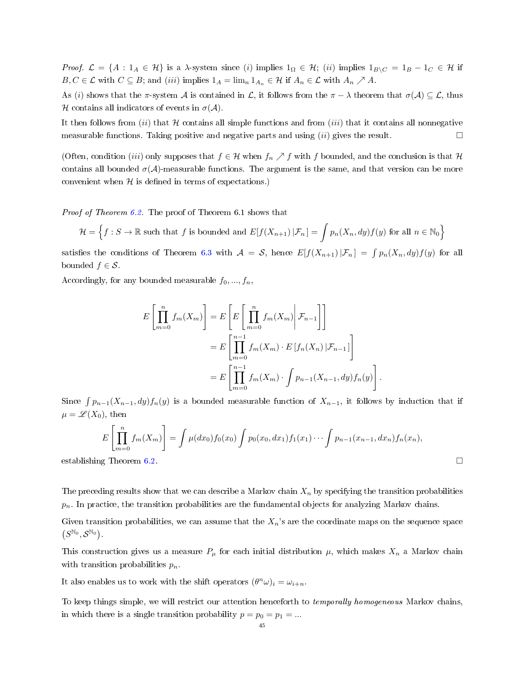Proof.  $\mathcal{L} = \{A : 1_A \in \mathcal{H}\}\$ is a  $\lambda$ -system since (i) implies  $1_{\Omega} \in \mathcal{H}$ ; (ii) implies  $1_{B\setminus C} = 1_B - 1_C \in \mathcal{H}$  if  $B, C \in \mathcal{L}$  with  $C \subseteq B$ ; and (iii) implies  $1_A = \lim_{n \to \infty} 1_{A_n} \in \mathcal{H}$  if  $A_n \in \mathcal{L}$  with  $A_n \nearrow A$ .

As (i) shows that the π-system A is contained in L, it follows from the  $\pi - \lambda$  theorem that  $\sigma(\mathcal{A}) \subseteq \mathcal{L}$ , thus H contains all indicators of events in  $\sigma(\mathcal{A})$ .

It then follows from  $(ii)$  that H contains all simple functions and from  $(iii)$  that it contains all nonnegative measurable functions. Taking positive and negative parts and using  $(ii)$  gives the result.  $\Box$ 

(Often, condition (iii) only supposes that  $f \in \mathcal{H}$  when  $f_n \nearrow f$  with f bounded, and the conclusion is that  $\mathcal{H}$ contains all bounded  $\sigma(\mathcal{A})$ -measurable functions. The argument is the same, and that version can be more convenient when  $H$  is defined in terms of expectations.)

Proof of Theorem [6.2.](#page-43-0) The proof of Theorem 6.1 shows that

$$
\mathcal{H} = \left\{ f : S \to \mathbb{R} \text{ such that } f \text{ is bounded and } E[f(X_{n+1}) | \mathcal{F}_n] = \int p_n(X_n, dy) f(y) \text{ for all } n \in \mathbb{N}_0 \right\}
$$

satisfies the conditions of Theorem [6.3](#page-43-1) with  $A = S$ , hence  $E[f(X_{n+1}) | \mathcal{F}_n] = \int p_n(X_n, dy) f(y)$  for all bounded  $f \in \mathcal{S}$ .

Accordingly, for any bounded measurable  $f_0, ..., f_n$ ,

$$
E\left[\prod_{m=0}^{n} f_m(X_m)\right] = E\left[E\left[\prod_{m=0}^{n} f_m(X_m)\middle| \mathcal{F}_{n-1}\right]\right]
$$

$$
= E\left[\prod_{m=0}^{n-1} f_m(X_m) \cdot E\left[f_n(X_n)\middle| \mathcal{F}_{n-1}\right]\right]
$$

$$
= E\left[\prod_{m=0}^{n-1} f_m(X_m) \cdot \int p_{n-1}(X_{n-1}, dy) f_n(y)\right].
$$

Since  $\int p_{n-1}(X_{n-1}, dy) f_n(y)$  is a bounded measurable function of  $X_{n-1}$ , it follows by induction that if  $\mu = \mathscr{L}(X_0)$ , then

$$
E\left[\prod_{m=0}^{n} f_m(X_m)\right] = \int \mu(dx_0) f_0(x_0) \int p_0(x_0, dx_1) f_1(x_1) \cdots \int p_{n-1}(x_{n-1}, dx_n) f_n(x_n),
$$
 establishing Theorem 6.2.

The preceding results show that we can describe a Markov chain  $X_n$  by specifying the transition probabilities  $p_n$ . In practice, the transition probabilities are the fundamental objects for analyzing Markov chains.

Given transition probabilities, we can assume that the  $X_n$ 's are the coordinate maps on the sequence space  $(S^{\mathbb{N}_0}, \mathcal{S}^{\mathbb{N}_0}).$ 

This construction gives us a measure  $P_\mu$  for each initial distribution  $\mu$ , which makes  $X_n$  a Markov chain with transition probabilities  $p_n$ .

It also enables us to work with the shift operators  $(\theta^n \omega)_i = \omega_{i+n}$ .

To keep things simple, we will restrict our attention henceforth to *temporally homogeneous* Markov chains, in which there is a single transition probability  $p = p_0 = p_1 = ...$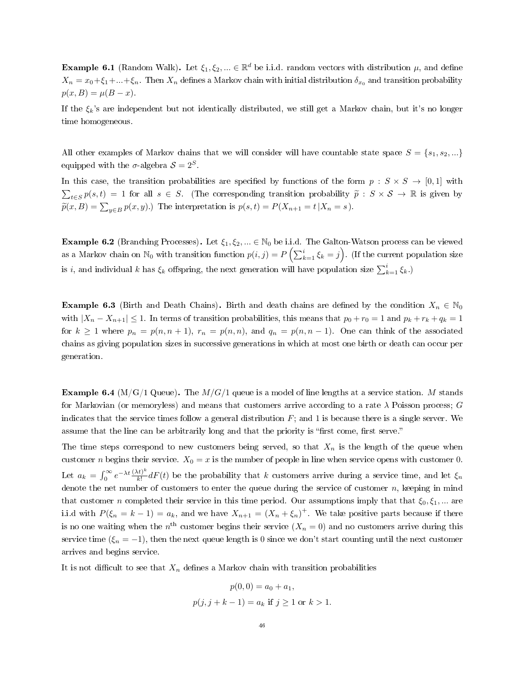**Example 6.1** (Random Walk). Let  $\xi_1, \xi_2, ... \in \mathbb{R}^d$  be i.i.d. random vectors with distribution  $\mu$ , and define  $X_n = x_0 + \xi_1 + ... + \xi_n$ . Then  $X_n$  defines a Markov chain with initial distribution  $\delta_{x_0}$  and transition probability  $p(x, B) = \mu(B - x)$ .

If the  $\xi_k$ 's are independent but not identically distributed, we still get a Markov chain, but it's no longer time homogeneous.

All other examples of Markov chains that we will consider will have countable state space  $S = \{s_1, s_2, ...\}$ equipped with the  $\sigma$ -algebra  $S = 2^S$ .

In this case, the transition probabilities are specified by functions of the form  $p : S \times S \rightarrow [0,1]$  with  $\sum_{t \in S} p(s, t) = 1$  for all  $s \in S$ . (The corresponding transition probability  $\tilde{p} : S \times S \to \mathbb{R}$  is given by  $\widetilde{p}(x, B) = \sum_{y \in B} p(x, y)$ .) The interpretation is  $p(s, t) = P(X_{n+1} = t | X_n = s)$ .

**Example 6.2** (Branching Processes). Let  $\xi_1, \xi_2, \dots \in \mathbb{N}_0$  be i.i.d. The Galton-Watson process can be viewed as a Markov chain on  $\mathbb{N}_0$  with transition function  $p(i,j) = P\left(\sum_{k=1}^i \xi_k = j\right)$ . (If the current population size is *i*, and individual *k* has  $\xi_k$  offspring, the next generation will have population size  $\sum_{k=1}^{i} \xi_k$ .

**Example 6.3** (Birth and Death Chains). Birth and death chains are defined by the condition  $X_n \in \mathbb{N}_0$ with  $|X_n - X_{n+1}| \leq 1$ . In terms of transition probabilities, this means that  $p_0 + r_0 = 1$  and  $p_k + r_k + q_k = 1$ for  $k \ge 1$  where  $p_n = p(n, n + 1)$ ,  $r_n = p(n, n)$ , and  $q_n = p(n, n - 1)$ . One can think of the associated chains as giving population sizes in successive generations in which at most one birth or death can occur per generation.

**Example 6.4** (M/G/1 Queue). The  $M/G/1$  queue is a model of line lengths at a service station. M stands for Markovian (or memoryless) and means that customers arrive according to a rate  $\lambda$  Poisson process; G indicates that the service times follow a general distribution  $F$ ; and 1 is because there is a single server. We assume that the line can be arbitrarily long and that the priority is "first come, first serve."

The time steps correspond to new customers being served, so that  $X_n$  is the length of the queue when customer n begins their service.  $X_0 = x$  is the number of people in line when service opens with customer 0. Let  $a_k = \int_0^\infty e^{-\lambda t} \frac{(\lambda t)^k}{k!}$  $\frac{dE}{dt} dF(t)$  be the probability that k customers arrive during a service time, and let  $\xi_n$ denote the net number of customers to enter the queue during the service of customer  $n$ , keeping in mind that customer n completed their service in this time period. Our assumptions imply that that  $\xi_0, \xi_1, ...$  are i.i.d with  $P(\xi_n = k - 1) = a_k$ , and we have  $X_{n+1} = (X_n + \xi_n)^+$ . We take positive parts because if there is no one waiting when the  $n^{\text{th}}$  customer begins their service  $(X_n = 0)$  and no customers arrive during this service time ( $\xi_n = -1$ ), then the next queue length is 0 since we don't start counting until the next customer arrives and begins service.

It is not difficult to see that  $X_n$  defines a Markov chain with transition probabilities

$$
p(0,0) = a_0 + a_1,
$$
  

$$
p(j, j + k - 1) = a_k \text{ if } j \ge 1 \text{ or } k > 1.
$$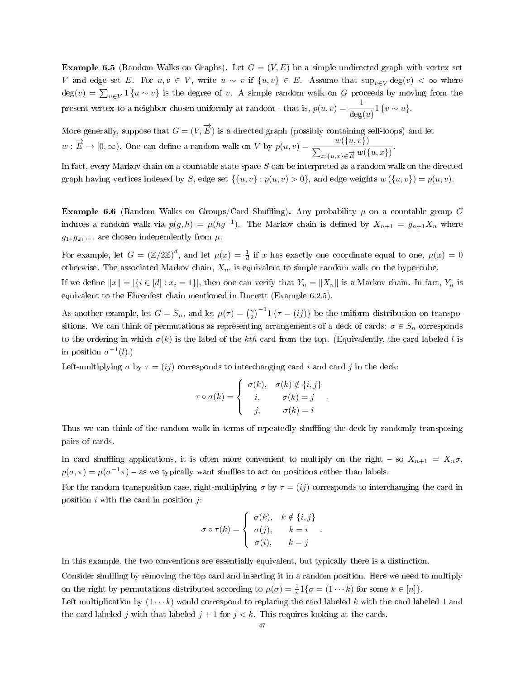**Example 6.5** (Random Walks on Graphs). Let  $G = (V, E)$  be a simple undirected graph with vertex set V and edge set E. For  $u, v \in V$ , write  $u \sim v$  if  $\{u, v\} \in E$ . Assume that  $\sup_{v \in V} \deg(v) < \infty$  where  $deg(v) = \sum_{u \in V} 1$  { $u \sim v$ } is the degree of v. A simple random walk on G proceeds by moving from the present vertex to a neighbor chosen uniformly at random - that is,  $p(u, v) = \frac{1}{\deg(u)} 1$  {v ~ u}.

More generally, suppose that  $G = (V, \overrightarrow{E})$  is a directed graph (possibly containing self-loops) and let  $w: \overrightarrow{E} \to [0, \infty)$ . One can define a random walk on V by  $p(u, v) = \frac{w(\{u, v\})}{\sum_{x: \{u, x\} \in \overrightarrow{E}} w(\{u, x\})}$ .

In fact, every Markov chain on a countable state space  $S$  can be interpreted as a random walk on the directed graph having vertices indexed by S, edge set  $\{u, v\} : p(u, v) > 0\}$ , and edge weights  $w(\{u, v\}) = p(u, v)$ .

**Example 6.6** (Random Walks on Groups/Card Shuffling). Any probability  $\mu$  on a countable group G induces a random walk via  $p(g,h) = \mu(hg^{-1})$ . The Markov chain is defined by  $X_{n+1} = g_{n+1}X_n$  where  $g_1, g_2, \ldots$  are chosen independently from  $\mu$ .

For example, let  $G = (\mathbb{Z}/2\mathbb{Z})^d$ , and let  $\mu(x) = \frac{1}{d}$  if x has exactly one coordinate equal to one,  $\mu(x) = 0$ otherwise. The associated Markov chain,  $X_n$ , is equivalent to simple random walk on the hypercube.

If we define  $||x|| = |\{i \in [d] : x_i = 1\}|$ , then one can verify that  $Y_n = ||X_n||$  is a Markov chain. In fact,  $Y_n$  is equivalent to the Ehrenfest chain mentioned in Durrett (Example 6.2.5).

As another example, let  $G = S_n$ , and let  $\mu(\tau) = {n \choose 2}^{-1} 1 \{ \tau = (ij) \}$  be the uniform distribution on transpositions. We can think of permutations as representing arrangements of a deck of cards:  $\sigma \in S_n$  corresponds to the ordering in which  $\sigma(k)$  is the label of the kth card from the top. (Equivalently, the card labeled l is in position  $\sigma^{-1}(l)$ .)

Left-multiplying  $\sigma$  by  $\tau = (ij)$  corresponds to interchanging card i and card j in the deck:

$$
\tau \circ \sigma(k) = \begin{cases} \sigma(k), & \sigma(k) \notin \{i, j\} \\ i, & \sigma(k) = j \\ j, & \sigma(k) = i \end{cases}.
$$

Thus we can think of the random walk in terms of repeatedly shuffling the deck by randomly transposing pairs of cards.

In card shuffling applications, it is often more convenient to multiply on the right – so  $X_{n+1} = X_n \sigma$ ,  $p(\sigma, \pi) = \mu(\sigma^{-1}\pi)$  – as we typically want shuffles to act on positions rather than labels.

For the random transposition case, right-multiplying  $\sigma$  by  $\tau = (ij)$  corresponds to interchanging the card in position  $i$  with the card in position  $j$ :

$$
\sigma \circ \tau(k) = \begin{cases} \sigma(k), & k \notin \{i, j\} \\ \sigma(j), & k = i \\ \sigma(i), & k = j \end{cases}.
$$

In this example, the two conventions are essentially equivalent, but typically there is a distinction.

Consider shuffling by removing the top card and inserting it in a random position. Here we need to multiply on the right by permutations distributed according to  $\mu(\sigma) = \frac{1}{n} 1\{\sigma = (1 \cdots k) \text{ for some } k \in [n]\}.$ 

Left multiplication by  $(1 \cdots k)$  would correspond to replacing the card labeled k with the card labeled 1 and the card labeled j with that labeled  $j+1$  for  $j < k$ . This requires looking at the cards.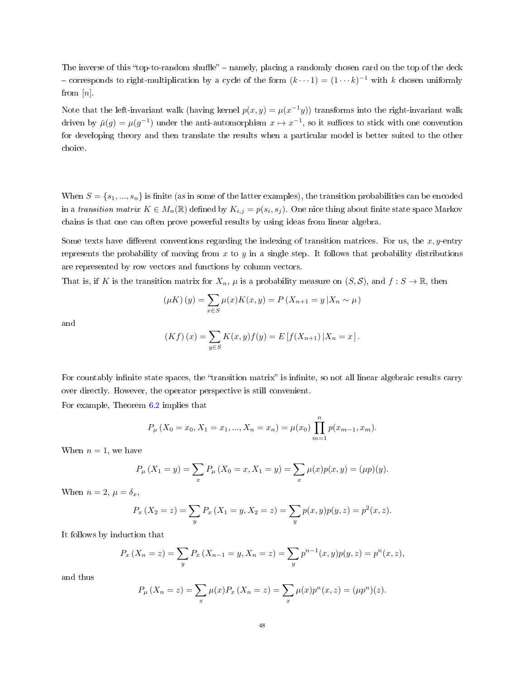The inverse of this "top-to-random shuffle" – namely, placing a randomly chosen card on the top of the deck - corresponds to right-multiplication by a cycle of the form  $(k \cdots 1) = (1 \cdots k)^{-1}$  with k chosen uniformly from  $[n]$ .

Note that the left-invariant walk (having kernel  $p(x, y) = \mu(x^{-1}y)$ ) transforms into the right-invariant walk driven by  $\check{\mu}(g) = \mu(g^{-1})$  under the anti-automorphism  $x \mapsto x^{-1}$ , so it suffices to stick with one convention for developing theory and then translate the results when a particular model is better suited to the other choice.

When  $S = \{s_1, ..., s_n\}$  is finite (as in some of the latter examples), the transition probabilities can be encoded in a transition matrix  $K \in M_n(\mathbb{R})$  defined by  $K_{i,j} = p(s_i, s_j)$ . One nice thing about finite state space Markov chains is that one can often prove powerful results by using ideas from linear algebra.

Some texts have different conventions regarding the indexing of transition matrices. For us, the  $x, y$ -entry represents the probability of moving from  $x$  to  $y$  in a single step. It follows that probability distributions are represented by row vectors and functions by column vectors.

That is, if K is the transition matrix for  $X_n$ ,  $\mu$  is a probability measure on  $(S, \mathcal{S})$ , and  $f : S \to \mathbb{R}$ , then

$$
(\mu K)(y) = \sum_{x \in S} \mu(x) K(x, y) = P (X_{n+1} = y | X_n \sim \mu)
$$

and

$$
(Kf)(x) = \sum_{y \in S} K(x, y) f(y) = E [f(X_{n+1}) | X_n = x].
$$

For countably infinite state spaces, the "transition matrix" is infinite, so not all linear algebraic results carry over directly. However, the operator perspective is still convenient.

For example, Theorem [6.2](#page-43-0) implies that

$$
P_{\mu}(X_0 = x_0, X_1 = x_1, ..., X_n = x_n) = \mu(x_0) \prod_{m=1}^{n} p(x_{m-1}, x_m).
$$

When  $n = 1$ , we have

$$
P_{\mu}(X_1 = y) = \sum_{x} P_{\mu}(X_0 = x, X_1 = y) = \sum_{x} \mu(x) p(x, y) = (\mu p)(y).
$$

When  $n = 2$ ,  $\mu = \delta_x$ ,

$$
P_x(X_2 = z) = \sum_{y} P_x(X_1 = y, X_2 = z) = \sum_{y} p(x, y) p(y, z) = p^2(x, z).
$$

It follows by induction that

$$
P_x(X_n = z) = \sum_{y} P_x(X_{n-1} = y, X_n = z) = \sum_{y} p^{n-1}(x, y)p(y, z) = p^n(x, z),
$$

and thus

$$
P_{\mu}(X_n = z) = \sum_{x} \mu(x) P_x (X_n = z) = \sum_{x} \mu(x) p^{n}(x, z) = (\mu p^{n})(z).
$$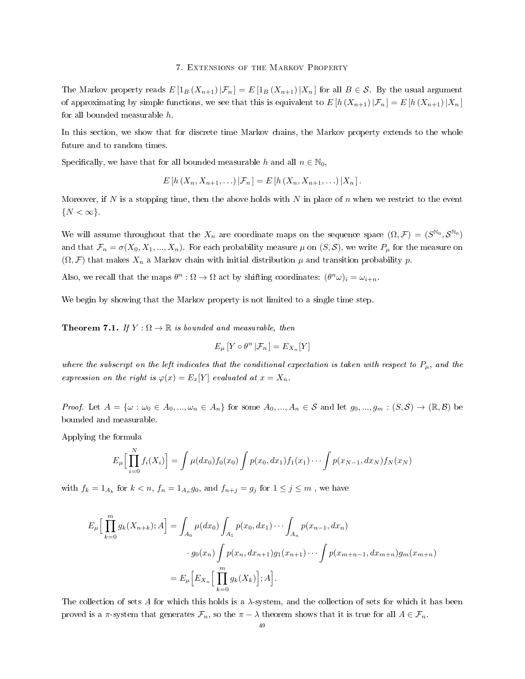### 7. Extensions of the Markov Property

The Markov property reads  $E[I_B(X_{n+1})|\mathcal{F}_n] = E[I_B(X_{n+1})|X_n]$  for all  $B \in \mathcal{S}$ . By the usual argument of approximating by simple functions, we see that this is equivalent to  $E[h(X_{n+1})|\mathcal{F}_n] = E[h(X_{n+1})|X_n]$ for all bounded measurable h.

In this section, we show that for discrete time Markov chains, the Markov property extends to the whole future and to random times.

Specifically, we have that for all bounded measurable h and all  $n \in \mathbb{N}_0$ ,

$$
E[h(X_n, X_{n+1}, \ldots) | \mathcal{F}_n] = E[h(X_n, X_{n+1}, \ldots) | X_n].
$$

Moreover, if N is a stopping time, then the above holds with N in place of n when we restrict to the event  $\{N < \infty\}.$ 

We will assume throughout that the  $X_n$  are coordinate maps on the sequence space  $(\Omega, \mathcal{F}) = (S^{\mathbb{N}_0}, \mathcal{S}^{\mathbb{N}_0})$ and that  $\mathcal{F}_n = \sigma(X_0, X_1, ..., X_n)$ . For each probability measure  $\mu$  on  $(S, \mathcal{S})$ , we write  $P_\mu$  for the measure on  $(\Omega, \mathcal{F})$  that makes  $X_n$  a Markov chain with initial distribution  $\mu$  and transition probability p.

Also, we recall that the maps  $\theta^n : \Omega \to \Omega$  act by shifting coordinates:  $(\theta^n \omega)_i = \omega_{i+n}$ .

We begin by showing that the Markov property is not limited to a single time step.

<span id="page-48-0"></span>**Theorem 7.1.** If  $Y : \Omega \to \mathbb{R}$  is bounded and measurable, then

$$
E_{\mu}\left[Y\circ\theta^{n}\left|\mathcal{F}_{n}\right.\right]=E_{X_{n}}[Y]
$$

where the subscript on the left indicates that the conditional expectation is taken with respect to  $P_\mu$ , and the expression on the right is  $\varphi(x) = E_x[Y]$  evaluated at  $x = X_n$ .

*Proof.* Let  $A = \{\omega : \omega_0 \in A_0, ..., \omega_n \in A_n\}$  for some  $A_0, ..., A_n \in S$  and let  $g_0, ..., g_m : (S, S) \to (\mathbb{R}, \mathcal{B})$  be bounded and measurable.

Applying the formula

$$
E_{\mu}\Big[\prod_{i=0}^{N}f_{i}(X_{i})\Big] = \int \mu(dx_{0})f_{0}(x_{0}) \int p(x_{0}, dx_{1})f_{1}(x_{1}) \cdots \int p(x_{N-1}, dx_{N})f_{N}(x_{N})
$$

with  $f_k = 1_{A_k}$  for  $k < n$ ,  $f_n = 1_{A_n}g_0$ , and  $f_{n+j} = g_j$  for  $1 \le j \le m$ , we have

$$
E_{\mu}\Big[\prod_{k=0}^{m}g_{k}(X_{n+k});A\Big] = \int_{A_{0}}\mu(dx_{0})\int_{A_{1}}p(x_{0},dx_{1})\cdots\int_{A_{n}}p(x_{n-1},dx_{n})
$$

$$
\cdot g_{0}(x_{n})\int p(x_{n},dx_{n+1})g_{1}(x_{n+1})\cdots\int p(x_{m+n-1},dx_{m+n})g_{m}(x_{m+n})
$$

$$
= E_{\mu}\Big[E_{X_{n}}\Big[\prod_{k=0}^{m}g_{k}(X_{k})\Big];A\Big].
$$

The collection of sets A for which this holds is a  $\lambda$ -system, and the collection of sets for which it has been proved is a  $\pi$ -system that generates  $\mathcal{F}_n$ , so the  $\pi - \lambda$  theorem shows that it is true for all  $A \in \mathcal{F}_n$ .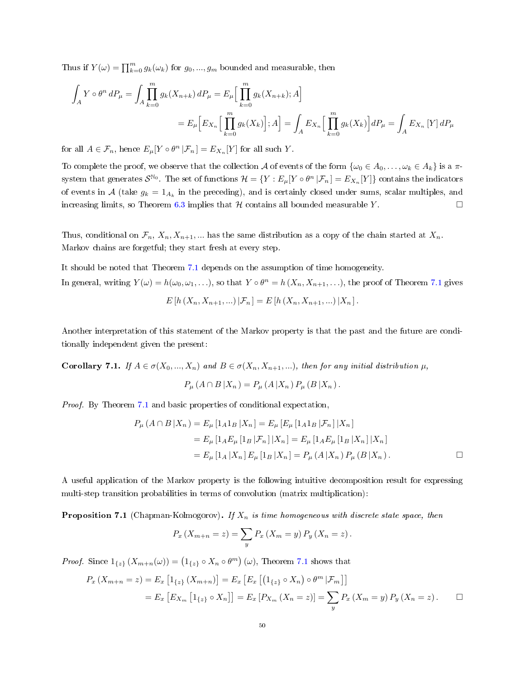Thus if  $Y(\omega) = \prod_{k=0}^{m} g_k(\omega_k)$  for  $g_0, ..., g_m$  bounded and measurable, then

$$
\int_{A} Y \circ \theta^{n} dP_{\mu} = \int_{A} \prod_{k=0}^{m} g_{k}(X_{n+k}) dP_{\mu} = E_{\mu} \Big[ \prod_{k=0}^{m} g_{k}(X_{n+k}); A \Big]
$$
\n
$$
= E_{\mu} \Big[ E_{X_{n}} \Big[ \prod_{k=0}^{m} g_{k}(X_{k}) \Big]; A \Big] = \int_{A} E_{X_{n}} \Big[ \prod_{k=0}^{m} g_{k}(X_{k}) \Big] dP_{\mu} = \int_{A} E_{X_{n}} \Big[ Y \Big] dP_{\mu}
$$

for all  $A \in \mathcal{F}_n$ , hence  $E_\mu[Y \circ \theta^n | \mathcal{F}_n] = E_{X_n}[Y]$  for all such Y.

To complete the proof, we observe that the collection A of events of the form  $\{\omega_0 \in A_0, \ldots, \omega_k \in A_k\}$  is a  $\pi$ system that generates  $\mathcal{S}^{\mathbb{N}_0}$ . The set of functions  $\mathcal{H} = \{Y : E_\mu[Y \circ \theta^n | \mathcal{F}_n] = E_{X_n}[Y]\}$  contains the indicators of events in A (take  $g_k = 1_{A_k}$  in the preceding), and is certainly closed under sums, scalar multiples, and increasing limits, so Theorem [6.3](#page-43-1) implies that  $H$  contains all bounded measurable Y.  $\Box$ 

Thus, conditional on  $\mathcal{F}_n$ ,  $X_n, X_{n+1}$ , ... has the same distribution as a copy of the chain started at  $X_n$ . Markov chains are forgetful; they start fresh at every step.

It should be noted that Theorem [7.1](#page-48-0) depends on the assumption of time homogeneity. In general, writing  $Y(\omega) = h(\omega_0, \omega_1, \ldots)$ , so that  $Y \circ \theta^n = h(X_n, X_{n+1}, \ldots)$ , the proof of Theorem [7.1](#page-48-0) gives

$$
E[h(X_n, X_{n+1}, ...) | \mathcal{F}_n] = E[h(X_n, X_{n+1}, ...) | X_n].
$$

Another interpretation of this statement of the Markov property is that the past and the future are conditionally independent given the present:

**Corollary 7.1.** If  $A \in \sigma(X_0, ..., X_n)$  and  $B \in \sigma(X_n, X_{n+1}, ...)$ , then for any initial distribution  $\mu$ ,

$$
P_{\mu}(A \cap B | X_n) = P_{\mu}(A | X_n) P_{\mu}(B | X_n).
$$

Proof. By Theorem [7.1](#page-48-0) and basic properties of conditional expectation,

$$
P_{\mu}(A \cap B | X_n) = E_{\mu} [1_A 1_B | X_n] = E_{\mu} [E_{\mu} [1_A 1_B | \mathcal{F}_n] | X_n]
$$
  
=  $E_{\mu} [1_A E_{\mu} [1_B | \mathcal{F}_n] | X_n] = E_{\mu} [1_A E_{\mu} [1_B | X_n] | X_n]$   
=  $E_{\mu} [1_A | X_n] E_{\mu} [1_B | X_n] = P_{\mu} (A | X_n) P_{\mu} (B | X_n).$ 

A useful application of the Markov property is the following intuitive decomposition result for expressing multi-step transition probabilities in terms of convolution (matrix multiplication):

**Proposition 7.1** (Chapman-Kolmogorov). If  $X_n$  is time homogeneous with discrete state space, then

$$
P_x (X_{m+n} = z) = \sum_{y} P_x (X_m = y) P_y (X_n = z).
$$

*Proof.* Since  $1_{\{z\}}(X_{m+n}(\omega)) = (1_{\{z\}} \circ X_n \circ \theta^m)(\omega)$ , Theorem [7.1](#page-48-0) shows that

$$
P_x (X_{m+n} = z) = E_x [1_{\{z\}} (X_{m+n})] = E_x [E_x [(1_{\{z\}} \circ X_n) \circ \theta^m | \mathcal{F}_m]]
$$
  
=  $E_x [E_{X_m} [1_{\{z\}} \circ X_n]] = E_x [P_{X_m} (X_n = z)] = \sum_y P_x (X_m = y) P_y (X_n = z).$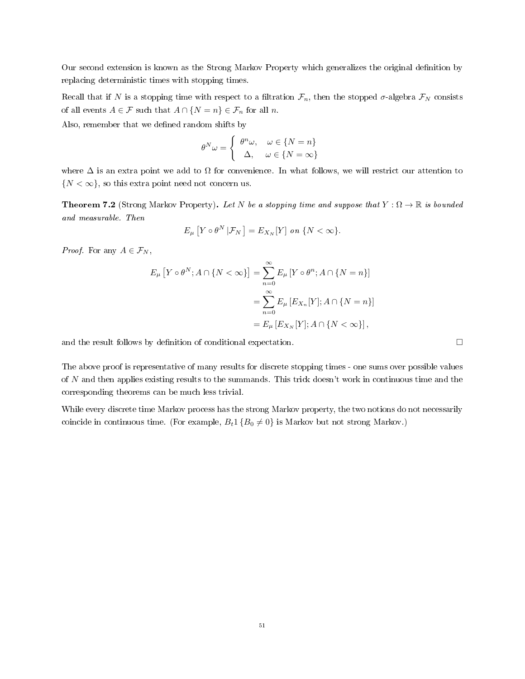Our second extension is known as the Strong Markov Property which generalizes the original denition by replacing deterministic times with stopping times.

Recall that if N is a stopping time with respect to a filtration  $\mathcal{F}_n$ , then the stopped  $\sigma$ -algebra  $\mathcal{F}_N$  consists of all events  $A \in \mathcal{F}$  such that  $A \cap \{N = n\} \in \mathcal{F}_n$  for all n.

Also, remember that we defined random shifts by

$$
\theta^N \omega = \begin{cases} \theta^n \omega, & \omega \in \{N = n\} \\ \Delta, & \omega \in \{N = \infty\} \end{cases}
$$

where  $\Delta$  is an extra point we add to  $\Omega$  for convenience. In what follows, we will restrict our attention to  $\{N < \infty\}$ , so this extra point need not concern us.

**Theorem 7.2** (Strong Markov Property). Let N be a stopping time and suppose that  $Y : \Omega \to \mathbb{R}$  is bounded and measurable. Then

$$
E_{\mu}\left[Y\circ\theta^N\left|\mathcal{F}_N\right.\right]=E_{X_N}[Y]\ on\ \{N<\infty\}.
$$

*Proof.* For any  $A \in \mathcal{F}_N$ ,

$$
E_{\mu}\left[Y \circ \theta^{N}; A \cap \{N < \infty\}\right] = \sum_{n=0}^{\infty} E_{\mu}\left[Y \circ \theta^{n}; A \cap \{N = n\}\right]
$$

$$
= \sum_{n=0}^{\infty} E_{\mu}\left[E_{X_{n}}[Y]; A \cap \{N = n\}\right]
$$

$$
= E_{\mu}\left[E_{X_{N}}[Y]; A \cap \{N < \infty\}\right],
$$

and the result follows by definition of conditional expectation.  $\Box$ 

The above proof is representative of many results for discrete stopping times - one sums over possible values of N and then applies existing results to the summands. This trick doesn't work in continuous time and the corresponding theorems can be much less trivial.

While every discrete time Markov process has the strong Markov property, the two notions do not necessarily coincide in continuous time. (For example,  $B_t 1 \{B_0 \neq 0\}$  is Markov but not strong Markov.)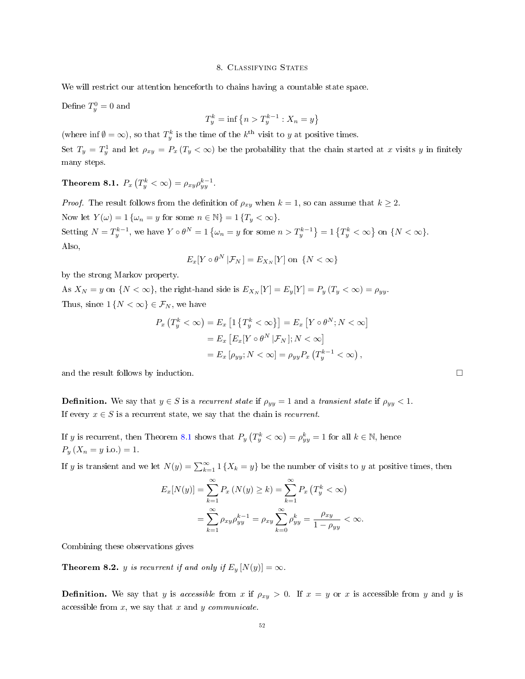## 8. Classifying States

We will restrict our attention henceforth to chains having a countable state space.

Define  $T_y^0 = 0$  and

$$
T_y^k = \inf \left\{ n > T_y^{k-1} : X_n = y \right\}
$$

(where inf  $\emptyset = \infty$ ), so that  $T_y^k$  is the time of the  $k^{\text{th}}$  visit to y at positive times.

Set  $T_y = T_y^1$  and let  $\rho_{xy} = P_x (T_y < \infty)$  be the probability that the chain started at x visits y in finitely many steps.

<span id="page-51-0"></span>Theorem 8.1.  $P_x\left(T_y^k<\infty\right)=\rho_{xy}\rho_{yy}^{k-1}$ .

*Proof.* The result follows from the definition of  $\rho_{xy}$  when  $k = 1$ , so can assume that  $k \geq 2$ . Now let  $Y(\omega) = 1 \{\omega_n = y \text{ for some } n \in \mathbb{N}\} = 1 \{T_u < \infty\}.$ Setting  $N = T_y^{k-1}$ , we have  $Y \circ \theta^N = 1$  { $\omega_n = y$  for some  $n > T_y^{k-1}$ } = 1 { $T_y^k < \infty$ } on { $N < \infty$ }. Also,

$$
E_x[Y \circ \theta^N \, | \mathcal{F}_N] = E_{X_N}[Y] \text{ on } \{N < \infty\}
$$

by the strong Markov property.

As  $X_N = y$  on  $\{N < \infty\}$ , the right-hand side is  $E_{X_N}[Y] = E_y[Y] = P_y(T_y < \infty) = \rho_{yy}$ . Thus, since  $1\{N < \infty\} \in \mathcal{F}_N$ , we have

$$
P_x(T_y^k < \infty) = E_x \left[ 1 \{ T_y^k < \infty \} \right] = E_x \left[ Y \circ \theta^N; N < \infty \right]
$$
  
= 
$$
E_x \left[ E_x[Y \circ \theta^N | \mathcal{F}_N] ; N < \infty \right]
$$
  
= 
$$
E_x \left[ \rho_{yy}; N < \infty \right] = \rho_{yy} P_x \left( T_y^{k-1} < \infty \right),
$$

and the result follows by induction.  $\Box$ 

**Definition.** We say that  $y \in S$  is a recurrent state if  $\rho_{yy} = 1$  and a transient state if  $\rho_{yy} < 1$ . If every  $x \in S$  is a recurrent state, we say that the chain is *recurrent*.

If y is recurrent, then Theorem [8.1](#page-51-0) shows that  $P_y(T_y^k < \infty) = \rho_{yy}^k = 1$  for all  $k \in \mathbb{N}$ , hence  $P_y(X_n = y \text{ i.o.}) = 1.$ 

If y is transient and we let  $N(y) = \sum_{k=1}^{\infty} 1\{X_k = y\}$  be the number of visits to y at positive times, then

$$
E_x[N(y)] = \sum_{k=1}^{\infty} P_x (N(y) \ge k) = \sum_{k=1}^{\infty} P_x (T_y^k < \infty)
$$
  
= 
$$
\sum_{k=1}^{\infty} \rho_{xy} \rho_{yy}^{k-1} = \rho_{xy} \sum_{k=0}^{\infty} \rho_{yy}^k = \frac{\rho_{xy}}{1 - \rho_{yy}} < \infty.
$$

Combining these observations gives

<span id="page-51-1"></span>**Theorem 8.2.** y is recurrent if and only if  $E_y[N(y)] = \infty$ .

**Definition.** We say that y is accessible from x if  $\rho_{xy} > 0$ . If  $x = y$  or x is accessible from y and y is accessible from  $x$ , we say that  $x$  and  $y$  communicate.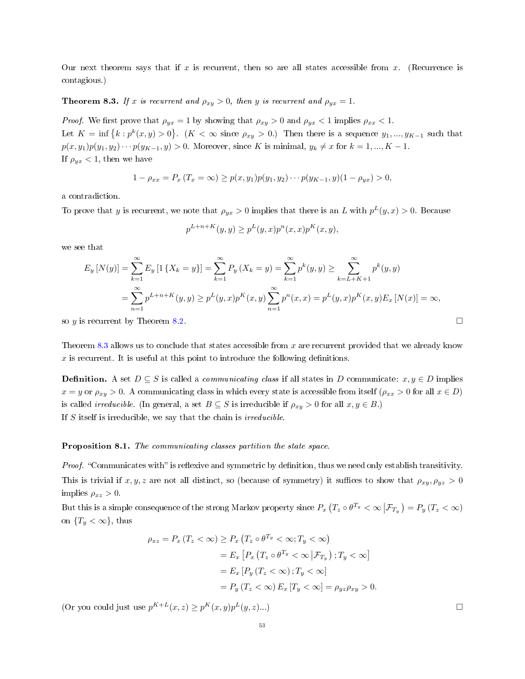Our next theorem says that if x is recurrent, then so are all states accessible from x. (Recurrence is contagious.)

<span id="page-52-0"></span>**Theorem 8.3.** If x is recurrent and  $\rho_{xy} > 0$ , then y is recurrent and  $\rho_{yx} = 1$ .

*Proof.* We first prove that  $\rho_{yx} = 1$  by showing that  $\rho_{xy} > 0$  and  $\rho_{yx} < 1$  implies  $\rho_{xx} < 1$ . Let  $K = \inf \{k : p^k(x, y) > 0\}$ .  $(K < \infty \text{ since } \rho_{xy} > 0$ .) Then there is a sequence  $y_1, ..., y_{K-1}$  such that  $p(x, y_1)p(y_1, y_2)\cdots p(y_{K-1}, y) > 0$ . Moreover, since K is minimal,  $y_k \neq x$  for  $k = 1, ..., K - 1$ . If  $\rho_{yx}$  < 1, then we have

$$
1 - \rho_{xx} = P_x(T_x = \infty) \ge p(x, y_1)p(y_1, y_2) \cdots p(y_{K-1}, y)(1 - \rho_{yx}) > 0,
$$

a contradiction.

To prove that y is recurrent, we note that  $\rho_{yx} > 0$  implies that there is an L with  $p^L(y, x) > 0$ . Because

$$
p^{L+n+K}(y, y) \ge p^{L}(y, x)p^{n}(x, x)p^{K}(x, y),
$$

we see that

$$
E_y[N(y)] = \sum_{k=1}^{\infty} E_y[1\{X_k = y\}] = \sum_{k=1}^{\infty} P_y(X_k = y) = \sum_{k=1}^{\infty} p^k(y, y) \ge \sum_{k=L+K+1}^{\infty} p^k(y, y)
$$
  
= 
$$
\sum_{n=1}^{\infty} p^{L+n+K}(y, y) \ge p^L(y, x) p^K(x, y) \sum_{n=1}^{\infty} p^n(x, x) = p^L(y, x) p^K(x, y) E_x[N(x)] = \infty,
$$

so y is recurrent by Theorem [8.2.](#page-51-1)  $\Box$ 

Theorem [8.3](#page-52-0) allows us to conclude that states accessible from  $x$  are recurrent provided that we already know  $x$  is recurrent. It is useful at this point to introduce the following definitions.

**Definition.** A set  $D \subseteq S$  is called a *communicating class* if all states in D communicate:  $x, y \in D$  implies  $x = y$  or  $\rho_{xy} > 0$ . A communicating class in which every state is accessible from itself  $(\rho_{xx} > 0$  for all  $x \in D$ ) is called *irreducible*. (In general, a set  $B \subseteq S$  is irreducible if  $\rho_{xy} > 0$  for all  $x, y \in B$ .) If  $S$  itself is irreducible, we say that the chain is *irreducible*.

## <span id="page-52-1"></span>Proposition 8.1. The communicating classes partition the state space.

Proof. "Communicates with" is reflexive and symmetric by definition, thus we need only establish transitivity. This is trivial if  $x, y, z$  are not all distinct, so (because of symmetry) it suffices to show that  $\rho_{xy}, \rho_{yz} > 0$ implies  $\rho_{xz} > 0$ .

But this is a simple consequence of the strong Markov property since  $P_x(T_z \circ \theta^{T_y} < \infty | \mathcal{F}_{T_y}) = P_y(T_z < \infty)$ on  ${T_y < \infty}$ , thus

$$
\rho_{xz} = P_x (T_z < \infty) \ge P_x (T_z \circ \theta^{T_y} < \infty; T_y < \infty)
$$
  
=  $E_x [P_x (T_z \circ \theta^{T_y} < \infty | \mathcal{F}_{T_y}) ; T_y < \infty]$   
=  $E_x [P_y (T_z < \infty) ; T_y < \infty]$   
=  $P_y (T_z < \infty) E_x [T_y < \infty] = \rho_{yz} \rho_{xy} > 0.$ 

(Or you could just use  $p^{K+L}(x, z) \geq p^{K}(x, y)p^{L}(y, z)...)$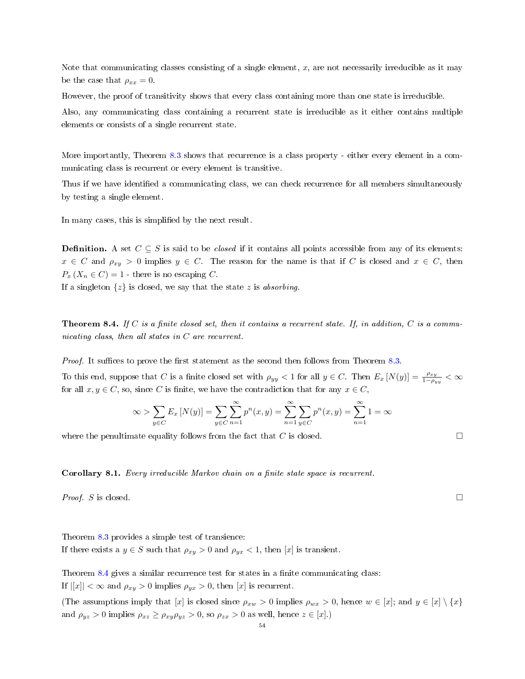Note that communicating classes consisting of a single element,  $x$ , are not necessarily irreducible as it may be the case that  $\rho_{xx} = 0$ .

However, the proof of transitivity shows that every class containing more than one state is irreducible.

Also, any communicating class containing a recurrent state is irreducible as it either contains multiple elements or consists of a single recurrent state.

More importantly, Theorem [8.3](#page-52-0) shows that recurrence is a class property - either every element in a communicating class is recurrent or every element is transitive.

Thus if we have identified a communicating class, we can check recurrence for all members simultaneously by testing a single element.

In many cases, this is simplied by the next result.

**Definition.** A set  $C \subseteq S$  is said to be *closed* if it contains all points accessible from any of its elements:  $x \in C$  and  $\rho_{xy} > 0$  implies  $y \in C$ . The reason for the name is that if C is closed and  $x \in C$ , then  $P_x(X_n \in C) = 1$  - there is no escaping C.

If a singleton  $\{z\}$  is closed, we say that the state z is absorbing.

<span id="page-53-0"></span>**Theorem 8.4.** If C is a finite closed set, then it contains a recurrent state. If, in addition, C is a communicating class, then all states in C are recurrent.

*Proof.* It suffices to prove the first statement as the second then follows from Theorem [8.3.](#page-52-0)

To this end, suppose that C is a finite closed set with  $\rho_{yy} < 1$  for all  $y \in C$ . Then  $E_x[N(y)] = \frac{\rho_{xy}}{1-\rho_{yy}} < \infty$ for all  $x, y \in C$ , so, since C is finite, we have the contradiction that for any  $x \in C$ ,

$$
\infty > \sum_{y \in C} E_x [N(y)] = \sum_{y \in C} \sum_{n=1}^{\infty} p^n(x, y) = \sum_{n=1}^{\infty} \sum_{y \in C} p^n(x, y) = \sum_{n=1}^{\infty} 1 = \infty
$$

where the penultimate equality follows from the fact that C is closed.  $\Box$ 

<span id="page-53-1"></span>Corollary 8.1. Every irreducible Markov chain on a finite state space is recurrent.

*Proof.* S is closed.  $\Box$ 

Theorem [8.3](#page-52-0) provides a simple test of transience: If there exists a  $y \in S$  such that  $\rho_{xy} > 0$  and  $\rho_{yx} < 1$ , then [x] is transient.

Theorem [8.4](#page-53-0) gives a similar recurrence test for states in a finite communicating class: If  $||x|| < \infty$  and  $\rho_{xy} > 0$  implies  $\rho_{yx} > 0$ , then  $|x|$  is recurrent.

(The assumptions imply that [x] is closed since  $\rho_{xw} > 0$  implies  $\rho_{wx} > 0$ , hence  $w \in [x]$ ; and  $y \in [x] \setminus \{x\}$ and  $\rho_{yz} > 0$  implies  $\rho_{xz} \ge \rho_{xy} \rho_{yz} > 0$ , so  $\rho_{zx} > 0$  as well, hence  $z \in [x]$ .)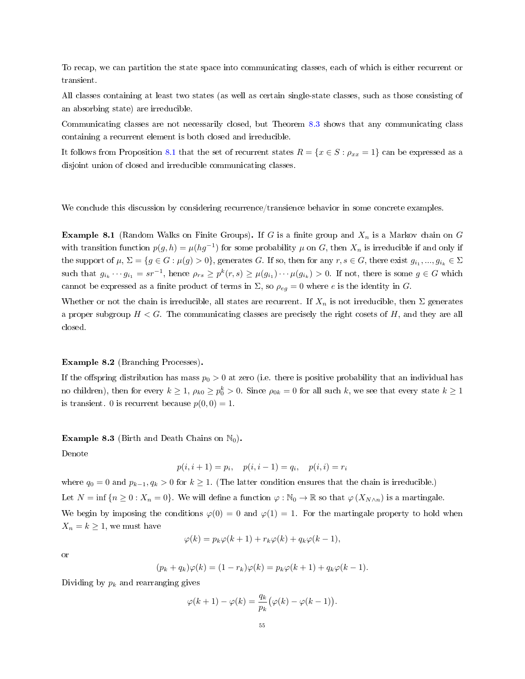To recap, we can partition the state space into communicating classes, each of which is either recurrent or transient.

All classes containing at least two states (as well as certain single-state classes, such as those consisting of an absorbing state) are irreducible.

Communicating classes are not necessarily closed, but Theorem [8.3](#page-52-0) shows that any communicating class containing a recurrent element is both closed and irreducible.

It follows from Proposition [8.1](#page-52-1) that the set of recurrent states  $R = \{x \in S : \rho_{xx} = 1\}$  can be expressed as a disjoint union of closed and irreducible communicating classes.

We conclude this discussion by considering recurrence/transience behavior in some concrete examples.

**Example 8.1** (Random Walks on Finite Groups). If G is a finite group and  $X_n$  is a Markov chain on G with transition function  $p(g, h) = \mu(hg^{-1})$  for some probability  $\mu$  on  $G$ , then  $X_n$  is irreducible if and only if the support of  $\mu$ ,  $\Sigma = \{g \in G : \mu(g) > 0\}$ , generates  $G$ . If so, then for any  $r, s \in G$ , there exist  $g_{i_1}, ..., g_{i_k} \in \Sigma$ such that  $g_{i_k}\cdots g_{i_1}=sr^{-1}$ , hence  $\rho_{rs}\geq p^k(r,s)\geq \mu(g_{i_1})\cdots \mu(g_{i_k})>0$ . If not, there is some  $g\in G$  which cannot be expressed as a finite product of terms in  $\Sigma$ , so  $\rho_{eg} = 0$  where e is the identity in G.

Whether or not the chain is irreducible, all states are recurrent. If  $X_n$  is not irreducible, then  $\Sigma$  generates a proper subgroup  $H < G$ . The communicating classes are precisely the right cosets of H, and they are all closed.

# Example 8.2 (Branching Processes).

If the offspring distribution has mass  $p_0 > 0$  at zero (i.e. there is positive probability that an individual has no children), then for every  $k\geq 1,$   $\rho_{k0}\geq p_0^k>0.$  Since  $\rho_{0k}=0$  for all such  $k,$  we see that every state  $k\geq 1$ is transient. 0 is recurrent because  $p(0, 0) = 1$ .

**Example 8.3** (Birth and Death Chains on  $\mathbb{N}_0$ ).

Denote

$$
p(i, i + 1) = p_i
$$
,  $p(i, i - 1) = q_i$ ,  $p(i, i) = r_i$ 

where  $q_0 = 0$  and  $p_{k-1}, q_k > 0$  for  $k \ge 1$ . (The latter condition ensures that the chain is irreducible.) Let  $N = \inf \{n \geq 0 : X_n = 0\}$ . We will define a function  $\varphi : \mathbb{N}_0 \to \mathbb{R}$  so that  $\varphi(X_{N \wedge n})$  is a martingale.

We begin by imposing the conditions  $\varphi(0) = 0$  and  $\varphi(1) = 1$ . For the martingale property to hold when  $X_n = k \geq 1$ , we must have

$$
\varphi(k) = p_k \varphi(k+1) + r_k \varphi(k) + q_k \varphi(k-1),
$$

or

$$
(p_k+q_k)\varphi(k)=(1-r_k)\varphi(k)=p_k\varphi(k+1)+q_k\varphi(k-1).
$$

Dividing by  $p_k$  and rearranging gives

$$
\varphi(k+1) - \varphi(k) = \frac{q_k}{p_k} (\varphi(k) - \varphi(k-1)).
$$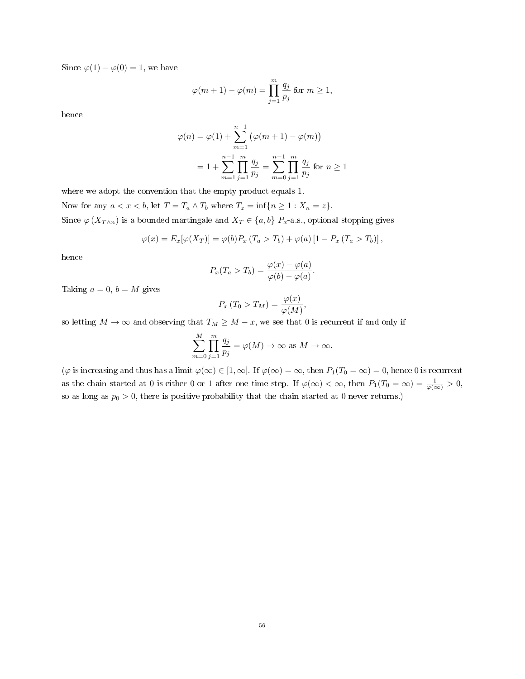Since  $\varphi(1) - \varphi(0) = 1$ , we have

$$
\varphi(m+1) - \varphi(m) = \prod_{j=1}^{m} \frac{q_j}{p_j} \text{ for } m \ge 1,
$$

hence

$$
\varphi(n) = \varphi(1) + \sum_{m=1}^{n-1} (\varphi(m+1) - \varphi(m))
$$
  
=  $1 + \sum_{m=1}^{n-1} \prod_{j=1}^{m} \frac{q_j}{p_j} = \sum_{m=0}^{n-1} \prod_{j=1}^{m} \frac{q_j}{p_j}$  for  $n \ge 1$ 

where we adopt the convention that the empty product equals 1.

Now for any  $a < x < b$ , let  $T = T_a \wedge T_b$  where  $T_z = \inf\{n \geq 1 : X_n = z\}.$ 

Since  $\varphi(X_{T\wedge n})$  is a bounded martingale and  $X_T\in\{a,b\}$   $P_x$ -a.s., optional stopping gives

$$
\varphi(x) = E_x[\varphi(X_T)] = \varphi(b)P_x(T_a > T_b) + \varphi(a) [1 - P_x(T_a > T_b)],
$$

hence

$$
P_x(T_a > T_b) = \frac{\varphi(x) - \varphi(a)}{\varphi(b) - \varphi(a)}.
$$

Taking  $a = 0$ ,  $b = M$  gives

$$
P_x(T_0 > T_M) = \frac{\varphi(x)}{\varphi(M)},
$$

so letting  $M \to \infty$  and observing that  $T_M \geq M - x$ , we see that 0 is recurrent if and only if

$$
\sum_{m=0}^{M} \prod_{j=1}^{m} \frac{q_j}{p_j} = \varphi(M) \to \infty \text{ as } M \to \infty.
$$

 $(\varphi \text{ is increasing and thus has a limit } \varphi(\infty) \in [1, \infty]$ . If  $\varphi(\infty) = \infty$ , then  $P_1(T_0 = \infty) = 0$ , hence 0 is recurrent as the chain started at 0 is either 0 or 1 after one time step. If  $\varphi(\infty) < \infty$ , then  $P_1(T_0 = \infty) = \frac{1}{\varphi(\infty)} > 0$ , so as long as  $p_0 > 0$ , there is positive probability that the chain started at 0 never returns.)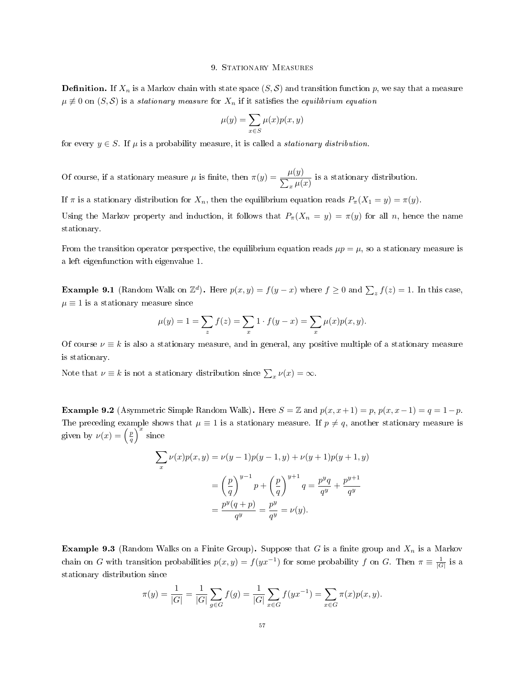# 9. STATIONARY MEASURES

**Definition.** If  $X_n$  is a Markov chain with state space  $(S, S)$  and transition function p, we say that a measure  $\mu \neq 0$  on  $(S, \mathcal{S})$  is a stationary measure for  $X_n$  if it satisfies the equilibrium equation

$$
\mu(y) = \sum_{x \in S} \mu(x) p(x, y)
$$

for every  $y \in S$ . If  $\mu$  is a probability measure, it is called a *stationary distribution*.

Of course, if a stationary measure  $\mu$  is finite, then  $\pi(y) = \frac{\mu(y)}{\sum_x \mu(x)}$  is a stationary distribution.

If  $\pi$  is a stationary distribution for  $X_n$ , then the equilibrium equation reads  $P_{\pi}(X_1 = y) = \pi(y)$ .

Using the Markov property and induction, it follows that  $P_{\pi}(X_n = y) = \pi(y)$  for all n, hence the name stationary.

From the transition operator perspective, the equilibrium equation reads  $\mu p = \mu$ , so a stationary measure is a left eigenfunction with eigenvalue 1.

**Example 9.1** (Random Walk on  $\mathbb{Z}^d$ ). Here  $p(x, y) = f(y - x)$  where  $f \ge 0$  and  $\sum_z f(z) = 1$ . In this case,  $\mu \equiv 1$  is a stationary measure since

$$
\mu(y) = 1 = \sum_{z} f(z) = \sum_{x} 1 \cdot f(y - x) = \sum_{x} \mu(x) p(x, y).
$$

Of course  $\nu \equiv k$  is also a stationary measure, and in general, any positive multiple of a stationary measure is stationary.

Note that  $\nu \equiv k$  is not a stationary distribution since  $\sum_{x} \nu(x) = \infty$ .

**Example 9.2** (Asymmetric Simple Random Walk). Here  $S = \mathbb{Z}$  and  $p(x, x+1) = p$ ,  $p(x, x-1) = q = 1-p$ . The preceding example shows that  $\mu \equiv 1$  is a stationary measure. If  $p \neq q$ , another stationary measure is given by  $\nu(x) = \left(\frac{p}{q}\right)^x$  since

$$
\sum_{x} \nu(x)p(x,y) = \nu(y-1)p(y-1,y) + \nu(y+1)p(y+1,y)
$$
  
=  $\left(\frac{p}{q}\right)^{y-1} p + \left(\frac{p}{q}\right)^{y+1} q = \frac{p^y q}{q^y} + \frac{p^{y+1}}{q^y}$   
=  $\frac{p^y (q+p)}{q^y} = \frac{p^y}{q^y} = \nu(y).$ 

**Example 9.3** (Random Walks on a Finite Group). Suppose that G is a finite group and  $X_n$  is a Markov chain on G with transition probabilities  $p(x, y) = f(yx^{-1})$  for some probability f on G. Then  $\pi \equiv \frac{1}{|G|}$  is a stationary distribution since

$$
\pi(y) = \frac{1}{|G|} = \frac{1}{|G|} \sum_{g \in G} f(g) = \frac{1}{|G|} \sum_{x \in G} f(yx^{-1}) = \sum_{x \in G} \pi(x)p(x, y).
$$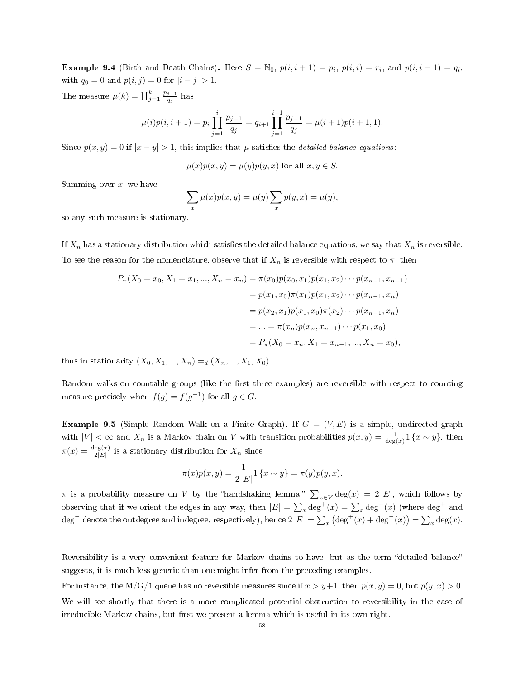**Example 9.4** (Birth and Death Chains). Here  $S = \mathbb{N}_0$ ,  $p(i, i + 1) = p_i$ ,  $p(i, i) = r_i$ , and  $p(i, i - 1) = q_i$ , with  $q_0 = 0$  and  $p(i, j) = 0$  for  $|i - j| > 1$ .

The measure  $\mu(k) = \prod_{j=1}^k \frac{p_{j-1}}{q_j}$  $\frac{j-1}{q_j}$  has

$$
\mu(i)p(i, i+1) = p_i \prod_{j=1}^i \frac{p_{j-1}}{q_j} = q_{i+1} \prod_{j=1}^{i+1} \frac{p_{j-1}}{q_j} = \mu(i+1)p(i+1, 1).
$$

Since  $p(x, y) = 0$  if  $|x - y| > 1$ , this implies that  $\mu$  satisfies the *detailed balance equations*:

$$
\mu(x)p(x,y) = \mu(y)p(y,x) \text{ for all } x, y \in S.
$$

Summing over  $x$ , we have

$$
\sum_{x} \mu(x)p(x,y) = \mu(y) \sum_{x} p(y,x) = \mu(y),
$$

so any such measure is stationary.

If  $X_n$  has a stationary distribution which satisfies the detailed balance equations, we say that  $X_n$  is reversible. To see the reason for the nomenclature, observe that if  $X_n$  is reversible with respect to  $\pi$ , then

$$
P_{\pi}(X_0 = x_0, X_1 = x_1, ..., X_n = x_n) = \pi(x_0)p(x_0, x_1)p(x_1, x_2) \cdots p(x_{n-1}, x_{n-1})
$$
  
=  $p(x_1, x_0)\pi(x_1)p(x_1, x_2) \cdots p(x_{n-1}, x_n)$   
=  $p(x_2, x_1)p(x_1, x_0)\pi(x_2) \cdots p(x_{n-1}, x_n)$   
=  $\cdots = \pi(x_n)p(x_n, x_{n-1}) \cdots p(x_1, x_0)$   
=  $P_{\pi}(X_0 = x_n, X_1 = x_{n-1}, ..., X_n = x_0),$ 

thus in stationarity  $(X_0, X_1, ..., X_n) =_d (X_n, ..., X_1, X_0)$ .

Random walks on countable groups (like the first three examples) are reversible with respect to counting measure precisely when  $f(g) = f(g^{-1})$  for all  $g \in G$ .

**Example 9.5** (Simple Random Walk on a Finite Graph). If  $G = (V, E)$  is a simple, undirected graph with  $|V| < \infty$  and  $X_n$  is a Markov chain on V with transition probabilities  $p(x, y) = \frac{1}{\deg(x)} 1$  {x ~ y}, then  $\pi(x) = \frac{\deg(x)}{2|E|}$  is a stationary distribution for  $X_n$  since

$$
\pi(x)p(x,y) = \frac{1}{2|E|} 1 \{x \sim y\} = \pi(y)p(y,x).
$$

 $\pi$  is a probability measure on V by the "handshaking lemma,"  $\sum_{x \in V} \deg(x) = 2|E|$ , which follows by observing that if we orient the edges in any way, then  $|E| = \sum_x \text{deg}^+(x) = \sum_x \text{deg}^-(x)$  (where  $\text{deg}^+$  and deg<sup>-</sup> denote the outdegree and indegree, respectively), hence  $2|E| = \sum_x (\text{deg}^+(x) + \text{deg}^-(x)) = \sum_x \text{deg}(x)$ .

Reversibility is a very convenient feature for Markov chains to have, but as the term "detailed balance" suggests, it is much less generic than one might infer from the preceding examples.

For instance, the M/G/1 queue has no reversible measures since if  $x > y+1$ , then  $p(x, y) = 0$ , but  $p(y, x) > 0$ . We will see shortly that there is a more complicated potential obstruction to reversibility in the case of irreducible Markov chains, but first we present a lemma which is useful in its own right.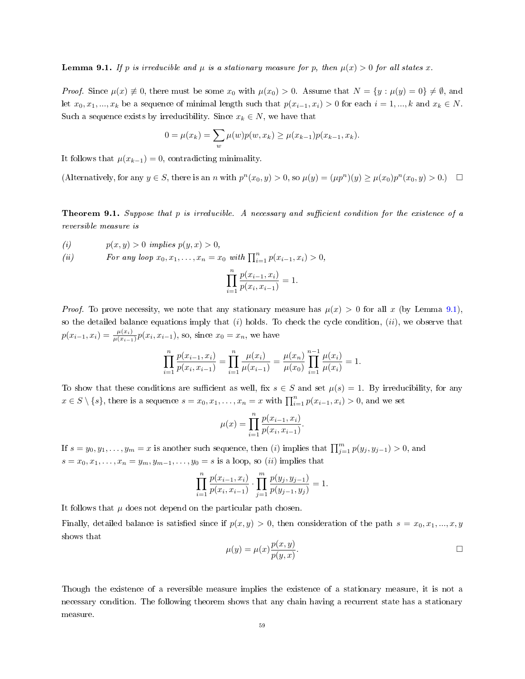<span id="page-58-0"></span>**Lemma 9.1.** If p is irreducible and  $\mu$  is a stationary measure for p, then  $\mu(x) > 0$  for all states x.

*Proof.* Since  $\mu(x) \neq 0$ , there must be some  $x_0$  with  $\mu(x_0) > 0$ . Assume that  $N = \{y : \mu(y) = 0\} \neq \emptyset$ , and let  $x_0, x_1, ..., x_k$  be a sequence of minimal length such that  $p(x_{i-1}, x_i) > 0$  for each  $i = 1, ..., k$  and  $x_k \in N$ . Such a sequence exists by irreducibility. Since  $x_k \in N$ , we have that

$$
0 = \mu(x_k) = \sum_{w} \mu(w) p(w, x_k) \ge \mu(x_{k-1}) p(x_{k-1}, x_k).
$$

It follows that  $\mu(x_{k-1}) = 0$ , contradicting minimality.

(Alternatively, for any  $y \in S$ , there is an n with  $p^{n}(x_0, y) > 0$ , so  $\mu(y) = (\mu p^{n})(y) \ge \mu(x_0)p^{n}(x_0, y) > 0$ .)  $\Box$ 

**Theorem 9.1.** Suppose that p is irreducible. A necessary and sufficient condition for the existence of a reversible measure is

$$
(i) \t p(x, y) > 0 \implies p(y, x) > 0,
$$

(ii) For any loop  $x_0, x_1, ..., x_n = x_0$  with  $\prod_{i=1}^n p(x_{i-1}, x_i) > 0$ ,

$$
\prod_{i=1}^{n} \frac{p(x_{i-1}, x_i)}{p(x_i, x_{i-1})} = 1.
$$

*Proof.* To prove necessity, we note that any stationary measure has  $\mu(x) > 0$  for all x (by Lemma [9.1\)](#page-58-0), so the detailed balance equations imply that  $(i)$  holds. To check the cycle condition,  $(ii)$ , we observe that  $p(x_{i-1}, x_i) = \frac{\mu(x_i)}{\mu(x_{i-1})} p(x_i, x_{i-1}),$  so, since  $x_0 = x_n$ , we have

$$
\prod_{i=1}^{n} \frac{p(x_{i-1}, x_i)}{p(x_i, x_{i-1})} = \prod_{i=1}^{n} \frac{\mu(x_i)}{\mu(x_{i-1})} = \frac{\mu(x_n)}{\mu(x_0)} \prod_{i=1}^{n-1} \frac{\mu(x_i)}{\mu(x_i)} = 1.
$$

To show that these conditions are sufficient as well, fix  $s \in S$  and set  $\mu(s) = 1$ . By irreducibility, for any  $x \in S \setminus \{s\}$ , there is a sequence  $s = x_0, x_1, \ldots, x_n = x$  with  $\prod_{i=1}^n p(x_{i-1}, x_i) > 0$ , and we set

$$
\mu(x) = \prod_{i=1}^{n} \frac{p(x_{i-1}, x_i)}{p(x_i, x_{i-1})}.
$$

If  $s = y_0, y_1, \ldots, y_m = x$  is another such sequence, then (i) implies that  $\prod_{j=1}^m p(y_j, y_{j-1}) > 0$ , and  $s = x_0, x_1, \ldots, x_n = y_m, y_{m-1}, \ldots, y_0 = s$  is a loop, so *(ii)* implies that

$$
\prod_{i=1}^{n} \frac{p(x_{i-1}, x_i)}{p(x_i, x_{i-1})} \cdot \prod_{j=1}^{m} \frac{p(y_j, y_{j-1})}{p(y_{j-1}, y_j)} = 1.
$$

It follows that  $\mu$  does not depend on the particular path chosen.

Finally, detailed balance is satisfied since if  $p(x, y) > 0$ , then consideration of the path  $s = x_0, x_1, ..., x, y$ shows that

$$
\mu(y) = \mu(x) \frac{p(x, y)}{p(y, x)}.
$$

Though the existence of a reversible measure implies the existence of a stationary measure, it is not a necessary condition. The following theorem shows that any chain having a recurrent state has a stationary measure.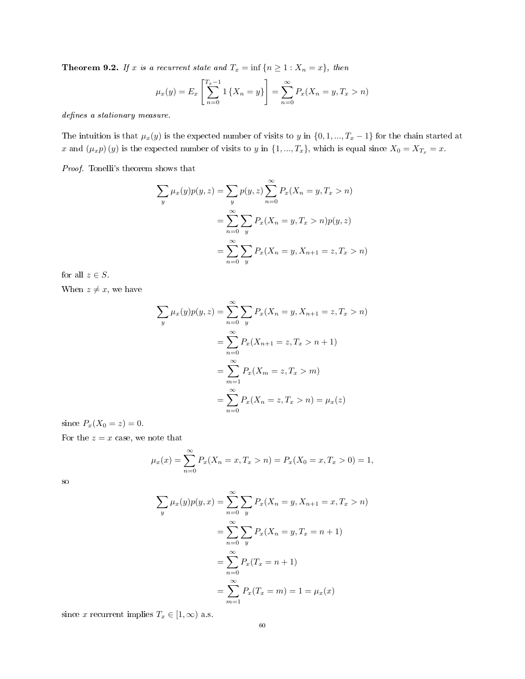<span id="page-59-0"></span>**Theorem 9.2.** If x is a recurrent state and  $T_x = \inf \{n \geq 1 : X_n = x\}$ , then

$$
\mu_x(y) = E_x \left[ \sum_{n=0}^{T_x - 1} \left\{ X_n = y \right\} \right] = \sum_{n=0}^{\infty} P_x(X_n = y, T_x > n)
$$

defines a stationary measure.

The intuition is that  $\mu_x(y)$  is the expected number of visits to y in  $\{0, 1, ..., T_x - 1\}$  for the chain started at x and  $(\mu_x p)(y)$  is the expected number of visits to y in  $\{1, ..., T_x\}$ , which is equal since  $X_0 = X_{T_x} = x$ .

Proof. Tonelli's theorem shows that

$$
\sum_{y} \mu_x(y)p(y, z) = \sum_{y} p(y, z) \sum_{n=0}^{\infty} P_x(X_n = y, T_x > n)
$$

$$
= \sum_{n=0}^{\infty} \sum_{y} P_x(X_n = y, T_x > n)p(y, z)
$$

$$
= \sum_{n=0}^{\infty} \sum_{y} P_x(X_n = y, X_{n+1} = z, T_x > n)
$$

for all  $z \in S$ .

When  $z \neq x$ , we have

$$
\sum_{y} \mu_x(y)p(y, z) = \sum_{n=0}^{\infty} \sum_{y} P_x(X_n = y, X_{n+1} = z, T_x > n)
$$

$$
= \sum_{n=0}^{\infty} P_x(X_{n+1} = z, T_x > n + 1)
$$

$$
= \sum_{m=1}^{\infty} P_x(X_m = z, T_x > m)
$$

$$
= \sum_{n=0}^{\infty} P_x(X_n = z, T_x > n) = \mu_x(z)
$$

since  $P_x(X_0 = z) = 0$ .

For the  $z = x$  case, we note that

$$
\mu_x(x) = \sum_{n=0}^{\infty} P_x(X_n = x, T_x > n) = P_x(X_0 = x, T_x > 0) = 1,
$$

so

$$
\sum_{y} \mu_x(y)p(y, x) = \sum_{n=0}^{\infty} \sum_{y} P_x(X_n = y, X_{n+1} = x, T_x > n)
$$

$$
= \sum_{n=0}^{\infty} \sum_{y} P_x(X_n = y, T_x = n + 1)
$$

$$
= \sum_{n=0}^{\infty} P_x(T_x = n + 1)
$$

$$
= \sum_{m=1}^{\infty} P_x(T_x = m) = 1 = \mu_x(x)
$$

since x recurrent implies  $T_x \in [1, \infty)$  a.s.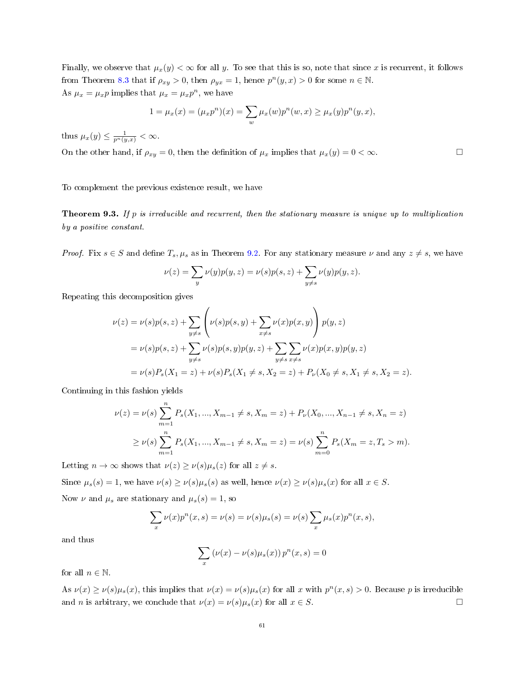Finally, we observe that  $\mu_x(y) < \infty$  for all y. To see that this is so, note that since x is recurrent, it follows from Theorem [8.3](#page-52-0) that if  $\rho_{xy} > 0$ , then  $\rho_{yx} = 1$ , hence  $p^{n}(y, x) > 0$  for some  $n \in \mathbb{N}$ . As  $\mu_x = \mu_x p$  implies that  $\mu_x = \mu_x p^n$ , we have

$$
1 = \mu_x(x) = (\mu_x p^n)(x) = \sum_w \mu_x(w) p^n(w, x) \ge \mu_x(y) p^n(y, x),
$$

thus  $\mu_x(y) \leq \frac{1}{p^n(y,x)} < \infty$ .

On the other hand, if  $\rho_{xy} = 0$ , then the definition of  $\mu_x$  implies that  $\mu_x(y) = 0 < \infty$ .

To complement the previous existence result, we have

<span id="page-60-0"></span>**Theorem 9.3.** If p is irreducible and recurrent, then the stationary measure is unique up to multiplication by a positive constant.

*Proof.* Fix  $s \in S$  and define  $T_s, \mu_s$  as in Theorem [9.2.](#page-59-0) For any stationary measure  $\nu$  and any  $z \neq s$ , we have

$$
\nu(z)=\sum_y\nu(y)p(y,z)=\nu(s)p(s,z)+\sum_{y\neq s}\nu(y)p(y,z).
$$

Repeating this decomposition gives

$$
\nu(z) = \nu(s)p(s, z) + \sum_{y \neq s} \left( \nu(s)p(s, y) + \sum_{x \neq s} \nu(x)p(x, y) \right) p(y, z)
$$
  
=  $\nu(s)p(s, z) + \sum_{y \neq s} \nu(s)p(s, y)p(y, z) + \sum_{y \neq s} \sum_{x \neq s} \nu(x)p(x, y)p(y, z)$   
=  $\nu(s)P_s(X_1 = z) + \nu(s)P_s(X_1 \neq s, X_2 = z) + P_\nu(X_0 \neq s, X_1 \neq s, X_2 = z).$ 

Continuing in this fashion yields

$$
\nu(z) = \nu(s) \sum_{m=1}^{n} P_s(X_1, ..., X_{m-1} \neq s, X_m = z) + P_{\nu}(X_0, ..., X_{n-1} \neq s, X_n = z)
$$
  
\n
$$
\geq \nu(s) \sum_{m=1}^{n} P_s(X_1, ..., X_{m-1} \neq s, X_m = z) = \nu(s) \sum_{m=0}^{n} P_s(X_m = z, T_s > m).
$$

Letting  $n \to \infty$  shows that  $\nu(z) \geq \nu(s) \mu_s(z)$  for all  $z \neq s$ .

Since  $\mu_s(s) = 1$ , we have  $\nu(s) \ge \nu(s)\mu_s(s)$  as well, hence  $\nu(x) \ge \nu(s)\mu_s(x)$  for all  $x \in S$ .

Now  $\nu$  and  $\mu_s$  are stationary and  $\mu_s(s) = 1$ , so

$$
\sum_{x} \nu(x) p^{n}(x, s) = \nu(s) = \nu(s) \mu_{s}(s) = \nu(s) \sum_{x} \mu_{s}(x) p^{n}(x, s),
$$

and thus

$$
\sum_{x} (\nu(x) - \nu(s)\mu_s(x)) p^n(x, s) = 0
$$

for all  $n \in \mathbb{N}$ .

As  $\nu(x) \ge \nu(s)\mu_s(x)$ , this implies that  $\nu(x) = \nu(s)\mu_s(x)$  for all x with  $p^n(x, s) > 0$ . Because p is irreducible and *n* is arbitrary, we conclude that  $\nu(x) = \nu(s)\mu_s(x)$  for all  $x \in S$ .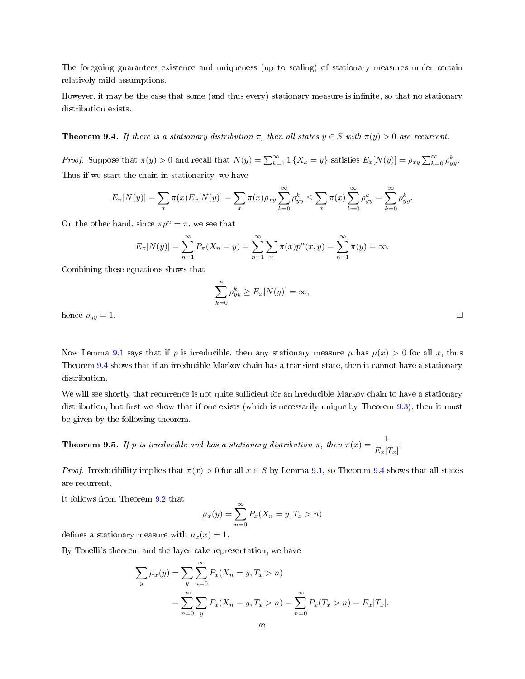The foregoing guarantees existence and uniqueness (up to scaling) of stationary measures under certain relatively mild assumptions.

However, it may be the case that some (and thus every) stationary measure is infinite, so that no stationary distribution exists.

<span id="page-61-0"></span>**Theorem 9.4.** If there is a stationary distribution  $\pi$ , then all states  $y \in S$  with  $\pi(y) > 0$  are recurrent.

*Proof.* Suppose that  $\pi(y) > 0$  and recall that  $N(y) = \sum_{k=1}^{\infty} 1 \{X_k = y\}$  satisfies  $E_x[N(y)] = \rho_{xy} \sum_{k=0}^{\infty} \rho_{yy}^k$ . Thus if we start the chain in stationarity, we have

$$
E_{\pi}[N(y)] = \sum_{x} \pi(x) E_{x}[N(y)] = \sum_{x} \pi(x) \rho_{xy} \sum_{k=0}^{\infty} \rho_{yy}^{k} \le \sum_{x} \pi(x) \sum_{k=0}^{\infty} \rho_{yy}^{k} = \sum_{k=0}^{\infty} \rho_{yy}^{k}.
$$

On the other hand, since  $\pi p^n = \pi$ , we see that

$$
E_{\pi}[N(y)] = \sum_{n=1}^{\infty} P_{\pi}(X_n = y) = \sum_{n=1}^{\infty} \sum_{x} \pi(x) p^{n}(x, y) = \sum_{n=1}^{\infty} \pi(y) = \infty.
$$

Combining these equations shows that

$$
\sum_{k=0}^{\infty} \rho_{yy}^k \ge E_x[N(y)] = \infty,
$$
 hence  $\rho_{yy} = 1$ .

Now Lemma [9.1](#page-58-0) says that if p is irreducible, then any stationary measure  $\mu$  has  $\mu(x) > 0$  for all x, thus Theorem [9.4](#page-61-0) shows that if an irreducible Markov chain has a transient state, then it cannot have a stationary distribution.

We will see shortly that recurrence is not quite sufficient for an irreducible Markov chain to have a stationary distribution, but first we show that if one exists (which is necessarily unique by Theorem  $9.3$ ), then it must be given by the following theorem.

<span id="page-61-1"></span>**Theorem 9.5.** If p is irreducible and has a stationary distribution  $\pi$ , then  $\pi(x) = \frac{1}{E_x[T_x]}$ .

*Proof.* Irreducibility implies that  $\pi(x) > 0$  for all  $x \in S$  by Lemma [9.1,](#page-58-0) so Theorem [9.4](#page-61-0) shows that all states are recurrent.

It follows from Theorem [9.2](#page-59-0) that

$$
\mu_x(y) = \sum_{n=0}^{\infty} P_x(X_n = y, T_x > n)
$$

defines a stationary measure with  $\mu_x(x) = 1$ .

By Tonelli's theorem and the layer cake representation, we have

$$
\sum_{y} \mu_x(y) = \sum_{y} \sum_{n=0}^{\infty} P_x(X_n = y, T_x > n)
$$
  
= 
$$
\sum_{n=0}^{\infty} \sum_{y} P_x(X_n = y, T_x > n) = \sum_{n=0}^{\infty} P_x(T_x > n) = E_x[T_x].
$$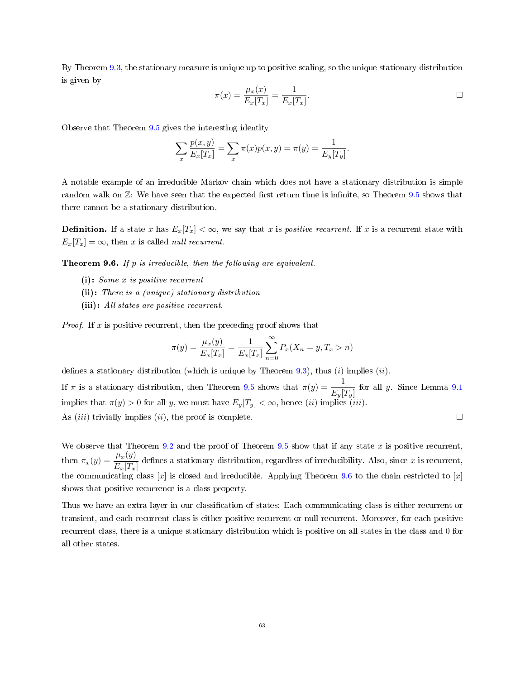By Theorem [9.3,](#page-60-0) the stationary measure is unique up to positive scaling, so the unique stationary distribution is given by

$$
\pi(x) = \frac{\mu_x(x)}{E_x[T_x]} = \frac{1}{E_x[T_x]}.
$$

Observe that Theorem [9.5](#page-61-1) gives the interesting identity

$$
\sum_{x} \frac{p(x, y)}{E_x[T_x]} = \sum_{x} \pi(x)p(x, y) = \pi(y) = \frac{1}{E_y[T_y]}.
$$

A notable example of an irreducible Markov chain which does not have a stationary distribution is simple random walk on  $\mathbb{Z}$ : We have seen that the expected first return time is infinite, so Theorem [9.5](#page-61-1) shows that there cannot be a stationary distribution.

**Definition.** If a state x has  $E_x[T_x] < \infty$ , we say that x is *positive recurrent*. If x is a recurrent state with  $E_x[T_x] = \infty$ , then x is called *null recurrent*.

<span id="page-62-0"></span>**Theorem 9.6.** If  $p$  is irreducible, then the following are equivalent.

- (i): Some x is positive recurrent
- (ii): There is a (unique) stationary distribution
- (iii): All states are positive recurrent.

*Proof.* If  $x$  is positive recurrent, then the preceding proof shows that

$$
\pi(y) = \frac{\mu_x(y)}{E_x[T_x]} = \frac{1}{E_x[T_x]} \sum_{n=0}^{\infty} P_x(X_n = y, T_x > n)
$$

defines a stationary distribution (which is unique by Theorem [9.3\)](#page-60-0), thus  $(i)$  implies  $(ii)$ .

If  $\pi$  is a stationary distribution, then Theorem [9.5](#page-61-1) shows that  $\pi(y) = \frac{1}{E_y[T_y]}$  for all y. Since Lemma [9.1](#page-58-0) implies that  $\pi(y) > 0$  for all y, we must have  $E_y[T_y] < \infty$ , hence *(ii)* implies *(iii)*. As (*iii*) trivially implies (*ii*), the proof is complete.  $\Box$ 

We observe that Theorem [9.2](#page-59-0) and the proof of Theorem [9.5](#page-61-1) show that if any state  $x$  is positive recurrent, then  $\pi_x(y) = \frac{\mu_x(y)}{E_x[T_x]}$  defines a stationary distribution, regardless of irreducibility. Also, since x is recurrent, the communicating class  $[x]$  is closed and irreducible. Applying Theorem [9.6](#page-62-0) to the chain restricted to  $[x]$ shows that positive recurrence is a class property.

Thus we have an extra layer in our classification of states: Each communicating class is either recurrent or transient, and each recurrent class is either positive recurrent or null recurrent. Moreover, for each positive recurrent class, there is a unique stationary distribution which is positive on all states in the class and 0 for all other states.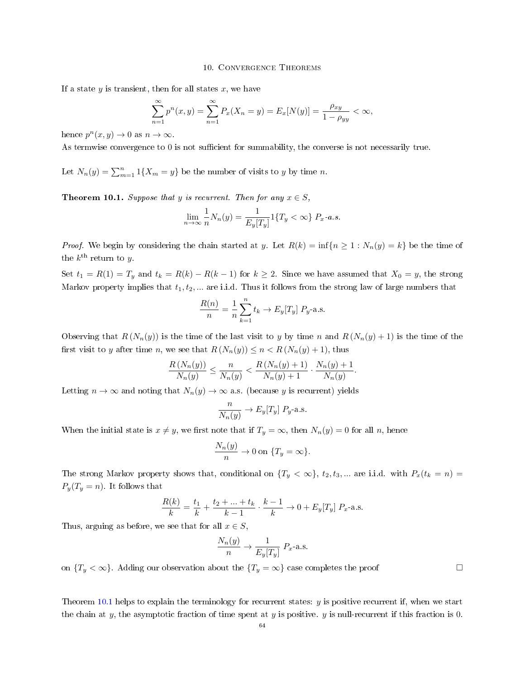### 10. Convergence Theorems

If a state  $y$  is transient, then for all states  $x$ , we have

$$
\sum_{n=1}^{\infty} p^{n}(x, y) = \sum_{n=1}^{\infty} P_{x}(X_{n} = y) = E_{x}[N(y)] = \frac{\rho_{xy}}{1 - \rho_{yy}} < \infty,
$$

hence  $p^{n}(x, y) \rightarrow 0$  as  $n \rightarrow \infty$ .

As termwise convergence to  $0$  is not sufficient for summability, the converse is not necessarily true.

Let  $N_n(y) = \sum_{m=1}^n 1\{X_m = y\}$  be the number of visits to y by time n.

<span id="page-63-0"></span>**Theorem 10.1.** Suppose that y is recurrent. Then for any  $x \in S$ ,

$$
\lim_{n \to \infty} \frac{1}{n} N_n(y) = \frac{1}{E_y[T_y]} 1\{T_y < \infty\} \, P_x - a.s.
$$

*Proof.* We begin by considering the chain started at y. Let  $R(k) = \inf\{n \geq 1 : N_n(y) = k\}$  be the time of the  $k^{\text{th}}$  return to y.

Set  $t_1 = R(1) = T_y$  and  $t_k = R(k) - R(k-1)$  for  $k \ge 2$ . Since we have assumed that  $X_0 = y$ , the strong Markov property implies that  $t_1, t_2, \ldots$  are i.i.d. Thus it follows from the strong law of large numbers that

$$
\frac{R(n)}{n} = \frac{1}{n} \sum_{k=1}^{n} t_k \to E_y[T_y] \, P_y\text{-a.s.}
$$

Observing that  $R(N_n(y))$  is the time of the last visit to y by time n and  $R(N_n(y) + 1)$  is the time of the first visit to y after time n, we see that  $R(N_n(y)) \leq n < R(N_n(y) + 1)$ , thus

$$
\frac{R\left(N_n(y)\right)}{N_n(y)} \le \frac{n}{N_n(y)} < \frac{R\left(N_n(y) + 1\right)}{N_n(y) + 1} \cdot \frac{N_n(y) + 1}{N_n(y)}.
$$

Letting  $n \to \infty$  and noting that  $N_n(y) \to \infty$  a.s. (because y is recurrent) yields

$$
\frac{n}{N_n(y)} \to E_y[T_y] \, P_y\text{-a.s.}
$$

When the initial state is  $x \neq y$ , we first note that if  $T_y = \infty$ , then  $N_n(y) = 0$  for all n, hence

$$
\frac{N_n(y)}{n} \to 0 \text{ on } \{T_y = \infty\}.
$$

The strong Markov property shows that, conditional on  $\{T_y < \infty\}$ ,  $t_2, t_3, ...$  are i.i.d. with  $P_x(t_k = n) =$  $P_y(T_y = n)$ . It follows that

$$
\frac{R(k)}{k} = \frac{t_1}{k} + \frac{t_2 + \dots + t_k}{k - 1} \cdot \frac{k - 1}{k} \to 0 + E_y[T_y] P_x
$$
-a.s.

Thus, arguing as before, we see that for all  $x \in S$ ,

$$
\frac{N_n(y)}{n} \to \frac{1}{E_y[T_y]} \ P_x
$$
-a.s.

on  $\{T_y < \infty\}$ . Adding our observation about the  $\{T_y = \infty\}$  case completes the proof

Theorem [10.1](#page-63-0) helps to explain the terminology for recurrent states:  $y$  is positive recurrent if, when we start the chain at y, the asymptotic fraction of time spent at y is positive. y is null-recurrent if this fraction is 0.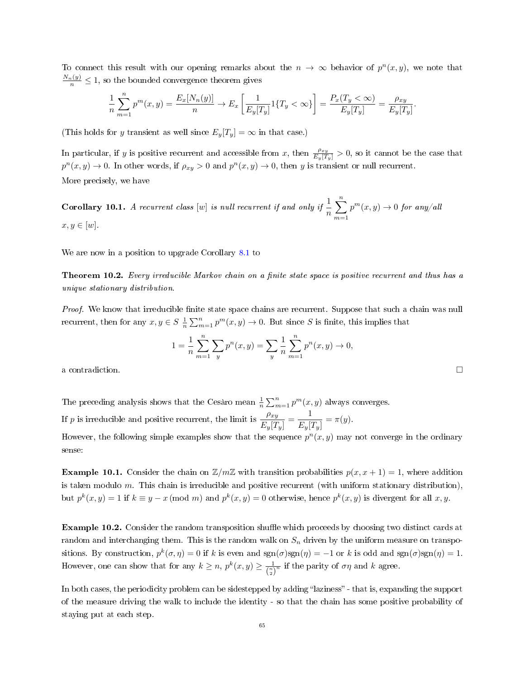To connect this result with our opening remarks about the  $n \to \infty$  behavior of  $p^{n}(x, y)$ , we note that  $\frac{N_n(y)}{n} \leq 1$ , so the bounded convergence theorem gives

$$
\frac{1}{n}\sum_{m=1}^{n}p^{m}(x,y) = \frac{E_{x}[N_{n}(y)]}{n} \to E_{x}\left[\frac{1}{E_{y}[T_{y}]}1\{T_{y} < \infty\}\right] = \frac{P_{x}(T_{y} < \infty)}{E_{y}[T_{y}]} = \frac{\rho_{xy}}{E_{y}[T_{y}]}.
$$

(This holds for y transient as well since  $E_y[T_y] = \infty$  in that case.)

In particular, if y is positive recurrent and accessible from x, then  $\frac{\rho_{xy}}{E_y[T_y]} > 0$ , so it cannot be the case that  $p^{n}(x, y) \to 0$ . In other words, if  $\rho_{xy} > 0$  and  $p^{n}(x, y) \to 0$ , then y is transient or null recurrent. More precisely, we have

**Corollary 10.1.** A recurrent class  $[w]$  is null recurrent if and only if  $\frac{1}{n}$  $\sum_{n=1}^{\infty}$  $m=1$  $p^m(x, y) \rightarrow 0$  for any/all  $x, y \in [w]$ .

We are now in a position to upgrade Corollary [8.1](#page-53-1) to

**Theorem 10.2.** Every irreducible Markov chain on a finite state space is positive recurrent and thus has a unique stationary distribution.

Proof. We know that irreducible finite state space chains are recurrent. Suppose that such a chain was null recurrent, then for any  $x, y \in S \frac{1}{n} \sum_{m=1}^{n} p^m(x, y) \to 0$ . But since S is finite, this implies that

$$
1 = \frac{1}{n} \sum_{m=1}^{n} \sum_{y} p^{n}(x, y) = \sum_{y} \frac{1}{n} \sum_{m=1}^{n} p^{n}(x, y) \to 0,
$$
  
a contradiction.

The preceding analysis shows that the Cesàro mean  $\frac{1}{n} \sum_{m=1}^{n} p^{m}(x, y)$  always converges.

If p is irreducible and positive recurrent, the limit is  $\frac{\rho_{xy}}{E_y[T_y]} = \frac{1}{E_y[T_y]}$  $\frac{1}{E_y[T_y]} = \pi(y).$ However, the following simple examples show that the sequence  $p^{n}(x, y)$  may not converge in the ordinary sense:

**Example 10.1.** Consider the chain on  $\mathbb{Z}/m\mathbb{Z}$  with transition probabilities  $p(x, x + 1) = 1$ , where addition is taken modulo  $m$ . This chain is irreducible and positive recurrent (with uniform stationary distribution), but  $p^k(x, y) = 1$  if  $k \equiv y - x \pmod{m}$  and  $p^k(x, y) = 0$  otherwise, hence  $p^k(x, y)$  is divergent for all x, y.

**Example 10.2.** Consider the random transposition shuffle which proceeds by choosing two distinct cards at random and interchanging them. This is the random walk on  $S_n$  driven by the uniform measure on transpositions. By construction,  $p^k(\sigma, \eta) = 0$  if k is even and  $\text{sgn}(\sigma)\text{sgn}(\eta) = -1$  or k is odd and  $\text{sgn}(\sigma)\text{sgn}(\eta) = 1$ . However, one can show that for any  $k \ge n$ ,  $p^k(x, y) \ge \frac{1}{\binom{n}{2}^n}$  if the parity of  $\sigma\eta$  and k agree.

In both cases, the periodicity problem can be sidestepped by adding "laziness" - that is, expanding the support of the measure driving the walk to include the identity - so that the chain has some positive probability of staying put at each step.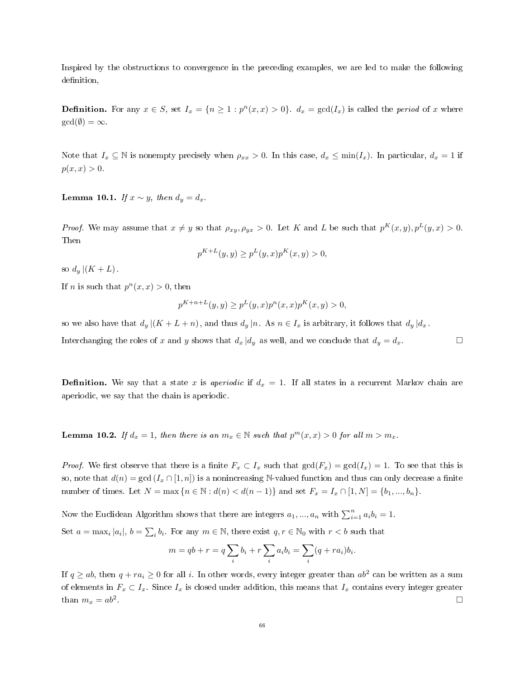Inspired by the obstructions to convergence in the preceding examples, we are led to make the following definition,

**Definition.** For any  $x \in S$ , set  $I_x = \{n \ge 1 : p^n(x,x) > 0\}$ .  $d_x = \gcd(I_x)$  is called the *period* of x where  $gcd(\emptyset) = \infty$ .

Note that  $I_x \subseteq \mathbb{N}$  is nonempty precisely when  $\rho_{xx} > 0$ . In this case,  $d_x \le \min(I_x)$ . In particular,  $d_x = 1$  if  $p(x, x) > 0.$ 

Lemma 10.1. If  $x \sim y$ , then  $d_y = d_x$ .

*Proof.* We may assume that  $x \neq y$  so that  $\rho_{xy}, \rho_{yx} > 0$ . Let K and L be such that  $p^{K}(x, y), p^{L}(y, x) > 0$ . Then

$$
p^{K+L}(y, y) \ge p^{L}(y, x)p^{K}(x, y) > 0,
$$

so  $d_u|(K+L)$ .

If *n* is such that  $p^{n}(x, x) > 0$ , then

$$
p^{K+n+L}(y, y) \ge p^{L}(y, x)p^{n}(x, x)p^{K}(x, y) > 0,
$$

so we also have that  $d_y | (K + L + n)$ , and thus  $d_y | n$ . As  $n \in I_x$  is arbitrary, it follows that  $d_y | d_x$ .

Interchanging the roles of x and y shows that  $d_x | d_y$  as well, and we conclude that  $d_y = d_x$ .

**Definition.** We say that a state x is aperiodic if  $d_x = 1$ . If all states in a recurrent Markov chain are aperiodic, we say that the chain is aperiodic.

<span id="page-65-0"></span>**Lemma 10.2.** If  $d_x = 1$ , then there is an  $m_x \in \mathbb{N}$  such that  $p^m(x, x) > 0$  for all  $m > m_x$ .

*Proof.* We first observe that there is a finite  $F_x \subset I_x$  such that  $gcd(F_x) = gcd(I_x) = 1$ . To see that this is so, note that  $d(n) = \gcd(I_x \cap [1, n])$  is a nonincreasing N-valued function and thus can only decrease a finite number of times. Let  $N = \max\{n \in \mathbb{N} : d(n) < d(n-1)\}\$  and set  $F_x = I_x \cap [1, N] = \{b_1, ..., b_n\}$ .

Now the Euclidean Algorithm shows that there are integers  $a_1, ..., a_n$  with  $\sum_{i=1}^n a_i b_i = 1$ . Set  $a = \max_i |a_i|$ ,  $b = \sum_i b_i$ . For any  $m \in \mathbb{N}$ , there exist  $q, r \in \mathbb{N}_0$  with  $r < b$  such that

$$
m = qb + r = q \sum_{i} b_i + r \sum_{i} a_i b_i = \sum_{i} (q + ra_i) b_i.
$$

If  $q \ge ab$ , then  $q + ra_i \ge 0$  for all i. In other words, every integer greater than  $ab^2$  can be written as a sum of elements in  $F_x \subset I_x$ . Since  $I_x$  is closed under addition, this means that  $I_x$  contains every integer greater than  $m_x = ab^2$ . . □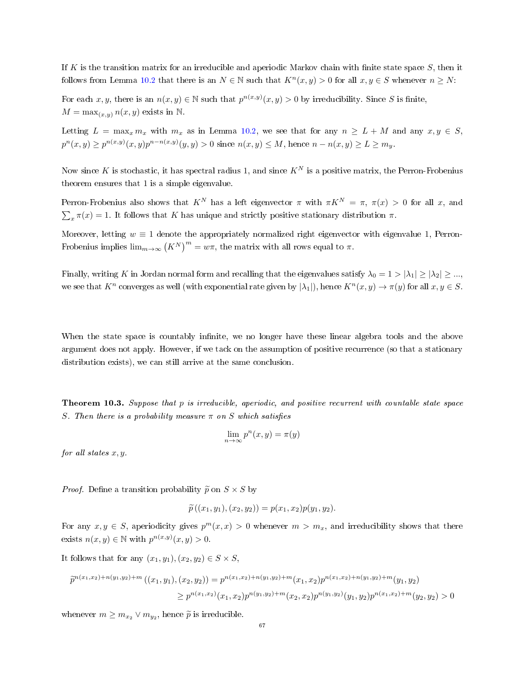If K is the transition matrix for an irreducible and aperiodic Markov chain with finite state space S, then it follows from Lemma [10.2](#page-65-0) that there is an  $N \in \mathbb{N}$  such that  $K^n(x, y) > 0$  for all  $x, y \in S$  whenever  $n \geq N$ :

For each x, y, there is an  $n(x, y) \in \mathbb{N}$  such that  $p^{n(x,y)}(x, y) > 0$  by irreducibility. Since S is finite,  $M = \max_{(x,y)} n(x,y)$  exists in N.

Letting  $L = \max_x m_x$  with  $m_x$  as in Lemma [10.2,](#page-65-0) we see that for any  $n \ge L + M$  and any  $x, y \in S$ ,  $p^{n}(x, y) \ge p^{n(x, y)}(x, y)p^{n-n(x, y)}(y, y) > 0$  since  $n(x, y) \le M$ , hence  $n - n(x, y) \ge L \ge m_y$ .

Now since K is stochastic, it has spectral radius 1, and since  $K^N$  is a positive matrix, the Perron-Frobenius theorem ensures that 1 is a simple eigenvalue.

Perron-Frobenius also shows that  $K^N$  has a left eigenvector  $\pi$  with  $\pi K^N = \pi$ ,  $\pi(x) > 0$  for all x, and  $\sum_{x} \pi(x) = 1$ . It follows that K has unique and strictly positive stationary distribution  $\pi$ .

Moreover, letting  $w \equiv 1$  denote the appropriately normalized right eigenvector with eigenvalue 1, Perron-Frobenius implies  $\lim_{m\to\infty} (K^N)^m = w\pi$ , the matrix with all rows equal to  $\pi$ .

Finally, writing K in Jordan normal form and recalling that the eigenvalues satisfy  $\lambda_0 = 1 > |\lambda_1| \ge |\lambda_2| \ge ...$ we see that  $K^n$  converges as well (with exponential rate given by  $|\lambda_1|$ ), hence  $K^n(x, y) \to \pi(y)$  for all  $x, y \in S$ .

When the state space is countably infinite, we no longer have these linear algebra tools and the above argument does not apply. However, if we tack on the assumption of positive recurrence (so that a stationary distribution exists), we can still arrive at the same conclusion.

<span id="page-66-0"></span>Theorem 10.3. Suppose that p is irreducible, aperiodic, and positive recurrent with countable state space S. Then there is a probability measure  $\pi$  on S which satisfies

$$
\lim_{n \to \infty} p^n(x, y) = \pi(y)
$$

for all states  $x, y$ .

*Proof.* Define a transition probability  $\widetilde{p}$  on  $S \times S$  by

$$
\widetilde{p}((x_1,y_1),(x_2,y_2))=p(x_1,x_2)p(y_1,y_2).
$$

For any  $x, y \in S$ , aperiodicity gives  $p^{m}(x, x) > 0$  whenever  $m > m_x$ , and irreducibility shows that there exists  $n(x, y) \in \mathbb{N}$  with  $p^{n(x,y)}(x, y) > 0$ .

It follows that for any  $(x_1, y_1), (x_2, y_2) \in S \times S$ ,

$$
\tilde{p}^{n(x_1,x_2)+n(y_1,y_2)+m}((x_1,y_1),(x_2,y_2)) = p^{n(x_1,x_2)+n(y_1,y_2)+m}(x_1,x_2)p^{n(x_1,x_2)+n(y_1,y_2)+m}(y_1,y_2)
$$
\n
$$
\geq p^{n(x_1,x_2)}(x_1,x_2)p^{n(y_1,y_2)+m}(x_2,x_2)p^{n(y_1,y_2)}(y_1,y_2)p^{n(x_1,x_2)+m}(y_2,y_2) > 0
$$

whenever  $m \geq m_{x_2} \vee m_{y_2}$ , hence  $\widetilde{p}$  is irreducible.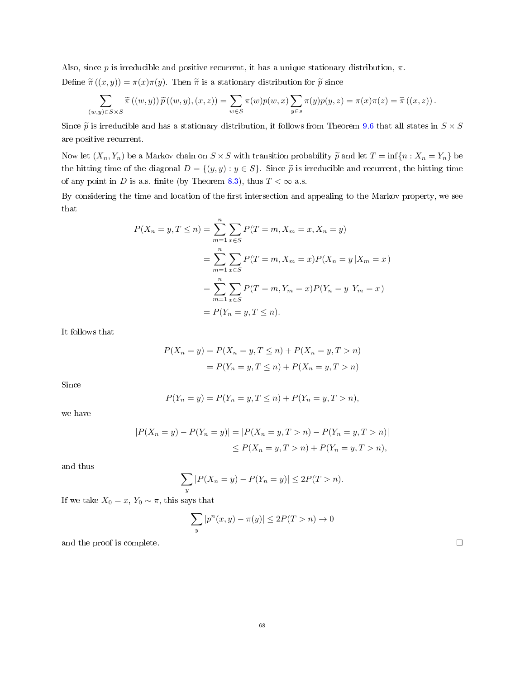Also, since p is irreducible and positive recurrent, it has a unique stationary distribution,  $\pi$ . Define  $\tilde{\pi}((x, y)) = \pi(x)\pi(y)$ . Then  $\tilde{\pi}$  is a stationary distribution for  $\tilde{p}$  since

$$
\sum_{(w,y)\in S\times S}\tilde{\pi}((w,y))\tilde{p}((w,y),(x,z))=\sum_{w\in S}\pi(w)p(w,x)\sum_{y\in s}\pi(y)p(y,z)=\pi(x)\pi(z)=\tilde{\pi}((x,z)).
$$

Since  $\tilde{p}$  is irreducible and has a stationary distribution, it follows from Theorem [9.6](#page-62-0) that all states in  $S \times S$ are positive recurrent.

Now let  $(X_n, Y_n)$  be a Markov chain on  $S \times S$  with transition probability  $\widetilde{p}$  and let  $T = \inf\{n : X_n = Y_n\}$  be the hitting time of the diagonal  $D = \{(y, y) : y \in S\}$ . Since  $\tilde{p}$  is irreducible and recurrent, the hitting time of any point in D is a.s. finite (by Theorem [8.3\)](#page-52-0), thus  $T < \infty$  a.s.

By considering the time and location of the first intersection and appealing to the Markov property, we see that

$$
P(X_n = y, T \le n) = \sum_{m=1}^{n} \sum_{x \in S} P(T = m, X_m = x, X_n = y)
$$
  
= 
$$
\sum_{m=1}^{n} \sum_{x \in S} P(T = m, X_m = x) P(X_n = y | X_m = x)
$$
  
= 
$$
\sum_{m=1}^{n} \sum_{x \in S} P(T = m, Y_m = x) P(Y_n = y | Y_m = x)
$$
  
= 
$$
P(Y_n = y, T \le n).
$$

It follows that

$$
P(X_n = y) = P(X_n = y, T \le n) + P(X_n = y, T > n)
$$
  
=  $P(Y_n = y, T \le n) + P(X_n = y, T > n)$ 

Since

$$
P(Y_n = y) = P(Y_n = y, T \le n) + P(Y_n = y, T > n),
$$

we have

$$
|P(X_n = y) - P(Y_n = y)| = |P(X_n = y, T > n) - P(Y_n = y, T > n)|
$$
  
\n
$$
\leq P(X_n = y, T > n) + P(Y_n = y, T > n),
$$

and thus

$$
\sum_{y} |P(X_n = y) - P(Y_n = y)| \le 2P(T > n).
$$

If we take  $X_0 = x$ ,  $Y_0 \sim \pi$ , this says that

$$
\sum_{y} |p^n(x, y) - \pi(y)| \le 2P(T > n) \to 0
$$

and the proof is complete.  $\Box$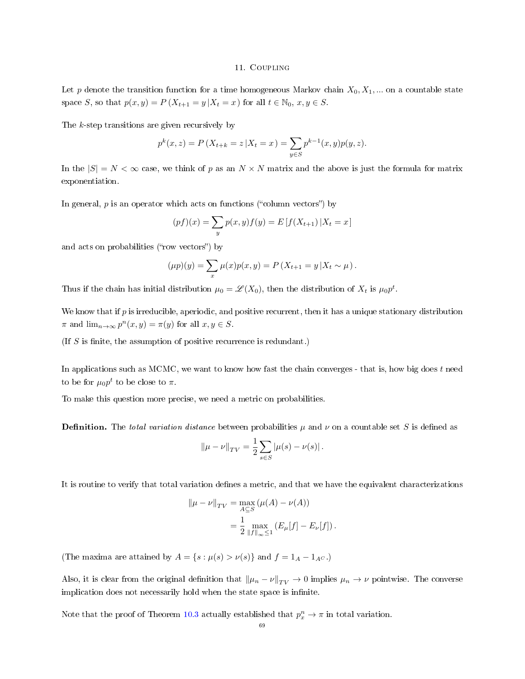### 11. Coupling

Let p denote the transition function for a time homogeneous Markov chain  $X_0, X_1, ...$  on a countable state space S, so that  $p(x, y) = P(X_{t+1} = y | X_t = x)$  for all  $t \in \mathbb{N}_0, x, y \in S$ .

The k-step transitions are given recursively by

$$
p^{k}(x, z) = P(X_{t+k} = z | X_t = x) = \sum_{y \in S} p^{k-1}(x, y) p(y, z).
$$

In the  $|S| = N < \infty$  case, we think of p as an  $N \times N$  matrix and the above is just the formula for matrix exponentiation.

In general,  $p$  is an operator which acts on functions ("column vectors") by

$$
(pf)(x) = \sum_{y} p(x, y) f(y) = E[f(X_{t+1}) | X_t = x]
$$

and acts on probabilities ("row vectors") by

$$
(\mu p)(y) = \sum_{x} \mu(x) p(x, y) = P(X_{t+1} = y | X_t \sim \mu).
$$

Thus if the chain has initial distribution  $\mu_0 = \mathscr{L}(X_0)$ , then the distribution of  $X_t$  is  $\mu_0 p^t$ .

We know that if  $p$  is irreducible, aperiodic, and positive recurrent, then it has a unique stationary distribution  $\pi$  and  $\lim_{n\to\infty} p^n(x, y) = \pi(y)$  for all  $x, y \in S$ .

(If  $S$  is finite, the assumption of positive recurrence is redundant.)

In applications such as MCMC, we want to know how fast the chain converges - that is, how big does  $t$  need to be for  $\mu_0 p^t$  to be close to  $\pi.$ 

To make this question more precise, we need a metric on probabilities.

**Definition.** The total variation distance between probabilities  $\mu$  and  $\nu$  on a countable set S is defined as

$$
\|\mu - \nu\|_{TV} = \frac{1}{2} \sum_{s \in S} |\mu(s) - \nu(s)|.
$$

It is routine to verify that total variation defines a metric, and that we have the equivalent characterizations

$$
\|\mu - \nu\|_{TV} = \max_{A \subseteq S} (\mu(A) - \nu(A))
$$
  
=  $\frac{1}{2} \max_{\|f\|_{\infty} \le 1} (E_{\mu}[f] - E_{\nu}[f]).$ 

(The maxima are attained by  $A = \{s : \mu(s) > \nu(s)\}\$ and  $f = 1_A - 1_{A^C}$ .)

Also, it is clear from the original definition that  $\|\mu_n - \nu\|_{TV} \to 0$  implies  $\mu_n \to \nu$  pointwise. The converse implication does not necessarily hold when the state space is infinite.

Note that the proof of Theorem [10.3](#page-66-0) actually established that  $p_x^n \to \pi$  in total variation.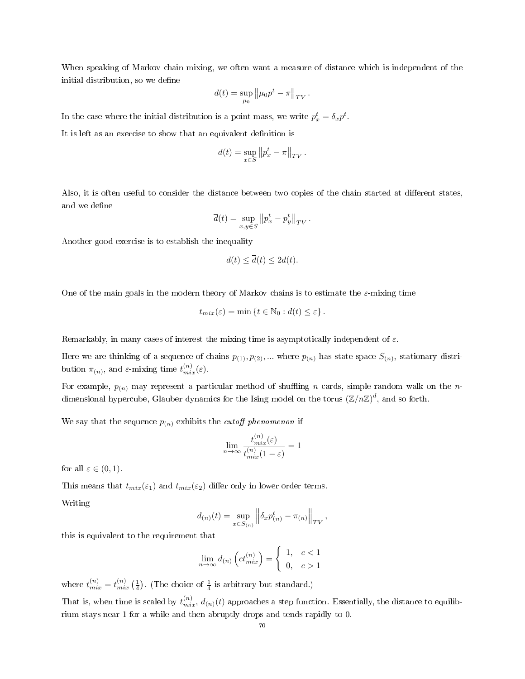When speaking of Markov chain mixing, we often want a measure of distance which is independent of the initial distribution, so we define

$$
d(t) = \sup_{\mu_0} ||\mu_0 p^t - \pi||_{TV}.
$$

In the case where the initial distribution is a point mass, we write  $p_x^t = \delta_x p^t$ .

It is left as an exercise to show that an equivalent definition is

$$
d(t) = \sup_{x \in S} ||p_x^t - \pi||_{TV}.
$$

Also, it is often useful to consider the distance between two copies of the chain started at different states, and we define

$$
\overline{d}(t) = \sup_{x,y \in S} ||p_x^t - p_y^t||_{TV}.
$$

Another good exercise is to establish the inequality

$$
d(t) \le \overline{d}(t) \le 2d(t).
$$

One of the main goals in the modern theory of Markov chains is to estimate the  $\varepsilon$ -mixing time

$$
t_{mix}(\varepsilon) = \min \left\{ t \in \mathbb{N}_0 : d(t) \le \varepsilon \right\}.
$$

Remarkably, in many cases of interest the mixing time is asymptotically independent of  $\varepsilon$ .

Here we are thinking of a sequence of chains  $p_{(1)}, p_{(2)}, ...$  where  $p_{(n)}$  has state space  $S_{(n)}$ , stationary distribution  $\pi_{(n)}$ , and  $\varepsilon$ -mixing time  $t_{mix}^{(n)}(\varepsilon)$ .

For example,  $p_{(n)}$  may represent a particular method of shuffling n cards, simple random walk on the ndimensional hypercube, Glauber dynamics for the Ising model on the torus  $(\mathbb{Z}/n\mathbb{Z})^d$ , and so forth.

We say that the sequence  $p_{(n)}$  exhibits the *cutoff phenomenon* if

$$
\lim_{n \to \infty} \frac{t_{mix}^{(n)}(\varepsilon)}{t_{mix}^{(n)}(1-\varepsilon)} = 1
$$

for all  $\varepsilon \in (0,1)$ .

This means that  $t_{mix}(\varepsilon_1)$  and  $t_{mix}(\varepsilon_2)$  differ only in lower order terms.

Writing

$$
d_{(n)}(t) = \sup_{x \in S_{(n)}} \left\| \delta_x p_{(n)}^t - \pi_{(n)} \right\|_{TV},
$$

this is equivalent to the requirement that

$$
\lim_{n \to \infty} d_{(n)} \left( ct_{mix}^{(n)} \right) = \begin{cases} 1, & c < 1 \\ 0, & c > 1 \end{cases}
$$

where  $t_{mix}^{(n)} = t_{mix}^{(n)} \left(\frac{1}{4}\right)$ . (The choice of  $\frac{1}{4}$  is arbitrary but standard.)

That is, when time is scaled by  $t_{mix}^{(n)}$ ,  $d_{(n)}(t)$  approaches a step function. Essentially, the distance to equilibrium stays near 1 for a while and then abruptly drops and tends rapidly to 0.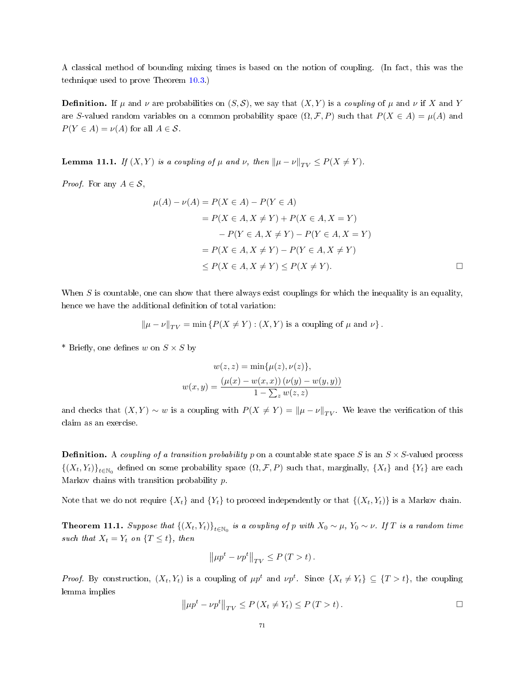A classical method of bounding mixing times is based on the notion of coupling. (In fact, this was the technique used to prove Theorem [10.3.](#page-66-0))

**Definition.** If  $\mu$  and  $\nu$  are probabilities on  $(S, \mathcal{S})$ , we say that  $(X, Y)$  is a coupling of  $\mu$  and  $\nu$  if X and Y are S-valued random variables on a common probability space  $(\Omega, \mathcal{F}, P)$  such that  $P(X \in A) = \mu(A)$  and  $P(Y \in A) = \nu(A)$  for all  $A \in \mathcal{S}$ .

**Lemma 11.1.** If  $(X, Y)$  is a coupling of  $\mu$  and  $\nu$ , then  $\|\mu - \nu\|_{TV} \leq P(X \neq Y)$ .

*Proof.* For any  $A \in \mathcal{S}$ ,

$$
\mu(A) - \nu(A) = P(X \in A) - P(Y \in A)
$$
  
=  $P(X \in A, X \neq Y) + P(X \in A, X = Y)$   
 $- P(Y \in A, X \neq Y) - P(Y \in A, X = Y)$   
=  $P(X \in A, X \neq Y) - P(Y \in A, X \neq Y)$   
 $\leq P(X \in A, X \neq Y) \leq P(X \neq Y).$ 

When  $S$  is countable, one can show that there always exist couplings for which the inequality is an equality, hence we have the additional definition of total variation:

$$
\|\mu - \nu\|_{TV} = \min\left\{P(X \neq Y) : (X, Y) \text{ is a coupling of } \mu \text{ and } \nu\right\}.
$$

\* Briefly, one defines w on  $S \times S$  by

$$
w(z, z) = \min{\mu(z), \nu(z)},
$$
  

$$
w(x, y) = \frac{(\mu(x) - w(x, x)) (\nu(y) - w(y, y))}{1 - \sum_{z} w(z, z)}
$$

and checks that  $(X, Y) \sim w$  is a coupling with  $P(X \neq Y) = ||\mu - \nu||_{TV}$ . We leave the verification of this claim as an exercise.

**Definition.** A coupling of a transition probability p on a countable state space S is an  $S \times S$ -valued process  $\{(X_t,Y_t)\}_{t\in\mathbb{N}_0}$  defined on some probability space  $(\Omega,\mathcal{F},P)$  such that, marginally,  $\{X_t\}$  and  $\{Y_t\}$  are each Markov chains with transition probability  $p$ .

Note that we do not require  $\{X_t\}$  and  $\{Y_t\}$  to proceed independently or that  $\{(X_t, Y_t)\}$  is a Markov chain.

<span id="page-70-0"></span>**Theorem 11.1.** Suppose that  $\{(X_t,Y_t)\}_{t\in\mathbb{N}_0}$  is a coupling of p with  $X_0 \sim \mu$ ,  $Y_0 \sim \nu$ . If T is a random time such that  $X_t = Y_t$  on  $\{T \le t\}$ , then

$$
\left\|\mu p^t - \nu p^t\right\|_{TV} \le P(T > t).
$$

*Proof.* By construction,  $(X_t, Y_t)$  is a coupling of  $\mu p^t$  and  $\nu p^t$ . Since  $\{X_t \neq Y_t\} \subseteq \{T > t\}$ , the coupling lemma implies

$$
\left\|\mu p^t - \nu p^t\right\|_{TV} \le P\left(X_t \neq Y_t\right) \le P\left(T > t\right).
$$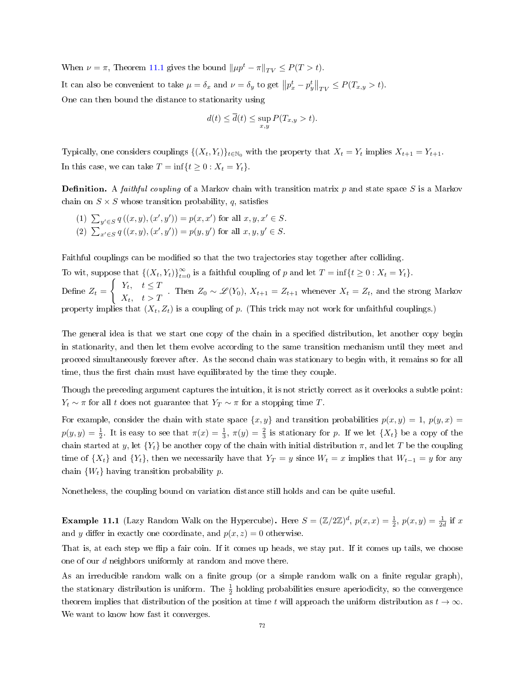When  $\nu = \pi$ , Theorem [11.1](#page-70-0) gives the bound  $||\mu p^t - \pi||_{TV} \leq P(T > t)$ . It can also be convenient to take  $\mu = \delta_x$  and  $\nu = \delta_y$  to get  $||p_x^t - p_y^t||_{TV} \le P(T_{x,y} > t)$ . One can then bound the distance to stationarity using

$$
d(t) \le \overline{d}(t) \le \sup_{x,y} P(T_{x,y} > t).
$$

Typically, one considers couplings  $\{(X_t, Y_t)\}_{t \in \mathbb{N}_0}$  with the property that  $X_t = Y_t$  implies  $X_{t+1} = Y_{t+1}$ . In this case, we can take  $T = \inf\{t \ge 0 : X_t = Y_t\}.$ 

**Definition.** A *faithful coupling* of a Markov chain with transition matrix  $p$  and state space  $S$  is a Markov chain on  $S \times S$  whose transition probability, q, satisfies

(1)  $\sum_{y' \in S} q((x, y), (x', y')) = p(x, x')$  for all  $x, y, x' \in S$ . (2)  $\sum_{x' \in S} q((x, y), (x', y')) = p(y, y')$  for all  $x, y, y' \in S$ .

Faithful couplings can be modified so that the two trajectories stay together after colliding.

To wit, suppose that  $\{(X_t, Y_t)\}_{t=0}^{\infty}$  is a faithful coupling of p and let  $T = \inf\{t \geq 0 : X_t = Y_t\}.$ Define  $Z_t =$  $\int Y_t, \quad t \leq T$  $X_t$ ,  $t > T$ . Then  $Z_0 \sim \mathcal{L}(Y_0)$ ,  $X_{t+1} = Z_{t+1}$  whenever  $X_t = Z_t$ , and the strong Markov property implies that  $(X_t, Z_t)$  is a coupling of p. (This trick may not work for unfaithful couplings.)

The general idea is that we start one copy of the chain in a specified distribution, let another copy begin in stationarity, and then let them evolve according to the same transition mechanism until they meet and proceed simultaneously forever after. As the second chain was stationary to begin with, it remains so for all time, thus the first chain must have equilibrated by the time they couple.

Though the preceding argument captures the intuition, it is not strictly correct as it overlooks a subtle point:  $Y_t \sim \pi$  for all t does not guarantee that  $Y_T \sim \pi$  for a stopping time T.

For example, consider the chain with state space  $\{x, y\}$  and transition probabilities  $p(x, y) = 1$ ,  $p(y, x) = 1$  $p(y, y) = \frac{1}{2}$ . It is easy to see that  $\pi(x) = \frac{1}{3}$ ,  $\pi(y) = \frac{2}{3}$  is stationary for p. If we let  $\{X_t\}$  be a copy of the chain started at y, let  $\{Y_t\}$  be another copy of the chain with initial distribution  $\pi$ , and let T be the coupling time of  $\{X_t\}$  and  $\{Y_t\}$ , then we necessarily have that  $Y_T = y$  since  $W_t = x$  implies that  $W_{t-1} = y$  for any chain  $\{W_t\}$  having transition probability p.

Nonetheless, the coupling bound on variation distance still holds and can be quite useful.

**Example 11.1** (Lazy Random Walk on the Hypercube). Here  $S = (\mathbb{Z}/2\mathbb{Z})^d$ ,  $p(x,x) = \frac{1}{2}$ ,  $p(x,y) = \frac{1}{2d}$  if x and y differ in exactly one coordinate, and  $p(x, z) = 0$  otherwise.

That is, at each step we flip a fair coin. If it comes up heads, we stay put. If it comes up tails, we choose one of our d neighbors uniformly at random and move there.

As an irreducible random walk on a finite group (or a simple random walk on a finite regular graph), the stationary distribution is uniform. The  $\frac{1}{2}$  holding probabilities ensure aperiodicity, so the convergence theorem implies that distribution of the position at time t will approach the uniform distribution as  $t \to \infty$ . We want to know how fast it converges.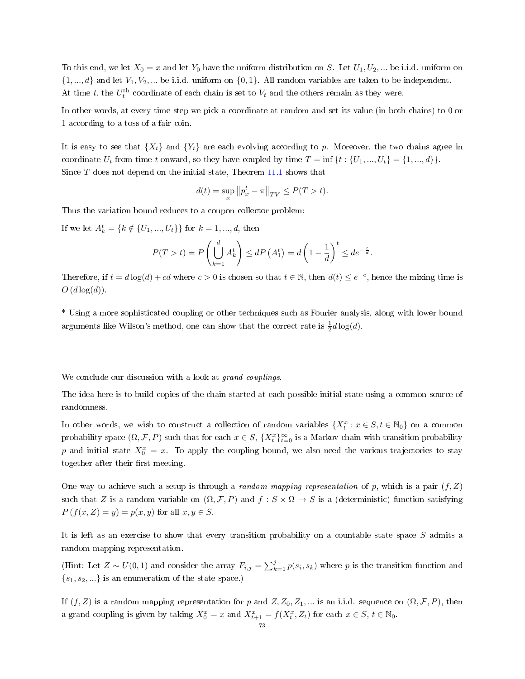To this end, we let  $X_0 = x$  and let  $Y_0$  have the uniform distribution on S. Let  $U_1, U_2, ...$  be i.i.d. uniform on  $\{1, ..., d\}$  and let  $V_1, V_2, ...$  be i.i.d. uniform on  $\{0, 1\}$ . All random variables are taken to be independent. At time t, the  $U_t^{\text{th}}$  coordinate of each chain is set to  $V_t$  and the others remain as they were.

In other words, at every time step we pick a coordinate at random and set its value (in both chains) to 0 or 1 according to a toss of a fair coin.

It is easy to see that  $\{X_t\}$  and  $\{Y_t\}$  are each evolving according to p. Moreover, the two chains agree in coordinate  $U_t$  from time t onward, so they have coupled by time  $T = \inf \{t : \{U_1, ..., U_t\} = \{1, ..., d\}\}.$ Since T does not depend on the initial state, Theorem [11.1](#page-70-0) shows that

$$
d(t) = \sup_{x} \| p_x^t - \pi \|_{TV} \le P(T > t).
$$

Thus the variation bound reduces to a coupon collector problem:

If we let  $A_k^t = \{k \notin \{U_1, ..., U_t\}\}\)$  for  $k = 1, ..., d$ , then

$$
P(T > t) = P\left(\bigcup_{k=1}^{d} A_k^t\right) \le dP\left(A_1^t\right) = d\left(1 - \frac{1}{d}\right)^t \le d e^{-\frac{t}{d}}.
$$

Therefore, if  $t = d \log(d) + cd$  where  $c > 0$  is chosen so that  $t \in \mathbb{N}$ , then  $d(t) \leq e^{-c}$ , hence the mixing time is  $O(d \log(d))$ .

\* Using a more sophisticated coupling or other techniques such as Fourier analysis, along with lower bound arguments like Wilson's method, one can show that the correct rate is  $\frac{1}{2}d\log(d)$ .

We conclude our discussion with a look at grand couplings.

The idea here is to build copies of the chain started at each possible initial state using a common source of randomness.

In other words, we wish to construct a collection of random variables  $\{X_t^x : x \in S, t \in \mathbb{N}_0\}$  on a common probability space  $(\Omega, \mathcal{F}, P)$  such that for each  $x \in S$ ,  $\{X_t^x\}_{t=0}^\infty$  is a Markov chain with transition probability p and initial state  $X_0^x = x$ . To apply the coupling bound, we also need the various trajectories to stay together after their first meeting.

One way to achieve such a setup is through a *random mapping representation* of p, which is a pair  $(f, Z)$ such that Z is a random variable on  $(\Omega, \mathcal{F}, P)$  and  $f : S \times \Omega \to S$  is a (deterministic) function satisfying  $P(f(x, Z) = y) = p(x, y)$  for all  $x, y \in S$ .

It is left as an exercise to show that every transition probability on a countable state space S admits a random mapping representation.

(Hint: Let  $Z \sim U(0,1)$  and consider the array  $F_{i,j} = \sum_{k=1}^{j} p(s_i, s_k)$  where p is the transition function and  ${s_1, s_2, \ldots}$  is an enumeration of the state space.)

If  $(f, Z)$  is a random mapping representation for p and  $Z, Z_0, Z_1, \dots$  is an i.i.d. sequence on  $(\Omega, \mathcal{F}, P)$ , then a grand coupling is given by taking  $X_0^x = x$  and  $X_{t+1}^x = f(X_t^x, Z_t)$  for each  $x \in S, t \in \mathbb{N}_0$ .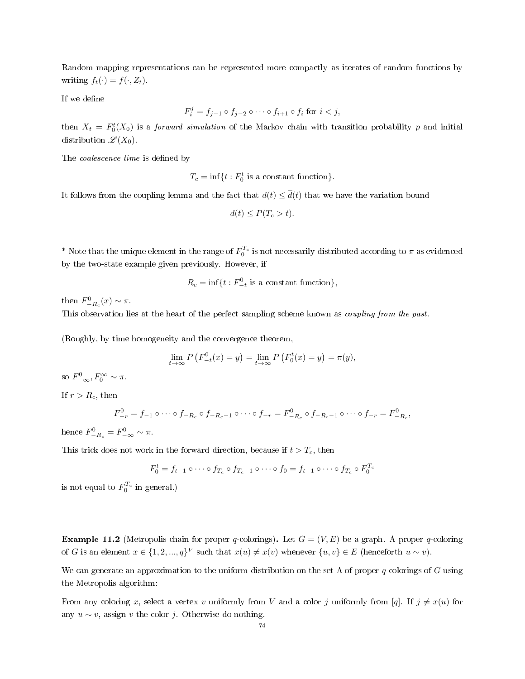Random mapping representations can be represented more compactly as iterates of random functions by writing  $f_t(\cdot) = f(\cdot, Z_t)$ .

If we define

$$
F_i^j = f_{j-1} \circ f_{j-2} \circ \cdots \circ f_{i+1} \circ f_i \text{ for } i < j,
$$

then  $X_t = F_0^t(X_0)$  is a *forward simulation* of the Markov chain with transition probability p and initial distribution  $\mathscr{L}(X_0)$ .

The *coalescence time* is defined by

 $T_c = \inf\{t : F_0^t$  is a constant function}.

It follows from the coupling lemma and the fact that  $d(t) \leq \overline{d}(t)$  that we have the variation bound

$$
d(t) \le P(T_c > t).
$$

\* Note that the unique element in the range of  $F_0^{T_c}$  is not necessarily distributed according to  $\pi$  as evidenced by the two-state example given previously. However, if

$$
R_c = \inf\{t : F^0_{-t} \text{ is a constant function}\},
$$

then  $F_{-R_c}^0(x) \sim \pi$ .

This observation lies at the heart of the perfect sampling scheme known as *coupling from the past*.

(Roughly, by time homogeneity and the convergence theorem,

$$
\lim_{t \to \infty} P(F_{-t}^{0}(x) = y) = \lim_{t \to \infty} P(F_{0}^{t}(x) = y) = \pi(y),
$$

so  $F_{-\infty}^0, F_0^{\infty} \sim \pi$ .

If  $r > R_c$ , then

$$
F_{-r}^{0} = f_{-1} \circ \cdots \circ f_{-R_c} \circ f_{-R_c - 1} \circ \cdots \circ f_{-r} = F_{-R_c}^{0} \circ f_{-R_c - 1} \circ \cdots \circ f_{-r} = F_{-R_c}^{0},
$$

hence  $F_{-R_c}^0 = F_{-\infty}^0 \sim \pi$ .

This trick does not work in the forward direction, because if  $t > T_c$ , then

$$
F_0^t = f_{t-1} \circ \cdots \circ f_{T_c} \circ f_{T_c-1} \circ \cdots \circ f_0 = f_{t-1} \circ \cdots \circ f_{T_c} \circ F_0^{T_c}
$$

is not equal to  $F_0^{T_c}$  in general.)

**Example 11.2** (Metropolis chain for proper q-colorings). Let  $G = (V, E)$  be a graph. A proper q-coloring of G is an element  $x \in \{1, 2, ..., q\}^V$  such that  $x(u) \neq x(v)$  whenever  $\{u, v\} \in E$  (henceforth  $u \sim v$ ).

We can generate an approximation to the uniform distribution on the set  $\Lambda$  of proper q-colorings of G using the Metropolis algorithm:

From any coloring x, select a vertex v uniformly from V and a color j uniformly from [q]. If  $j \neq x(u)$  for any  $u \sim v$ , assign v the color j. Otherwise do nothing.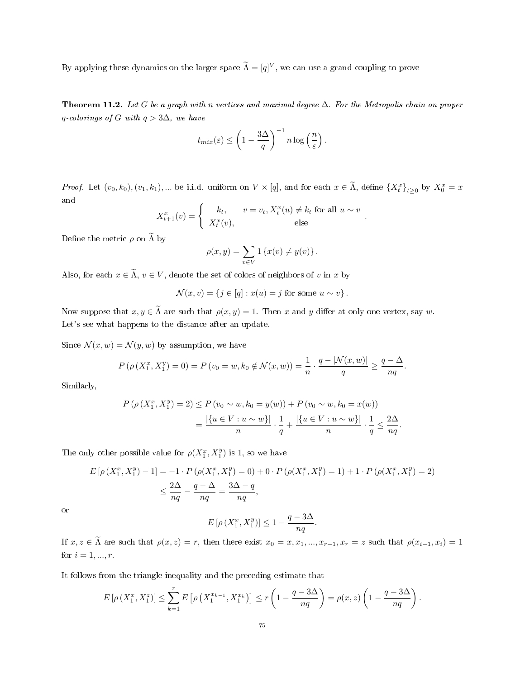By applying these dynamics on the larger space  $\widetilde{\Lambda} = [q]^{V}$ , we can use a grand coupling to prove

Theorem 11.2. Let G be a graph with n vertices and maximal degree  $\Delta$ . For the Metropolis chain on proper q-colorings of G with  $q > 3\Delta$ , we have

$$
t_{mix}(\varepsilon) \le \left(1 - \frac{3\Delta}{q}\right)^{-1} n \log\left(\frac{n}{\varepsilon}\right).
$$

*Proof.* Let  $(v_0, k_0), (v_1, k_1), \dots$  be i.i.d. uniform on  $V \times [q]$ , and for each  $x \in \tilde{\Lambda}$ , define  $\{X_t^x\}_{t \geq 0}$  by  $X_0^x = x$ and

$$
X_{t+1}^x(v) = \begin{cases} k_t, & v = v_t, X_t^x(u) \neq k_t \text{ for all } u \sim v \\ X_t^x(v), & \text{else} \end{cases}.
$$

Define the metric  $\rho$  on  $\widetilde{\Lambda}$  by

$$
\rho(x,y) = \sum_{v \in V} 1 \left\{ x(v) \neq y(v) \right\}.
$$

Also, for each  $x \in \tilde{\Lambda}$ ,  $v \in V$ , denote the set of colors of neighbors of v in x by

$$
\mathcal{N}(x,v) = \{ j \in [q] : x(u) = j \text{ for some } u \sim v \}.
$$

Now suppose that  $x, y \in \tilde{\Lambda}$  are such that  $\rho(x, y) = 1$ . Then x and y differ at only one vertex, say w. Let's see what happens to the distance after an update.

Since  $\mathcal{N}(x, w) = \mathcal{N}(y, w)$  by assumption, we have

$$
P(\rho(X_1^x, X_1^y) = 0) = P(v_0 = w, k_0 \notin \mathcal{N}(x, w)) = \frac{1}{n} \cdot \frac{q - |\mathcal{N}(x, w)|}{q} \ge \frac{q - \Delta}{nq}.
$$

Similarly,

$$
P(\rho(X_1^x, X_1^y) = 2) \le P(v_0 \sim w, k_0 = y(w)) + P(v_0 \sim w, k_0 = x(w))
$$
  
= 
$$
\frac{|\{u \in V : u \sim w\}|}{n} \cdot \frac{1}{q} + \frac{|\{u \in V : u \sim w\}|}{n} \cdot \frac{1}{q} \le \frac{2\Delta}{nq}.
$$

The only other possible value for  $\rho(X_1^x, X_1^y)$  is 1, so we have

$$
E\left[\rho\left(X_1^x, X_1^y\right) - 1\right] = -1 \cdot P\left(\rho(X_1^x, X_1^y) = 0\right) + 0 \cdot P\left(\rho(X_1^x, X_1^y) = 1\right) + 1 \cdot P\left(\rho(X_1^x, X_1^y) = 2\right)
$$
  

$$
\leq \frac{2\Delta}{nq} - \frac{q - \Delta}{nq} = \frac{3\Delta - q}{nq},
$$

or

$$
E\left[\rho\left(X_1^x, X_1^y\right)\right] \le 1 - \frac{q - 3\Delta}{nq}.
$$

If  $x, z \in \tilde{\Lambda}$  are such that  $\rho(x, z) = r$ , then there exist  $x_0 = x, x_1, ..., x_{r-1}, x_r = z$  such that  $\rho(x_{i-1}, x_i) = 1$ for  $i = 1, ..., r$ .

It follows from the triangle inequality and the preceding estimate that

$$
E\left[\rho\left(X_1^x, X_1^z\right)\right] \le \sum_{k=1}^r E\left[\rho\left(X_1^{x_{k-1}}, X_1^{x_k}\right)\right] \le r\left(1 - \frac{q - 3\Delta}{nq}\right) = \rho(x, z)\left(1 - \frac{q - 3\Delta}{nq}\right).
$$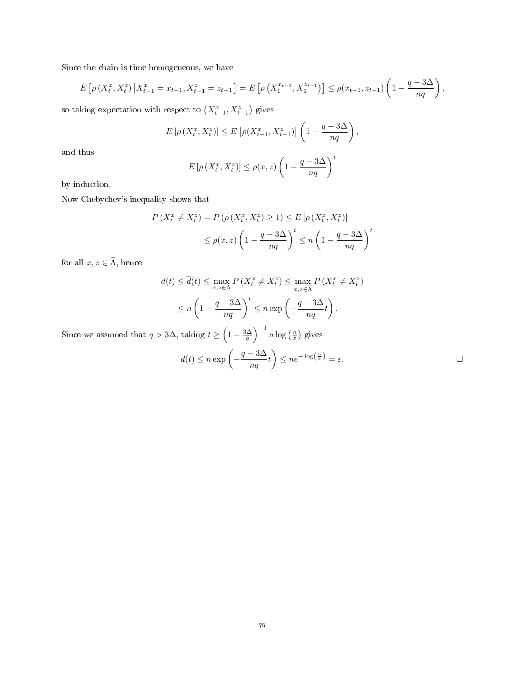Since the chain is time homogeneous, we have

$$
E\left[\rho\left(X_t^x, X_t^z\right) \big| X_{t-1}^x = x_{t-1}, X_{t-1}^z = z_{t-1}\right] = E\left[\rho\left(X_1^{x_{t-1}}, X_1^{z_{t-1}}\right)\right] \le \rho(x_{t-1}, z_{t-1}) \left(1 - \frac{q - 3\Delta}{nq}\right),
$$

so taking expectation with respect to  $(X_{t-1}^x, X_{t-1}^z)$  gives

$$
E\left[\rho\left(X_t^x, X_t^z\right)\right] \le E\left[\rho(X_{t-1}^x, X_{t-1}^z)\right] \left(1 - \frac{q - 3\Delta}{nq}\right),
$$

and thus

$$
E\left[\rho\left(X_t^x, X_t^z\right)\right] \le \rho(x, z) \left(1 - \frac{q - 3\Delta}{nq}\right)^t
$$

by induction.

Now Chebychev's inequality shows that

$$
P(X_t^x \neq X_t^z) = P(\rho(X_t^x, X_t^z) \ge 1) \le E[\rho(X_t^x, X_t^z)]
$$
  

$$
\le \rho(x, z) \left(1 - \frac{q - 3\Delta}{nq}\right)^t \le n \left(1 - \frac{q - 3\Delta}{nq}\right)^t
$$

for all  $x,z\in\widetilde\Lambda,$  hence

$$
d(t) \le \overline{d}(t) \le \max_{x,z \in \Lambda} P\left(X_t^x \ne X_t^z\right) \le \max_{x,z \in \widetilde{\Lambda}} P\left(X_t^x \ne X_t^z\right)
$$

$$
\le n \left(1 - \frac{q - 3\Delta}{nq}\right)^t \le n \exp\left(-\frac{q - 3\Delta}{nq}t\right).
$$

Since we assumed that  $q > 3\Delta$ , taking  $t \geq \left(1 - \frac{3\Delta}{q}\right)^{-1} n \log\left(\frac{n}{\varepsilon}\right)$  gives

$$
d(t) \le n \exp\left(-\frac{q-3\Delta}{nq}t\right) \le n e^{-\log\left(\frac{n}{\varepsilon}\right)} = \varepsilon.
$$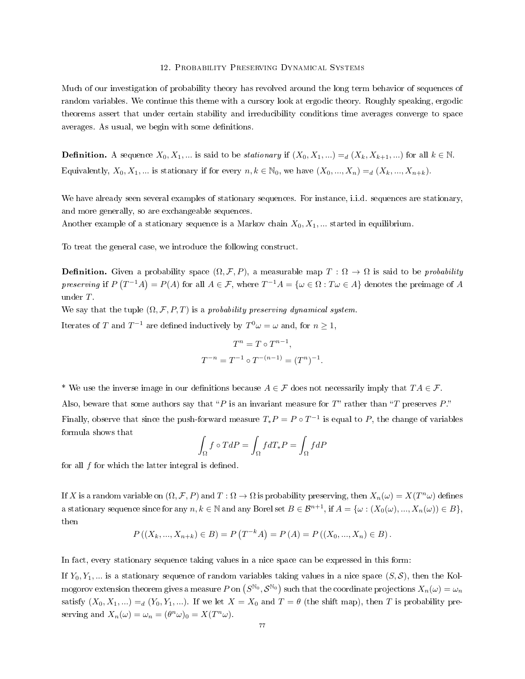### 12. Probability Preserving Dynamical Systems

Much of our investigation of probability theory has revolved around the long term behavior of sequences of random variables. We continue this theme with a cursory look at ergodic theory. Roughly speaking, ergodic theorems assert that under certain stability and irreducibility conditions time averages converge to space averages. As usual, we begin with some definitions.

**Definition.** A sequence  $X_0, X_1, ...$  is said to be *stationary* if  $(X_0, X_1, ...) =_d (X_k, X_{k+1}, ...)$  for all  $k \in \mathbb{N}$ . Equivalently,  $X_0, X_1, ...$  is stationary if for every  $n, k \in \mathbb{N}_0$ , we have  $(X_0, ..., X_n) =_{d} (X_k, ..., X_{n+k}).$ 

We have already seen several examples of stationary sequences. For instance, i.i.d. sequences are stationary, and more generally, so are exchangeable sequences.

Another example of a stationary sequence is a Markov chain  $X_0, X_1, ...$  started in equilibrium.

To treat the general case, we introduce the following construct.

**Definition.** Given a probability space  $(\Omega, \mathcal{F}, P)$ , a measurable map  $T : \Omega \to \Omega$  is said to be *probability* preserving if  $P(T^{-1}A) = P(A)$  for all  $A \in \mathcal{F}$ , where  $T^{-1}A = \{ \omega \in \Omega : T\omega \in A \}$  denotes the preimage of A under T.

We say that the tuple  $(\Omega, \mathcal{F}, P, T)$  is a probability preserving dynamical system.

Iterates of T and  $T^{-1}$  are defined inductively by  $T^0\omega = \omega$  and, for  $n \ge 1$ ,

$$
T^{n} = T \circ T^{n-1},
$$
  

$$
T^{-n} = T^{-1} \circ T^{-(n-1)} = (T^{n})^{-1}.
$$

<sup>\*</sup> We use the inverse image in our definitions because  $A \in \mathcal{F}$  does not necessarily imply that  $TA \in \mathcal{F}$ .

Also, beware that some authors say that "P is an invariant measure for  $T$ " rather than "T preserves P."

Finally, observe that since the push-forward measure  $T_*P = P \circ T^{-1}$  is equal to P, the change of variables formula shows that

$$
\int_{\Omega} f \circ T dP = \int_{\Omega} f dT_* P = \int_{\Omega} f dP
$$

for all  $f$  for which the latter integral is defined.

If X is a random variable on  $(\Omega, \mathcal{F}, P)$  and  $T : \Omega \to \Omega$  is probability preserving, then  $X_n(\omega) = X(T^n \omega)$  defines a stationary sequence since for any  $n, k \in \mathbb{N}$  and any Borel set  $B \in \mathcal{B}^{n+1}$ , if  $A = \{\omega : (X_0(\omega), ..., X_n(\omega)) \in B\},\$ then

$$
P((X_k,...,X_{n+k}) \in B) = P(T^{-k}A) = P(A) = P((X_0,...,X_n) \in B).
$$

In fact, every stationary sequence taking values in a nice space can be expressed in this form:

If  $Y_0, Y_1, \ldots$  is a stationary sequence of random variables taking values in a nice space  $(S, \mathcal{S})$ , then the Kolmogorov extension theorem gives a measure  $P$  on  $\left(S^{\mathbb{N}_0},S^{\mathbb{N}_0}\right)$  such that the coordinate projections  $X_n(\omega)=\omega_n$ satisfy  $(X_0, X_1, ...) =_d (Y_0, Y_1, ...)$ . If we let  $X = X_0$  and  $T = \theta$  (the shift map), then T is probability preserving and  $X_n(\omega) = \omega_n = (\theta^n \omega)_0 = X(T^n \omega)$ .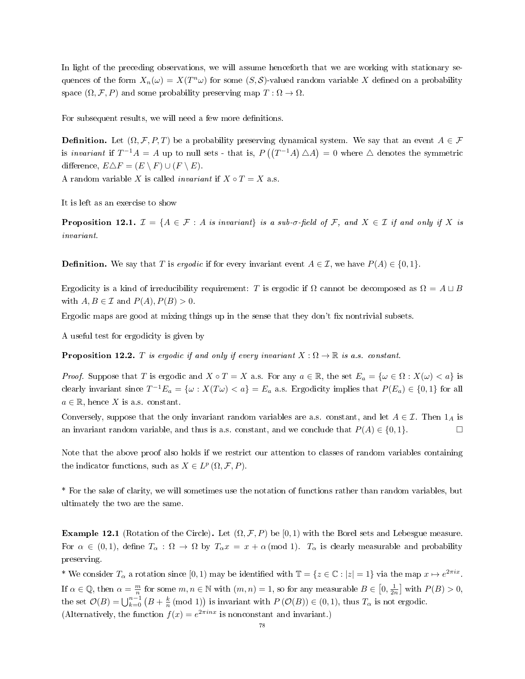In light of the preceding observations, we will assume henceforth that we are working with stationary sequences of the form  $X_n(\omega) = X(T^n \omega)$  for some  $(S, \mathcal{S})$ -valued random variable X defined on a probability space  $(\Omega, \mathcal{F}, P)$  and some probability preserving map  $T : \Omega \to \Omega$ .

For subsequent results, we will need a few more definitions.

**Definition.** Let  $(\Omega, \mathcal{F}, P, T)$  be a probability preserving dynamical system. We say that an event  $A \in \mathcal{F}$ is invariant if  $T^{-1}A = A$  up to null sets - that is,  $P((T^{-1}A) \triangle A) = 0$  where  $\triangle$  denotes the symmetric difference,  $E \triangle F = (E \setminus F) \cup (F \setminus E)$ .

A random variable X is called *invariant* if  $X \circ T = X$  a.s.

It is left as an exercise to show

**Proposition 12.1.**  $\mathcal{I} = \{A \in \mathcal{F} : A \text{ is invariant} \}$  is a sub- $\sigma$ -field of F, and  $X \in \mathcal{I}$  if and only if X is invariant.

**Definition.** We say that T is ergodic if for every invariant event  $A \in \mathcal{I}$ , we have  $P(A) \in \{0, 1\}$ .

Ergodicity is a kind of irreducibility requirement: T is ergodic if  $\Omega$  cannot be decomposed as  $\Omega = A \sqcup B$ with  $A, B \in \mathcal{I}$  and  $P(A), P(B) > 0$ .

Ergodic maps are good at mixing things up in the sense that they don't fix nontrivial subsets.

A useful test for ergodicity is given by

**Proposition 12.2.** T is ergodic if and only if every invariant  $X : \Omega \to \mathbb{R}$  is a.s. constant.

*Proof.* Suppose that T is ergodic and  $X \circ T = X$  a.s. For any  $a \in \mathbb{R}$ , the set  $E_a = \{ \omega \in \Omega : X(\omega) < a \}$  is clearly invariant since  $T^{-1}E_a = \{ \omega : X(T\omega) < a \} = E_a$  a.s. Ergodicity implies that  $P(E_a) \in \{0,1\}$  for all  $a \in \mathbb{R}$ , hence X is a.s. constant.

Conversely, suppose that the only invariant random variables are a.s. constant, and let  $A \in \mathcal{I}$ . Then  $1_A$  is an invariant random variable, and thus is a.s. constant, and we conclude that  $P(A) \in \{0, 1\}$ . □

Note that the above proof also holds if we restrict our attention to classes of random variables containing the indicator functions, such as  $X \in L^p(\Omega, \mathcal{F}, P)$ .

\* For the sake of clarity, we will sometimes use the notation of functions rather than random variables, but ultimately the two are the same.

**Example 12.1** (Rotation of the Circle). Let  $(\Omega, \mathcal{F}, P)$  be [0, 1) with the Borel sets and Lebesgue measure. For  $\alpha \in (0,1)$ , define  $T_{\alpha} : \Omega \to \Omega$  by  $T_{\alpha}x = x + \alpha \pmod{1}$ .  $T_{\alpha}$  is clearly measurable and probability preserving.

\* We consider  $T_{\alpha}$  a rotation since [0, 1) may be identified with  $\mathbb{T} = \{z \in \mathbb{C} : |z| = 1\}$  via the map  $x \mapsto e^{2\pi ix}$ . If  $\alpha \in \mathbb{Q}$ , then  $\alpha = \frac{m}{n}$  for some  $m, n \in \mathbb{N}$  with  $(m, n) = 1$ , so for any measurable  $B \in [0, \frac{1}{2n}]$  with  $P(B) > 0$ , the set  $\mathcal{O}(B) = \bigcup_{k=0}^{n-1} (B + \frac{k}{n} \pmod{1})$  is invariant with  $P(\mathcal{O}(B)) \in (0,1)$ , thus  $T_{\alpha}$  is not ergodic. (Alternatively, the function  $f(x) = e^{2\pi i nx}$  is nonconstant and invariant.)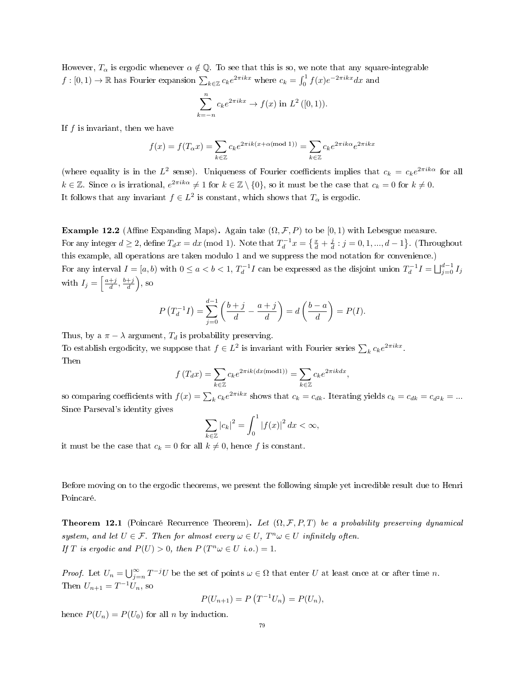However,  $T_{\alpha}$  is ergodic whenever  $\alpha \notin \mathbb{Q}$ . To see that this is so, we note that any square-integrable  $f:[0,1)\to\mathbb{R}$  has Fourier expansion  $\sum_{k\in\mathbb{Z}}c_ke^{2\pi ikx}$  where  $c_k=\int_0^1f(x)e^{-2\pi ikx}dx$  and

$$
\sum_{k=-n}^{n} c_k e^{2\pi i kx} \to f(x) \text{ in } L^2([0,1)).
$$

If  $f$  is invariant, then we have

$$
f(x) = f(T_{\alpha}x) = \sum_{k \in \mathbb{Z}} c_k e^{2\pi i k (x + \alpha \text{(mod 1)})} = \sum_{k \in \mathbb{Z}} c_k e^{2\pi i k \alpha} e^{2\pi i k x}
$$

(where equality is in the  $L^2$  sense). Uniqueness of Fourier coefficients implies that  $c_k = c_k e^{2\pi i k \alpha}$  for all  $k \in \mathbb{Z}$ . Since  $\alpha$  is irrational,  $e^{2\pi i k\alpha} \neq 1$  for  $k \in \mathbb{Z} \setminus \{0\}$ , so it must be the case that  $c_k = 0$  for  $k \neq 0$ . It follows that any invariant  $f \in L^2$  is constant, which shows that  $T_\alpha$  is ergodic.

Example 12.2 (Affine Expanding Maps). Again take  $(\Omega, \mathcal{F}, P)$  to be  $[0, 1)$  with Lebesgue measure. For any integer  $d \ge 2$ , define  $T_d x = dx \pmod{1}$ . Note that  $T_d^{-1} x = \left\{ \frac{x}{d} + \frac{j}{d} : j = 0, 1, ..., d - 1 \right\}$ . (Throughout this example, all operations are taken modulo 1 and we suppress the mod notation for convenience.) For any interval  $I = [a, b)$  with  $0 \le a < b < 1$ ,  $T_d^{-1}I$  can be expressed as the disjoint union  $T_d^{-1}I = \bigsqcup_{j=0}^{d-1} I_j$ with  $I_j = \left[\frac{a+j}{d}, \frac{b+j}{d}\right)$ , so

$$
P(T_d^{-1}I) = \sum_{j=0}^{d-1} \left( \frac{b+j}{d} - \frac{a+j}{d} \right) = d \left( \frac{b-a}{d} \right) = P(I).
$$

Thus, by a  $\pi - \lambda$  argument,  $T_d$  is probability preserving.

To establish ergodicity, we suppose that  $f \in L^2$  is invariant with Fourier series  $\sum_k c_k e^{2\pi i kx}$ . Then

$$
f(T_d x) = \sum_{k \in \mathbb{Z}} c_k e^{2\pi i k(dx(\text{mod}1))} = \sum_{k \in \mathbb{Z}} c_k e^{2\pi i k dx}
$$

,

so comparing coefficients with  $f(x) = \sum_k c_k e^{2\pi i kx}$  shows that  $c_k = c_{dk}$ . Iterating yields  $c_k = c_{dk} = c_{d^2k} = ...$ Since Parseval's identity gives

$$
\sum_{k\in\mathbb{Z}}\left|c_{k}\right|^{2}=\int_{0}^{1}\left|f(x)\right|^{2}dx<\infty,
$$

it must be the case that  $c_k = 0$  for all  $k \neq 0$ , hence f is constant.

Before moving on to the ergodic theorems, we present the following simple yet incredible result due to Henri Poincaré.

<span id="page-78-0"></span>**Theorem 12.1** (Poincaré Recurrence Theorem). Let  $(\Omega, \mathcal{F}, P, T)$  be a probability preserving dynamical system, and let  $U \in \mathcal{F}$ . Then for almost every  $\omega \in U$ ,  $T^n \omega \in U$  infinitely often. If T is ergodic and  $P(U) > 0$ , then  $P(T^n \omega \in U \text{ i.o.}) = 1$ .

*Proof.* Let  $U_n = \bigcup_{j=n}^{\infty} T^{-j}U$  be the set of points  $\omega \in \Omega$  that enter U at least once at or after time n. Then  $U_{n+1} = T^{-1}U_n$ , so

$$
P(U_{n+1}) = P(T^{-1}U_n) = P(U_n),
$$

hence  $P(U_n) = P(U_0)$  for all *n* by induction.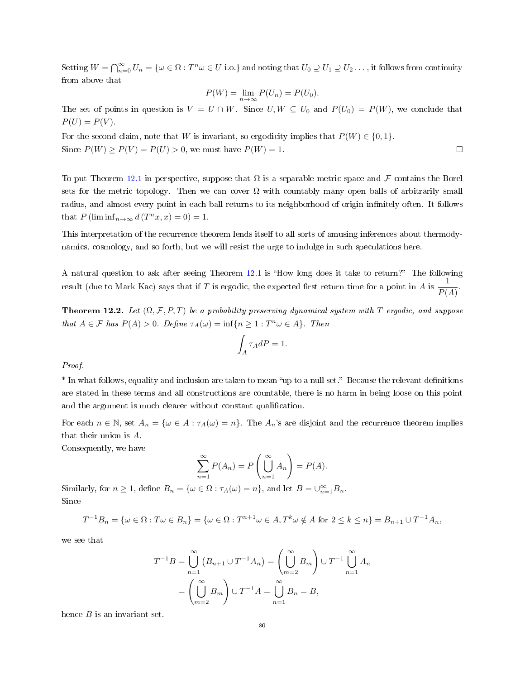Setting  $W=\bigcap_{n=0}^\infty U_n=\{\omega\in\Omega:T^n\omega\in U\text{ i.o.}\}$  and noting that  $U_0\supseteq U_1\supseteq U_2\ldots$  , it follows from continuity from above that

$$
P(W) = \lim_{n \to \infty} P(U_n) = P(U_0).
$$

The set of points in question is  $V = U \cap W$ . Since  $U, W \subseteq U_0$  and  $P(U_0) = P(W)$ , we conclude that  $P(U) = P(V)$ .

For the second claim, note that W is invariant, so ergodicity implies that  $P(W) \in \{0, 1\}$ . Since  $P(W) \ge P(V) = P(U) > 0$ , we must have  $P(W) = 1$ .

To put Theorem [12.1](#page-78-0) in perspective, suppose that  $\Omega$  is a separable metric space and F contains the Borel sets for the metric topology. Then we can cover  $\Omega$  with countably many open balls of arbitrarily small radius, and almost every point in each ball returns to its neighborhood of origin infinitely often. It follows that  $P(\liminf_{n\to\infty} d(T^n x, x) = 0) = 1.$ 

This interpretation of the recurrence theorem lends itself to all sorts of amusing inferences about thermodynamics, cosmology, and so forth, but we will resist the urge to indulge in such speculations here.

A natural question to ask after seeing Theorem [12.1](#page-78-0) is "How long does it take to return?" The following result (due to Mark Kac) says that if T is ergodic, the expected first return time for a point in A is  $\frac{1}{R}$  $\frac{1}{P(A)}$ .

**Theorem 12.2.** Let  $(\Omega, \mathcal{F}, P, T)$  be a probability preserving dynamical system with T ergodic, and suppose that  $A \in \mathcal{F}$  has  $P(A) > 0$ . Define  $\tau_A(\omega) = \inf\{n \geq 1 : T^n \omega \in A\}$ . Then

$$
\int_A \tau_A dP = 1.
$$

Proof.

\* In what follows, equality and inclusion are taken to mean "up to a null set." Because the relevant definitions are stated in these terms and all constructions are countable, there is no harm in being loose on this point and the argument is much clearer without constant qualification.

For each  $n \in \mathbb{N}$ , set  $A_n = \{ \omega \in A : \tau_A(\omega) = n \}$ . The  $A_n$ 's are disjoint and the recurrence theorem implies that their union is A.

Consequently, we have

$$
\sum_{n=1}^{\infty} P(A_n) = P\left(\bigcup_{n=1}^{\infty} A_n\right) = P(A).
$$

Similarly, for  $n \geq 1$ , define  $B_n = \{ \omega \in \Omega : \tau_A(\omega) = n \}$ , and let  $B = \bigcup_{n=1}^{\infty} B_n$ . Since

$$
T^{-1}B_n = \{ \omega \in \Omega : T\omega \in B_n \} = \{ \omega \in \Omega : T^{n+1}\omega \in A, T^k\omega \notin A \text{ for } 2 \le k \le n \} = B_{n+1} \cup T^{-1}A_n,
$$

we see that

$$
T^{-1}B = \bigcup_{n=1}^{\infty} (B_{n+1} \cup T^{-1}A_n) = \left(\bigcup_{m=2}^{\infty} B_m\right) \cup T^{-1} \bigcup_{n=1}^{\infty} A_n
$$

$$
= \left(\bigcup_{m=2}^{\infty} B_m\right) \cup T^{-1}A = \bigcup_{n=1}^{\infty} B_n = B,
$$

hence  $B$  is an invariant set.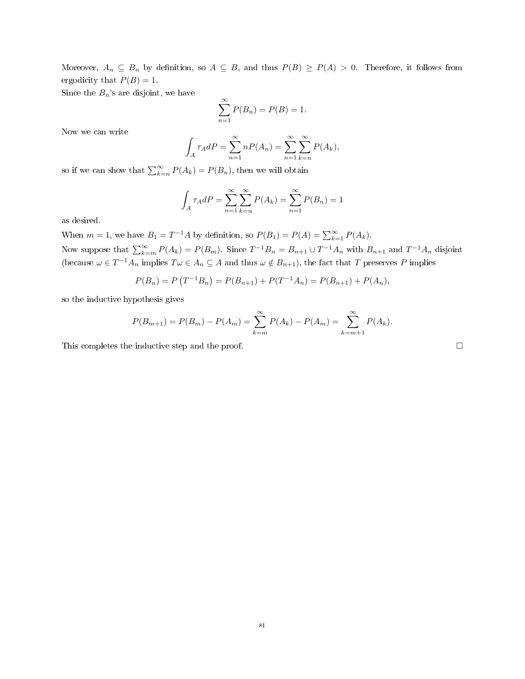Moreover,  $A_n \subseteq B_n$  by definition, so  $A \subseteq B$ , and thus  $P(B) \ge P(A) > 0$ . Therefore, it follows from ergodicity that  $P(B) = 1$ .

Since the  $B_n$ 's are disjoint, we have

$$
\sum_{n=1}^{\infty} P(B_n) = P(B) = 1.
$$

Now we can write

$$
\int_A \tau_A dP = \sum_{n=1}^{\infty} nP(A_n) = \sum_{n=1}^{\infty} \sum_{k=n}^{\infty} P(A_k),
$$

so if we can show that  $\sum_{k=n}^{\infty} P(A_k) = P(B_n)$ , then we will obtain

$$
\int_A \tau_A dP = \sum_{n=1}^{\infty} \sum_{k=n}^{\infty} P(A_k) = \sum_{n=1}^{\infty} P(B_n) = 1
$$

as desired.

When  $m = 1$ , we have  $B_1 = T^{-1}A$  by definition, so  $P(B_1) = P(A) = \sum_{k=1}^{\infty} P(A_k)$ . Now suppose that  $\sum_{k=m}^{\infty} P(A_k) = P(B_m)$ . Since  $T^{-1}B_n = B_{n+1} \cup T^{-1}A_n$  with  $B_{n+1}$  and  $T^{-1}A_n$  disjoint (because  $\omega \in T^{-1}A_n$  implies  $T\omega \in A_n \subseteq A$  and thus  $\omega \notin B_{n+1}$ ), the fact that T preserves P implies

$$
P(B_n) = P(T^{-1}B_n) = P(B_{n+1}) + P(T^{-1}A_n) = P(B_{n+1}) + P(A_n),
$$

so the inductive hypothesis gives

$$
P(B_{m+1}) = P(B_m) - P(A_m) = \sum_{k=m}^{\infty} P(A_k) - P(A_m) = \sum_{k=m+1}^{\infty} P(A_k).
$$

This completes the inductive step and the proof.  $\Box$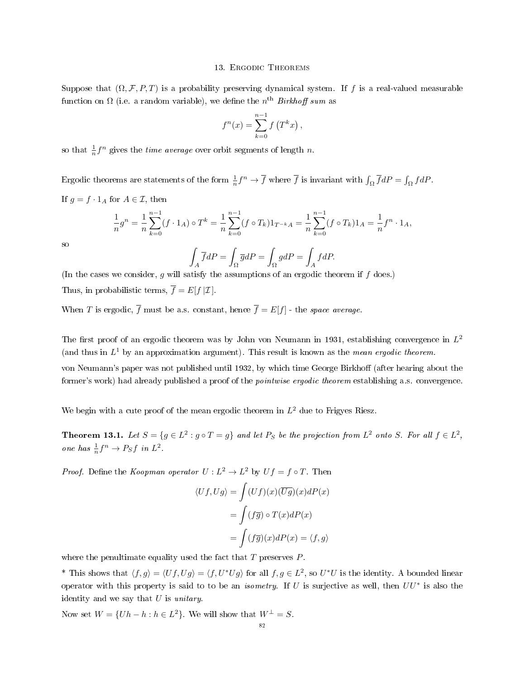#### 13. Ergodic Theorems

Suppose that  $(\Omega, \mathcal{F}, P, T)$  is a probability preserving dynamical system. If f is a real-valued measurable function on  $\Omega$  (i.e. a random variable), we define the  $n^{\text{th}}$  *Birkhoff sum* as

$$
f^{n}(x) = \sum_{k=0}^{n-1} f(T^{k}x),
$$

so that  $\frac{1}{n}f^n$  gives the *time average* over orbit segments of length n.

Ergodic theorems are statements of the form  $\frac{1}{n}f^n \to \overline{f}$  where  $\overline{f}$  is invariant with  $\int_{\Omega} \overline{f}dP = \int_{\Omega} f dP$ . If  $g = f \cdot 1_A$  for  $A \in \mathcal{I}$ , then

$$
\frac{1}{n}g^n = \frac{1}{n}\sum_{k=0}^{n-1} (f \cdot 1_A) \circ T^k = \frac{1}{n}\sum_{k=0}^{n-1} (f \circ T_k) 1_{T^{-k}A} = \frac{1}{n}\sum_{k=0}^{n-1} (f \circ T_k) 1_A = \frac{1}{n}f^n \cdot 1_A,
$$

so

$$
\int_{A} \overline{f}dP = \int_{\Omega} \overline{g}dP = \int_{\Omega} g dP = \int_{A} f dP.
$$

(In the cases we consider,  $g$  will satisfy the assumptions of an ergodic theorem if  $f$  does.) Thus, in probabilistic terms,  $\overline{f} = E[f|\mathcal{I}]$ .

When T is ergodic,  $\overline{f}$  must be a.s. constant, hence  $\overline{f} = E[f]$  - the space average.

The first proof of an ergodic theorem was by John von Neumann in 1931, establishing convergence in  $L^2$ (and thus in  $L^1$  by an approximation argument). This result is known as the *mean ergodic theorem*.

von Neumann's paper was not published until 1932, by which time George Birkhoff (after hearing about the former's work) had already published a proof of the *pointwise ergodic theorem* establishing a.s. convergence.

We begin with a cute proof of the mean ergodic theorem in  $L^2$  due to Frigyes Riesz.

<span id="page-81-0"></span>**Theorem 13.1.** Let  $S = \{g \in L^2 : g \circ T = g\}$  and let  $P_S$  be the projection from  $L^2$  onto S. For all  $f \in L^2$ , one has  $\frac{1}{n}f^n \to P_S f$  in  $L^2$ .

*Proof.* Define the *Koopman operator*  $U: L^2 \to L^2$  by  $Uf = f \circ T$ . Then

$$
\langle Uf, Ug \rangle = \int (Uf)(x)(\overline{Ug})(x)dP(x)
$$

$$
= \int (f\overline{g}) \circ T(x)dP(x)
$$

$$
= \int (f\overline{g})(x)dP(x) = \langle f, g \rangle
$$

where the penultimate equality used the fact that  $T$  preserves  $P$ .

\* This shows that  $\langle f,g\rangle=\langle Uf,Ug\rangle=\langle f,U^*Ug\rangle$  for all  $f,g\in L^2$ , so  $U^*U$  is the identity. A bounded linear operator with this property is said to to be an *isometry*. If U is surjective as well, then  $UU^*$  is also the identity and we say that  $U$  is unitary.

Now set  $W = \{Uh - h : h \in L^2\}$ . We will show that  $W^{\perp} = S$ .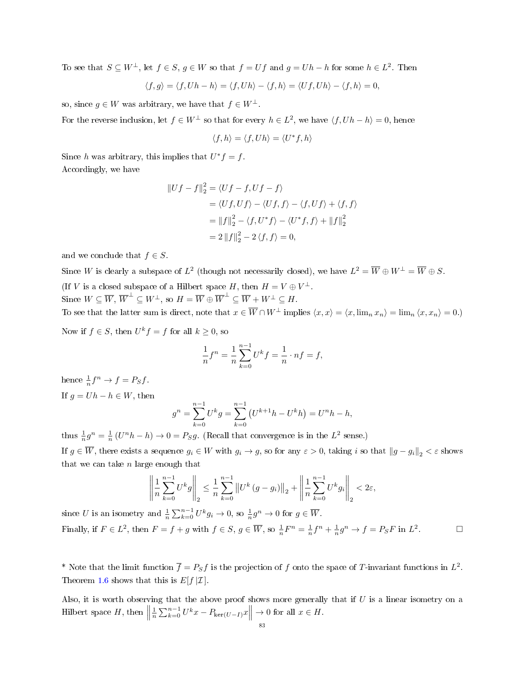To see that  $S \subseteq W^{\perp}$ , let  $f \in S$ ,  $g \in W$  so that  $f = Uf$  and  $g = Uh - h$  for some  $h \in L^{2}$ . Then

$$
\langle f, g \rangle = \langle f, Uh - h \rangle = \langle f, Uh \rangle - \langle f, h \rangle = \langle Uf, Uh \rangle - \langle f, h \rangle = 0,
$$

so, since  $g \in W$  was arbitrary, we have that  $f \in W^{\perp}$ .

For the reverse inclusion, let  $f \in W^{\perp}$  so that for every  $h \in L^2$ , we have  $\langle f, Uh-h \rangle = 0$ , hence

$$
\langle f, h \rangle = \langle f, Uh \rangle = \langle U^*f, h \rangle
$$

Since h was arbitrary, this implies that  $U^* f = f$ . Accordingly, we have

$$
||Uf - f||_2^2 = \langle Uf - f, Uf - f \rangle
$$
  
=  $\langle Uf, Uf \rangle - \langle Uf, f \rangle - \langle f, Uf \rangle + \langle f, f \rangle$   
=  $||f||_2^2 - \langle f, U^*f \rangle - \langle U^*f, f \rangle + ||f||_2^2$   
=  $2 ||f||_2^2 - 2 \langle f, f \rangle = 0$ ,

and we conclude that  $f \in S$ .

Since W is clearly a subspace of  $L^2$  (though not necessarily closed), we have  $L^2 = \overline{W} \oplus W^\perp = \overline{W} \oplus S$ . (If V is a closed subspace of a Hilbert space H, then  $H = V \oplus V^{\perp}$ . Since  $W \subseteq \overline{W}$ ,  $\overline{W}^{\perp} \subseteq W^{\perp}$ , so  $H = \overline{W} \oplus \overline{W}^{\perp} \subseteq \overline{W} + W^{\perp} \subseteq H$ . To see that the latter sum is direct, note that  $x \in \overline{W} \cap W^{\perp}$  implies  $\langle x, x \rangle = \langle x, \lim_{n} x_n \rangle = \lim_{n} \langle x, x_n \rangle = 0.$ 

Now if  $f \in S$ , then  $U^k f = f$  for all  $k \geq 0$ , so

$$
\frac{1}{n}f^{n} = \frac{1}{n}\sum_{k=0}^{n-1} U^{k} f = \frac{1}{n} \cdot nf = f,
$$

hence  $\frac{1}{n}f^n \to f = P_S f$ . If  $g = Uh - h \in W$ , then

$$
g^{n} = \sum_{k=0}^{n-1} U^{k} g = \sum_{k=0}^{n-1} (U^{k+1} h - U^{k} h) = U^{n} h - h,
$$

thus  $\frac{1}{n}g^n = \frac{1}{n}(U^n h - h) \to 0 = P_S g$ . (Recall that convergence is in the  $L^2$  sense.) If  $g \in \overline{W}$ , there exists a sequence  $g_i \in W$  with  $g_i \to g$ , so for any  $\varepsilon > 0$ , taking i so that  $||g - g_i||_2 < \varepsilon$  shows

that we can take  $n$  large enough that

$$
\left\| \frac{1}{n} \sum_{k=0}^{n-1} U^k g \right\|_2 \leq \frac{1}{n} \sum_{k=0}^{n-1} \left\| U^k (g - g_i) \right\|_2 + \left\| \frac{1}{n} \sum_{k=0}^{n-1} U^k g_i \right\|_2 < 2\varepsilon,
$$

since U is an isometry and  $\frac{1}{n} \sum_{k=0}^{n-1} U^k g_k \to 0$ , so  $\frac{1}{n} g^n \to 0$  for  $g \in \overline{W}$ . Finally, if  $F \in L^2$ , then  $F = f + g$  with  $f \in S$ ,  $g \in \overline{W}$ , so  $\frac{1}{n}F^n = \frac{1}{n}f^n + \frac{1}{n}g^n \to f = P_S F$  in  $L^2$  $\Box$ 

\* Note that the limit function  $\overline{f} = P_S f$  is the projection of f onto the space of T-invariant functions in  $L^2$ . Theorem [1.6](#page-10-0) shows that this is  $E[f|\mathcal{I}]$ .

Also, it is worth observing that the above proof shows more generally that if  $U$  is a linear isometry on a Hilbert space  $H$ , then  $\parallel$  $\frac{1}{n}\sum_{k=0}^{n-1} U^k x - P_{\text{ker}(U-I)} x \Big\| \to 0 \text{ for all } x \in H.$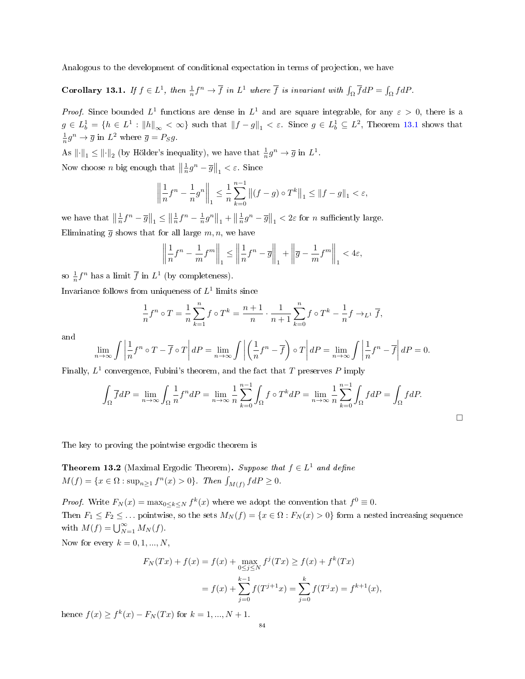Analogous to the development of conditional expectation in terms of projection, we have

<span id="page-83-0"></span>**Corollary 13.1.** If  $f \in L^1$ , then  $\frac{1}{n} f^n \to \overline{f}$  in  $L^1$  where  $\overline{f}$  is invariant with  $\int_{\Omega} \overline{f} dP = \int_{\Omega} f dP$ .

*Proof.* Since bounded  $L^1$  functions are dense in  $L^1$  and are square integrable, for any  $\varepsilon > 0$ , there is a  $g \in L_b^1 = \{h \in L^1 : ||h||_{\infty} < \infty\}$  such that  $||f - g||_1 < \varepsilon$ . Since  $g \in L_b^1 \subseteq L^2$ , Theorem [13.1](#page-81-0) shows that  $\frac{1}{n}g^n \to \overline{g}$  in  $L^2$  where  $\overline{g} = P_S g$ .

As  $\|\cdot\|_1 \le \|\cdot\|_2$  (by Hölder's inequality), we have that  $\frac{1}{n}g^n \to \overline{g}$  in  $L^1$ . Now choose *n* big enough that  $\left\|\frac{1}{n}g^{n}-\overline{g}\right\|_{1} < \varepsilon$ . Since

$$
\left\| \frac{1}{n} f^{n} - \frac{1}{n} g^{n} \right\|_{1} \leq \frac{1}{n} \sum_{k=0}^{n-1} \left\| (f - g) \circ T^{k} \right\|_{1} \leq \left\| f - g \right\|_{1} < \varepsilon,
$$

we have that  $\left\|\frac{1}{n}f^{n}-\overline{g}\right\|_{1} \leq \left\|\frac{1}{n}f^{n}-\frac{1}{n}g^{n}\right\|_{1} + \left\|\frac{1}{n}g^{n}-\overline{g}\right\|_{1} < 2\varepsilon$  for *n* sufficiently large. Eliminating  $\overline{q}$  shows that for all large  $m, n$ , we have

$$
\left\|\frac{1}{n}f^{n}-\frac{1}{m}f^{m}\right\|_{1}\leq\left\|\frac{1}{n}f^{n}-\overline{g}\right\|_{1}+\left\|\overline{g}-\frac{1}{m}f^{m}\right\|_{1}<4\varepsilon,
$$

so  $\frac{1}{n}f^n$  has a limit  $\overline{f}$  in  $L^1$  (by completeness).

Invariance follows from uniqueness of  $L^1$  limits since

$$
\frac{1}{n}f^{n} \circ T = \frac{1}{n}\sum_{k=1}^{n} f \circ T^{k} = \frac{n+1}{n} \cdot \frac{1}{n+1}\sum_{k=0}^{n} f \circ T^{k} - \frac{1}{n}f \to_{L^{1}} \overline{f},
$$

and

$$
\lim_{n \to \infty} \int \left| \frac{1}{n} f^n \circ T - \overline{f} \circ T \right| dP = \lim_{n \to \infty} \int \left| \left( \frac{1}{n} f^n - \overline{f} \right) \circ T \right| dP = \lim_{n \to \infty} \int \left| \frac{1}{n} f^n - \overline{f} \right| dP = 0.
$$

Finally,  $L^1$  convergence, Fubini's theorem, and the fact that T preserves P imply

$$
\int_{\Omega} \overline{f}dP = \lim_{n \to \infty} \int_{\Omega} \frac{1}{n} f^n dP = \lim_{n \to \infty} \frac{1}{n} \sum_{k=0}^{n-1} \int_{\Omega} f \circ T^k dP = \lim_{n \to \infty} \frac{1}{n} \sum_{k=0}^{n-1} \int_{\Omega} f dP = \int_{\Omega} f dP.
$$

□

The key to proving the pointwise ergodic theorem is

**Theorem 13.2** (Maximal Ergodic Theorem). Suppose that  $f \in L^1$  and define  $M(f) = \{x \in \Omega : \sup_{n \ge 1} f^n(x) > 0\}.$  Then  $\int_{M(f)} f dP \ge 0.$ 

*Proof.* Write  $F_N(x) = \max_{0 \le k \le N} f^k(x)$  where we adopt the convention that  $f^0 \equiv 0$ . Then  $F_1 \leq F_2 \leq \ldots$  pointwise, so the sets  $M_N(f) = \{x \in \Omega : F_N(x) > 0\}$  form a nested increasing sequence with  $M(f) = \bigcup_{N=1}^{\infty} M_N(f)$ .

Now for every  $k = 0, 1, ..., N$ ,

$$
F_N(Tx) + f(x) = f(x) + \max_{0 \le j \le N} f^j(Tx) \ge f(x) + f^k(Tx)
$$
  
=  $f(x) + \sum_{j=0}^{k-1} f(T^{j+1}x) = \sum_{j=0}^k f(T^jx) = f^{k+1}(x),$ 

hence  $f(x) \ge f^k(x) - F_N(Tx)$  for  $k = 1, ..., N + 1$ .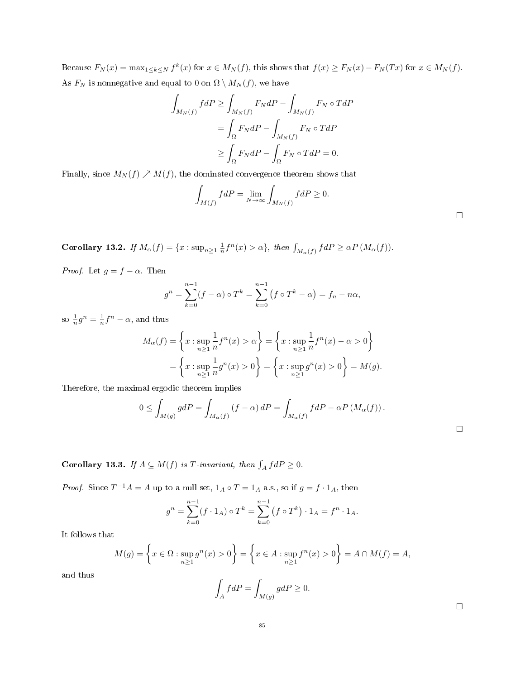Because  $F_N(x) = \max_{1 \leq k \leq N} f^k(x)$  for  $x \in M_N(f)$ , this shows that  $f(x) \geq F_N(x) - F_N(Tx)$  for  $x \in M_N(f)$ . As  $F_N$  is nonnegative and equal to 0 on  $\Omega \setminus M_N(f)$ , we have

$$
\int_{M_N(f)} f dP \ge \int_{M_N(f)} F_N dP - \int_{M_N(f)} F_N \circ T dP
$$

$$
= \int_{\Omega} F_N dP - \int_{M_N(f)} F_N \circ T dP
$$

$$
\ge \int_{\Omega} F_N dP - \int_{\Omega} F_N \circ T dP = 0.
$$

Finally, since  $M_N(f) \nearrow M(f)$ , the dominated convergence theorem shows that

$$
\int_{M(f)} f dP = \lim_{N \to \infty} \int_{M_N(f)} f dP \ge 0.
$$

Corollary 13.2. If  $M_{\alpha}(f) = \{x : \sup_{n \geq 1} \frac{1}{n} f^{n}(x) > \alpha\}$ , then  $\int_{M_{\alpha}(f)} f dP \geq \alpha P(M_{\alpha}(f))$ .

*Proof.* Let  $g = f - \alpha$ . Then

$$
g^{n} = \sum_{k=0}^{n-1} (f - \alpha) \circ T^{k} = \sum_{k=0}^{n-1} (f \circ T^{k} - \alpha) = f_{n} - n\alpha,
$$

so  $\frac{1}{n}g^n = \frac{1}{n}f^n - \alpha$ , and thus

$$
M_{\alpha}(f) = \left\{ x : \sup_{n \ge 1} \frac{1}{n} f^{n}(x) > \alpha \right\} = \left\{ x : \sup_{n \ge 1} \frac{1}{n} f^{n}(x) - \alpha > 0 \right\}
$$

$$
= \left\{ x : \sup_{n \ge 1} \frac{1}{n} g^{n}(x) > 0 \right\} = \left\{ x : \sup_{n \ge 1} g^{n}(x) > 0 \right\} = M(g).
$$

Therefore, the maximal ergodic theorem implies

$$
0 \le \int_{M(g)} g dP = \int_{M_{\alpha}(f)} (f - \alpha) dP = \int_{M_{\alpha}(f)} f dP - \alpha P (M_{\alpha}(f)).
$$

<span id="page-84-0"></span>**Corollary 13.3.** If  $A \subseteq M(f)$  is T-invariant, then  $\int_A f dP \ge 0$ .

*Proof.* Since  $T^{-1}A = A$  up to a null set,  $1_A \circ T = 1_A$  a.s., so if  $g = f \cdot 1_A$ , then

$$
g^{n} = \sum_{k=0}^{n-1} (f \cdot 1_{A}) \circ T^{k} = \sum_{k=0}^{n-1} (f \circ T^{k}) \cdot 1_{A} = f^{n} \cdot 1_{A}.
$$

It follows that

$$
M(g) = \left\{ x \in \Omega : \sup_{n \ge 1} g^n(x) > 0 \right\} = \left\{ x \in A : \sup_{n \ge 1} f^n(x) > 0 \right\} = A \cap M(f) = A,
$$

and thus

$$
\int_A f dP = \int_{M(g)} g dP \ge 0.
$$

□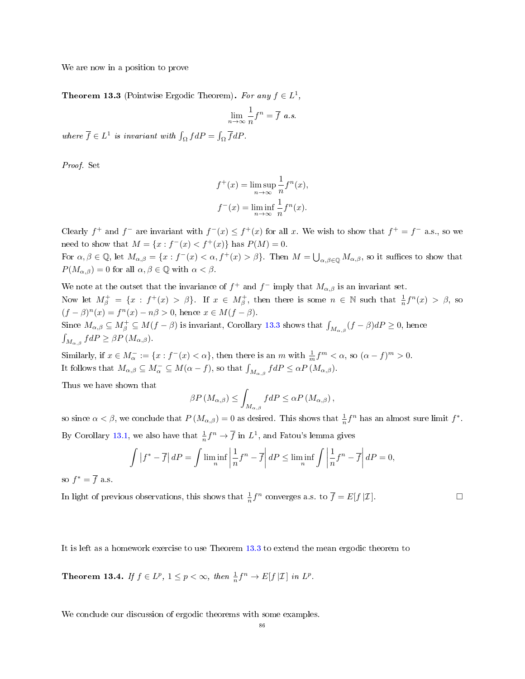We are now in a position to prove

<span id="page-85-0"></span>**Theorem 13.3** (Pointwise Ergodic Theorem). For any  $f \in L^1$ ,

$$
\lim_{n \to \infty} \frac{1}{n} f^n = \overline{f} \ a.s.
$$

where  $\overline{f} \in L^1$  is invariant with  $\int_{\Omega} f dP = \int_{\Omega} \overline{f} dP$ .

Proof. Set

$$
f^+(x) = \limsup_{n \to \infty} \frac{1}{n} f^n(x),
$$
  

$$
f^-(x) = \liminf_{n \to \infty} \frac{1}{n} f^n(x).
$$

Clearly  $f^+$  and  $f^-$  are invariant with  $f^-(x) \leq f^+(x)$  for all x. We wish to show that  $f^+ = f^-$  a.s., so we need to show that  $M = \{x : f^{-}(x) < f^{+}(x)\}\)$  has  $P(M) = 0$ .

For  $\alpha, \beta \in \mathbb{Q}$ , let  $M_{\alpha,\beta} = \{x : f^-(x) < \alpha, f^+(x) > \beta\}$ . Then  $M = \bigcup_{\alpha,\beta \in \mathbb{Q}} M_{\alpha,\beta}$ , so it suffices to show that  $P(M_{\alpha,\beta})=0$  for all  $\alpha,\beta\in\mathbb{Q}$  with  $\alpha<\beta$ .

We note at the outset that the invariance of  $f^+$  and  $f^-$  imply that  $M_{\alpha,\beta}$  is an invariant set. Now let  $M^+_\beta = \{x : f^+(x) > \beta\}$ . If  $x \in M^+_\beta$ , then there is some  $n \in \mathbb{N}$  such that  $\frac{1}{n}f^n(x) > \beta$ , so  $(f - \beta)^n(x) = f^n(x) - n\beta > 0$ , hence  $x \in M(f - \beta)$ .

Since  $M_{\alpha,\beta} \subseteq M_f^+ \subseteq M(f - \beta)$  is invariant, Corollary [13.3](#page-84-0) shows that  $\int_{M_{\alpha,\beta}} (f - \beta)dP \ge 0$ , hence  $\int_{M_{\alpha,\beta}} f dP \ge \beta P(M_{\alpha,\beta}).$ 

Similarly, if  $x \in M_\alpha^- := \{x : f^-(x) < \alpha\}$ , then there is an m with  $\frac{1}{m} f^m < \alpha$ , so  $(\alpha - f)^m > 0$ . It follows that  $M_{\alpha,\beta} \subseteq M_{\alpha}^- \subseteq M(\alpha - f)$ , so that  $\int_{M_{\alpha,\beta}} f dP \leq \alpha P(M_{\alpha,\beta})$ .

Thus we have shown that

$$
\beta P\left(M_{\alpha,\beta}\right) \leq \int_{M_{\alpha,\beta}} f dP \leq \alpha P\left(M_{\alpha,\beta}\right),
$$

so since  $\alpha < \beta$ , we conclude that  $P(M_{\alpha,\beta}) = 0$  as desired. This shows that  $\frac{1}{n} f^n$  has an almost sure limit  $f^*$ . By Corollary [13.1,](#page-83-0) we also have that  $\frac{1}{n} f^n \to \overline{f}$  in  $L^1$ , and Fatou's lemma gives

$$
\int |f^* - \overline{f}| dP = \int \liminf_{n} \left| \frac{1}{n} f^n - \overline{f} \right| dP \le \liminf_{n} \int \left| \frac{1}{n} f^n - \overline{f} \right| dP = 0,
$$

so  $f^* = \overline{f}$  a.s.

In light of previous observations, this shows that  $\frac{1}{n}f^n$  converges a.s. to  $\overline{f} = E[f|\mathcal{I}]$ .

It is left as a homework exercise to use Theorem [13.3](#page-85-0) to extend the mean ergodic theorem to

**Theorem 13.4.** If  $f \in L^p$ ,  $1 \leq p < \infty$ , then  $\frac{1}{n} f^n \to E[f|\mathcal{I}]$  in  $L^p$ .

We conclude our discussion of ergodic theorems with some examples.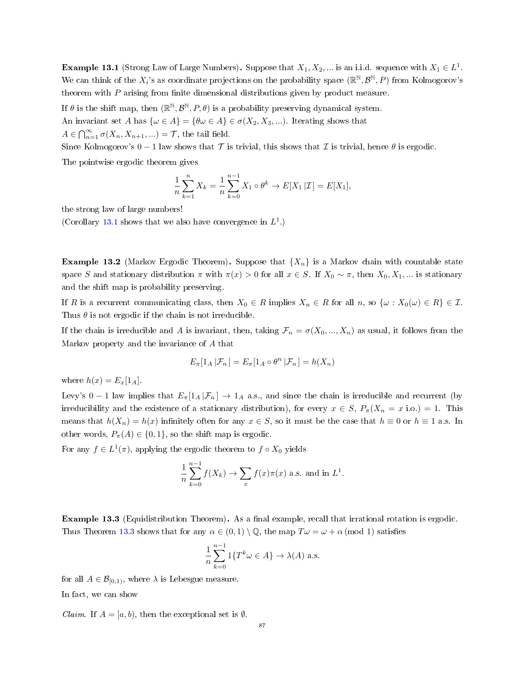**Example 13.1** (Strong Law of Large Numbers). Suppose that  $X_1, X_2, ...$  is an i.i.d. sequence with  $X_1 \in L^1$ . We can think of the  $X_i$ 's as coordinate projections on the probability space  $(\mathbb{R}^{\mathbb{N}}, \mathcal{B}^{\mathbb{N}}, P)$  from Kolmogorov's theorem with  $P$  arising from finite dimensional distributions given by product measure.

If  $\theta$  is the shift map, then  $(\mathbb{R}^{\mathbb{N}}, \mathcal{B}^{\mathbb{N}}, P, \theta)$  is a probability preserving dynamical system.

An invariant set A has  $\{\omega \in A\} = \{\theta \omega \in A\} \in \sigma(X_2, X_3, \ldots)$ . Iterating shows that

 $A \in \bigcap_{n=1}^{\infty} \sigma(X_n, X_{n+1}, ...) = \mathcal{T}$ , the tail field.

Since Kolmogorov's  $0 - 1$  law shows that  $\mathcal T$  is trivial, this shows that  $\mathcal I$  is trivial, hence  $\theta$  is ergodic.

The pointwise ergodic theorem gives

$$
\frac{1}{n}\sum_{k=1}^{n}X_{k} = \frac{1}{n}\sum_{k=0}^{n-1}X_{1}\circ\theta^{k} \to E[X_{1}|\mathcal{I}] = E[X_{1}],
$$

the strong law of large numbers!

(Corollary [13.1](#page-83-0) shows that we also have convergence in  $L^1$ .)

**Example 13.2** (Markov Ergodic Theorem). Suppose that  $\{X_n\}$  is a Markov chain with countable state space S and stationary distribution  $\pi$  with  $\pi(x) > 0$  for all  $x \in S$ . If  $X_0 \sim \pi$ , then  $X_0, X_1, \dots$  is stationary and the shift map is probability preserving.

If R is a recurrent communicating class, then  $X_0 \in R$  implies  $X_n \in R$  for all  $n$ , so  $\{\omega : X_0(\omega) \in R\} \in \mathcal{I}$ . Thus  $\theta$  is not ergodic if the chain is not irreducible.

If the chain is irreducible and A is invariant, then, taking  $\mathcal{F}_n = \sigma(X_0, ..., X_n)$  as usual, it follows from the Markov property and the invariance of A that

$$
E_{\pi}[1_A | \mathcal{F}_n] = E_{\pi}[1_A \circ \theta^n | \mathcal{F}_n] = h(X_n)
$$

where  $h(x) = E_x[1_A]$ .

Levy's 0 − 1 law implies that  $E_{\pi}[1_A | \mathcal{F}_n] \rightarrow 1_A$  a.s., and since the chain is irreducible and recurrent (by irreducibility and the existence of a stationary distribution), for every  $x \in S$ ,  $P_{\pi}(X_n = x \text{ i.o.}) = 1$ . This means that  $h(X_n) = h(x)$  infinitely often for any  $x \in S$ , so it must be the case that  $h \equiv 0$  or  $h \equiv 1$  a.s. In other words,  $P_{\pi}(A) \in \{0,1\}$ , so the shift map is ergodic.

For any  $f \in L^1(\pi)$ , applying the ergodic theorem to  $f \circ X_0$  yields

$$
\frac{1}{n}\sum_{k=0}^{n-1}f(X_k) \to \sum_{x}f(x)\pi(x)
$$
 a.s. and in  $L^1$ .

Example 13.3 (Equidistribution Theorem). As a final example, recall that irrational rotation is ergodic. Thus Theorem [13.3](#page-85-0) shows that for any  $\alpha \in (0,1) \setminus \mathbb{Q}$ , the map  $T\omega = \omega + \alpha \pmod{1}$  satisfies

$$
\frac{1}{n}\sum_{k=0}^{n-1} 1\{T^k \omega \in A\} \to \lambda(A) \text{ a.s.}
$$

for all  $A \in \mathcal{B}_{[0,1)}$ , where  $\lambda$  is Lebesgue measure.

In fact, we can show

*Claim.* If  $A = [a, b)$ , then the exceptional set is  $\emptyset$ .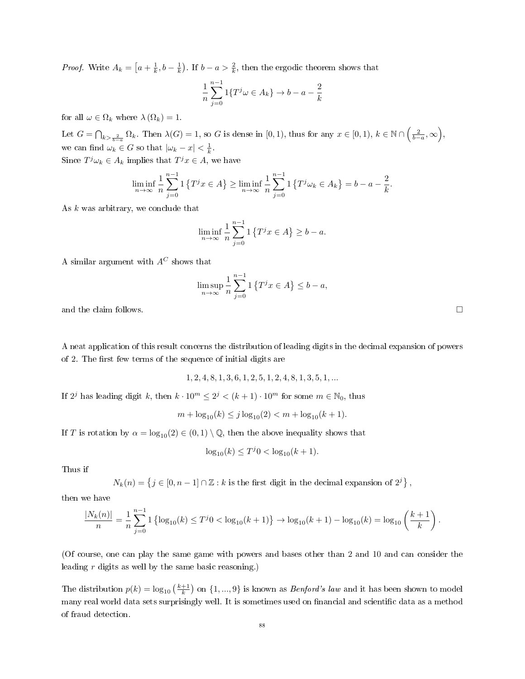*Proof.* Write  $A_k = \left[a + \frac{1}{k}, b - \frac{1}{k}\right]$ . If  $b - a > \frac{2}{k}$ , then the ergodic theorem shows that

$$
\frac{1}{n}\sum_{j=0}^{n-1} 1\{T^j \omega \in A_k\} \to b - a - \frac{2}{k}
$$

for all  $\omega \in \Omega_k$  where  $\lambda(\Omega_k) = 1$ .

Let  $G = \bigcap_{k > \frac{2}{b-a}} \Omega_k$ . Then  $\lambda(G) = 1$ , so G is dense in [0, 1), thus for any  $x \in [0, 1)$ ,  $k \in \mathbb{N} \cap \left(\frac{2}{b-a}, \infty\right)$ , we can find  $\omega_k \in G$  so that  $|\omega_k - x| < \frac{1}{k}$ .

Since  $T^j\omega_k \in A_k$  implies that  $T^jx \in A$ , we have

$$
\liminf_{n \to \infty} \frac{1}{n} \sum_{j=0}^{n-1} \mathbb{1} \left\{ T^j x \in A \right\} \ge \liminf_{n \to \infty} \frac{1}{n} \sum_{j=0}^{n-1} \mathbb{1} \left\{ T^j \omega_k \in A_k \right\} = b - a - \frac{2}{k}.
$$

As  $k$  was arbitrary, we conclude that

$$
\liminf_{n \to \infty} \frac{1}{n} \sum_{j=0}^{n-1} \mathbf{1} \left\{ T^j x \in A \right\} \ge b - a.
$$

A similar argument with  $A^C$  shows that

$$
\limsup_{n \to \infty} \frac{1}{n} \sum_{j=0}^{n-1} \left\{ T^j x \in A \right\} \le b - a,
$$

and the claim follows.  $\Box$ 

A neat application of this result concerns the distribution of leading digits in the decimal expansion of powers of 2. The first few terms of the sequence of initial digits are

$$
1, 2, 4, 8, 1, 3, 6, 1, 2, 5, 1, 2, 4, 8, 1, 3, 5, 1, \dots
$$

If  $2^j$  has leading digit k, then  $k \cdot 10^m \leq 2^j < (k+1) \cdot 10^m$  for some  $m \in \mathbb{N}_0$ , thus

$$
m + \log_{10}(k) \le j \log_{10}(2) < m + \log_{10}(k+1).
$$

If T is rotation by  $\alpha = \log_{10}(2) \in (0, 1) \setminus \mathbb{Q}$ , then the above inequality shows that

$$
\log_{10}(k) \le T^j 0 < \log_{10}(k+1).
$$

Thus if

$$
N_k(n) = \left\{ j \in [0,n-1] \cap \mathbb{Z} : k \text{ is the first digit in the decimal expansion of } 2^j \right\}
$$

then we have

$$
\frac{|N_k(n)|}{n} = \frac{1}{n} \sum_{j=0}^{n-1} \left\{ \log_{10}(k) \le T^j 0 < \log_{10}(k+1) \right\} \to \log_{10}(k+1) - \log_{10}(k) = \log_{10}\left(\frac{k+1}{k}\right).
$$

(Of course, one can play the same game with powers and bases other than 2 and 10 and can consider the leading r digits as well by the same basic reasoning.)

The distribution  $p(k) = \log_{10}\left(\frac{k+1}{k}\right)$  on  $\{1,...,9\}$  is known as *Benford's law* and it has been shown to model many real world data sets surprisingly well. It is sometimes used on financial and scientific data as a method of fraud detection.

,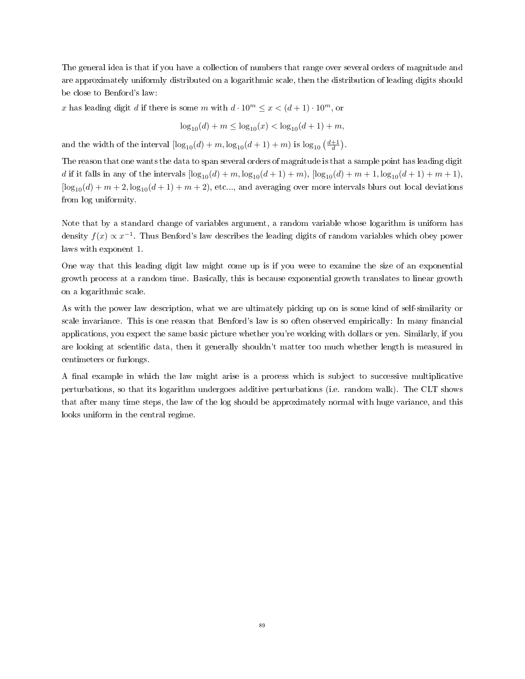The general idea is that if you have a collection of numbers that range over several orders of magnitude and are approximately uniformly distributed on a logarithmic scale, then the distribution of leading digits should be close to Benford's law:

x has leading digit d if there is some m with  $d \cdot 10^m \le x < (d+1) \cdot 10^m$ , or

$$
\log_{10}(d) + m \le \log_{10}(x) < \log_{10}(d+1) + m,
$$

and the width of the interval  $\left[ \log_{10}(d) + m, \log_{10}(d+1) + m \right)$  is  $\log_{10}\left(\frac{d+1}{d}\right)$ .

The reason that one wants the data to span several orders of magnitude is that a sample point has leading digit d if it falls in any of the intervals  $[\log_{10}(d) + m, \log_{10}(d+1) + m)$ ,  $[\log_{10}(d) + m + 1, \log_{10}(d+1) + m + 1)$ ,  $\left[ \log_{10}(d) + m + 2, \log_{10}(d+1) + m + 2 \right]$ , etc..., and averaging over more intervals blurs out local deviations from log uniformity.

Note that by a standard change of variables argument, a random variable whose logarithm is uniform has density  $f(x) \propto x^{-1}$ . Thus Benford's law describes the leading digits of random variables which obey power laws with exponent 1.

One way that this leading digit law might come up is if you were to examine the size of an exponential growth process at a random time. Basically, this is because exponential growth translates to linear growth on a logarithmic scale.

As with the power law description, what we are ultimately picking up on is some kind of self-similarity or scale invariance. This is one reason that Benford's law is so often observed empirically: In many financial applications, you expect the same basic picture whether you're working with dollars or yen. Similarly, if you are looking at scientific data, then it generally shouldn't matter too much whether length is measured in centimeters or furlongs.

A final example in which the law might arise is a process which is subject to successive multiplicative perturbations, so that its logarithm undergoes additive perturbations (i.e. random walk). The CLT shows that after many time steps, the law of the log should be approximately normal with huge variance, and this looks uniform in the central regime.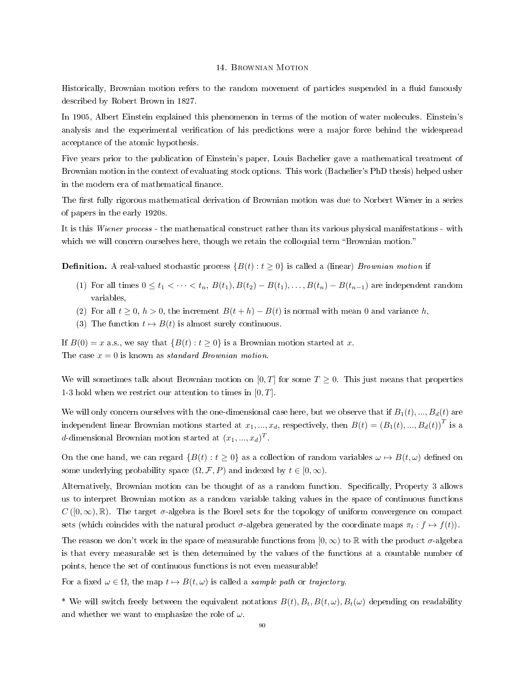### 14. Brownian Motion

Historically, Brownian motion refers to the random movement of particles suspended in a fluid famously described by Robert Brown in 1827.

In 1905, Albert Einstein explained this phenomenon in terms of the motion of water molecules. Einstein's analysis and the experimental verification of his predictions were a major force behind the widespread acceptance of the atomic hypothesis.

Five years prior to the publication of Einstein's paper, Louis Bachelier gave a mathematical treatment of Brownian motion in the context of evaluating stock options. This work (Bachelier's PhD thesis) helped usher in the modern era of mathematical finance.

The first fully rigorous mathematical derivation of Brownian motion was due to Norbert Wiener in a series of papers in the early 1920s.

It is this Wiener process - the mathematical construct rather than its various physical manifestations - with which we will concern ourselves here, though we retain the colloquial term "Brownian motion."

**Definition.** A real-valued stochastic process  $\{B(t): t \geq 0\}$  is called a (linear) *Brownian motion* if

- (1) For all times  $0 \le t_1 < \cdots < t_n$ ,  $B(t_1), B(t_2) B(t_1), \ldots, B(t_n) B(t_{n-1})$  are independent random variables,
- (2) For all  $t \geq 0$ ,  $h > 0$ , the increment  $B(t + h) B(t)$  is normal with mean 0 and variance h,
- (3) The function  $t \mapsto B(t)$  is almost surely continuous.

If  $B(0) = x$  a.s., we say that  $\{B(t) : t \geq 0\}$  is a Brownian motion started at x. The case  $x = 0$  is known as *standard Brownian motion*.

We will sometimes talk about Brownian motion on [0, T] for some  $T \geq 0$ . This just means that properties 1-3 hold when we restrict our attention to times in  $[0, T]$ .

We will only concern ourselves with the one-dimensional case here, but we observe that if  $B_1(t),..., B_d(t)$  are independent linear Brownian motions started at  $x_1, ..., x_d$ , respectively, then  $B(t) = (B_1(t), ..., B_d(t))^T$  is a d-dimensional Brownian motion started at  $(x_1, ..., x_d)^T$ .

On the one hand, we can regard  $\{B(t): t \geq 0\}$  as a collection of random variables  $\omega \mapsto B(t, \omega)$  defined on some underlying probability space  $(\Omega, \mathcal{F}, P)$  and indexed by  $t \in [0, \infty)$ .

Alternatively, Brownian motion can be thought of as a random function. Specically, Property 3 allows us to interpret Brownian motion as a random variable taking values in the space of continuous functions  $C([0,\infty),\mathbb{R})$ . The target  $\sigma$ -algebra is the Borel sets for the topology of uniform convergence on compact sets (which coincides with the natural product  $\sigma$ -algebra generated by the coordinate maps  $\pi_t : f \mapsto f(t)$ ).

The reason we don't work in the space of measurable functions from  $[0, \infty)$  to R with the product  $\sigma$ -algebra is that every measurable set is then determined by the values of the functions at a countable number of points, hence the set of continuous functions is not even measurable!

For a fixed  $\omega \in \Omega$ , the map  $t \mapsto B(t, \omega)$  is called a sample path or trajectory.

<sup>\*</sup> We will switch freely between the equivalent notations  $B(t)$ ,  $B_t$ ,  $B(t, \omega)$ ,  $B_t(\omega)$  depending on readability and whether we want to emphasize the role of  $\omega$ .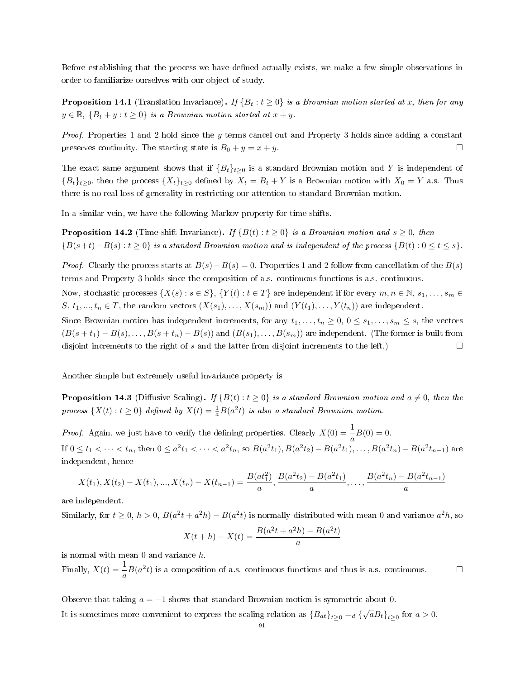Before establishing that the process we have defined actually exists, we make a few simple observations in order to familiarize ourselves with our object of study.

**Proposition 14.1** (Translation Invariance). If  ${B_t : t \ge 0}$  is a Brownian motion started at x, then for any  $y \in \mathbb{R}, \{B_t + y : t \geq 0\}$  is a Brownian motion started at  $x + y$ .

Proof. Properties 1 and 2 hold since the y terms cancel out and Property 3 holds since adding a constant preserves continuity. The starting state is  $B_0 + y = x + y$ .

The exact same argument shows that if  ${B_t}_{t\geq 0}$  is a standard Brownian motion and Y is independent of  ${B_t}_{t\geq0}$ , then the process  ${X_t}_{t\geq0}$  defined by  $X_t = B_t + Y$  is a Brownian motion with  $X_0 = Y$  a.s. Thus there is no real loss of generality in restricting our attention to standard Brownian motion.

In a similar vein, we have the following Markov property for time shifts.

<span id="page-90-1"></span>**Proposition 14.2** (Time-shift Invariance). If  $\{B(t): t > 0\}$  is a Brownian motion and  $s > 0$ , then  ${B(s+t)-B(s): t \geq 0}$  is a standard Brownian motion and is independent of the process  ${B(t): 0 \leq t \leq s}$ .

*Proof.* Clearly the process starts at  $B(s) - B(s) = 0$ . Properties 1 and 2 follow from cancellation of the  $B(s)$ terms and Property 3 holds since the composition of a.s. continuous functions is a.s. continuous.

Now, stochastic processes  $\{X(s): s \in S\}$ ,  $\{Y(t): t \in T\}$  are independent if for every  $m, n \in \mathbb{N}$ ,  $s_1, \ldots, s_m \in$ S,  $t_1, ..., t_n \in T$ , the random vectors  $(X(s_1), ..., X(s_m))$  and  $(Y(t_1), ..., Y(t_n))$  are independent.

Since Brownian motion has independent increments, for any  $t_1, \ldots, t_n \geq 0, 0 \leq s_1, \ldots, s_m \leq s$ , the vectors  $(B(s + t_1) - B(s), \ldots, B(s + t_n) - B(s))$  and  $(B(s_1), \ldots, B(s_m))$  are independent. (The former is built from disjoint increments to the right of s and the latter from disjoint increments to the left.)  $\Box$ 

Another simple but extremely useful invariance property is

<span id="page-90-0"></span>**Proposition 14.3** (Diffusive Scaling). If  ${B(t): t > 0}$  is a standard Brownian motion and  $a \neq 0$ , then the process  $\{X(t): t \geq 0\}$  defined by  $X(t) = \frac{1}{a}B(a^2t)$  is also a standard Brownian motion.

*Proof.* Again, we just have to verify the defining properties. Clearly  $X(0) = \frac{1}{a}B(0) = 0$ . If  $0 \le t_1 < \cdots < t_n$ , then  $0 \le a^2 t_1 < \cdots < a^2 t_n$ , so  $B(a^2 t_1)$ ,  $B(a^2 t_2) - B(a^2 t_1)$ , ...,  $B(a^2 t_n) - B(a^2 t_{n-1})$  are independent, hence

$$
X(t_1), X(t_2) - X(t_1), ..., X(t_n) - X(t_{n-1}) = \frac{B(at_1^2)}{a}, \frac{B(a^2t_2) - B(a^2t_1)}{a}, ..., \frac{B(a^2t_n) - B(a^2t_{n-1})}{a}
$$

are independent.

Similarly, for  $t \geq 0$ ,  $h > 0$ ,  $B(a^2t + a^2h) - B(a^2t)$  is normally distributed with mean 0 and variance  $a^2h$ , so

$$
X(t+h) - X(t) = \frac{B(a^2t + a^2h) - B(a^2t)}{a}
$$

is normal with mean 0 and variance h.

Finally,  $X(t) = \frac{1}{a}B(a^2t)$  is a composition of a.s. continuous functions and thus is a.s. continuous.

Observe that taking  $a = -1$  shows that standard Brownian motion is symmetric about 0.

It is sometimes more convenient to express the scaling relation as  ${B_{at}}_{t\geq0} =_d {\{\sqrt{a}B_t\}}_{t\geq0}$  for  $a>0$ .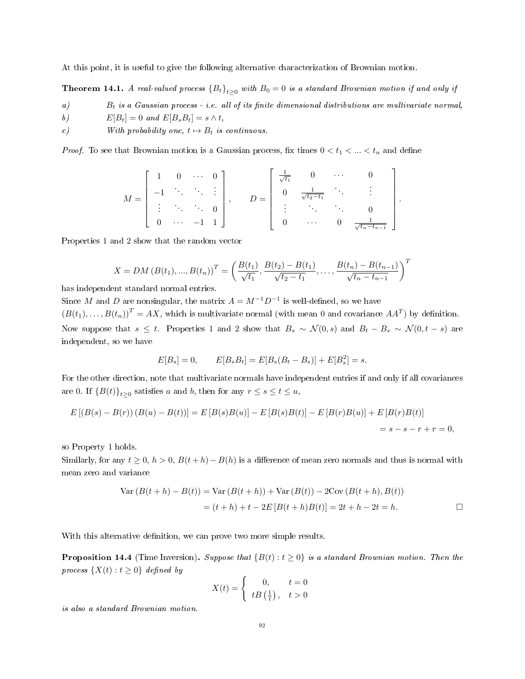At this point, it is useful to give the following alternative characterization of Brownian motion.

**Theorem 14.1.** A real-valued process  ${B_t}_{t>0}$  with  $B_0 = 0$  is a standard Brownian motion if and only if

 $B_t$  is a Gaussian process - i.e. all of its finite dimensional distributions are multivariate normal,

b)  $E[B_t] = 0$  and  $E[B_s B_t] = s \wedge t$ ,

c) With probability one,  $t \mapsto B_t$  is continuous.

*Proof.* To see that Brownian motion is a Gaussian process, fix times  $0 < t_1 < ... < t_n$  and define

$$
M = \begin{bmatrix} 1 & 0 & \cdots & 0 \\ -1 & & & & \\ \vdots & & & & \\ 0 & \cdots & -1 & 1 \end{bmatrix}, \qquad D = \begin{bmatrix} \frac{1}{\sqrt{t_1}} & 0 & \cdots & 0 \\ 0 & \frac{1}{\sqrt{t_2 - t_1}} & & & \\ \vdots & & & & \\ 0 & \cdots & 0 & \frac{1}{\sqrt{t_n - t_{n-1}}} \end{bmatrix}.
$$

Properties 1 and 2 show that the random vector

$$
X = DM (B(t_1), ..., B(t_n))^{T} = \left(\frac{B(t_1)}{\sqrt{t_1}}, \frac{B(t_2) - B(t_1)}{\sqrt{t_2 - t_1}}, ..., \frac{B(t_n) - B(t_{n-1})}{\sqrt{t_n - t_{n-1}}}\right)^{T}
$$

has independent standard normal entries.

Since M and D are nonsingular, the matrix  $A = M^{-1}D^{-1}$  is well-defined, so we have

 $(B(t_1),...,B(t_n))^T = AX$ , which is multivariate normal (with mean 0 and covariance  $AA^T$ ) by definition. Now suppose that  $s \leq t$ . Properties 1 and 2 show that  $B_s \sim \mathcal{N}(0, s)$  and  $B_t - B_s \sim \mathcal{N}(0, t - s)$  are independent, so we have

$$
E[B_s] = 0, \qquad E[B_s B_t] = E[B_s (B_t - B_s)] + E[B_s^2] = s.
$$

For the other direction, note that multivariate normals have independent entries if and only if all covariances are 0. If  ${B(t)}_{t\geq0}$  satisfies a and b, then for any  $r \leq s \leq t \leq u$ ,

$$
E [(B(s) – B(r)) (B(u) – B(t))] = E [B(s)B(u)] – E [B(s)B(t)] – E [B(r)B(u)] + E [B(r)B(t)]
$$
  
= s – s – r + r = 0,

so Property 1 holds.

Similarly, for any  $t \geq 0$ ,  $h > 0$ ,  $B(t + h) - B(h)$  is a difference of mean zero normals and thus is normal with mean zero and variance

Var 
$$
(B(t + h) - B(t))
$$
 = Var  $(B(t + h))$  + Var  $(B(t))$  - 2Cov  $(B(t + h), B(t))$   
=  $(t + h) + t - 2E[B(t + h)B(t)] = 2t + h - 2t = h.$ 

With this alternative definition, we can prove two more simple results.

<span id="page-91-0"></span>**Proposition 14.4** (Time Inversion). Suppose that  ${B(t) : t \ge 0}$  is a standard Brownian motion. Then the process  $\{X(t): t \geq 0\}$  defined by

$$
X(t) = \begin{cases} 0, & t = 0\\ tB\left(\frac{1}{t}\right), & t > 0 \end{cases}
$$

is also a standard Brownian motion.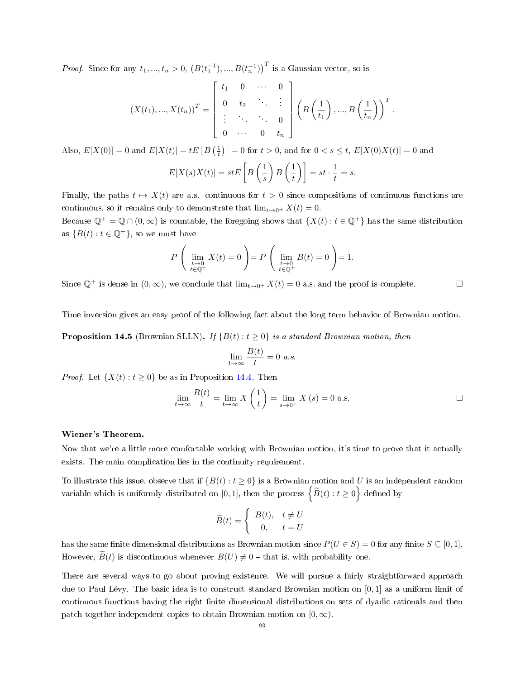*Proof.* Since for any  $t_1, ..., t_n > 0$ ,  $(B(t_1^{-1}), ..., B(t_n^{-1}))$  is a Gaussian vector, so is

$$
(X(t_1),...,X(t_n))^T = \begin{bmatrix} t_1 & 0 & \cdots & 0 \\ 0 & t_2 & & \vdots \\ \vdots & & \ddots & 0 \\ 0 & \cdots & 0 & t_n \end{bmatrix} \left( B\left(\frac{1}{t_1}\right),...,B\left(\frac{1}{t_n}\right) \right)^T.
$$

Also,  $E[X(0)] = 0$  and  $E[X(t)] = tE\left[B\left(\frac{1}{t}\right)\right] = 0$  for  $t > 0$ , and for  $0 < s \le t$ ,  $E[X(0)X(t)] = 0$  and

$$
E[X(s)X(t)] = stE\left[B\left(\frac{1}{s}\right)B\left(\frac{1}{t}\right)\right] = st \cdot \frac{1}{t} = s.
$$

Finally, the paths  $t \mapsto X(t)$  are a.s. continuous for  $t > 0$  since compositions of continuous functions are continuous, so it remains only to demonstrate that  $\lim_{t\to 0^+} X(t) = 0$ .

Because  $\mathbb{Q}^+ = \mathbb{Q} \cap (0,\infty)$  is countable, the foregoing shows that  $\{X(t): t \in \mathbb{Q}^+\}$  has the same distribution as  $\{B(t): t \in \mathbb{Q}^+\}$ , so we must have

$$
P\left(\lim_{\substack{t\to 0\\t\in\mathbb{Q}^+}}X(t)=0\right)=P\left(\lim_{\substack{t\to 0\\t\in\mathbb{Q}^+}}B(t)=0\right)=1.
$$

Since  $\mathbb{Q}^+$  is dense in  $(0,\infty)$ , we conclude that  $\lim_{t\to 0^+} X(t) = 0$  a.s. and the proof is complete.

Time inversion gives an easy proof of the following fact about the long term behavior of Brownian motion.

**Proposition 14.5** (Brownian SLLN). If  ${B(t): t \ge 0}$  is a standard Brownian motion, then

$$
\lim_{t \to \infty} \frac{B(t)}{t} = 0 \ a.s.
$$

*Proof.* Let  $\{X(t): t \geq 0\}$  be as in Proposition [14.4.](#page-91-0) Then

$$
\lim_{t \to \infty} \frac{B(t)}{t} = \lim_{t \to \infty} X\left(\frac{1}{t}\right) = \lim_{s \to 0^+} X(s) = 0 \text{ a.s.}
$$

## Wiener's Theorem.

Now that we're a little more comfortable working with Brownian motion, it's time to prove that it actually exists. The main complication lies in the continuity requirement.

To illustrate this issue, observe that if  $\{B(t): t \geq 0\}$  is a Brownian motion and U is an independent random variable which is uniformly distributed on [0, 1], then the process  $\left\{ \widetilde{B}(t): t \geq 0 \right\}$  defined by

$$
\widetilde{B}(t) = \begin{cases} B(t), & t \neq U \\ 0, & t = U \end{cases}
$$

has the same finite dimensional distributions as Brownian motion since  $P(U \in S) = 0$  for any finite  $S \subseteq [0,1]$ . However,  $\widetilde{B}(t)$  is discontinuous whenever  $B(U) \neq 0$  – that is, with probability one.

There are several ways to go about proving existence. We will pursue a fairly straightforward approach due to Paul Lévy. The basic idea is to construct standard Brownian motion on [0, 1] as a uniform limit of continuous functions having the right finite dimensional distributions on sets of dyadic rationals and then patch together independent copies to obtain Brownian motion on  $[0, \infty)$ .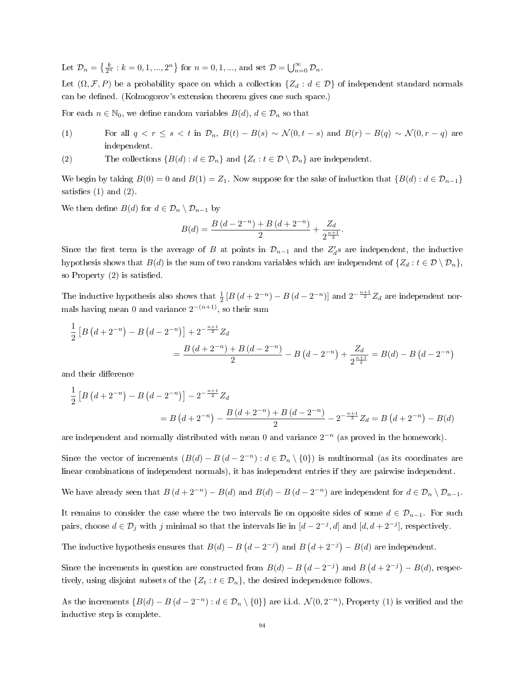Let  $\mathcal{D}_n = \left\{ \frac{k}{2^n} : k = 0, 1, ..., 2^n \right\}$  for  $n = 0, 1, ...,$  and set  $\mathcal{D} = \bigcup_{n=0}^{\infty} \mathcal{D}_n$ .

Let  $(\Omega, \mathcal{F}, P)$  be a probability space on which a collection  $\{Z_d : d \in \mathcal{D}\}\$  of independent standard normals can be defined. (Kolmogorov's extension theorem gives one such space.)

For each  $n \in \mathbb{N}_0$ , we define random variables  $B(d)$ ,  $d \in \mathcal{D}_n$  so that

- (1) For all  $q < r \leq s < t$  in  $\mathcal{D}_n$ ,  $B(t) B(s) \sim \mathcal{N}(0, t s)$  and  $B(r) B(q) \sim \mathcal{N}(0, r q)$  are independent.
- (2) The collections  $\{B(d) : d \in \mathcal{D}_n\}$  and  $\{Z_t : t \in \mathcal{D} \setminus \mathcal{D}_n\}$  are independent.

We begin by taking  $B(0) = 0$  and  $B(1) = Z_1$ . Now suppose for the sake of induction that  $\{B(d) : d \in \mathcal{D}_{n-1}\}\$ satisfies  $(1)$  and  $(2)$ .

We then define  $B(d)$  for  $d \in \mathcal{D}_n \setminus \mathcal{D}_{n-1}$  by

$$
B(d) = \frac{B(d - 2^{-n}) + B(d + 2^{-n})}{2} + \frac{Z_d}{2^{\frac{n+1}{2}}}.
$$

Since the first term is the average of B at points in  $\mathcal{D}_{n-1}$  and the  $Z_d's$  are independent, the inductive hypothesis shows that  $B(d)$  is the sum of two random variables which are independent of  $\{Z_d : t \in \mathcal{D} \setminus \mathcal{D}_n\}$ , so Property  $(2)$  is satisfied.

The inductive hypothesis also shows that  $\frac{1}{2}[B(d+2^{-n})-B(d-2^{-n})]$  and  $2^{-\frac{n+1}{2}}Z_d$  are independent normals having mean 0 and variance  $2^{-(n+1)}$ , so their sum

$$
\frac{1}{2}\left[B\left(d+2^{-n}\right)-B\left(d-2^{-n}\right)\right]+2^{-\frac{n+1}{2}}Z_d
$$
\n
$$
=\frac{B\left(d+2^{-n}\right)+B\left(d-2^{-n}\right)}{2}-B\left(d-2^{-n}\right)+\frac{Z_d}{2^{\frac{n+1}{2}}}=B(d)-B\left(d-2^{-n}\right)
$$

and their difference

$$
\frac{1}{2}\left[B\left(d+2^{-n}\right)-B\left(d-2^{-n}\right)\right]-2^{-\frac{n+1}{2}}Z_d
$$
\n
$$
=B\left(d+2^{-n}\right)-\frac{B\left(d+2^{-n}\right)+B\left(d-2^{-n}\right)}{2}-2^{-\frac{n+1}{2}}Z_d=B\left(d+2^{-n}\right)-B(d)
$$

are independent and normally distributed with mean 0 and variance  $2^{-n}$  (as proved in the homework).

Since the vector of increments  $(B(d) - B(d - 2^{-n}) : d \in \mathcal{D}_n \setminus \{0\})$  is multinormal (as its coordinates are linear combinations of independent normals), it has independent entries if they are pairwise independent.

We have already seen that  $B(d+2^{-n}) - B(d)$  and  $B(d) - B(d-2^{-n})$  are independent for  $d \in \mathcal{D}_n \setminus \mathcal{D}_{n-1}$ .

It remains to consider the case where the two intervals lie on opposite sides of some  $d \in \mathcal{D}_{n-1}$ . For such pairs, choose  $d \in \mathcal{D}_j$  with j minimal so that the intervals lie in  $[d-2^{-j}, d]$  and  $[d, d+2^{-j}]$ , respectively.

The inductive hypothesis ensures that  $B(d) - B(d - 2^{-j})$  and  $B(d + 2^{-j}) - B(d)$  are independent.

Since the increments in question are constructed from  $B(d) - B(d - 2^{-j})$  and  $B(d + 2^{-j}) - B(d)$ , respectively, using disjoint subsets of the  $\{Z_t : t \in \mathcal{D}_n\}$ , the desired independence follows.

As the increments  $\{B(d) - B(d - 2^{-n}) : d \in \mathcal{D}_n \setminus \{0\}\}\$ are i.i.d.  $\mathcal{N}(0, 2^{-n})$ , Property (1) is verified and the inductive step is complete.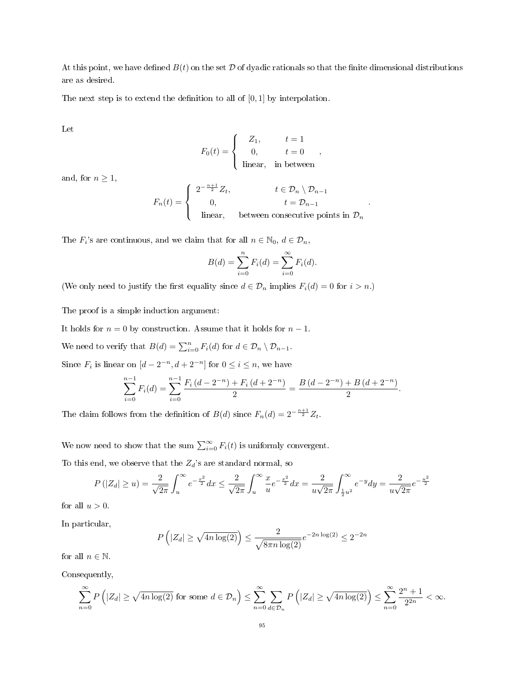At this point, we have defined  $B(t)$  on the set D of dyadic rationals so that the finite dimensional distributions are as desired.

The next step is to extend the definition to all of  $[0, 1]$  by interpolation.

Let

$$
F_0(t) = \begin{cases} Z_1, & t = 1 \\ 0, & t = 0 \\ \text{linear}, & \text{in between} \end{cases}
$$

and, for  $n \geq 1$ ,

$$
F_n(t) = \begin{cases} 2^{-\frac{n+1}{2}} Z_t, & t \in \mathcal{D}_n \setminus \mathcal{D}_{n-1} \\ 0, & t = \mathcal{D}_{n-1} \\ \text{linear}, & \text{between consecutive points in } \mathcal{D}_n \end{cases}
$$

.

.

The  $F_i$ 's are continuous, and we claim that for all  $n \in \mathbb{N}_0, d \in \mathcal{D}_n$ ,

$$
B(d) = \sum_{i=0}^{n} F_i(d) = \sum_{i=0}^{\infty} F_i(d).
$$

(We only need to justify the first equality since  $d \in \mathcal{D}_n$  implies  $F_i(d) = 0$  for  $i > n$ .)

The proof is a simple induction argument:

It holds for  $n = 0$  by construction. Assume that it holds for  $n - 1$ .

We need to verify that  $B(d) = \sum_{i=0}^{n} F_i(d)$  for  $d \in \mathcal{D}_n \setminus \mathcal{D}_{n-1}$ .

Since  $F_i$  is linear on  $[d-2^{-n}, d+2^{-n}]$  for  $0 \le i \le n$ , we have

$$
\sum_{i=0}^{n-1} F_i(d) = \sum_{i=0}^{n-1} \frac{F_i(d - 2^{-n}) + F_i(d + 2^{-n})}{2} = \frac{B(d - 2^{-n}) + B(d + 2^{-n})}{2}
$$

The claim follows from the definition of  $B(d)$  since  $F_n(d) = 2^{-\frac{n+1}{2}} Z_t$ .

We now need to show that the sum  $\sum_{i=0}^{\infty} F_i(t)$  is uniformly convergent.

To this end, we observe that the  $Z_d$ 's are standard normal, so

$$
P(|Z_d| \ge u) = \frac{2}{\sqrt{2\pi}} \int_u^{\infty} e^{-\frac{x^2}{2}} dx \le \frac{2}{\sqrt{2\pi}} \int_u^{\infty} \frac{x}{u} e^{-\frac{x^2}{2}} dx = \frac{2}{u\sqrt{2\pi}} \int_{\frac{1}{2}u^2}^{\infty} e^{-y} dy = \frac{2}{u\sqrt{2\pi}} e^{-\frac{u^2}{2}}
$$

for all  $u > 0$ .

In particular,

$$
P(|Z_d| \ge \sqrt{4n \log(2)}) \le \frac{2}{\sqrt{8\pi n \log(2)}} e^{-2n \log(2)} \le 2^{-2n}
$$

for all  $n \in \mathbb{N}$ .

Consequently,

$$
\sum_{n=0}^{\infty} P\left(|Z_d| \ge \sqrt{4n\log(2)} \text{ for some } d \in \mathcal{D}_n\right) \le \sum_{n=0}^{\infty} \sum_{d \in \mathcal{D}_n} P\left(|Z_d| \ge \sqrt{4n\log(2)}\right) \le \sum_{n=0}^{\infty} \frac{2^n + 1}{2^{2n}} < \infty.
$$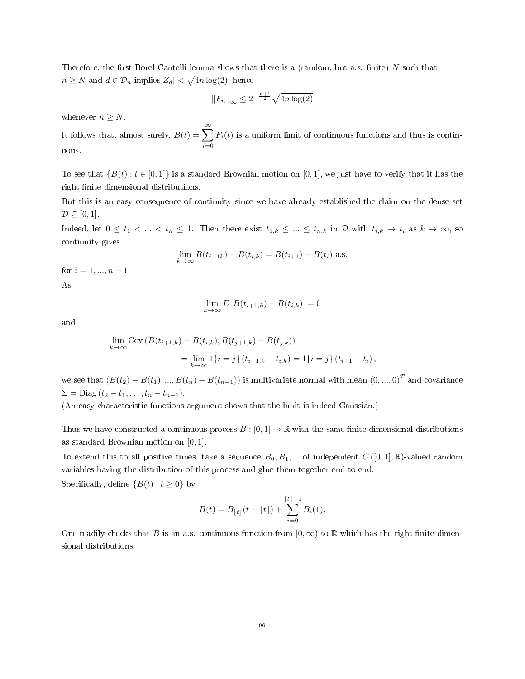Therefore, the first Borel-Cantelli lemma shows that there is a (random, but a.s. finite)  $N$  such that  $n \geq N$  and  $d \in \mathcal{D}_n$  implies  $|Z_d| < \sqrt{4n \log(2)}$ , hence

$$
\left\|F_n\right\|_{\infty} \le 2^{-\frac{n+1}{2}} \sqrt{4n\log(2)}
$$

whenever  $n \geq N$ .

It follows that, almost surely,  $B(t) = \sum_{n=0}^{\infty}$  $i=0$  $F_i(t)$  is a uniform limit of continuous functions and thus is continuous.

To see that  $\{B(t): t \in [0,1]\}$  is a standard Brownian motion on [0, 1], we just have to verify that it has the right finite dimensional distributions.

But this is an easy consequence of continuity since we have already established the claim on the dense set  $\mathcal{D} \subseteq [0,1].$ 

Indeed, let  $0 \leq t_1 < ... < t_n \leq 1$ . Then there exist  $t_{1,k} \leq ... \leq t_{n,k}$  in  $\mathcal{D}$  with  $t_{i,k} \to t_i$  as  $k \to \infty$ , so continuity gives

$$
\lim_{k \to \infty} B(t_{i+1k}) - B(t_{i,k}) = B(t_{i+1}) - B(t_i)
$$
 a.s.

for  $i = 1, ..., n - 1$ . As

$$
\lim_{k \to \infty} E\left[B(t_{i+1,k}) - B(t_{i,k})\right] = 0
$$

and

$$
\lim_{k \to \infty} \text{Cov} (B(t_{i+1,k}) - B(t_{i,k}), B(t_{j+1,k}) - B(t_{j,k}))
$$
  
= 
$$
\lim_{k \to \infty} 1\{i = j\} (t_{i+1,k} - t_{i,k}) = 1\{i = j\} (t_{i+1} - t_i),
$$

we see that  $(B(t_2) - B(t_1),...,B(t_n) - B(t_{n-1}))$  is multivariate normal with mean  $(0,...,0)^T$  and covariance  $\Sigma = \text{Diag}(t_2 - t_1, \ldots, t_n - t_{n-1}).$ 

(An easy characteristic functions argument shows that the limit is indeed Gaussian.)

Thus we have constructed a continuous process  $B : [0, 1] \to \mathbb{R}$  with the same finite dimensional distributions as standard Brownian motion on [0, 1].

To extend this to all positive times, take a sequence  $B_0, B_1, ...$  of independent  $C([0,1], \mathbb{R})$ -valued random variables having the distribution of this process and glue them together end to end. Specifically, define  $\{B(t): t \geq 0\}$  by

$$
B(t) = B_{\lfloor t \rfloor}(t - \lfloor t \rfloor) + \sum_{i=0}^{\lfloor t \rfloor - 1} B_i(1).
$$

One readily checks that B is an a.s. continuous function from  $[0, \infty)$  to R which has the right finite dimensional distributions.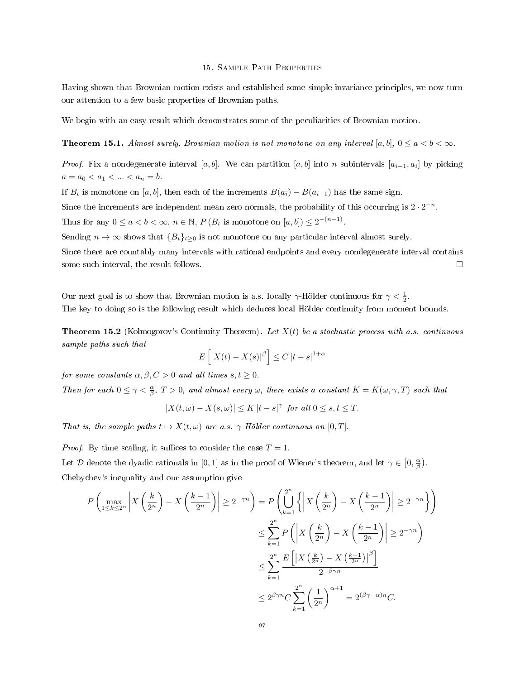## 15. Sample Path Properties

Having shown that Brownian motion exists and established some simple invariance principles, we now turn our attention to a few basic properties of Brownian paths.

We begin with an easy result which demonstrates some of the peculiarities of Brownian motion.

# **Theorem 15.1.** Almost surely, Brownian motion is not monotone on any interval [a, b],  $0 \le a < b < \infty$ .

*Proof.* Fix a nondegenerate interval [a, b]. We can partition [a, b] into n subintervals  $[a_{i-1}, a_i]$  by picking  $a=a_0$ 

If  $B_t$  is monotone on [a, b], then each of the increments  $B(a_i) - B(a_{i-1})$  has the same sign.

Since the increments are independent mean zero normals, the probability of this occurring is  $2 \cdot 2^{-n}$ .

Thus for any  $0 \le a < b < \infty$ ,  $n \in \mathbb{N}$ ,  $P(B_t \text{ is monotone on } [a, b]) \le 2^{-(n-1)}$ .

Sending  $n \to \infty$  shows that  ${B_t}_{t\geq 0}$  is not monotone on any particular interval almost surely.

Since there are countably many intervals with rational endpoints and every nondegenerate interval contains some such interval, the result follows.  $\Box$ 

Our next goal is to show that Brownian motion is a.s. locally  $\gamma$ -Hölder continuous for  $\gamma < \frac{1}{2}$ . The key to doing so is the following result which deduces local Hölder continuity from moment bounds.

<span id="page-96-0"></span>**Theorem 15.2** (Kolmogorov's Continuity Theorem). Let  $X(t)$  be a stochastic process with a.s. continuous sample paths such that

$$
E\left[|X(t) - X(s)|^{\beta}\right] \le C |t - s|^{1+\alpha}
$$

for some constants  $\alpha, \beta, C > 0$  and all times  $s, t \geq 0$ .

Then for each  $0 \leq \gamma < \frac{\alpha}{\beta}$ ,  $T > 0$ , and almost every  $\omega$ , there exists a constant  $K = K(\omega, \gamma, T)$  such that

$$
|X(t,\omega)-X(s,\omega)|\leq K\,|t-s|^\gamma\ \, \textit{for all}\,\,0\leq s,t\leq T.
$$

That is, the sample paths  $t \mapsto X(t, \omega)$  are a.s.  $\gamma$ -Hölder continuous on [0, T].

*Proof.* By time scaling, it suffices to consider the case  $T = 1$ .

Let D denote the dyadic rationals in [0,1] as in the proof of Wiener's theorem, and let  $\gamma \in [0, \frac{\alpha}{\beta})$ . Chebychev's inequality and our assumption give

$$
P\left(\max_{1\leq k\leq 2^n} \left| X\left(\frac{k}{2^n}\right) - X\left(\frac{k-1}{2^n}\right) \right| \geq 2^{-\gamma n}\right) = P\left(\bigcup_{k=1}^{2^n} \left\{ \left| X\left(\frac{k}{2^n}\right) - X\left(\frac{k-1}{2^n}\right) \right| \geq 2^{-\gamma n} \right\} \right)
$$
  

$$
\leq \sum_{k=1}^{2^n} P\left(\left| X\left(\frac{k}{2^n}\right) - X\left(\frac{k-1}{2^n}\right) \right| \geq 2^{-\gamma n}\right)
$$
  

$$
\leq \sum_{k=1}^{2^n} \frac{E\left[\left| X\left(\frac{k}{2^n}\right) - X\left(\frac{k-1}{2^n}\right) \right|^{\beta}\right]}{2^{-\beta\gamma n}}
$$
  

$$
\leq 2^{\beta\gamma n} C \sum_{k=1}^{2^n} \left(\frac{1}{2^n}\right)^{\alpha+1} = 2^{(\beta\gamma-\alpha)n} C.
$$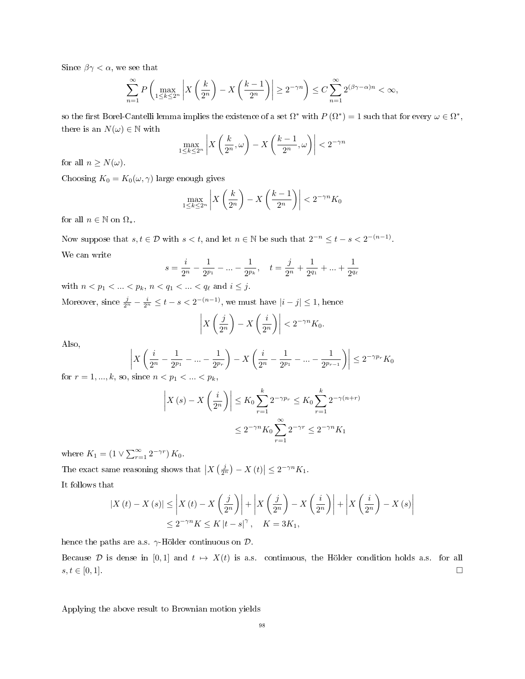Since  $\beta \gamma < \alpha$ , we see that

$$
\sum_{n=1}^{\infty} P\left(\max_{1\leq k\leq 2^n} \left| X\left(\frac{k}{2^n}\right) - X\left(\frac{k-1}{2^n}\right) \right| \geq 2^{-\gamma n} \right) \leq C \sum_{n=1}^{\infty} 2^{(\beta\gamma - \alpha)n} < \infty,
$$

so the first Borel-Cantelli lemma implies the existence of a set  $\Omega^*$  with  $P(\Omega^*)=1$  such that for every  $\omega \in \Omega^*$ , there is an  $N(\omega) \in \mathbb{N}$  with

$$
\max_{1 \le k \le 2^n} \left| X\left(\frac{k}{2^n}, \omega\right) - X\left(\frac{k-1}{2^n}, \omega\right) \right| < 2^{-\gamma n}
$$

for all  $n \geq N(\omega)$ .

Choosing  $K_0 = K_0(\omega, \gamma)$  large enough gives

$$
\max_{1 \le k \le 2^n} \left| X\left(\frac{k}{2^n}\right) - X\left(\frac{k-1}{2^n}\right) \right| < 2^{-\gamma n} K_0
$$

for all  $n \in \mathbb{N}$  on  $\Omega_*$ .

Now suppose that  $s, t \in \mathcal{D}$  with  $s < t$ , and let  $n \in \mathbb{N}$  be such that  $2^{-n} \leq t - s < 2^{-(n-1)}$ . We can write

$$
s = \frac{i}{2^n} - \frac{1}{2^{p_1}} - \dots - \frac{1}{2^{p_k}}, \quad t = \frac{j}{2^n} + \frac{1}{2^{q_1}} + \dots + \frac{1}{2^{q_\ell}}
$$

with  $n < p_1 < ... < p_k$ ,  $n < q_1 < ... < q_\ell$  and  $i \leq j$ .

Moreover, since  $\frac{j}{2^n} - \frac{i}{2^n} \leq t - s < 2^{-(n-1)}$ , we must have  $|i - j| \leq 1$ , hence

$$
\left| X\left(\frac{j}{2^n}\right) - X\left(\frac{i}{2^n}\right) \right| < 2^{-\gamma n} K_0.
$$

Also,

$$
\left| X \left( \frac{i}{2^n} - \frac{1}{2^{p_1}} - \dots - \frac{1}{2^{p_r}} \right) - X \left( \frac{i}{2^n} - \frac{1}{2^{p_1}} - \dots - \frac{1}{2^{p_{r-1}}} \right) \right| \le 2^{-\gamma p_r} K_0
$$

for  $r = 1, ..., k$ , so, since  $n < p_1 < ... < p_k$ ,

$$
\left| X(s) - X\left(\frac{i}{2^n}\right) \right| \le K_0 \sum_{r=1}^k 2^{-\gamma p_r} \le K_0 \sum_{r=1}^k 2^{-\gamma (n+r)}
$$
  

$$
\le 2^{-\gamma n} K_0 \sum_{r=1}^\infty 2^{-\gamma r} \le 2^{-\gamma n} K_1
$$

where  $K_1 = (1 \vee \sum_{r=1}^{\infty} 2^{-\gamma r}) K_0$ .

The exact same reasoning shows that  $\left| X\left(\frac{j}{2^n}\right) - X(t) \right| \leq 2^{-\gamma n} K_1$ . It follows that

 $|X(t) - X(s)| \leq$  $X(t) - X\left(\frac{j}{2\pi}\right)$  $2^n$  $\Big) \Big|$  $+$  $X\left(\frac{j}{2}\right)$  $2^n$  $-\frac{1}{x}\left(\frac{i}{2x}\right)$  $2^n$  $\Big)\Big|$ 

$$
\leq 2^{-\gamma n} K \leq K |t - s|^{\gamma}, \quad K = 3K_1,
$$

hence the paths are a.s.  $\gamma$ -Hölder continuous on  $\mathcal{D}$ .

Because D is dense in [0,1] and  $t \mapsto X(t)$  is a.s. continuous, the Hölder condition holds a.s. for all  $s, t \in [0, 1].$ 

 $+$ 

 $X\left(\frac{i}{2}\right)$  $2^n$   $\bigg) - X(s)$ 

Applying the above result to Brownian motion yields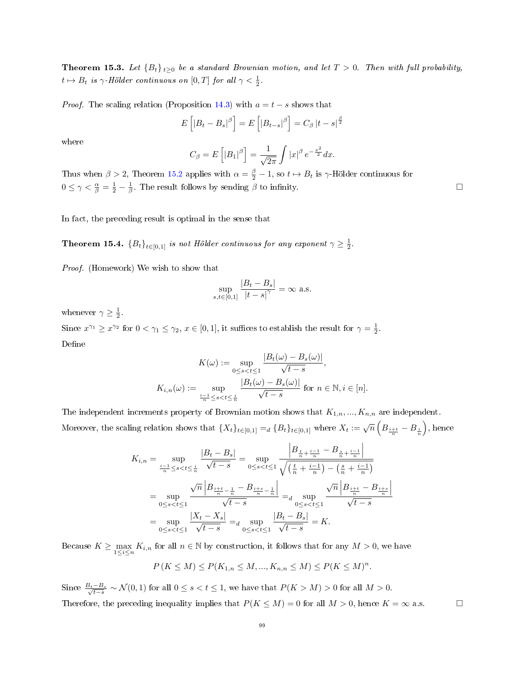<span id="page-98-0"></span>**Theorem 15.3.** Let  ${B_t}_{t\geq0}$  be a standard Brownian motion, and let  $T > 0$ . Then with full probability,  $t \mapsto B_t$  is  $\gamma$ -Hölder continuous on  $[0, T]$  for all  $\gamma < \frac{1}{2}$ .

*Proof.* The scaling relation (Proposition [14.3\)](#page-90-0) with  $a = t - s$  shows that

$$
E\left[|B_t - B_s|^{\beta}\right] = E\left[|B_{t-s}|^{\beta}\right] = C_{\beta} |t - s|^{\frac{\beta}{2}}
$$

where

$$
C_{\beta} = E\left[|B_1|^{\beta}\right] = \frac{1}{\sqrt{2\pi}} \int |x|^{\beta} e^{-\frac{x^2}{2}} dx.
$$

Thus when  $\beta > 2$ , Theorem [15.2](#page-96-0) applies with  $\alpha = \frac{\beta}{2} - 1$ , so  $t \mapsto B_t$  is  $\gamma$ -Hölder continuous for  $0 \leq \gamma < \frac{\alpha}{\beta} = \frac{1}{2} - \frac{1}{\beta}$ . The result follows by sending  $\beta$  to infinity.

In fact, the preceding result is optimal in the sense that

**Theorem 15.4.**  ${B_t}_{t \in [0,1]}$  is not Hölder continuous for any exponent  $\gamma \geq \frac{1}{2}$ .

Proof. (Homework) We wish to show that

$$
\sup_{s,t \in [0,1]} \frac{|B_t - B_s|}{|t - s|^\gamma} = \infty \text{ a.s.}
$$

whenever  $\gamma \geq \frac{1}{2}$ .

Since  $x^{\gamma_1} \ge x^{\gamma_2}$  for  $0 < \gamma_1 \le \gamma_2$ ,  $x \in [0,1]$ , it suffices to establish the result for  $\gamma = \frac{1}{2}$ . Define

$$
K(\omega) := \sup_{0 \le s < t \le 1} \frac{|B_t(\omega) - B_s(\omega)|}{\sqrt{t - s}},
$$
\n
$$
K_{i,n}(\omega) := \sup_{\frac{i-1}{n} \le s < t \le \frac{i}{n}} \frac{|B_t(\omega) - B_s(\omega)|}{\sqrt{t - s}} \text{ for } n \in \mathbb{N}, i \in [n].
$$

The independent increments property of Brownian motion shows that  $K_{1,n},..., K_{n,n}$  are independent. Moreover, the scaling relation shows that  $\{X_t\}_{t\in[0,1]} =_d \{B_t\}_{t\in[0,1]}$  where  $X_t := \sqrt{n} \left( B_{\frac{i+t}{n}} - B_{\frac{i}{n}} \right)$ , hence

$$
K_{i,n} = \sup_{\frac{i-1}{n} \le s < t \le \frac{i}{n}} \frac{|B_t - B_s|}{\sqrt{t - s}} = \sup_{0 \le s < t \le 1} \frac{\left| B_{\frac{t}{n} + \frac{i-1}{n}} - B_{\frac{s}{n} + \frac{i-1}{n}} \right|}{\sqrt{\left(\frac{t}{n} + \frac{i-1}{n}\right) - \left(\frac{s}{n} + \frac{i-1}{n}\right)}}
$$
\n
$$
= \sup_{0 \le s < t \le 1} \frac{\sqrt{n} \left| B_{\frac{i+t}{n} - \frac{1}{n}} - B_{\frac{i+s}{n} - \frac{1}{n}} \right|}{\sqrt{t - s}} = d \sup_{0 \le s < t \le 1} \frac{\sqrt{n} \left| B_{\frac{i+t}{n} - B_{\frac{i+s}{n}} \right|}{\sqrt{t - s}}
$$
\n
$$
= \sup_{0 \le s < t \le 1} \frac{|X_t - X_s|}{\sqrt{t - s}} = d \sup_{0 \le s < t \le 1} \frac{|B_t - B_s|}{\sqrt{t - s}} = K.
$$

Because  $K \ge \max_{1 \le i \le n} K_{i,n}$  for all  $n \in \mathbb{N}$  by construction, it follows that for any  $M > 0$ , we have

$$
P(K \le M) \le P(K_{1,n} \le M, ..., K_{n,n} \le M) \le P(K \le M)^n.
$$

Since  $\frac{B_t-B_s}{\sqrt{t-s}} \sim \mathcal{N}(0,1)$  for all  $0 \le s < t \le 1$ , we have that  $P(K > M) > 0$  for all  $M > 0$ . Therefore, the preceding inequality implies that  $P(K \leq M) = 0$  for all  $M > 0$ , hence  $K = \infty$  a.s.  $\Box$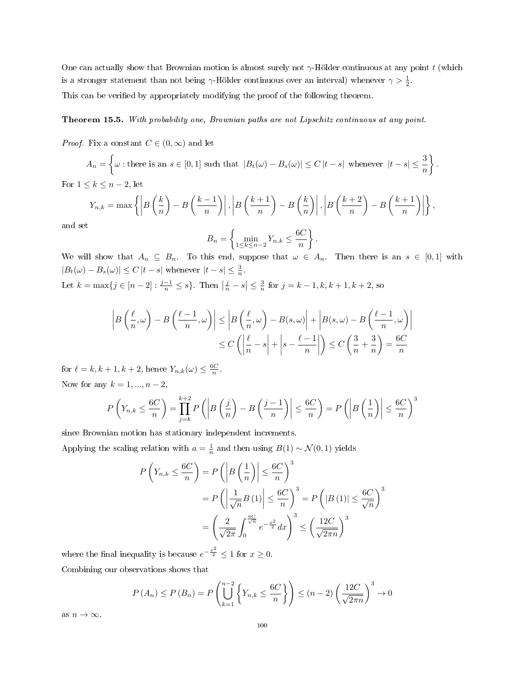One can actually show that Brownian motion is almost surely not  $\gamma$ -Hölder continuous at any point t (which is a stronger statement than not being  $\gamma$ -Hölder continuous over an interval) whenever  $\gamma > \frac{1}{2}$ . This can be verified by appropriately modifying the proof of the following theorem.

## <span id="page-99-0"></span>Theorem 15.5. With probability one, Brownian paths are not Lipschitz continuous at any point.

*Proof.* Fix a constant  $C \in (0, \infty)$  and let

$$
A_n = \left\{ \omega : \text{there is an } s \in [0,1] \text{ such that } |B_t(\omega) - B_s(\omega)| \le C |t - s| \text{ whenever } |t - s| \le \frac{3}{n} \right\}.
$$

For  $1 \leq k \leq n-2$ , let

$$
Y_{n,k} = \max \left\{ \left| B\left(\frac{k}{n}\right) - B\left(\frac{k-1}{n}\right) \right|, \left| B\left(\frac{k+1}{n}\right) - B\left(\frac{k}{n}\right) \right|, \left| B\left(\frac{k+2}{n}\right) - B\left(\frac{k+1}{n}\right) \right| \right\},\
$$

and set

$$
B_n = \left\{ \min_{1 \le k \le n-2} Y_{n,k} \le \frac{6C}{n} \right\}
$$

.

We will show that  $A_n \subseteq B_n$ . To this end, suppose that  $\omega \in A_n$ . Then there is an  $s \in [0,1]$  with  $|B_t(\omega) - B_s(\omega)| \le C |t - s|$  whenever  $|t - s| \le \frac{3}{n}$ .

Let  $k = \max\{j \in [n-2] : \frac{j-1}{n} \le s\}$ . Then  $\left|\frac{j}{n} - s\right| \le \frac{3}{n}$  for  $j = k - 1, k, k + 1, k + 2$ , so

$$
\left| B\left(\frac{\ell}{n},\omega\right) - B\left(\frac{\ell-1}{n},\omega\right) \right| \le \left| B\left(\frac{\ell}{n},\omega\right) - B(s,\omega) \right| + \left| B(s,\omega) - B\left(\frac{\ell-1}{n},\omega\right) \right|
$$
  

$$
\le C\left( \left| \frac{\ell}{n} - s \right| + \left| s - \frac{\ell-1}{n} \right| \right) \le C\left( \frac{3}{n} + \frac{3}{n} \right) = \frac{6C}{n}
$$

for  $\ell = k, k + 1, k + 2$ , hence  $Y_{n,k}(\omega) \leq \frac{6C}{n}$ . Now for any  $k = 1, ..., n - 2$ ,

$$
P\left(Y_{n,k} \leq \frac{6C}{n}\right) = \prod_{j=k}^{k+2} P\left(\left|B\left(\frac{j}{n}\right) - B\left(\frac{j-1}{n}\right)\right| \leq \frac{6C}{n}\right) = P\left(\left|B\left(\frac{1}{n}\right)\right| \leq \frac{6C}{n}\right)^3
$$

since Brownian motion has stationary independent increments.

Applying the scaling relation with  $a = \frac{1}{n}$  and then using  $B(1) \sim \mathcal{N}(0, 1)$  yields

$$
P\left(Y_{n,k} \leq \frac{6C}{n}\right) = P\left(\left|B\left(\frac{1}{n}\right)\right| \leq \frac{6C}{n}\right)^3
$$
  
= 
$$
P\left(\left|\frac{1}{\sqrt{n}}B(1)\right| \leq \frac{6C}{n}\right)^3 = P\left(|B(1)| \leq \frac{6C}{\sqrt{n}}\right)^3
$$
  
= 
$$
\left(\frac{2}{\sqrt{2\pi}}\int_0^{\frac{6C}{\sqrt{n}}} e^{-\frac{x^2}{2}} dx\right)^3 \leq \left(\frac{12C}{\sqrt{2\pi n}}\right)^3
$$

where the final inequality is because  $e^{-\frac{x^2}{2}} \leq 1$  for  $x \geq 0$ .

Combining our observations shows that

$$
P(A_n) \le P(B_n) = P\left(\bigcup_{k=1}^{n-2} \left\{ Y_{n,k} \le \frac{6C}{n} \right\} \right) \le (n-2) \left(\frac{12C}{\sqrt{2\pi n}}\right)^3 \to 0
$$

as  $n \to \infty$ .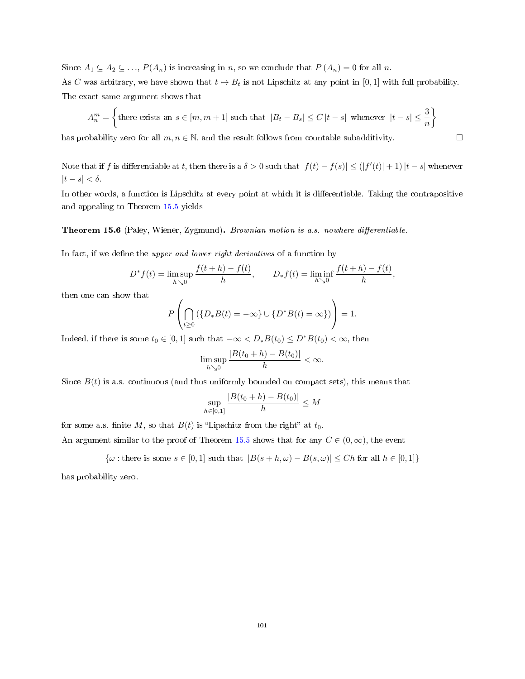Since  $A_1 \subseteq A_2 \subseteq \ldots$ ,  $P(A_n)$  is increasing in n, so we conclude that  $P(A_n) = 0$  for all n.

As C was arbitrary, we have shown that  $t \mapsto B_t$  is not Lipschitz at any point in [0, 1] with full probability. The exact same argument shows that

$$
A_n^m = \left\{\text{there exists an } s \in [m, m+1] \text{ such that } |B_t - B_s| \le C \, |t - s| \text{ whenever } |t - s| \le \frac{3}{n} \right\}
$$

has probability zero for all  $m, n \in \mathbb{N}$ , and the result follows from countable subadditivity.  $\Box$ 

Note that if f is differentiable at t, then there is a  $\delta > 0$  such that  $|f(t) - f(s)| \leq (|f'(t)| + 1)|t - s|$  whenever  $|t - s| < \delta$ .

In other words, a function is Lipschitz at every point at which it is differentiable. Taking the contrapositive and appealing to Theorem [15.5](#page-99-0) yields

Theorem 15.6 (Paley, Wiener, Zygmund). Brownian motion is a.s. nowhere differentiable.

In fact, if we define the upper and lower right derivatives of a function by

$$
D^* f(t) = \limsup_{h \searrow 0} \frac{f(t+h) - f(t)}{h}, \qquad D_* f(t) = \liminf_{h \searrow 0} \frac{f(t+h) - f(t)}{h},
$$

then one can show that

$$
P\left(\bigcap_{t\geq 0} (\{D_*B(t)=-\infty\}\cup\{D^*B(t)=\infty\})\right)=1.
$$

Indeed, if there is some  $t_0 \in [0, 1]$  such that  $-\infty < D_*B(t_0) \le D^*B(t_0) < \infty$ , then

$$
\limsup_{h\searrow 0}\frac{|B(t_0+h)-B(t_0)|}{h}<\infty.
$$

Since  $B(t)$  is a.s. continuous (and thus uniformly bounded on compact sets), this means that

$$
\sup_{h \in [0,1]} \frac{|B(t_0 + h) - B(t_0)|}{h} \le M
$$

for some a.s. finite M, so that  $B(t)$  is "Lipschitz from the right" at  $t_0$ .

An argument similar to the proof of Theorem [15.5](#page-99-0) shows that for any  $C \in (0,\infty)$ , the event

 $\{\omega : \text{there is some } s \in [0,1] \text{ such that } |B(s+h,\omega)-B(s,\omega)| \leq Ch \text{ for all } h \in [0,1]\}$ 

has probability zero.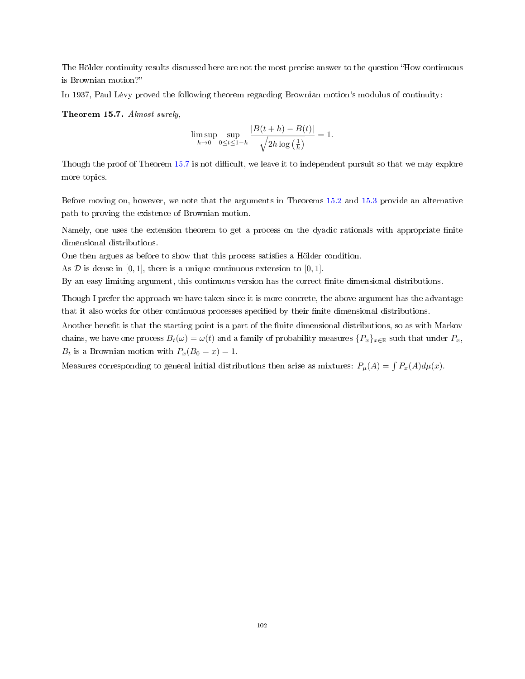The Hölder continuity results discussed here are not the most precise answer to the question "How continuous" is Brownian motion?

In 1937, Paul Lévy proved the following theorem regarding Brownian motion's modulus of continuity:

<span id="page-101-0"></span>Theorem 15.7. Almost surely,

$$
\limsup_{h \to 0} \sup_{0 \le t \le 1-h} \frac{|B(t+h) - B(t)|}{\sqrt{2h \log(\frac{1}{h})}} = 1.
$$

Though the proof of Theorem [15.7](#page-101-0) is not difficult, we leave it to independent pursuit so that we may explore more topics.

Before moving on, however, we note that the arguments in Theorems [15.2](#page-96-0) and [15.3](#page-98-0) provide an alternative path to proving the existence of Brownian motion.

Namely, one uses the extension theorem to get a process on the dyadic rationals with appropriate finite dimensional distributions.

One then argues as before to show that this process satisfies a Hölder condition.

As  $D$  is dense in [0, 1], there is a unique continuous extension to [0, 1].

By an easy limiting argument, this continuous version has the correct nite dimensional distributions.

Though I prefer the approach we have taken since it is more concrete, the above argument has the advantage that it also works for other continuous processes specified by their finite dimensional distributions.

Another benefit is that the starting point is a part of the finite dimensional distributions, so as with Markov chains, we have one process  $B_t(\omega) = \omega(t)$  and a family of probability measures  $\{P_x\}_{x\in\mathbb{R}}$  such that under  $P_x$ ,  $B_t$  is a Brownian motion with  $P_x(B_0 = x) = 1$ .

Measures corresponding to general initial distributions then arise as mixtures:  $P_\mu(A) = \int P_x(A) d\mu(x)$ .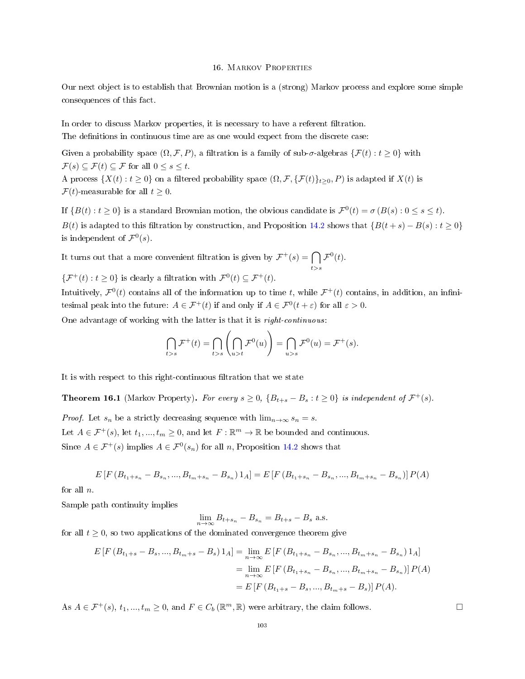#### 16. Markov Properties

Our next object is to establish that Brownian motion is a (strong) Markov process and explore some simple consequences of this fact.

In order to discuss Markov properties, it is necessary to have a referent filtration. The definitions in continuous time are as one would expect from the discrete case:

Given a probability space  $(\Omega, \mathcal{F}, P)$ , a filtration is a family of sub- $\sigma$ -algebras  $\{\mathcal{F}(t): t \geq 0\}$  with  $\mathcal{F}(s) \subseteq \mathcal{F}(t) \subseteq \mathcal{F}$  for all  $0 \leq s \leq t$ .

A process  $\{X(t): t \geq 0\}$  on a filtered probability space  $(\Omega, \mathcal{F}, \{\mathcal{F}(t)\}_{t \geq 0}, P)$  is adapted if  $X(t)$  is  $\mathcal{F}(t)$ -measurable for all  $t \geq 0$ .

If  $\{B(t): t \geq 0\}$  is a standard Brownian motion, the obvious candidate is  $\mathcal{F}^0(t) = \sigma(B(s): 0 \leq s \leq t)$ . B(t) is adapted to this filtration by construction, and Proposition [14.2](#page-90-1) shows that  ${B(t + s) - B(s) : t \ge 0}$ is independent of  $\mathcal{F}^0(s)$ .

It turns out that a more convenient filtration is given by  $\mathcal{F}^+(s) = \bigcap$  $t\!\gt$ s  $\mathcal{F}^0(t)$ .

 $\{\mathcal{F}^+(t): t \geq 0\}$  is clearly a filtration with  $\mathcal{F}^0(t) \subseteq \mathcal{F}^+(t)$ .

Intuitively,  $\mathcal{F}^0(t)$  contains all of the information up to time t, while  $\mathcal{F}^+(t)$  contains, in addition, an infinitesimal peak into the future:  $A \in \mathcal{F}^+(t)$  if and only if  $A \in \mathcal{F}^0(t + \varepsilon)$  for all  $\varepsilon > 0$ .

One advantage of working with the latter is that it is right-continuous:

$$
\bigcap_{t>s} \mathcal{F}^+(t) = \bigcap_{t>s} \left( \bigcap_{u>t} \mathcal{F}^0(u) \right) = \bigcap_{u>s} \mathcal{F}^0(u) = \mathcal{F}^+(s).
$$

It is with respect to this right-continuous filtration that we state

<span id="page-102-0"></span>**Theorem 16.1** (Markov Property). For every  $s \ge 0$ ,  $\{B_{t+s} - B_s : t \ge 0\}$  is independent of  $\mathcal{F}^+(s)$ .

*Proof.* Let  $s_n$  be a strictly decreasing sequence with  $\lim_{n\to\infty} s_n = s$ .

Let  $A \in \mathcal{F}^+(s)$ , let  $t_1, ..., t_m \geq 0$ , and let  $F : \mathbb{R}^m \to \mathbb{R}$  be bounded and continuous.

Since  $A \in \mathcal{F}^+(s)$  implies  $A \in \mathcal{F}^0(s_n)$  for all n, Proposition [14.2](#page-90-1) shows that

$$
E\left[F\left(B_{t_{1}+s_{n}}-B_{s_{n}},...,B_{t_{m}+s_{n}}-B_{s_{n}}\right)1_{A}\right]=E\left[F\left(B_{t_{1}+s_{n}}-B_{s_{n}},...,B_{t_{m}+s_{n}}-B_{s_{n}}\right)\right]P(A)
$$

for all  $n$ .

Sample path continuity implies

$$
\lim_{n \to \infty} B_{t+s_n} - B_{s_n} = B_{t+s} - B_s \text{ a.s.}
$$

for all  $t \geq 0$ , so two applications of the dominated convergence theorem give

$$
E\left[F\left(B_{t_{1}+s}-B_{s},...,B_{t_{m}+s}-B_{s}\right)1_{A}\right]=\lim_{n\to\infty}E\left[F\left(B_{t_{1}+s_{n}}-B_{s_{n}},...,B_{t_{m}+s_{n}}-B_{s_{n}}\right)1_{A}\right]
$$

$$
=\lim_{n\to\infty}E\left[F\left(B_{t_{1}+s_{n}}-B_{s_{n}},...,B_{t_{m}+s_{n}}-B_{s_{n}}\right)\right]P(A)
$$

$$
=E\left[F\left(B_{t_{1}+s}-B_{s},...,B_{t_{m}+s}-B_{s}\right)\right]P(A).
$$

As  $A \in \mathcal{F}^+(s)$ ,  $t_1, ..., t_m \geq 0$ , and  $F \in C_b(\mathbb{R}^m, \mathbb{R})$  were arbitrary, the claim follows.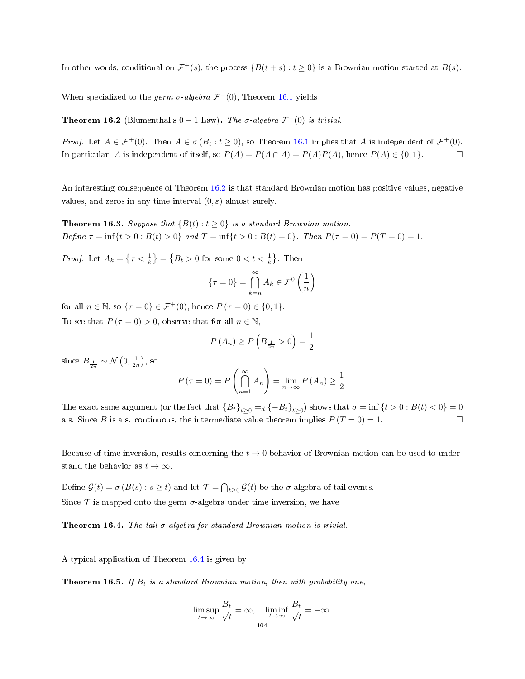In other words, conditional on  $\mathcal{F}^+(s)$ , the process  $\{B(t+s): t \geq 0\}$  is a Brownian motion started at  $B(s)$ .

When specialized to the germ  $\sigma$ -algebra  $\mathcal{F}^+(0)$ , Theorem [16.1](#page-102-0) yields

<span id="page-103-0"></span>**Theorem 16.2** (Blumenthal's  $0 - 1$  Law). The  $\sigma$ -algebra  $\mathcal{F}^+(0)$  is trivial.

*Proof.* Let  $A \in \mathcal{F}^+(0)$ . Then  $A \in \sigma(B_t : t \ge 0)$ , so Theorem [16.1](#page-102-0) implies that A is independent of  $\mathcal{F}^+(0)$ . In particular, A is independent of itself, so  $P(A) = P(A \cap A) = P(A)P(A)$ , hence  $P(A) \in \{0,1\}$ . □

An interesting consequence of Theorem [16.2](#page-103-0) is that standard Brownian motion has positive values, negative values, and zeros in any time interval  $(0, \varepsilon)$  almost surely.

<span id="page-103-2"></span>**Theorem 16.3.** Suppose that  ${B(t): t > 0}$  is a standard Brownian motion. Define  $\tau = \inf\{t > 0 : B(t) > 0\}$  and  $T = \inf\{t > 0 : B(t) = 0\}$ . Then  $P(\tau = 0) = P(T = 0) = 1$ .

*Proof.* Let  $A_k = \left\{ \tau < \frac{1}{k} \right\} = \left\{ B_t > 0 \text{ for some } 0 < t < \frac{1}{k} \right\}$ . Then

$$
\{\tau = 0\} = \bigcap_{k=n}^{\infty} A_k \in \mathcal{F}^0\left(\frac{1}{n}\right)
$$

for all  $n \in \mathbb{N}$ , so  $\{\tau = 0\} \in \mathcal{F}^+(0)$ , hence  $P(\tau = 0) \in \{0, 1\}$ . To see that  $P(\tau = 0) > 0$ , observe that for all  $n \in \mathbb{N}$ ,

$$
P(A_n) \ge P\left(B_{\frac{1}{2n}} > 0\right) = \frac{1}{2}
$$

since  $B_{\frac{1}{2n}} \sim \mathcal{N}\left(0, \frac{1}{2n}\right)$ , so

$$
P(\tau = 0) = P\left(\bigcap_{n=1}^{\infty} A_n\right) = \lim_{n \to \infty} P(A_n) \ge \frac{1}{2}.
$$

The exact same argument (or the fact that  ${B_t}_{t\geq 0} =_d \{-B_t\}_{t\geq 0}$ ) shows that  $\sigma = \inf \{t > 0 : B(t) < 0\} = 0$ a.s. Since B is a.s. continuous, the intermediate value theorem implies  $P(T = 0) = 1$ .

Because of time inversion, results concerning the  $t \to 0$  behavior of Brownian motion can be used to understand the behavior as  $t \to \infty$ .

Define  $\mathcal{G}(t) = \sigma(B(s) : s \ge t)$  and let  $\mathcal{T} = \bigcap_{t \ge 0} \mathcal{G}(t)$  be the  $\sigma$ -algebra of tail events. Since  $\mathcal T$  is mapped onto the germ  $\sigma$ -algebra under time inversion, we have

<span id="page-103-1"></span>**Theorem 16.4.** The tail  $\sigma$ -algebra for standard Brownian motion is trivial.

A typical application of Theorem [16.4](#page-103-1) is given by

**Theorem 16.5.** If  $B_t$  is a standard Brownian motion, then with probability one,

$$
\limsup_{t \to \infty} \frac{B_t}{\sqrt{t}} = \infty, \quad \liminf_{t \to \infty} \frac{B_t}{\sqrt{t}} = -\infty.
$$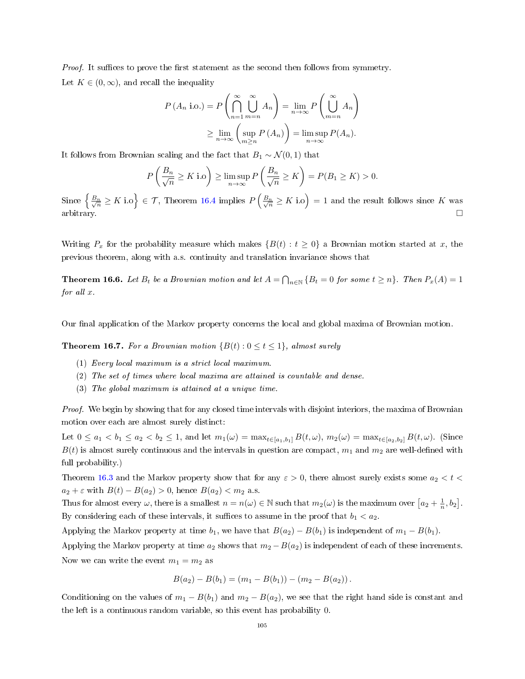*Proof.* It suffices to prove the first statement as the second then follows from symmetry. Let  $K \in (0, \infty)$ , and recall the inequality

$$
P(A_n \text{ i.o.}) = P\left(\bigcap_{n=1}^{\infty} \bigcup_{m=n}^{\infty} A_n\right) = \lim_{n \to \infty} P\left(\bigcup_{m=n}^{\infty} A_n\right)
$$

$$
\geq \lim_{n \to \infty} \left(\sup_{m \geq n} P(A_n)\right) = \limsup_{n \to \infty} P(A_n).
$$

It follows from Brownian scaling and the fact that  $B_1 \sim \mathcal{N}(0, 1)$  that

$$
P\left(\frac{B_n}{\sqrt{n}} \ge K \text{ i.o}\right) \ge \limsup_{n \to \infty} P\left(\frac{B_n}{\sqrt{n}} \ge K\right) = P(B_1 \ge K) > 0.
$$

Since  $\left\{\frac{B_n}{\sqrt{n}} \geq K \text{ i.o}\right\} \in \mathcal{T}$ , Theorem [16.4](#page-103-1) implies  $P\left(\frac{B_n}{\sqrt{n}} \geq K \text{ i.o}\right) = 1$  and the result follows since K was arbitrary.  $\square$ 

Writing  $P_x$  for the probability measure which makes  $\{B(t): t \geq 0\}$  a Brownian motion started at x, the previous theorem, along with a.s. continuity and translation invariance shows that

**Theorem 16.6.** Let  $B_t$  be a Brownian motion and let  $A = \bigcap_{n\in\mathbb{N}} \{B_t = 0 \text{ for some } t \geq n\}$ . Then  $P_x(A) = 1$ for all x.

Our final application of the Markov property concerns the local and global maxima of Brownian motion.

**Theorem 16.7.** For a Brownian motion  $\{B(t): 0 \le t \le 1\}$ , almost surely

- (1) Every local maximum is a strict local maximum.
- (2) The set of times where local maxima are attained is countable and dense.
- (3) The global maximum is attained at a unique time.

Proof. We begin by showing that for any closed time intervals with disjoint interiors, the maxima of Brownian motion over each are almost surely distinct:

Let  $0 \le a_1 < b_1 \le a_2 < b_2 \le 1$ , and let  $m_1(\omega) = \max_{t \in [a_1, b_1]} B(t, \omega)$ ,  $m_2(\omega) = \max_{t \in [a_2, b_2]} B(t, \omega)$ . (Since  $B(t)$  is almost surely continuous and the intervals in question are compact,  $m_1$  and  $m_2$  are well-defined with full probability.)

Theorem [16.3](#page-103-2) and the Markov property show that for any  $\varepsilon > 0$ , there almost surely exists some  $a_2 < t <$  $a_2 + \varepsilon$  with  $B(t) - B(a_2) > 0$ , hence  $B(a_2) < m_2$  a.s.

Thus for almost every  $\omega$ , there is a smallest  $n = n(\omega) \in \mathbb{N}$  such that  $m_2(\omega)$  is the maximum over  $[a_2 + \frac{1}{n}, b_2]$ . By considering each of these intervals, it suffices to assume in the proof that  $b_1 < a_2$ .

Applying the Markov property at time  $b_1$ , we have that  $B(a_2) - B(b_1)$  is independent of  $m_1 - B(b_1)$ .

Applying the Markov property at time  $a_2$  shows that  $m_2 - B(a_2)$  is independent of each of these increments. Now we can write the event  $m_1 = m_2$  as

$$
B(a_2) - B(b_1) = (m_1 - B(b_1)) - (m_2 - B(a_2)).
$$

Conditioning on the values of  $m_1 - B(b_1)$  and  $m_2 - B(a_2)$ , we see that the right hand side is constant and the left is a continuous random variable, so this event has probability 0.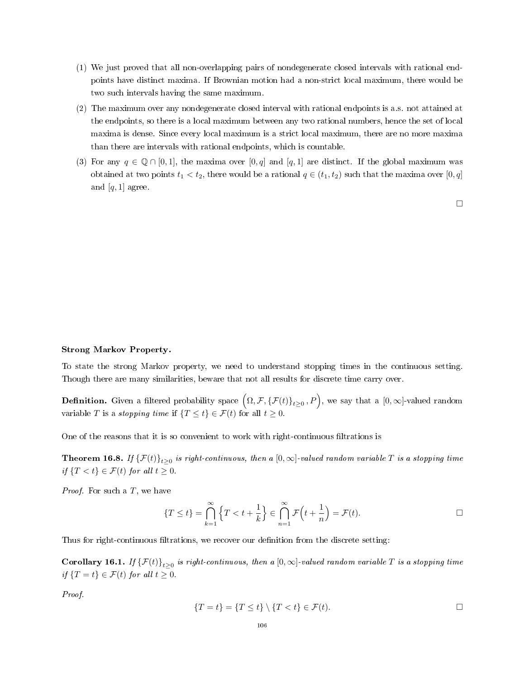- (1) We just proved that all non-overlapping pairs of nondegenerate closed intervals with rational endpoints have distinct maxima. If Brownian motion had a non-strict local maximum, there would be two such intervals having the same maximum.
- (2) The maximum over any nondegenerate closed interval with rational endpoints is a.s. not attained at the endpoints, so there is a local maximum between any two rational numbers, hence the set of local maxima is dense. Since every local maximum is a strict local maximum, there are no more maxima than there are intervals with rational endpoints, which is countable.
- (3) For any  $q \in \mathbb{Q} \cap [0,1]$ , the maxima over  $[0,q]$  and  $[q,1]$  are distinct. If the global maximum was obtained at two points  $t_1 < t_2$ , there would be a rational  $q \in (t_1, t_2)$  such that the maxima over  $[0, q]$ and  $[q, 1]$  agree.

□

# Strong Markov Property.

To state the strong Markov property, we need to understand stopping times in the continuous setting. Though there are many similarities, beware that not all results for discrete time carry over.

**Definition.** Given a filtered probability space  $\left(\Omega, \mathcal{F}, \{\mathcal{F}(t)\}_{t\geq 0}, P\right)$ , we say that a  $[0,\infty]$ -valued random variable T is a stopping time if  $\{T \le t\} \in \mathcal{F}(t)$  for all  $t \ge 0$ .

One of the reasons that it is so convenient to work with right-continuous filtrations is

<span id="page-105-0"></span>**Theorem 16.8.** If  $\{\mathcal{F}(t)\}_{t\geq0}$  is right-continuous, then a  $[0,\infty]$ -valued random variable  $T$  is a stopping time if  $\{T < t\} \in \mathcal{F}(t)$  for all  $t \geq 0$ .

*Proof.* For such a  $T$ , we have

$$
\{T \le t\} = \bigcap_{k=1}^{\infty} \left\{T < t + \frac{1}{k}\right\} \in \bigcap_{n=1}^{\infty} \mathcal{F}\left(t + \frac{1}{n}\right) = \mathcal{F}(t).
$$

Thus for right-continuous filtrations, we recover our definition from the discrete setting:

**Corollary 16.1.** If  $\{\mathcal{F}(t)\}_{t\geq0}$  is right-continuous, then a  $[0,\infty]$ -valued random variable T is a stopping time if  $\{T = t\} \in \mathcal{F}(t)$  for all  $t \geq 0$ .

Proof.

$$
\{T = t\} = \{T \le t\} \setminus \{T < t\} \in \mathcal{F}(t). \qquad \Box
$$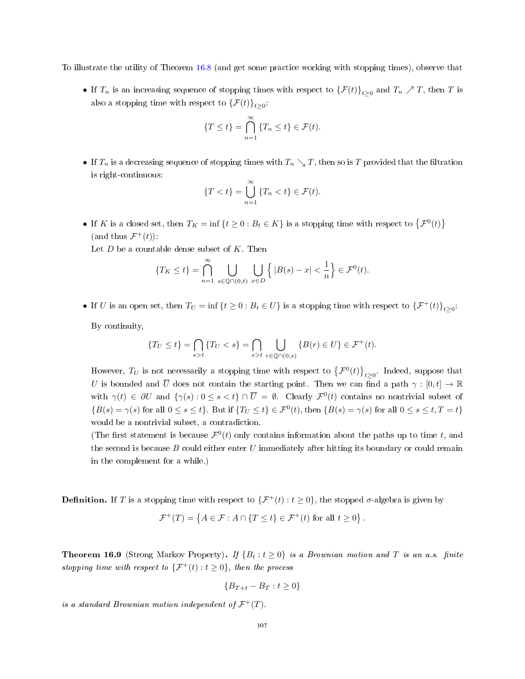To illustrate the utility of Theorem [16.8](#page-105-0) (and get some practice working with stopping times), observe that

• If  $T_n$  is an increasing sequence of stopping times with respect to  $\{\mathcal{F}(t)\}_{t\geq 0}$  and  $T_n \nearrow T$ , then T is also a stopping time with respect to  $\{\mathcal{F}(t)\}_{t\geq 0}$ .

$$
\{T \le t\} = \bigcap_{n=1}^{\infty} \{T_n \le t\} \in \mathcal{F}(t).
$$

• If  $T_n$  is a decreasing sequence of stopping times with  $T_n \searrow T$ , then so is T provided that the filtration is right-continuous:

$$
\{T < t\} = \bigcup_{n=1}^{\infty} \{T_n < t\} \in \mathcal{F}(t).
$$

• If K is a closed set, then  $T_K = \inf \{ t \geq 0 : B_t \in K \}$  is a stopping time with respect to  $\{ \mathcal{F}^0(t) \}$ (and thus  $\mathcal{F}^+(t)$ ):

Let  $D$  be a countable dense subset of  $K$ . Then

$$
\{T_K \le t\} = \bigcap_{n=1}^{\infty} \bigcup_{s \in \mathbb{Q} \cap (0,t)} \bigcup_{x \in D} \left\{ |B(s) - x| < \frac{1}{n} \right\} \in \mathcal{F}^0(t).
$$

• If U is an open set, then  $T_U = \inf \{ t \ge 0 : B_t \in U \}$  is a stopping time with respect to  $\{ \mathcal{F}^+(t) \}_{t \ge 0}$ .

By continuity,

$$
\{T_U \le t\} = \bigcap_{s>t} \{T_U < s\} = \bigcap_{s > t} \bigcup_{r \in \mathbb{Q} \cap (0,s)} \{B(r) \in U\} \in \mathcal{F}^+(t).
$$

However,  $T_U$  is not necessarily a stopping time with respect to  $\left\{{\cal F}^0(t)\right\}_{t\geq0}$ . Indeed, suppose that U is bounded and  $\overline{U}$  does not contain the starting point. Then we can find a path  $\gamma : [0, t] \to \mathbb{R}$ with  $\gamma(t) \in \partial U$  and  $\{\gamma(s): 0 \le s < t\} \cap \overline{U} = \emptyset$ . Clearly  $\mathcal{F}^0(t)$  contains no nontrivial subset of  ${B(s) = \gamma(s) \text{ for all } 0 \le s \le t}.$  But if  ${T_U \le t} \in \mathcal{F}^0(t)$ , then  ${B(s) = \gamma(s) \text{ for all } 0 \le s \le t, T = t}$ would be a nontrivial subset, a contradiction.

(The first statement is because  $\mathcal{F}^0(t)$  only contains information about the paths up to time t, and the second is because  $B$  could either enter  $U$  immediately after hitting its boundary or could remain in the complement for a while.)

**Definition.** If T is a stopping time with respect to  $\{\mathcal{F}^+(t): t \geq 0\}$ , the stopped  $\sigma$ -algebra is given by

$$
\mathcal{F}^+(T) = \left\{ A \in \mathcal{F} : A \cap \{ T \le t \} \in \mathcal{F}^+(t) \text{ for all } t \ge 0 \right\}.
$$

**Theorem 16.9** (Strong Markov Property). If  $\{B_t : t \geq 0\}$  is a Brownian motion and T is an a.s. finite stopping time with respect to  $\{\mathcal{F}^+(t): t \geq 0\}$ , then the process

$$
\{B_{T+t} - B_T : t \ge 0\}
$$

is a standard Brownian motion independent of  $\mathcal{F}^+(T)$ .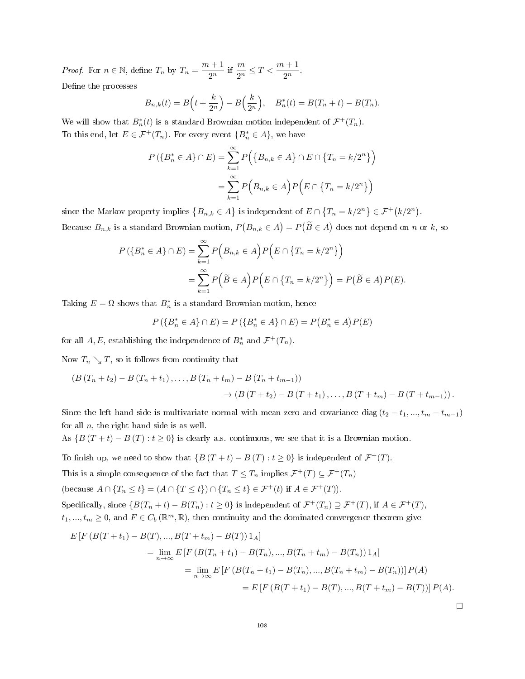*Proof.* For  $n \in \mathbb{N}$ , define  $T_n$  by  $T_n = \frac{m+1}{2n}$  $\frac{n+1}{2^n}$  if  $\frac{m}{2^n} \le T < \frac{m+1}{2^n}$ . Define the processes

$$
B_{n,k}(t) = B\left(t + \frac{k}{2^n}\right) - B\left(\frac{k}{2^n}\right), \quad B_n^*(t) = B(T_n + t) - B(T_n).
$$

We will show that  $B_n^*(t)$  is a standard Brownian motion independent of  $\mathcal{F}^+(T_n)$ . To this end, let  $E \in \mathcal{F}^+(T_n)$ . For every event  $\{B_n^* \in A\}$ , we have

$$
P(\lbrace B_n^* \in A \rbrace \cap E) = \sum_{k=1}^{\infty} P(\lbrace B_{n,k} \in A \rbrace \cap E \cap \lbrace T_n = k/2^n \rbrace)
$$

$$
= \sum_{k=1}^{\infty} P(B_{n,k} \in A) P(E \cap \lbrace T_n = k/2^n \rbrace)
$$

since the Markov property implies  $\{B_{n,k} \in A\}$  is independent of  $E \cap \{T_n = k/2^n\} \in \mathcal{F}^+(k/2^n)$ . Because  $B_{n,k}$  is a standard Brownian motion,  $P(B_{n,k} \in A) = P(B \in A)$  does not depend on n or k, so

$$
P(\lbrace B_n^* \in A \rbrace \cap E) = \sum_{k=1}^{\infty} P\Big(B_{n,k} \in A\Big) P\Big(E \cap \lbrace T_n = k/2^n \rbrace\Big)
$$
  
= 
$$
\sum_{k=1}^{\infty} P\Big(\widetilde{B} \in A\Big) P\Big(E \cap \lbrace T_n = k/2^n \rbrace\Big) = P\Big(\widetilde{B} \in A\Big) P(E).
$$

Taking  $E = \Omega$  shows that  $B_n^*$  is a standard Brownian motion, hence

$$
P(\{B_n^* \in A\} \cap E) = P(\{B_n^* \in A\} \cap E) = P(B_n^* \in A)P(E)
$$

for all  $A, E$ , establishing the independence of  $B_n^*$  and  $\mathcal{F}^+(T_n)$ .

Now  $T_n \searrow T$ , so it follows from continuity that

$$
(B (T_n + t_2) - B (T_n + t_1), \dots, B (T_n + t_m) - B (T_n + t_{m-1}))
$$
  
\n
$$
\rightarrow (B (T + t_2) - B (T + t_1), \dots, B (T + t_m) - B (T + t_{m-1})).
$$

Since the left hand side is multivariate normal with mean zero and covariance diag  $(t_2 - t_1, ..., t_m - t_{m-1})$ for all  $n$ , the right hand side is as well.

As  $\{B(T + t) - B(T) : t \ge 0\}$  is clearly a.s. continuous, we see that it is a Brownian motion.

To finish up, we need to show that  $\{B(T + t) - B(T) : t \ge 0\}$  is independent of  $\mathcal{F}^+(T)$ .

This is a simple consequence of the fact that  $T \leq T_n$  implies  $\mathcal{F}^+(T) \subseteq \mathcal{F}^+(T_n)$ 

(because  $A \cap \{T_n \le t\} = (A \cap \{T \le t\}) \cap \{T_n \le t\} \in \mathcal{F}^+(t)$  if  $A \in \mathcal{F}^+(T)$ ).

Specifically, since  $\{B(T_n + t) - B(T_n) : t \ge 0\}$  is independent of  $\mathcal{F}^+(T_n) \supseteq \mathcal{F}^+(T)$ , if  $A \in \mathcal{F}^+(T)$ ,  $t_1, ..., t_m \geq 0$ , and  $F \in C_b(\mathbb{R}^m, \mathbb{R})$ , then continuity and the dominated convergence theorem give

$$
E\left[F\left(B(T+t_1)-B(T),...,B(T+t_m)-B(T)\right)1_A\right]
$$
  
=  $\lim_{n\to\infty} E\left[F\left(B(T_n+t_1)-B(T_n),...,B(T_n+t_m)-B(T_n)\right)1_A\right]$   
=  $\lim_{n\to\infty} E\left[F\left(B(T_n+t_1)-B(T_n),...,B(T_n+t_m)-B(T_n)\right)\right]P(A)$   
=  $E\left[F\left(B(T+t_1)-B(T),...,B(T+t_m)-B(T)\right)\right]P(A).$ 

□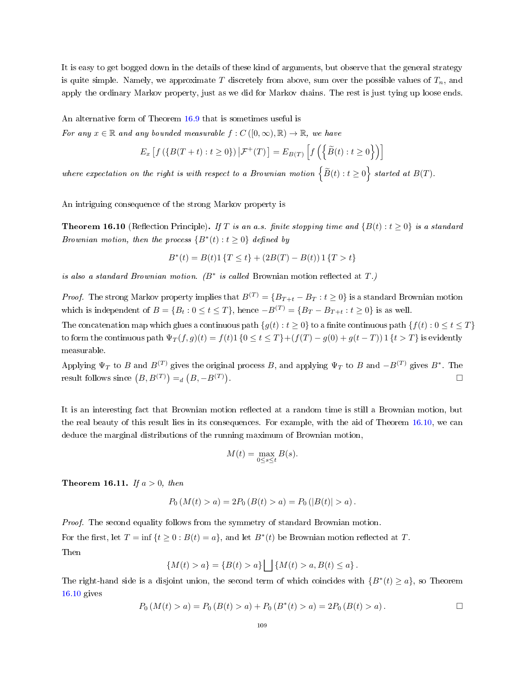It is easy to get bogged down in the details of these kind of arguments, but observe that the general strategy is quite simple. Namely, we approximate T discretely from above, sum over the possible values of  $T_n$ , and apply the ordinary Markov property, just as we did for Markov chains. The rest is just tying up loose ends.

An alternative form of Theorem [16.9](#page-106-0) that is sometimes useful is

For any  $x \in \mathbb{R}$  and any bounded measurable  $f : C([0,\infty), \mathbb{R}) \to \mathbb{R}$ , we have

$$
E_x\left[f\left(\left\{B(T+t):t\geq 0\right\}\right)\big|\mathcal{F}^+(T)\right] = E_{B(T)}\left[f\left(\left\{\widetilde{B}(t):t\geq 0\right\}\right)\right]
$$

where expectation on the right is with respect to a Brownian motion  $\left\{\widetilde{B}(t): t\geq 0\right\}$  started at  $B(T).$ 

An intriguing consequence of the strong Markov property is

<span id="page-108-0"></span>**Theorem 16.10** (Reflection Principle). If T is an a.s. finite stopping time and  $\{B(t): t \geq 0\}$  is a standard Brownian motion, then the process  $\{B^*(t): t \geq 0\}$  defined by

$$
B^*(t) = B(t)1 \{ T \le t \} + (2B(T) - B(t)) 1 \{ T > t \}
$$

is also a standard Brownian motion.  $(B^*$  is called Brownian motion reflected at  $T$ .)

*Proof.* The strong Markov property implies that  $B^{(T)} = \{B_{T+t} - B_T : t \ge 0\}$  is a standard Brownian motion which is independent of  $B = \{B_t : 0 \le t \le T\}$ , hence  $-B^{(T)} = \{B_T - B_{T+t} : t \ge 0\}$  is as well.

The concatenation map which glues a continuous path  $\{g(t): t \geq 0\}$  to a finite continuous path  $\{f(t): 0 \leq t \leq T\}$ to form the continuous path  $\Psi_T(f,g)(t) = f(t)1 \{0 \le t \le T\} + (f(T) - g(0) + g(t-T))1 \{t > T\}$  is evidently measurable.

Applying  $\Psi_T$  to B and  $B^{(T)}$  gives the original process B, and applying  $\Psi_T$  to B and  $-B^{(T)}$  gives  $B^*$ . The result follows since  $(B, B<sup>(T)</sup>) =_d (B, -B<sup>(T)</sup>)$ . □

It is an interesting fact that Brownian motion reflected at a random time is still a Brownian motion, but the real beauty of this result lies in its consequences. For example, with the aid of Theorem [16.10,](#page-108-0) we can deduce the marginal distributions of the running maximum of Brownian motion,

$$
M(t) = \max_{0 \le s \le t} B(s).
$$

<span id="page-108-1"></span>Theorem 16.11. If  $a > 0$ , then

$$
P_0(M(t) > a) = 2P_0(B(t) > a) = P_0(|B(t)| > a).
$$

Proof. The second equality follows from the symmetry of standard Brownian motion.

For the first, let  $T = \inf \{ t \ge 0 : B(t) = a \}$ , and let  $B^*(t)$  be Brownian motion reflected at T. Then

$$
\{M(t) > a\} = \{B(t) > a\} \bigsqcup \{M(t) > a, B(t) \le a\}.
$$

The right-hand side is a disjoint union, the second term of which coincides with  $\{B^*(t) \ge a\}$ , so Theorem [16.10](#page-108-0) gives

$$
P_0(M(t) > a) = P_0(B(t) > a) + P_0(B^*(t) > a) = 2P_0(B(t) > a).
$$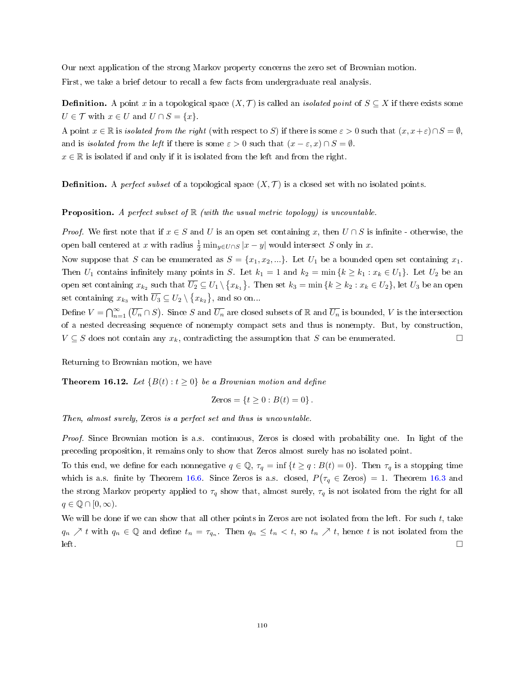Our next application of the strong Markov property concerns the zero set of Brownian motion. First, we take a brief detour to recall a few facts from undergraduate real analysis.

**Definition.** A point x in a topological space  $(X, \mathcal{T})$  is called an *isolated point* of  $S \subseteq X$  if there exists some  $U \in \mathcal{T}$  with  $x \in U$  and  $U \cap S = \{x\}.$ 

A point  $x \in \mathbb{R}$  is *isolated from the right* (with respect to S) if there is some  $\varepsilon > 0$  such that  $(x, x + \varepsilon) \cap S = \emptyset$ , and is *isolated from the left* if there is some  $\varepsilon > 0$  such that  $(x - \varepsilon, x) \cap S = \emptyset$ .  $x \in \mathbb{R}$  is isolated if and only if it is isolated from the left and from the right.

**Definition.** A *perfect subset* of a topological space  $(X, \mathcal{T})$  is a closed set with no isolated points.

**Proposition.** A perfect subset of  $\mathbb{R}$  (with the usual metric topology) is uncountable.

*Proof.* We first note that if  $x \in S$  and U is an open set containing x, then  $U \cap S$  is infinite - otherwise, the open ball centered at x with radius  $\frac{1}{2}$  min<sub>y∈U∩S</sub> |x – y| would intersect S only in x.

Now suppose that S can be enumerated as  $S = \{x_1, x_2, ...\}$ . Let  $U_1$  be a bounded open set containing  $x_1$ . Then  $U_1$  contains infinitely many points in S. Let  $k_1 = 1$  and  $k_2 = \min\{k \ge k_1 : x_k \in U_1\}$ . Let  $U_2$  be an open set containing  $x_{k_2}$  such that  $\overline{U_2} \subseteq U_1 \setminus \{x_{k_1}\}.$  Then set  $k_3 = \min{\{k \geq k_2 : x_k \in U_2\}},$  let  $U_3$  be an open set containing  $x_{k_3}$  with  $\overline{U_3} \subseteq U_2 \setminus \{x_{k_2}\}\$ , and so on...

Define  $V=\bigcap_{n=1}^\infty \, (\overline{U_n}\cap S)$ . Since  $S$  and  $\overline{U_n}$  are closed subsets of  $\R$  and  $\overline{U_n}$  is bounded,  $V$  is the intersection of a nested decreasing sequence of nonempty compact sets and thus is nonempty. But, by construction,  $V \subseteq S$  does not contain any  $x_k$ , contradicting the assumption that S can be enumerated. □

Returning to Brownian motion, we have

**Theorem 16.12.** Let  ${B(t): t \ge 0}$  be a Brownian motion and define

$$
Zeros = \{ t \ge 0 : B(t) = 0 \} .
$$

Then, almost surely, Zeros is a perfect set and thus is uncountable.

Proof. Since Brownian motion is a.s. continuous, Zeros is closed with probability one. In light of the preceding proposition, it remains only to show that Zeros almost surely has no isolated point.

To this end, we define for each nonnegative  $q \in \mathbb{Q}$ ,  $\tau_q = \inf \{ t \ge q : B(t) = 0 \}$ . Then  $\tau_q$  is a stopping time which is a.s. finite by Theorem [16.6.](#page-104-0) Since Zeros is a.s. closed,  $P(\tau_q \in \text{Zeros}) = 1$ . Theorem [16.3](#page-103-0) and the strong Markov property applied to  $\tau_q$  show that, almost surely,  $\tau_q$  is not isolated from the right for all  $q \in \mathbb{Q} \cap [0,\infty).$ 

We will be done if we can show that all other points in Zeros are not isolated from the left. For such  $t$ , take  $q_n \nearrow t$  with  $q_n \in \mathbb{Q}$  and define  $t_n = \tau_{q_n}$ . Then  $q_n \leq t_n < t$ , so  $t_n \nearrow t$ , hence t is not isolated from the  $\Box$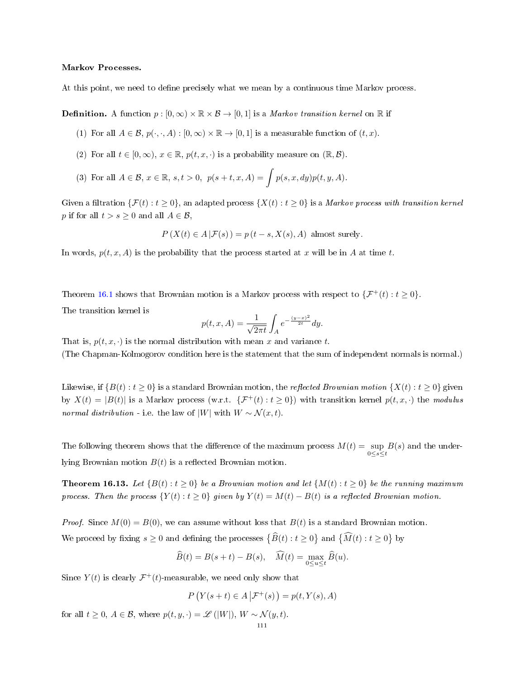### Markov Processes.

At this point, we need to define precisely what we mean by a continuous time Markov process.

**Definition.** A function  $p : [0, \infty) \times \mathbb{R} \times \mathcal{B} \to [0, 1]$  is a *Markov transition kernel* on  $\mathbb{R}$  if

- (1) For all  $A \in \mathcal{B}$ ,  $p(\cdot, \cdot, A) : [0, \infty) \times \mathbb{R} \to [0, 1]$  is a measurable function of  $(t, x)$ .
- (2) For all  $t \in [0, \infty)$ ,  $x \in \mathbb{R}$ ,  $p(t, x, \cdot)$  is a probability measure on  $(\mathbb{R}, \mathcal{B})$ .
- (3) For all  $A \in \mathcal{B}$ ,  $x \in \mathbb{R}$ ,  $s, t > 0$ ,  $p(s+t, x, A) = \int p(s, x, dy)p(t, y, A)$ .

Given a filtration  $\{\mathcal{F}(t): t \geq 0\}$ , an adapted process  $\{X(t): t \geq 0\}$  is a *Markov process with transition kernel* p if for all  $t > s \geq 0$  and all  $A \in \mathcal{B}$ ,

$$
P(X(t) \in A | \mathcal{F}(s)) = p(t - s, X(s), A)
$$
 almost surely.

In words,  $p(t, x, A)$  is the probability that the process started at x will be in A at time t.

Theorem [16.1](#page-102-0) shows that Brownian motion is a Markov process with respect to  $\{\mathcal{F}^+(t): t \geq 0\}$ .

The transition kernel is

$$
p(t, x, A) = \frac{1}{\sqrt{2\pi t}} \int_{A} e^{-\frac{(y-x)^2}{2t}} dy.
$$

That is,  $p(t, x, \cdot)$  is the normal distribution with mean x and variance t. (The Chapman-Kolmogorov condition here is the statement that the sum of independent normals is normal.)

Likewise, if  $\{B(t): t \geq 0\}$  is a standard Brownian motion, the reflected Brownian motion  $\{X(t): t \geq 0\}$  given by  $X(t) = |B(t)|$  is a Markov process (w.r.t.  $\{\mathcal{F}^+(t) : t \geq 0\}$ ) with transition kernel  $p(t, x, \cdot)$  the modulus normal distribution - i.e. the law of |W| with  $W \sim \mathcal{N}(x, t)$ .

The following theorem shows that the difference of the maximum process  $M(t) = \sup_{0 \le s \le t} B(s)$  and the underlying Brownian motion  $B(t)$  is a reflected Brownian motion.

**Theorem 16.13.** Let  ${B(t) : t \ge 0}$  be a Brownian motion and let  ${M(t) : t \ge 0}$  be the running maximum process. Then the process  ${Y(t): t \ge 0}$  given by  $Y(t) = M(t) - B(t)$  is a reflected Brownian motion.

*Proof.* Since  $M(0) = B(0)$ , we can assume without loss that  $B(t)$  is a standard Brownian motion. We proceed by fixing  $s \ge 0$  and defining the processes  $\{\widehat{B}(t) : t \ge 0\}$  and  $\{\widehat{M}(t) : t \ge 0\}$  by

$$
\widehat{B}(t) = B(s+t) - B(s), \quad \widehat{M}(t) = \max_{0 \le u \le t} \widehat{B}(u).
$$

Since  $Y(t)$  is clearly  $\mathcal{F}^+(t)$ -measurable, we need only show that

$$
P(Y(s+t) \in A | \mathcal{F}^+(s)) = p(t, Y(s), A)
$$

for all  $t \geq 0$ ,  $A \in \mathcal{B}$ , where  $p(t, y, \cdot) = \mathcal{L}(|W|)$ ,  $W \sim \mathcal{N}(y, t)$ .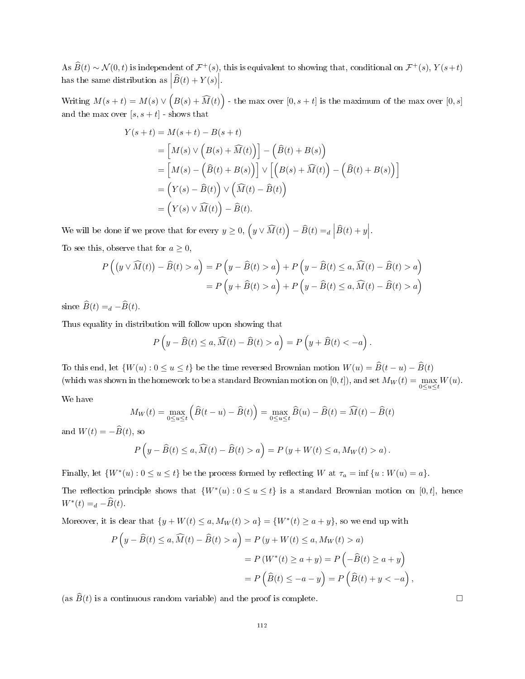As  $\widehat{B}(t) \sim \mathcal{N}(0, t)$  is independent of  $\mathcal{F}^+(s)$ , this is equivalent to showing that, conditional on  $\mathcal{F}^+(s)$ ,  $Y(s+t)$ has the same distribution as  $\left| \widehat{B}(t) + Y(s) \right|$ .

Writing  $M(s+t) = M(s) \vee \left(B(s) + \widehat{M}(t)\right)$  - the max over  $[0,s+t]$  is the maximum of the max over  $[0,s]$ and the max over  $[s, s+t]$  - shows that

$$
Y(s+t) = M(s+t) - B(s+t)
$$
  
= 
$$
[M(s) \vee (B(s) + \widehat{M}(t))] - (\widehat{B}(t) + B(s))
$$
  
= 
$$
[M(s) - (\widehat{B}(t) + B(s))] \vee [B(s) + \widehat{M}(t)) - (\widehat{B}(t) + B(s))]
$$
  
= 
$$
(Y(s) - \widehat{B}(t)) \vee (\widehat{M}(t) - \widehat{B}(t))
$$
  
= 
$$
(Y(s) \vee \widehat{M}(t)) - \widehat{B}(t).
$$

We will be done if we prove that for every  $y \geq 0$ ,  $(y \vee \widehat{M}(t)) - \widehat{B}(t) =_d \Big| \widehat{B}(t) + y \Big|$ . To see this, observe that for  $a \geq 0$ ,

$$
P\left((y \vee \widehat{M}(t)) - \widehat{B}(t) > a\right) = P\left(y - \widehat{B}(t) > a\right) + P\left(y - \widehat{B}(t) \le a, \widehat{M}(t) - \widehat{B}(t) > a\right)
$$

$$
= P\left(y + \widehat{B}(t) > a\right) + P\left(y - \widehat{B}(t) \le a, \widehat{M}(t) - \widehat{B}(t) > a\right)
$$

since  $\widehat{B}(t) =_d - \widehat{B}(t)$ .

Thus equality in distribution will follow upon showing that

$$
P\left(y - \widehat{B}(t) \le a, \widehat{M}(t) - \widehat{B}(t) > a\right) = P\left(y + \widehat{B}(t) < -a\right).
$$

To this end, let  $\{W(u): 0 \le u \le t\}$  be the time reversed Brownian motion  $W(u) = \widehat{B}(t - u) - \widehat{B}(t)$ (which was shown in the homework to be a standard Brownian motion on  $[0,t]$ ), and set  $M_W(t) = \max_{0 \le u \le t} W(u)$ .

We have

$$
M_W(t) = \max_{0 \le u \le t} \left( \widehat{B}(t - u) - \widehat{B}(t) \right) = \max_{0 \le u \le t} \widehat{B}(u) - \widehat{B}(t) = \widehat{M}(t) - \widehat{B}(t)
$$

and  $W(t) = -\widehat{B}(t)$ , so

$$
P\left(y - \widehat{B}(t) \le a, \widehat{M}(t) - \widehat{B}(t) > a\right) = P\left(y + W(t) \le a, M_W(t) > a\right).
$$

Finally, let  $\{W^*(u): 0 \le u \le t\}$  be the process formed by reflecting W at  $\tau_a = \inf \{u : W(u) = a\}.$ 

The reflection principle shows that  $\{W^*(u): 0 \le u \le t\}$  is a standard Brownian motion on [0, t], hence  $W^*(t) =_d -\widehat{B}(t).$ 

Moreover, it is clear that  $\{y + W(t) \le a, M_W(t) > a\} = \{W^*(t) \ge a + y\}$ , so we end up with

$$
P\left(y - \widehat{B}(t) \le a, \widehat{M}(t) - \widehat{B}(t) > a\right) = P\left(y + W(t) \le a, M_W(t) > a\right)
$$

$$
= P\left(W^*(t) \ge a + y\right) = P\left(-\widehat{B}(t) \ge a + y\right)
$$

$$
= P\left(\widehat{B}(t) \le -a - y\right) = P\left(\widehat{B}(t) + y < -a\right),
$$

(as  $\widehat{B}(t)$  is a continuous random variable) and the proof is complete.  $\Box$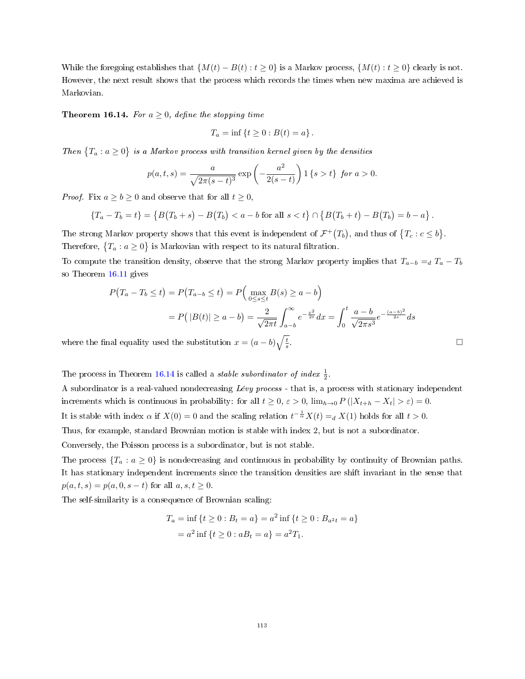While the foregoing establishes that  $\{M(t) - B(t) : t \geq 0\}$  is a Markov process,  $\{M(t) : t \geq 0\}$  clearly is not. However, the next result shows that the process which records the times when new maxima are achieved is Markovian.

<span id="page-112-0"></span>**Theorem 16.14.** For  $a \geq 0$ , define the stopping time

$$
T_a = \inf \{ t \ge 0 : B(t) = a \} .
$$

Then  $\{T_a : a \geq 0\}$  is a Markov process with transition kernel given by the densities

$$
p(a,t,s) = \frac{a}{\sqrt{2\pi(s-t)^3}} \exp\left(-\frac{a^2}{2(s-t)}\right) 1 \{s > t\} \text{ for } a > 0.
$$

*Proof.* Fix  $a \ge b \ge 0$  and observe that for all  $t \ge 0$ ,

$$
\{T_a - T_b = t\} = \{B(T_b + s) - B(T_b) < a - b \text{ for all } s < t\} \cap \{B(T_b + t) - B(T_b) = b - a\}.
$$

The strong Markov property shows that this event is independent of  $\mathcal{F}^+(T_b)$ , and thus of  $\{T_c : c \leq b\}$ . Therefore,  ${T_a : a \ge 0}$  is Markovian with respect to its natural filtration.

To compute the transition density, observe that the strong Markov property implies that  $T_{a-b} = dT_a - T_b$ so Theorem [16.11](#page-108-1) gives

$$
P(T_a - T_b \le t) = P(T_{a-b} \le t) = P\Big(\max_{0 \le s \le t} B(s) \ge a - b\Big)
$$
  
= 
$$
P(|B(t)| \ge a - b) = \frac{2}{\sqrt{2\pi t}} \int_{a-b}^{\infty} e^{-\frac{x^2}{2t}} dx = \int_{0}^{t} \frac{a - b}{\sqrt{2\pi s^3}} e^{-\frac{(a-b)^2}{2s}} ds
$$
  
mal equality used the substitution  $x = (a - b)\sqrt{\frac{t}{s}}$ .

where the final equality used the substitution  $x = (a - b)\sqrt{\frac{t}{s}}$ 

The process in Theorem [16.14](#page-112-0) is called a *stable subordinator of index*  $\frac{1}{2}$ .

A subordinator is a real-valued nondecreasing Lévy process - that is, a process with stationary independent increments which is continuous in probability: for all  $t \geq 0$ ,  $\varepsilon > 0$ ,  $\lim_{h\to 0} P(|X_{t+h} - X_t| > \varepsilon) = 0$ . It is stable with index  $\alpha$  if  $X(0) = 0$  and the scaling relation  $t^{-\frac{1}{\alpha}}X(t) =_d X(1)$  holds for all  $t > 0$ .

Thus, for example, standard Brownian motion is stable with index 2, but is not a subordinator.

Conversely, the Poisson process is a subordinator, but is not stable.

The process  ${T_a : a \ge 0}$  is nondecreasing and continuous in probability by continuity of Brownian paths. It has stationary independent increments since the transition densities are shift invariant in the sense that  $p(a, t, s) = p(a, 0, s - t)$  for all  $a, s, t \ge 0$ .

The self-similarity is a consequence of Brownian scaling:

$$
T_a = \inf \{ t \ge 0 : B_t = a \} = a^2 \inf \{ t \ge 0 : B_{a^2 t} = a \}
$$
  
=  $a^2 \inf \{ t \ge 0 : aB_t = a \} = a^2 T_1.$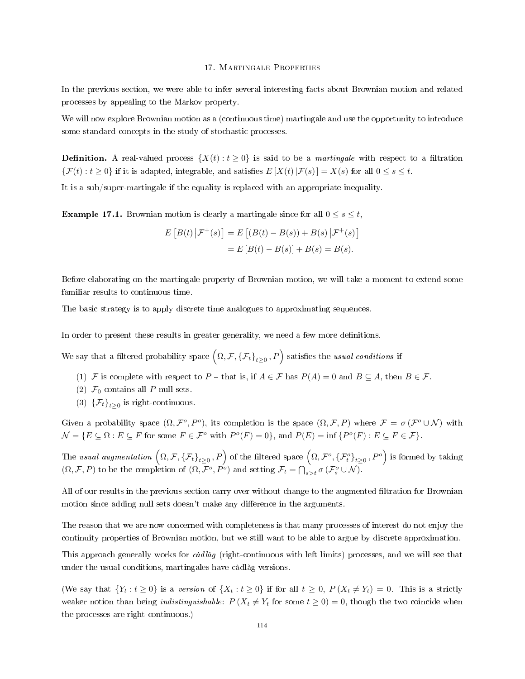#### 17. Martingale Properties

In the previous section, we were able to infer several interesting facts about Brownian motion and related processes by appealing to the Markov property.

We will now explore Brownian motion as a (continuous time) martingale and use the opportunity to introduce some standard concepts in the study of stochastic processes.

**Definition.** A real-valued process  $\{X(t): t \geq 0\}$  is said to be a *martingale* with respect to a filtration  ${\mathcal{F}(t): t \geq 0}$  if it is adapted, integrable, and satisfies  $E[X(t)|{\mathcal{F}}(s)] = X(s)$  for all  $0 \leq s \leq t$ .

It is a sub/super-martingale if the equality is replaced with an appropriate inequality.

**Example 17.1.** Brownian motion is clearly a martingale since for all  $0 \le s \le t$ ,

$$
E [B(t) | \mathcal{F}^+(s)] = E [(B(t) - B(s)) + B(s) | \mathcal{F}^+(s)]
$$
  
= 
$$
E [B(t) - B(s)] + B(s) = B(s).
$$

Before elaborating on the martingale property of Brownian motion, we will take a moment to extend some familiar results to continuous time.

The basic strategy is to apply discrete time analogues to approximating sequences.

In order to present these results in greater generality, we need a few more definitions.

We say that a filtered probability space  $(\Omega, \mathcal{F}, {\{\mathcal{F}_t\}}_{t\geq 0}, P)$  satisfies the usual conditions if

- (1) F is complete with respect to P that is, if  $A \in \mathcal{F}$  has  $P(A) = 0$  and  $B \subseteq A$ , then  $B \in \mathcal{F}$ .
- (2)  $\mathcal{F}_0$  contains all P-null sets.
- (3)  $\{\mathcal{F}_t\}_{t\geq 0}$  is right-continuous.

Given a probability space  $(\Omega, \mathcal{F}^o, P^o)$ , its completion is the space  $(\Omega, \mathcal{F}, P)$  where  $\mathcal{F} = \sigma(\mathcal{F}^o \cup \mathcal{N})$  with  $\mathcal{N} = \{ E \subseteq \Omega : E \subseteq F \text{ for some } F \in \mathcal{F}^o \text{ with } P^o(F) = 0 \}, \text{ and } P(E) = \inf \{ P^o(F) : E \subseteq F \in \mathcal{F} \}.$ 

The usual augmentation  $\left(\Omega,\mathcal{F},\left\{\mathcal{F}_{t}\right\}_{t\geq0},P\right)$  of the filtered space  $\left(\Omega,\mathcal{F}^{o},\left\{\mathcal{F}_{t}^{o}\right\}_{t\geq0},P^{o}\right)$  is formed by taking  $(\Omega, \mathcal{F}, P)$  to be the completion of  $(\Omega, \mathcal{F}^o, P^o)$  and setting  $\mathcal{F}_t = \bigcap_{s>t} \sigma(\mathcal{F}^o_s \cup \mathcal{N})$ .

All of our results in the previous section carry over without change to the augmented filtration for Brownian motion since adding null sets doesn't make any difference in the arguments.

The reason that we are now concerned with completeness is that many processes of interest do not enjoy the continuity properties of Brownian motion, but we still want to be able to argue by discrete approximation.

This approach generally works for càdlàg (right-continuous with left limits) processes, and we will see that under the usual conditions, martingales have càdlàg versions.

(We say that  $\{Y_t : t \ge 0\}$  is a version of  $\{X_t : t \ge 0\}$  if for all  $t \ge 0$ ,  $P(X_t \ne Y_t) = 0$ . This is a strictly weaker notion than being *indistinguishable:*  $P(X_t \neq Y_t$  for some  $t \geq 0) = 0$ , though the two coincide when the processes are right-continuous.)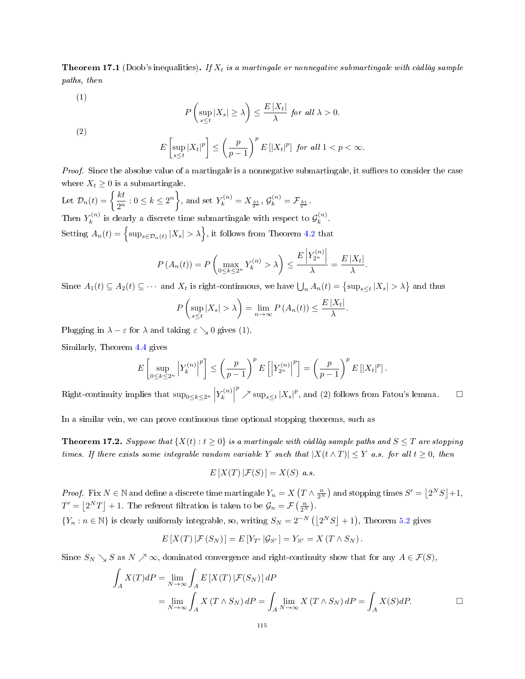<span id="page-114-0"></span>**Theorem 17.1** (Doob's inequalities). If  $X_t$  is a martingale or nonnegative submartingale with càdlàg sample paths, then

(1)

$$
P\left(\sup_{s\leq t}|X_s|\geq\lambda\right)\leq\frac{E\,|X_t|}{\lambda}\,\,for\,\,all\,\,\lambda>0.
$$

(2)

$$
E\left[\sup_{s\leq t}|X_t|^p\right] \leq \left(\frac{p}{p-1}\right)^p E\left[|X_t|^p\right] \text{ for all } 1
$$

*Proof.* Since the absolue value of a martingale is a nonnegative submartingale, it suffices to consider the case where  $X_t \geq 0$  is a submartingale.

Let  $\mathcal{D}_n(t) = \begin{cases} \frac{kt}{2n} \end{cases}$  $\frac{kt}{2^n} : 0 \le k \le 2^n$ , and set  $Y_k^{(n)} = X_{\frac{kt}{2^n}}$ ,  $\mathcal{G}_k^{(n)} = \mathcal{F}_{\frac{kt}{2^n}}$ . Then  $Y_k^{(n)}$  $\mathbf{y}_k^{(n)}$  is clearly a discrete time submartingale with respect to  $\mathcal{G}_k^{(n)}$  $\binom{n}{k}$ . Setting  $A_n(t) = \left\{ \sup_{s \in \mathcal{D}_n(t)} |X_s| > \lambda \right\}$ , it follows from Theorem [4.2](#page-30-0) that

$$
P(A_n(t)) = P\left(\max_{0 \le k \le 2^n} Y_k^{(n)} > \lambda\right) \le \frac{E\left|Y_{2^n}^{(n)}\right|}{\lambda} = \frac{E\left|X_t\right|}{\lambda}.
$$

Since  $A_1(t) \subseteq A_2(t) \subseteq \cdots$  and  $X_t$  is right-continuous, we have  $\bigcup_n A_n(t) = \{\sup_{s \le t} |X_s| > \lambda\}$  and thus

$$
P\left(\sup_{s\leq t}|X_s|>\lambda\right)=\lim_{n\to\infty}P\left(A_n(t)\right)\leq\frac{E|X_t|}{\lambda}.
$$

Plugging in  $\lambda - \varepsilon$  for  $\lambda$  and taking  $\varepsilon \searrow 0$  gives (1).

Similarly, Theorem [4.4](#page-31-0) gives

$$
E\left[\sup_{0\leq k\leq 2^n}\left|Y^{(n)}_k\right|^p\right]\leq \left(\frac{p}{p-1}\right)^p E\left[\left|Y^{(n)}_{2^n}\right|^p\right]=\left(\frac{p}{p-1}\right)^p E\left[|X_t|^p\right].
$$

Right-continuity implies that  $\sup_{0 \le k \le 2^n} |Y_k^{(n)}|$  $\binom{n}{k}$  $p^p \nearrow \sup_{s \leq t} |X_s|^p$ , and (2) follows from Fatou's lemma.  $\Box$ 

In a similar vein, we can prove continuous time optional stopping theorems, such as

<span id="page-114-1"></span>**Theorem 17.2.** Suppose that  $\{X(t): t \geq 0\}$  is a martingale with càdlàg sample paths and  $S \leq T$  are stopping times. If there exists some integrable random variable Y such that  $|X(t \wedge T)| \leq Y$  a.s. for all  $t \geq 0$ , then

$$
E[X(T) | \mathcal{F}(S)] = X(S) \ a.s.
$$

*Proof.* Fix  $N \in \mathbb{N}$  and define a discrete time martingale  $Y_n = X(T \wedge \frac{n}{2^N})$  and stopping times  $S' = \lfloor 2^N S \rfloor + 1$ ,  $T' = \lfloor 2^N T \rfloor + 1$ . The referent filtration is taken to be  $\mathcal{G}_n = \mathcal{F}\left(\frac{n}{2^N}\right)$ .

 ${Y_n : n \in \mathbb{N}}$  is clearly uniformly integrable, so, writing  $S_N = 2^{-N} (|2^N S| + 1)$ , Theorem [5.2](#page-39-0) gives

$$
E[X(T) | \mathcal{F}(S_N)] = E[Y_{T'} | \mathcal{G}_{S'}] = Y_{S'} = X(T \wedge S_N).
$$

Since  $S_N \searrow S$  as  $N \nearrow \infty$ , dominated convergence and right-continuity show that for any  $A \in \mathcal{F}(S)$ ,

$$
\int_{A} X(T) dP = \lim_{N \to \infty} \int_{A} E[X(T) | \mathcal{F}(S_N)] dP
$$
\n
$$
= \lim_{N \to \infty} \int_{A} X(T \wedge S_N) dP = \int_{A} \lim_{N \to \infty} X(T \wedge S_N) dP = \int_{A} X(S) dP.
$$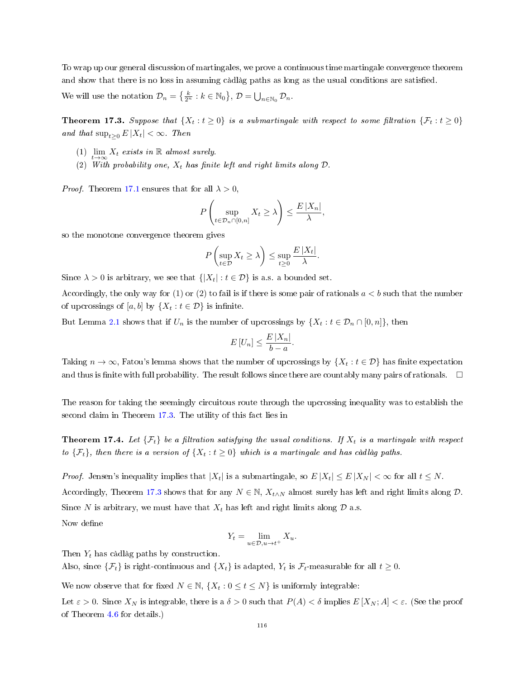To wrap up our general discussion of martingales, we prove a continuous time martingale convergence theorem and show that there is no loss in assuming càdlàg paths as long as the usual conditions are satised.

We will use the notation  $\mathcal{D}_n = \left\{ \frac{k}{2^n} : k \in \mathbb{N}_0 \right\}, \mathcal{D} = \bigcup_{n \in \mathbb{N}_0} \mathcal{D}_n$ .

<span id="page-115-0"></span>**Theorem 17.3.** Suppose that  $\{X_t : t \ge 0\}$  is a submartingale with respect to some filtration  $\{\mathcal{F}_t : t \ge 0\}$ and that  $\sup_{t>0} E |X_t| < \infty$ . Then

- (1)  $\lim_{t\to\infty} X_t$  exists in R almost surely.
- (2) With probability one,  $X_t$  has finite left and right limits along  $D$

*Proof.* Theorem [17.1](#page-114-0) ensures that for all  $\lambda > 0$ ,

$$
P\left(\sup_{t\in\mathcal{D}_n\cap[0,n]}X_t\ge\lambda\right)\le\frac{E|X_n|}{\lambda},\,
$$

so the monotone convergence theorem gives

$$
P\left(\sup_{t\in\mathcal{D}}X_t\ge\lambda\right)\le\sup_{t\ge0}\frac{E\left|X_t\right|}{\lambda}.
$$

Since  $\lambda > 0$  is arbitrary, we see that  $\{ |X_t| : t \in \mathcal{D} \}$  is a.s. a bounded set.

Accordingly, the only way for (1) or (2) to fail is if there is some pair of rationals  $a < b$  such that the number of upcrossings of  $[a, b]$  by  $\{X_t : t \in \mathcal{D}\}\$ is infinite.

But Lemma [2.1](#page-21-0) shows that if  $U_n$  is the number of upcrossings by  $\{X_t : t \in \mathcal{D}_n \cap [0,n]\}$ , then

$$
E[U_n] \le \frac{E|X_n|}{b-a}.
$$

Taking  $n \to \infty$ , Fatou's lemma shows that the number of upcrossings by  $\{X_t : t \in \mathcal{D}\}\)$  has finite expectation and thus is finite with full probability. The result follows since there are countably many pairs of rationals.  $\Box$ 

The reason for taking the seemingly circuitous route through the upcrossing inequality was to establish the second claim in Theorem [17.3.](#page-115-0) The utility of this fact lies in

**Theorem 17.4.** Let  $\{\mathcal{F}_t\}$  be a filtration satisfying the usual conditions. If  $X_t$  is a martingale with respect to  $\{\mathcal{F}_t\}$ , then there is a version of  $\{X_t : t \geq 0\}$  which is a martingale and has càdlàg paths.

*Proof.* Jensen's inequality implies that  $|X_t|$  is a submartingale, so  $E|X_t| \le E|X_N| < \infty$  for all  $t \le N$ . Accordingly, Theorem [17.3](#page-115-0) shows that for any  $N \in \mathbb{N}$ ,  $X_{t \wedge N}$  almost surely has left and right limits along  $\mathcal{D}$ . Since N is arbitrary, we must have that  $X_t$  has left and right limits along  $D$  a.s. Now define

$$
Y_t = \lim_{u \in \mathcal{D}, u \to t^+} X_u.
$$

Then  $Y_t$  has càdlàg paths by construction.

Also, since  $\{\mathcal{F}_t\}$  is right-continuous and  $\{X_t\}$  is adapted,  $Y_t$  is  $\mathcal{F}_t$ -measurable for all  $t \geq 0$ .

We now observe that for fixed  $N \in \mathbb{N}$ ,  $\{X_t : 0 \le t \le N\}$  is uniformly integrable:

Let  $\varepsilon > 0$ . Since  $X_N$  is integrable, there is a  $\delta > 0$  such that  $P(A) < \delta$  implies  $E[X_N; A] < \varepsilon$ . (See the proof of Theorem [4.6](#page-33-0) for details.)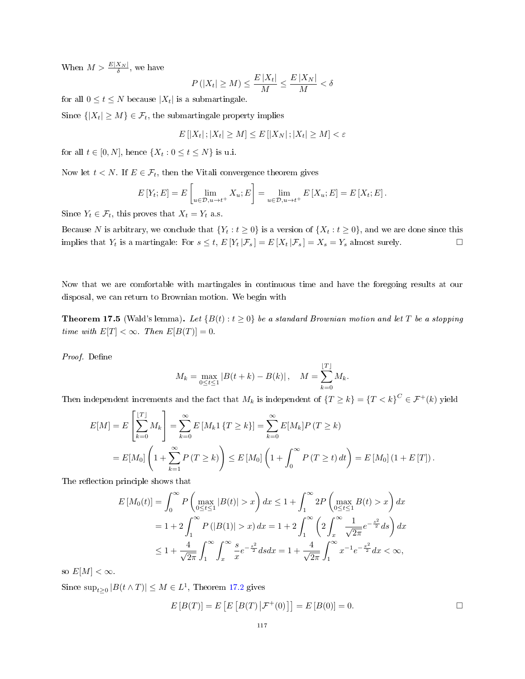When  $M > \frac{E|X_N|}{\delta}$ , we have

$$
P(|X_t| \ge M) \le \frac{E|X_t|}{M} \le \frac{E|X_N|}{M} < \delta
$$

for all  $0 \le t \le N$  because  $|X_t|$  is a submartingale.

Since  $\{|X_t| \geq M\} \in \mathcal{F}_t$ , the submartingale property implies

$$
E\left[|X_t|;|X_t|\geq M\right]\leq E\left[|X_N|;|X_t|\geq M\right]<\varepsilon
$$

for all  $t \in [0, N]$ , hence  $\{X_t : 0 \le t \le N\}$  is u.i.

Now let  $t < N$ . If  $E \in \mathcal{F}_t$ , then the Vitali convergence theorem gives

$$
E[Y_t; E] = E\left[\lim_{u \in \mathcal{D}, u \to t^+} X_u; E\right] = \lim_{u \in \mathcal{D}, u \to t^+} E\left[X_u; E\right] = E\left[X_t; E\right].
$$

Since  $Y_t \in \mathcal{F}_t$ , this proves that  $X_t = Y_t$  a.s.

Because N is arbitrary, we conclude that  $\{Y_t : t \ge 0\}$  is a version of  $\{X_t : t \ge 0\}$ , and we are done since this implies that  $Y_t$  is a martingale: For  $s \le t$ ,  $E[Y_t | \mathcal{F}_s] = E[X_t | \mathcal{F}_s] = X_s = Y_s$  almost surely.

Now that we are comfortable with martingales in continuous time and have the foregoing results at our disposal, we can return to Brownian motion. We begin with

**Theorem 17.5** (Wald's lemma). Let  $\{B(t): t \geq 0\}$  be a standard Brownian motion and let T be a stopping time with  $E[T] < \infty$ . Then  $E[B(T)] = 0$ .

Proof. Define

$$
M_k = \max_{0 \le t \le 1} |B(t+k) - B(k)|, \quad M = \sum_{k=0}^{\lfloor T \rfloor} M_k.
$$

Then independent increments and the fact that  $M_k$  is independent of  $\{T \ge k\} = \{T < k\}^C \in \mathcal{F}^+(k)$  yield

$$
E[M] = E\left[\sum_{k=0}^{T} M_k\right] = \sum_{k=0}^{\infty} E\left[M_k 1\{T \ge k\}\right] = \sum_{k=0}^{\infty} E[M_k] P(T \ge k)
$$
  
=  $E[M_0] \left(1 + \sum_{k=1}^{\infty} P(T \ge k)\right) \le E\left[M_0\right] \left(1 + \int_0^{\infty} P(T \ge t) dt\right) = E\left[M_0\right] \left(1 + E\left[T\right]\right).$ 

The reflection principle shows that

$$
E\left[M_0(t)\right] = \int_0^\infty P\left(\max_{0 \le t \le 1} |B(t)| > x\right) dx \le 1 + \int_1^\infty 2P\left(\max_{0 \le t \le 1} B(t) > x\right) dx
$$
  
=  $1 + 2 \int_1^\infty P(|B(1)| > x) dx = 1 + 2 \int_1^\infty \left(2 \int_x^\infty \frac{1}{\sqrt{2\pi}} e^{-\frac{s^2}{2}} ds\right) dx$   
 $\le 1 + \frac{4}{\sqrt{2\pi}} \int_1^\infty \int_x^\infty \frac{s}{x} e^{-\frac{s^2}{2}} ds dx = 1 + \frac{4}{\sqrt{2\pi}} \int_1^\infty x^{-1} e^{-\frac{x^2}{2}} dx < \infty,$ 

so  $E[M] < \infty$ .

Since  $\sup_{t\geq 0} |B(t\wedge T)| \leq M \in L^1$ , Theorem [17.2](#page-114-1) gives

$$
E[B(T)] = E[E[B(T) | \mathcal{F}^+(0)]] = E[B(0)] = 0.
$$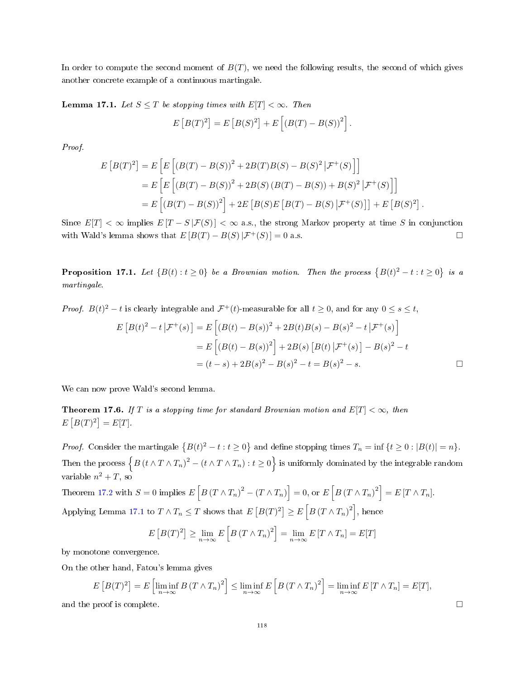In order to compute the second moment of  $B(T)$ , we need the following results, the second of which gives another concrete example of a continuous martingale.

<span id="page-117-0"></span>**Lemma 17.1.** Let  $S \leq T$  be stopping times with  $E[T] < \infty$ . Then

$$
E [B(T)^{2}] = E [B(S)^{2}] + E [ (B(T) - B(S))^{2}].
$$

Proof.

$$
E [B(T)^{2}] = E [E [(B(T) - B(S))^{2} + 2B(T)B(S) - B(S)^{2} | \mathcal{F}^{+}(S)]]
$$
  
= 
$$
E [E [(B(T) - B(S))^{2} + 2B(S) (B(T) - B(S)) + B(S)^{2} | \mathcal{F}^{+}(S)]]
$$
  
= 
$$
E [(B(T) - B(S))^{2}] + 2E [B(S)E [B(T) - B(S) | \mathcal{F}^{+}(S)]] + E [B(S)^{2}].
$$

Since  $E[T] < \infty$  implies  $E[T - S|\mathcal{F}(S)] < \infty$  a.s., the strong Markov property at time S in conjunction with Wald's lemma shows that  $E[B(T) - B(S)|\mathcal{F}^+(S)] = 0$  a.s.  $\square$ 

<span id="page-117-1"></span>**Proposition 17.1.** Let  $\{B(t): t \ge 0\}$  be a Brownian motion. Then the process  $\{B(t)^2 - t : t \ge 0\}$  is a martingale.

*Proof.*  $B(t)^2 - t$  is clearly integrable and  $\mathcal{F}^+(t)$ -measurable for all  $t \geq 0$ , and for any  $0 \leq s \leq t$ ,

$$
E [B(t)^{2} - t | \mathcal{F}^{+}(s)] = E \left[ (B(t) - B(s))^{2} + 2B(t)B(s) - B(s)^{2} - t | \mathcal{F}^{+}(s) \right]
$$
  
= 
$$
E \left[ (B(t) - B(s))^{2} \right] + 2B(s) [B(t) | \mathcal{F}^{+}(s)] - B(s)^{2} - t
$$
  
= 
$$
(t - s) + 2B(s)^{2} - B(s)^{2} - t = B(s)^{2} - s.
$$

We can now prove Wald's second lemma.

Theorem 17.6. If T is a stopping time for standard Brownian motion and  $E[T] < \infty$ , then  $E[B(T)^2] = E[T].$ 

*Proof.* Consider the martingale  $\{B(t)^2 - t : t \ge 0\}$  and define stopping times  $T_n = \inf \{t \ge 0 : |B(t)| = n\}.$ Then the process  $\left\{B\left(t\wedge T\wedge T_n\right)^2-\left(t\wedge T\wedge T_n\right):t\geq0\right\}$  is uniformly dominated by the integrable random variable  $n^2 + T$ , so

Theorem [17.2](#page-114-1) with  $S = 0$  implies  $E\left[ B(T \wedge T_n)^2 - (T \wedge T_n) \right] = 0$ , or  $E\left[ B(T \wedge T_n)^2 \right] = E[T \wedge T_n]$ . Applying Lemma [17.1](#page-117-0) to  $T \wedge T_n \leq T$  shows that  $E\left[ B(T)^2 \right] \geq E\left[ B\left( T \wedge T_n \right)^2 \right]$ , hence

$$
E\left[B(T)^{2}\right] \geq \lim_{n \to \infty} E\left[B\left(T \wedge T_{n}\right)^{2}\right] = \lim_{n \to \infty} E\left[T \wedge T_{n}\right] = E[T]
$$

by monotone convergence.

On the other hand, Fatou's lemma gives

$$
E\left[B(T)^2\right] = E\left[\liminf_{n \to \infty} B\left(T \wedge T_n\right)^2\right] \le \liminf_{n \to \infty} E\left[B\left(T \wedge T_n\right)^2\right] = \liminf_{n \to \infty} E\left[T \wedge T_n\right] = E[T],
$$
  
and the proof is complete.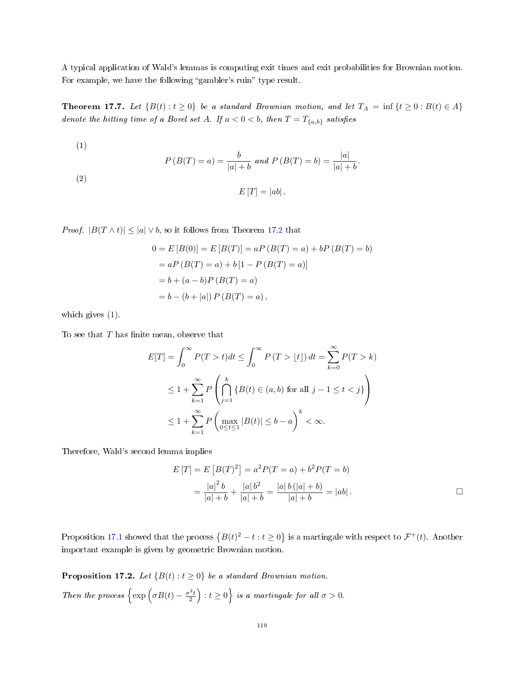A typical application of Wald's lemmas is computing exit times and exit probabilities for Brownian motion. For example, we have the following "gambler's ruin" type result.

<span id="page-118-1"></span>Theorem 17.7. Let  $\{B(t): t \geq 0\}$  be a standard Brownian motion, and let  $T_A = \inf \{t \geq 0 : B(t) \in A\}$ denote the hitting time of a Borel set A. If  $a < 0 < b$ , then  $T = T_{\{a,b\}}$  satisfies

(1)  
\n
$$
P(B(T) = a) = \frac{b}{|a| + b} \text{ and } P(B(T) = b) = \frac{|a|}{|a| + b}.
$$
\n(2)  
\n
$$
E[T] = |ab|.
$$

*Proof.*  $|B(T \wedge t)| \leq |a| \vee b$ , so it follows from Theorem [17.2](#page-114-1) that

$$
0 = E [B(0)] = E [B(T)] = aP (B(T) = a) + bP (B(T) = b)
$$
  
= aP (B(T) = a) + b[1 - P (B(T) = a)]  
= b + (a - b)P (B(T) = a)  
= b - (b + |a|) P (B(T) = a),

which gives (1).

To see that  $T$  has finite mean, observe that

$$
E[T] = \int_0^\infty P(T > t)dt \le \int_0^\infty P(T > \lfloor t \rfloor) dt = \sum_{k=0}^\infty P(T > k)
$$
  

$$
\le 1 + \sum_{k=1}^\infty P\left(\bigcap_{j=1}^k \{B(t) \in (a, b) \text{ for all } j-1 \le t < j\}\right)
$$
  

$$
\le 1 + \sum_{k=1}^\infty P\left(\max_{0 \le t \le 1} |B(t)| \le b - a\right)^k < \infty.
$$

Therefore, Wald's second lemma implies

$$
E[T] = E[B(T)^{2}] = a^{2}P(T = a) + b^{2}P(T = b)
$$
  
= 
$$
\frac{|a|^{2}b}{|a| + b} + \frac{|a|b^{2}}{|a| + b} = \frac{|a|b(|a| + b)}{|a| + b} = |ab|.
$$

Proposition [17.1](#page-117-1) showed that the process  $\{B(t)^2 - t : t \ge 0\}$  is a martingale with respect to  $\mathcal{F}^+(t)$ . Another important example is given by geometric Brownian motion.

<span id="page-118-0"></span>**Proposition 17.2.** Let  $\{B(t) : t \geq 0\}$  be a standard Brownian motion. Then the process  $\left\{\exp\left(\sigma B(t)-\frac{\sigma^2 t}{2}\right): t\geq 0\right\}$  is a martingale for all  $\sigma>0$ .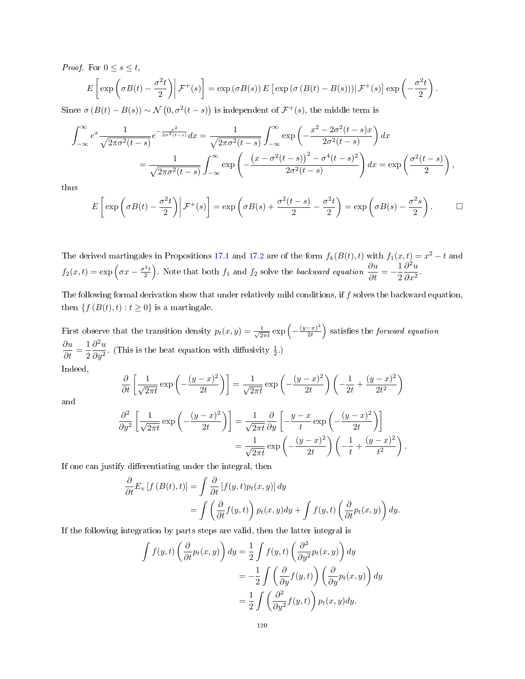*Proof.* For  $0 \leq s \leq t$ ,

$$
E\left[\exp\left(\sigma B(t) - \frac{\sigma^2 t}{2}\right) \middle| \mathcal{F}^+(s)\right] = \exp\left(\sigma B(s)\right) E\left[\exp\left(\sigma \left(B(t) - B(s)\right)\right) \middle| \mathcal{F}^+(s)\right] \exp\left(-\frac{\sigma^2 t}{2}\right).
$$

Since  $\sigma(B(t)-B(s)) \sim \mathcal{N}(0, \sigma^2(t-s))$  is independent of  $\mathcal{F}^+(s)$ , the middle term is

$$
\int_{-\infty}^{\infty} e^x \frac{1}{\sqrt{2\pi\sigma^2(t-s)}} e^{-\frac{x^2}{2\sigma^2(t-s)}} dx = \frac{1}{\sqrt{2\pi\sigma^2(t-s)}} \int_{-\infty}^{\infty} \exp\left(-\frac{x^2 - 2\sigma^2(t-s)x}{2\sigma^2(t-s)}\right) dx
$$

$$
= \frac{1}{\sqrt{2\pi\sigma^2(t-s)}} \int_{-\infty}^{\infty} \exp\left(-\frac{\left(x - \sigma^2(t-s)\right)^2 - \sigma^4(t-s)^2}{2\sigma^2(t-s)}\right) dx = \exp\left(\frac{\sigma^2(t-s)}{2}\right),
$$

thus

$$
E\left[\exp\left(\sigma B(t) - \frac{\sigma^2 t}{2}\right)\middle|\mathcal{F}^+(s)\right] = \exp\left(\sigma B(s) + \frac{\sigma^2(t-s)}{2} - \frac{\sigma^2 t}{2}\right) = \exp\left(\sigma B(s) - \frac{\sigma^2 s}{2}\right).
$$

The derived martingales in Propositions [17.1](#page-117-1) and [17.2](#page-118-0) are of the form  $f_k(B(t), t)$  with  $f_1(x, t) = x^2 - t$  and  $f_2(x,t) = \exp\left(\sigma x - \frac{\sigma^2 t}{2}\right)$ . Note that both  $f_1$  and  $f_2$  solve the backward equation  $\frac{\partial u}{\partial t} = -\frac{1}{2}$ 2  $\partial^2 u$  $\frac{\partial}{\partial x^2}$ .

The following formal derivation show that under relatively mild conditions, if  $f$  solves the backward equation, then  $\{f(B(t), t) : t \geq 0\}$  is a martingale.

First observe that the transition density  $p_t(x, y) = \frac{1}{\sqrt{2}}$  $rac{1}{2\pi t}$  exp  $\left(-\frac{(y-x)^2}{2t}\right)$  $\left(\frac{-x}{2t}\right)^2$  satisfies the *forward equation*  $\frac{\partial u}{\partial t} = \frac{1}{2}$ 2  $\partial^2 u$  $\frac{\partial u}{\partial y^2}$ . (This is the heat equation with diffusivity  $\frac{1}{2}$ .) Indeed,

$$
\quad \text{ndeed},
$$

$$
\frac{\partial}{\partial t} \left[ \frac{1}{\sqrt{2\pi t}} \exp\left( -\frac{(y-x)^2}{2t} \right) \right] = \frac{1}{\sqrt{2\pi t}} \exp\left( -\frac{(y-x)^2}{2t} \right) \left( -\frac{1}{2t} + \frac{(y-x)^2}{2t^2} \right)
$$

and

$$
\frac{\partial^2}{\partial y^2} \left[ \frac{1}{\sqrt{2\pi t}} \exp\left( -\frac{(y-x)^2}{2t} \right) \right] = \frac{1}{\sqrt{2\pi t}} \frac{\partial}{\partial y} \left[ -\frac{y-x}{t} \exp\left( -\frac{(y-x)^2}{2t} \right) \right]
$$

$$
= \frac{1}{\sqrt{2\pi t}} \exp\left( -\frac{(y-x)^2}{2t} \right) \left( -\frac{1}{t} + \frac{(y-x)^2}{t^2} \right).
$$

If one can justify differentiating under the integral, then

$$
\frac{\partial}{\partial t} E_x [f (B(t), t)] = \int \frac{\partial}{\partial t} [f(y, t) p_t(x, y)] dy \n= \int \left( \frac{\partial}{\partial t} f(y, t) \right) p_t(x, y) dy + \int f(y, t) \left( \frac{\partial}{\partial t} p_t(x, y) \right) dy.
$$

If the following integration by parts steps are valid, then the latter integral is

$$
\int f(y,t) \left( \frac{\partial}{\partial t} p_t(x,y) \right) dy = \frac{1}{2} \int f(y,t) \left( \frac{\partial^2}{\partial y^2} p_t(x,y) \right) dy
$$
  

$$
= -\frac{1}{2} \int \left( \frac{\partial}{\partial y} f(y,t) \right) \left( \frac{\partial}{\partial y} p_t(x,y) \right) dy
$$
  

$$
= \frac{1}{2} \int \left( \frac{\partial^2}{\partial y^2} f(y,t) \right) p_t(x,y) dy.
$$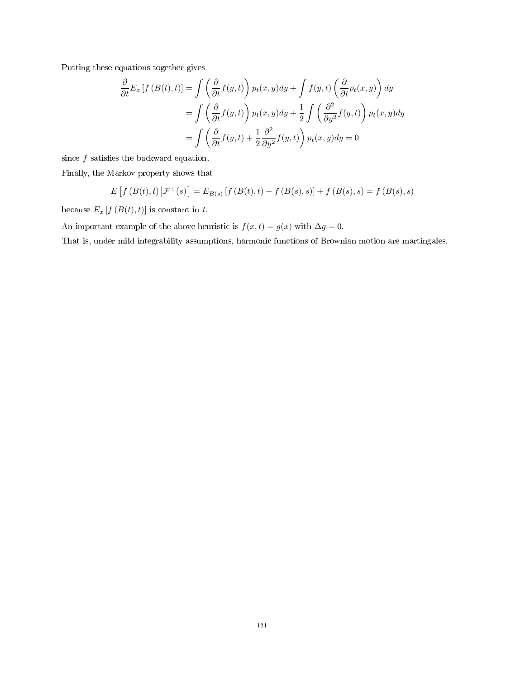Putting these equations together gives

$$
\frac{\partial}{\partial t} E_x [f (B(t), t)] = \int \left( \frac{\partial}{\partial t} f(y, t) \right) p_t(x, y) dy + \int f(y, t) \left( \frac{\partial}{\partial t} p_t(x, y) \right) dy
$$

$$
= \int \left( \frac{\partial}{\partial t} f(y, t) \right) p_t(x, y) dy + \frac{1}{2} \int \left( \frac{\partial^2}{\partial y^2} f(y, t) \right) p_t(x, y) dy
$$

$$
= \int \left( \frac{\partial}{\partial t} f(y, t) + \frac{1}{2} \frac{\partial^2}{\partial y^2} f(y, t) \right) p_t(x, y) dy = 0
$$

since  $f$  satisfies the backward equation.

Finally, the Markov property shows that

$$
E[f(B(t),t) | \mathcal{F}^+(s)] = E_{B(s)}[f(B(t),t) - f(B(s),s)] + f(B(s),s) = f(B(s),s)
$$

because  $E_x \left[ f \left( B(t), t \right) \right]$  is constant in  $t$ .

An important example of the above heuristic is  $f(x,t) = g(x)$  with  $\Delta g = 0$ .

That is, under mild integrability assumptions, harmonic functions of Brownian motion are martingales.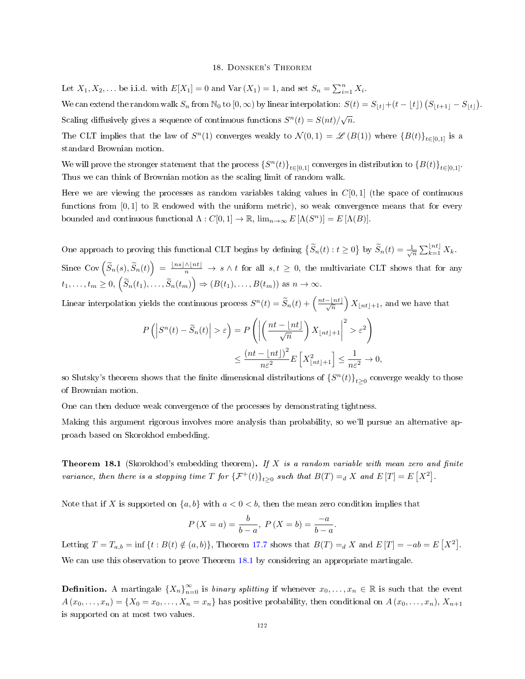#### 18. Donsker's Theorem

Let  $X_1, X_2, \ldots$  be i.i.d. with  $E[X_1] = 0$  and  $Var(X_1) = 1$ , and set  $S_n = \sum_{i=1}^n X_i$ .

We can extend the random walk  $S_n$  from  $\mathbb{N}_0$  to  $[0,\infty)$  by linear interpolation:  $S(t) = S_{|t|} + (t - \lfloor t \rfloor) \left( S_{|t+1|} - S_{|t|} \right)$ . Scaling diffusively gives a sequence of continuous functions  $S^n(t) = S(nt)/\sqrt{n}$ .

The CLT implies that the law of  $S^n(1)$  converges weakly to  $\mathcal{N}(0,1) = \mathscr{L}(B(1))$  where  $\{B(t)\}_{t\in[0,1]}$  is a standard Brownian motion.

We will prove the stronger statement that the process  $\{S^n(t)\}_{t\in[0,1]}$  converges in distribution to  $\{B(t)\}_{t\in[0,1]}$ . Thus we can think of Brownian motion as the scaling limit of random walk.

Here we are viewing the processes as random variables taking values in  $C[0, 1]$  (the space of continuous functions from  $[0, 1]$  to R endowed with the uniform metric), so weak convergence means that for every bounded and continuous functional  $\Lambda : C[0,1] \to \mathbb{R}$ ,  $\lim_{n \to \infty} E[\Lambda(S^n)] = E[\Lambda(B)].$ 

One approach to proving this functional CLT begins by defining  $\{\widetilde{S}_n(t): t \geq 0\}$  by  $\widetilde{S}_n(t) = \frac{1}{\sqrt{n}} \sum_{k=1}^{\lfloor nt \rfloor} X_k$ . Since  $Cov\left(\widetilde{S}_n(s),\widetilde{S}_n(t)\right) = \frac{\lfloor ns \rfloor \wedge \lfloor nt \rfloor}{n} \to s \wedge t$  for all  $s,t \geq 0$ , the multivariate CLT shows that for any  $t_1, \ldots, t_m \geq 0, \left(\widetilde{S}_n(t_1), \ldots, \widetilde{S}_n(t_m)\right) \Rightarrow \left(B(t_1), \ldots, B(t_m)\right) \text{ as } n \to \infty.$ 

Linear interpolation yields the continuous process  $S^n(t) = \tilde{S}_n(t) + \left(\frac{nt-\lfloor nt \rfloor}{\sqrt{n}}\right)X_{\lfloor nt \rfloor+1}$ , and we have that

$$
P\left(\left|S^{n}(t)-\widetilde{S}_{n}(t)\right|>\varepsilon\right)=P\left(\left|\left(\frac{nt-\lfloor nt \rfloor}{\sqrt{n}}\right)X_{\lfloor nt \rfloor+1}\right|^{2}>\varepsilon^{2}\right)
$$

$$
\leq \frac{\left(nt-\lfloor nt \rfloor\right)^{2}}{n\varepsilon^{2}}E\left[X_{\lfloor nt \rfloor+1}^{2}\right]\leq \frac{1}{n\varepsilon^{2}}\to 0,
$$

so Slutsky's theorem shows that the finite dimensional distributions of  $\{S^n(t)\}_{t\geq 0}$  converge weakly to those of Brownian motion.

One can then deduce weak convergence of the processes by demonstrating tightness.

Making this argument rigorous involves more analysis than probability, so we'll pursue an alternative approach based on Skorokhod embedding.

<span id="page-121-0"></span>**Theorem 18.1** (Skorokhod's embedding theorem). If X is a random variable with mean zero and finite variance, then there is a stopping time T for  $\{\mathcal{F}^+(t)\}_{t\geq 0}$  such that  $B(T) =_d X$  and  $E[T] = E[X^2]$ .

Note that if X is supported on  $\{a, b\}$  with  $a < 0 < b$ , then the mean zero condition implies that

$$
P(X = a) = \frac{b}{b-a}, P(X = b) = \frac{-a}{b-a}.
$$

Letting  $T = T_{a,b} = \inf \{ t : B(t) \notin (a,b) \},$  Theorem [17.7](#page-118-1) shows that  $B(T) =_d X$  and  $E[T] = -ab = E[X^2]$ . We can use this observation to prove Theorem [18.1](#page-121-0) by considering an appropriate martingale.

**Definition.** A martingale  ${X_n}_{n=0}^{\infty}$  is *binary splitting* if whenever  $x_0, \ldots, x_n \in \mathbb{R}$  is such that the event  $A(x_0,...,x_n) = \{X_0 = x_0,...,X_n = x_n\}$  has positive probability, then conditional on  $A(x_0,...,x_n)$ ,  $X_{n+1}$ is supported on at most two values.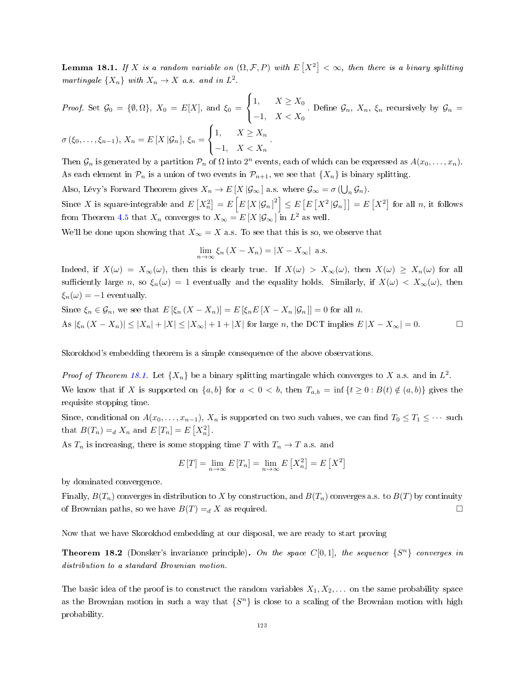**Lemma 18.1.** If X is a random variable on  $(\Omega, \mathcal{F}, P)$  with  $E[X^2] < \infty$ , then there is a binary splitting martingale  $\{X_n\}$  with  $X_n \to X$  a.s. and in  $L^2$ .

*Proof.* Set 
$$
\mathcal{G}_0 = \{\emptyset, \Omega\}, X_0 = E[X],
$$
 and  $\xi_0 = \begin{cases} 1, & X \geq X_0 \\ -1, & X < X_0 \end{cases}$ . Define  $\mathcal{G}_n, X_n, \xi_n$  recursively by  $\mathcal{G}_n = \sigma(\xi_0, \ldots, \xi_{n-1}), X_n = E[X | \mathcal{G}_n], \xi_n = \begin{cases} 1, & X \geq X_n \\ -1, & X < X_n \end{cases}$ .

Then  $\mathcal{G}_n$  is generated by a partition  $\mathcal{P}_n$  of  $\Omega$  into  $2^n$  events, each of which can be expressed as  $A(x_0, \ldots, x_n)$ . As each element in  $\mathcal{P}_n$  is a union of two events in  $\mathcal{P}_{n+1}$ , we see that  $\{X_n\}$  is binary splitting.

Also, Lévy's Forward Theorem gives  $X_n \to E[X|\mathcal{G}_{\infty}]$  a.s. where  $\mathcal{G}_{\infty} = \sigma(\bigcup_n \mathcal{G}_n)$ .

Since X is square-integrable and  $E\left[X_n^2\right]=E\left[E\left[X\left|\mathcal{G}_n\right|^2\right]\leq E\left[E\left[X^2\left|\mathcal{G}_n\right.\right]\right]=E\left[X^2\right]$  for all n, it follows from Theorem [4.5](#page-32-0) that  $X_n$  converges to  $X_\infty = E[X|\mathcal{G}_\infty]$  in  $L^2$  as well.

We'll be done upon showing that  $X_{\infty} = X$  a.s. To see that this is so, we observe that

$$
\lim_{n \to \infty} \xi_n (X - X_n) = |X - X_{\infty}| \text{ a.s.}
$$

Indeed, if  $X(\omega) = X_{\infty}(\omega)$ , then this is clearly true. If  $X(\omega) > X_{\infty}(\omega)$ , then  $X(\omega) \ge X_n(\omega)$  for all sufficiently large n, so  $\xi_n(\omega) = 1$  eventually and the equality holds. Similarly, if  $X(\omega) < X_\infty(\omega)$ , then  $\xi_n(\omega) = -1$  eventually.

Since  $\xi_n \in \mathcal{G}_n$ , we see that  $E[\xi_n (X - X_n)] = E[\xi_n E[X - X_n | \mathcal{G}_n]] = 0$  for all n. As  $|\xi_n(X - X_n)| \leq |X_n| + |X| \leq |X_\infty| + 1 + |X|$  for large n, the DCT implies  $E|X - X_\infty| = 0$ . □

Skorokhod's embedding theorem is a simple consequence of the above observations.

*Proof of Theorem [18.1.](#page-121-0)* Let  $\{X_n\}$  be a binary splitting martingale which converges to X a.s. and in  $L^2$ .

We know that if X is supported on  $\{a, b\}$  for  $a < 0 < b$ , then  $T_{a,b} = \inf \{t \geq 0 : B(t) \notin (a, b)\}$  gives the requisite stopping time.

Since, conditional on  $A(x_0, \ldots, x_{n-1}), X_n$  is supported on two such values, we can find  $T_0 \leq T_1 \leq \cdots$  such that  $B(T_n) =_d X_n$  and  $E[T_n] = E[X_n^2]$ .

As  $T_n$  is increasing, there is some stopping time T with  $T_n \to T$  a.s. and

$$
E[T] = \lim_{n \to \infty} E[T_n] = \lim_{n \to \infty} E[X_n^2] = E[X^2]
$$

by dominated convergence.

Finally,  $B(T_n)$  converges in distribution to X by construction, and  $B(T_n)$  converges a.s. to  $B(T)$  by continuity of Brownian paths, so we have  $B(T) = d X$  as required. □

Now that we have Skorokhod embedding at our disposal, we are ready to start proving

<span id="page-122-0"></span>**Theorem 18.2** (Donsker's invariance principle). On the space  $C[0,1]$ , the sequence  $\{S^n\}$  converges in distribution to a standard Brownian motion.

The basic idea of the proof is to construct the random variables  $X_1, X_2, \ldots$  on the same probability space as the Brownian motion in such a way that  $\{S^n\}$  is close to a scaling of the Brownian motion with high probability.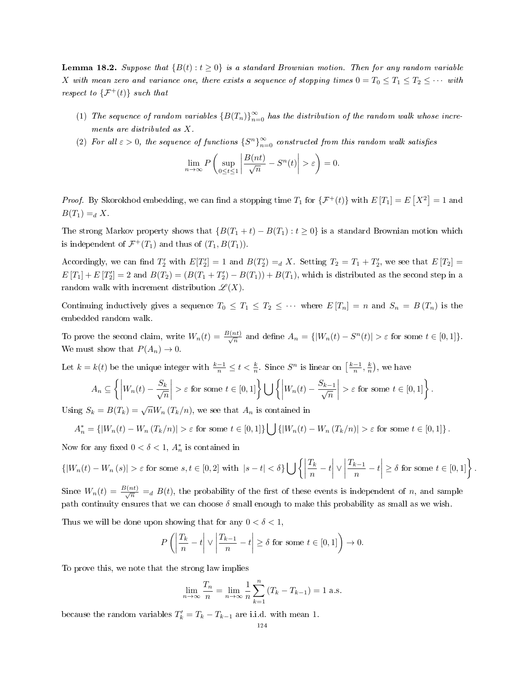<span id="page-123-0"></span>**Lemma 18.2.** Suppose that  ${B(t): t \ge 0}$  is a standard Brownian motion. Then for any random variable X with mean zero and variance one, there exists a sequence of stopping times  $0 = T_0 \le T_1 \le T_2 \le \cdots$  with respect to  $\{\mathcal{F}^+(t)\}\$  such that

- (1) The sequence of random variables  ${B(T_n)}_{n=0}^{\infty}$  has the distribution of the random walk whose increments are distributed as X.
- (2) For all  $\varepsilon > 0$ , the sequence of functions  $\{S^n\}_{n=0}^{\infty}$  constructed from this random walk satisfies

$$
\lim_{n \to \infty} P\left(\sup_{0 \le t \le 1} \left| \frac{B(nt)}{\sqrt{n}} - S^n(t) \right| > \varepsilon \right) = 0.
$$

*Proof.* By Skorokhod embedding, we can find a stopping time  $T_1$  for  $\{\mathcal{F}^+(t)\}$  with  $E[T_1] = E[X^2] = 1$  and  $B(T_1) =_d X$ .

The strong Markov property shows that  $\{B(T_1 + t) - B(T_1) : t \geq 0\}$  is a standard Brownian motion which is independent of  $\mathcal{F}^+(T_1)$  and thus of  $(T_1, B(T_1))$ .

Accordingly, we can find  $T'_2$  with  $E[T'_2] = 1$  and  $B(T'_2) =_d X$ . Setting  $T_2 = T_1 + T'_2$ , we see that  $E[T_2] =$  $E[T_1] + E[T_2'] = 2$  and  $B(T_2) = (B(T_1 + T_2') - B(T_1)) + B(T_1)$ , which is distributed as the second step in a random walk with increment distribution  $\mathscr{L}(X)$ .

Continuing inductively gives a sequence  $T_0 \leq T_1 \leq T_2 \leq \cdots$  where  $E[T_n] = n$  and  $S_n = B(T_n)$  is the embedded random walk.

To prove the second claim, write  $W_n(t) = \frac{B(nt)}{\sqrt{n}}$  and define  $A_n = \{ |W_n(t) - S^n(t)| > \varepsilon \text{ for some } t \in [0,1] \}.$ We must show that  $P(A_n) \to 0$ .

Let  $k = k(t)$  be the unique integer with  $\frac{k-1}{n} \le t < \frac{k}{n}$ . Since  $S^n$  is linear on  $\left[\frac{k-1}{n}, \frac{k}{n}\right)$ , we have

$$
A_n \subseteq \left\{ \left| W_n(t) - \frac{S_k}{\sqrt{n}} \right| > \varepsilon \text{ for some } t \in [0,1] \right\} \bigcup \left\{ \left| W_n(t) - \frac{S_{k-1}}{\sqrt{n}} \right| > \varepsilon \text{ for some } t \in [0,1] \right\}.
$$

Using  $S_k = B(T_k) = \sqrt{n} W_n (T_k/n)$ , we see that  $A_n$  is contained in

$$
A_n^* = \left\{ |W_n(t) - W_n(T_k/n)| > \varepsilon \text{ for some } t \in [0,1] \right\} \bigcup \left\{ |W_n(t) - W_n(T_k/n)| > \varepsilon \text{ for some } t \in [0,1] \right\}.
$$

Now for any fixed  $0 < \delta < 1$ ,  $A_n^*$  is contained in

$$
\left\{ |W_n(t) - W_n(s)| > \varepsilon \text{ for some } s, t \in [0, 2] \text{ with } |s - t| < \delta \right\} \bigcup \left\{ \left| \frac{T_k}{n} - t \right| \vee \left| \frac{T_{k-1}}{n} - t \right| \ge \delta \text{ for some } t \in [0, 1] \right\}.
$$

Since  $W_n(t) = \frac{B(nt)}{\sqrt{n}} =_d B(t)$ , the probability of the first of these events is independent of n, and sample path continuity ensures that we can choose  $\delta$  small enough to make this probability as small as we wish.

Thus we will be done upon showing that for any  $0 < \delta < 1$ ,

$$
P\left(\left|\frac{T_k}{n} - t\right| \vee \left|\frac{T_{k-1}}{n} - t\right| \ge \delta \text{ for some } t \in [0,1]\right) \to 0.
$$

To prove this, we note that the strong law implies

$$
\lim_{n \to \infty} \frac{T_n}{n} = \lim_{n \to \infty} \frac{1}{n} \sum_{k=1}^n (T_k - T_{k-1}) = 1 \text{ a.s.}
$$

because the random variables  $T'_{k} = T_{k} - T_{k-1}$  are i.i.d. with mean 1.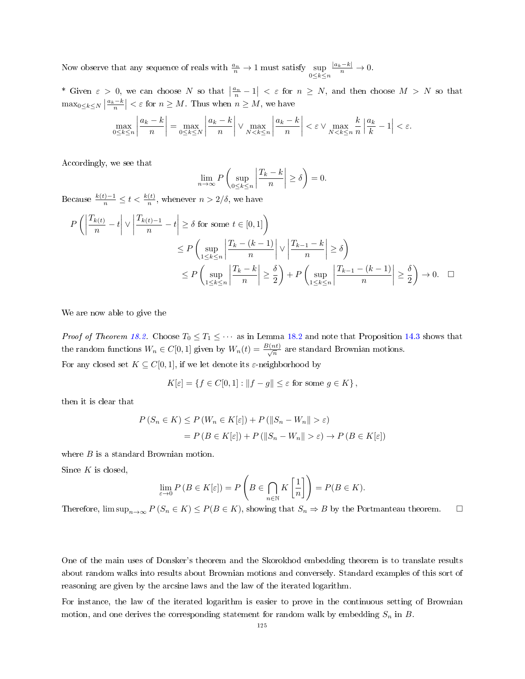Now observe that any sequence of reals with  $\frac{a_n}{n} \to 1$  must satisfy  $\sup_{0 \le k \le n}$  $\frac{|a_k-k|}{n} \to 0.$ 

\* Given  $\varepsilon > 0$ , we can choose N so that  $\left|\frac{a_n}{n} - 1\right| < \varepsilon$  for  $n \ge N$ , and then choose  $M > N$  so that  $\max_{0 \leq k \leq N} \left| \frac{a_k - k}{n} \right| < \varepsilon$  for  $n \geq M$ . Thus when  $n \geq M$ , we have

$$
\max_{0 \le k \le n} \left| \frac{a_k - k}{n} \right| = \max_{0 \le k \le N} \left| \frac{a_k - k}{n} \right| \vee \max_{N < k \le n} \left| \frac{a_k - k}{n} \right| < \varepsilon \vee \max_{N < k \le n} \frac{k}{n} \left| \frac{a_k}{k} - 1 \right| < \varepsilon.
$$

Accordingly, we see that

$$
\lim_{n \to \infty} P\left(\sup_{0 \le k \le n} \left| \frac{T_k - k}{n} \right| \ge \delta \right) = 0.
$$

Because  $\frac{k(t)-1}{n} \leq t < \frac{k(t)}{n}$ , whenever  $n > 2/\delta$ , we have

$$
P\left(\left|\frac{T_{k(t)}}{n} - t\right| \vee \left|\frac{T_{k(t)-1}}{n} - t\right| \ge \delta \text{ for some } t \in [0,1]\right)
$$
  
\n
$$
\le P\left(\sup_{1 \le k \le n} \left|\frac{T_{k} - (k-1)}{n}\right| \vee \left|\frac{T_{k-1} - k}{n}\right| \ge \delta\right)
$$
  
\n
$$
\le P\left(\sup_{1 \le k \le n} \left|\frac{T_{k} - k}{n}\right| \ge \frac{\delta}{2}\right) + P\left(\sup_{1 \le k \le n} \left|\frac{T_{k-1} - (k-1)}{n}\right| \ge \frac{\delta}{2}\right) \to 0. \quad \Box
$$

We are now able to give the

*Proof of Theorem [18.2.](#page-122-0)* Choose  $T_0 \leq T_1 \leq \cdots$  as in Lemma [18.2](#page-123-0) and note that Proposition [14.3](#page-90-0) shows that the random functions  $W_n \in C[0,1]$  given by  $W_n(t) = \frac{B(nt)}{\sqrt{n}}$  are standard Brownian motions. For any closed set  $K \subseteq C[0,1]$ , if we let denote its  $\varepsilon$ -neighborhood by

$$
K[\varepsilon] = \{ f \in C[0,1] : ||f - g|| \le \varepsilon \text{ for some } g \in K \},
$$

then it is clear that

$$
P(S_n \in K) \le P(W_n \in K[\varepsilon]) + P(||S_n - W_n|| > \varepsilon)
$$
  
=  $P(B \in K[\varepsilon]) + P(||S_n - W_n|| > \varepsilon) \to P(B \in K[\varepsilon])$ 

where *B* is a standard Brownian motion.

Since  $K$  is closed,

$$
\lim_{\varepsilon \to 0} P(B \in K[\varepsilon]) = P\left(B \in \bigcap_{n \in \mathbb{N}} K\left[\frac{1}{n}\right]\right) = P(B \in K).
$$

Therefore,  $\limsup_{n\to\infty} P(S_n \in K) \leq P(B \in K)$ , showing that  $S_n \Rightarrow B$  by the Portmanteau theorem.  $\Box$ 

One of the main uses of Donsker's theorem and the Skorokhod embedding theorem is to translate results about random walks into results about Brownian motions and conversely. Standard examples of this sort of reasoning are given by the arcsine laws and the law of the iterated logarithm.

For instance, the law of the iterated logarithm is easier to prove in the continuous setting of Brownian motion, and one derives the corresponding statement for random walk by embedding  $S_n$  in B.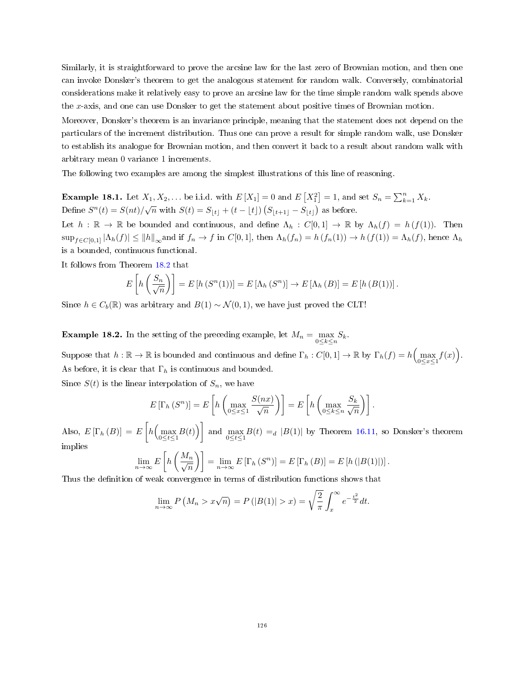Similarly, it is straightforward to prove the arcsine law for the last zero of Brownian motion, and then one can invoke Donsker's theorem to get the analogous statement for random walk. Conversely, combinatorial considerations make it relatively easy to prove an arcsine law for the time simple random walk spends above the x-axis, and one can use Donsker to get the statement about positive times of Brownian motion.

Moreover, Donsker's theorem is an invariance principle, meaning that the statement does not depend on the particulars of the increment distribution. Thus one can prove a result for simple random walk, use Donsker to establish its analogue for Brownian motion, and then convert it back to a result about random walk with arbitrary mean 0 variance 1 increments.

The following two examples are among the simplest illustrations of this line of reasoning.

**Example 18.1.** Let  $X_1, X_2, ...$  be i.i.d. with  $E[X_1] = 0$  and  $E[X_1^2] = 1$ , and set  $S_n = \sum_{k=1}^n X_k$ . Define  $S^n(t) = S(nt)/\sqrt{n}$  with  $S(t) = S_{|t|} + (t - \lfloor t \rfloor) (S_{|t+1|} - S_{|t|})$  as before.

Let  $h : \mathbb{R} \to \mathbb{R}$  be bounded and continuous, and define  $\Lambda_h : C[0,1] \to \mathbb{R}$  by  $\Lambda_h(f) = h(f(1))$ . Then  $\sup_{f \in C[0,1]} |\Lambda_h(f)| \le ||h||_{\infty}$  and if  $f_n \to f$  in  $C[0,1]$ , then  $\Lambda_h(f_n) = h(f_n(1)) \to h(f(1)) = \Lambda_h(f)$ , hence  $\Lambda_h$ is a bounded, continuous functional.

It follows from Theorem [18.2](#page-122-0) that

$$
E\left[h\left(\frac{S_n}{\sqrt{n}}\right)\right] = E\left[h\left(S^n(1)\right)\right] = E\left[\Lambda_h\left(S^n\right)\right] \to E\left[\Lambda_h\left(B\right)\right] = E\left[h\left(B(1)\right)\right].
$$

Since  $h \in C_b(\mathbb{R})$  was arbitrary and  $B(1) \sim \mathcal{N}(0, 1)$ , we have just proved the CLT!

**Example 18.2.** In the setting of the preceding example, let  $M_n = \max_{0 \le k \le n} S_k$ .

Suppose that  $h : \mathbb{R} \to \mathbb{R}$  is bounded and continuous and define  $\Gamma_h : C[0,1] \to \mathbb{R}$  by  $\Gamma_h(f) = h\left(\max_{0 \le x \le 1} f(x)\right)$ . As before, it is clear that  $\Gamma_h$  is continuous and bounded.

Since  $S(t)$  is the linear interpolation of  $S_n$ , we have

$$
E\left[\Gamma_h\left(S^n\right)\right] = E\left[h\left(\max_{0 \le x \le 1} \frac{S(nx)}{\sqrt{n}}\right)\right] = E\left[h\left(\max_{0 \le k \le n} \frac{S_k}{\sqrt{n}}\right)\right].
$$

Also,  $E\left[\Gamma_h\left(B\right)\right] = E\left[h\left(\max_{0 \le t \le 1} B(t)\right)\right]$  and  $\max_{0 \le t \le 1} B(t) =_d |B(1)|$  by Theorem [16.11,](#page-108-1) so Donsker's theorem implies

$$
\lim_{n \to \infty} E\left[h\left(\frac{M_n}{\sqrt{n}}\right)\right] = \lim_{n \to \infty} E\left[\Gamma_h\left(S^n\right)\right] = E\left[\Gamma_h\left(B\right)\right] = E\left[h\left(|B(1)|\right)\right].
$$

Thus the definition of weak convergence in terms of distribution functions shows that

$$
\lim_{n \to \infty} P\left(M_n > x\sqrt{n}\right) = P\left(|B(1)| > x\right) = \sqrt{\frac{2}{\pi}} \int_x^\infty e^{-\frac{t^2}{2}} dt.
$$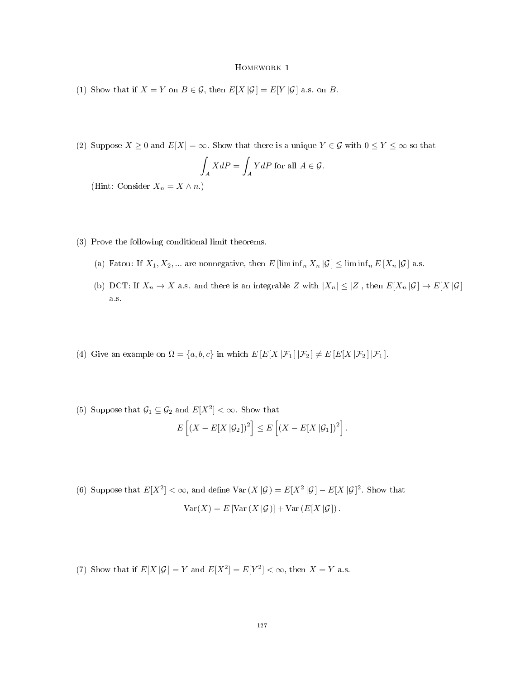- (1) Show that if  $X = Y$  on  $B \in \mathcal{G}$ , then  $E[X|\mathcal{G}] = E[Y|\mathcal{G}]$  a.s. on B.
- (2) Suppose  $X \geq 0$  and  $E[X] = \infty$ . Show that there is a unique  $Y \in \mathcal{G}$  with  $0 \leq Y \leq \infty$  so that

$$
\int_A XdP = \int_A YdP
$$
 for all  $A \in \mathcal{G}$ .

(Hint: Consider  $X_n = X \wedge n$ .)

- (3) Prove the following conditional limit theorems.
	- (a) Fatou: If  $X_1, X_2, ...$  are nonnegative, then  $E$  [lim inf<sub>n</sub>  $X_n | \mathcal{G}$ ]  $\leq$  lim inf<sub>n</sub>  $E$  [ $X_n | \mathcal{G}$ ] a.s.
	- (b) DCT: If  $X_n \to X$  a.s. and there is an integrable Z with  $|X_n| \leq |Z|$ , then  $E[X_n | \mathcal{G}] \to E[X | \mathcal{G}]$ a.s.
- (4) Give an example on  $\Omega = \{a, b, c\}$  in which  $E\left[E[X \,|\mathcal{F}_1] | \mathcal{F}_2\right] \neq E\left[E[X \,|\mathcal{F}_2] | \mathcal{F}_1\right]$ .
- (5) Suppose that  $G_1 \subseteq G_2$  and  $E[X^2] < \infty$ . Show that

$$
E\left[\left(X - E[X \,|\mathcal{G}_2]\right)^2\right] \leq E\left[\left(X - E[X \,|\mathcal{G}_1]\right)^2\right].
$$

(6) Suppose that  $E[X^2] < \infty$ , and define  $Var(X|\mathcal{G}) = E[X^2|\mathcal{G}] - E[X|\mathcal{G}]^2$ . Show that  $Var(X) = E[Var(X | \mathcal{G})] + Var(E[X | \mathcal{G}]).$ 

(7) Show that if  $E[X|\mathcal{G}] = Y$  and  $E[X^2] = E[Y^2] < \infty$ , then  $X = Y$  a.s.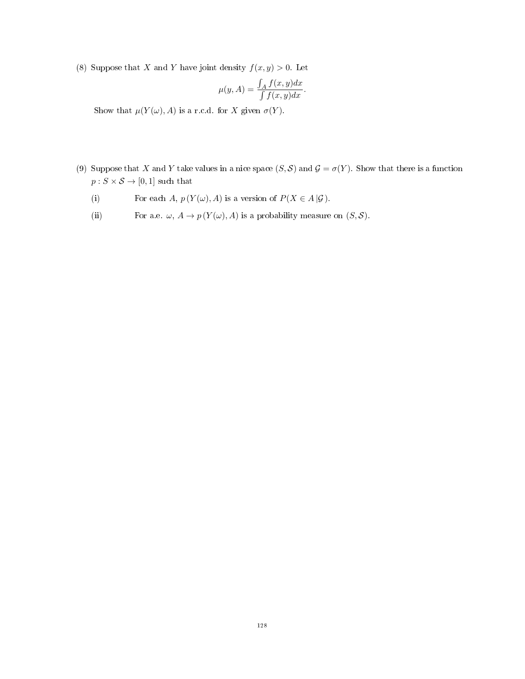(8) Suppose that X and Y have joint density  $f(x, y) > 0$ . Let

$$
\mu(y, A) = \frac{\int_A f(x, y) dx}{\int f(x, y) dx}.
$$

Show that  $\mu(Y(\omega), A)$  is a r.c.d. for X given  $\sigma(Y)$ .

- (9) Suppose that X and Y take values in a nice space  $(S, \mathcal{S})$  and  $\mathcal{G} = \sigma(Y)$ . Show that there is a function  $p:S\times\mathcal{S}\rightarrow[0,1]$  such that
	- (i) For each A,  $p(Y(\omega), A)$  is a version of  $P(X \in A | \mathcal{G})$ .
	- (ii) For a.e.  $\omega$ ,  $A \to p(Y(\omega), A)$  is a probability measure on  $(S, S)$ .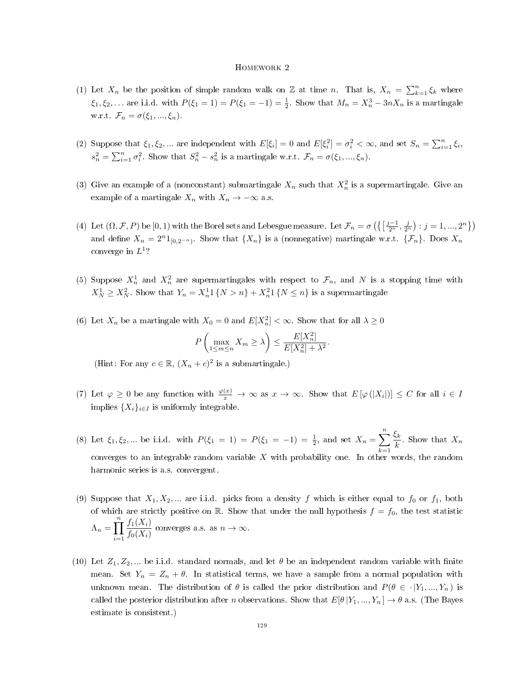- (1) Let  $X_n$  be the position of simple random walk on Z at time n. That is,  $X_n = \sum_{k=1}^n \xi_k$  where  $\xi_1, \xi_2, ...$  are i.i.d. with  $P(\xi_1 = 1) = P(\xi_1 = -1) = \frac{1}{2}$ . Show that  $M_n = X_n^3 - 3nX_n$  is a martingale w.r.t.  $\mathcal{F}_n = \sigma(\xi_1, ..., \xi_n)$ .
- (2) Suppose that  $\xi_1, \xi_2, ...$  are independent with  $E[\xi_i] = 0$  and  $E[\xi_i^2] = \sigma_i^2 < \infty$ , and set  $S_n = \sum_{i=1}^n \xi_i$ ,  $s_n^2 = \sum_{i=1}^n \sigma_i^2$ . Show that  $S_n^2 - s_n^2$  is a martingale w.r.t.  $\mathcal{F}_n = \sigma(\xi_1, ..., \xi_n)$ .
- (3) Give an example of a (nonconstant) submartingale  $X_n$  such that  $X_n^2$  is a supermartingale. Give an example of a martingale  $X_n$  with  $X_n \to -\infty$  a.s.
- (4) Let  $(\Omega, \mathcal{F}, P)$  be  $[0, 1)$  with the Borel sets and Lebesgue measure. Let  $\mathcal{F}_n = \sigma\left(\left\{\left[\frac{j-1}{2^n}, \frac{j}{2^n}\right) : j = 1, ..., 2^n\right\}\right)$ and define  $X_n = 2^{n}1_{[0,2^{-n})}$ . Show that  $\{X_n\}$  is a (nonnegative) martingale w.r.t.  $\{\mathcal{F}_n\}$ . Does  $X_n$ converge in  $L^1$ ?
- (5) Suppose  $X_n^1$  and  $X_n^2$  are supermartingales with respect to  $\mathcal{F}_n$ , and N is a stopping time with  $X_N^1 \ge X_N^2$ . Show that  $Y_n = X_n^1 1 \{N > n\} + X_n^2 1 \{N \le n\}$  is a supermartingale
- (6) Let  $X_n$  be a martingale with  $X_0 = 0$  and  $E[X_n^2] < \infty$ . Show that for all  $\lambda \ge 0$

$$
P\left(\max_{1\leq m\leq n}X_m\geq \lambda\right)\leq \frac{E[X_n^2]}{E[X_n^2]+\lambda^2}.
$$

(Hint: For any  $c \in \mathbb{R}$ ,  $(X_n + c)^2$  is a submartingale.)

- (7) Let  $\varphi \geq 0$  be any function with  $\frac{\varphi(x)}{x} \to \infty$  as  $x \to \infty$ . Show that  $E[\varphi(|X_i|)] \leq C$  for all  $i \in I$ implies  $\{X_i\}_{i\in I}$  is uniformly integrable.
- (8) Let  $\xi_1, \xi_2, ...$  be i.i.d. with  $P(\xi_1 = 1) = P(\xi_1 = -1) = \frac{1}{2}$ , and set  $X_n = \sum_{n=1}^{\infty}$  $k=1$  $\zeta_k$  $\frac{k}{k}$ . Show that  $X_n$ converges to an integrable random variable  $X$  with probability one. In other words, the random harmonic series is a.s. convergent.
- (9) Suppose that  $X_1, X_2, ...$  are i.i.d. picks from a density f which is either equal to  $f_0$  or  $f_1$ , both of which are strictly positive on R. Show that under the null hypothesis  $f = f_0$ , the test statistic  $\Lambda_n = \prod^n$  $i=1$  $f_1(X_i)$  $\frac{f_1(X_i)}{f_0(X_i)}$  converges a.s. as  $n \to \infty$ .
- (10) Let  $Z_1, Z_2, ...$  be i.i.d. standard normals, and let  $\theta$  be an independent random variable with finite mean. Set  $Y_n = Z_n + \theta$ . In statistical terms, we have a sample from a normal population with unknown mean. The distribution of  $\theta$  is called the prior distribution and  $P(\theta \in \cdot | Y_1, ..., Y_n)$  is called the posterior distribution after n observations. Show that  $E[\theta|Y_1, ..., Y_n] \to \theta$  a.s. (The Bayes estimate is consistent.)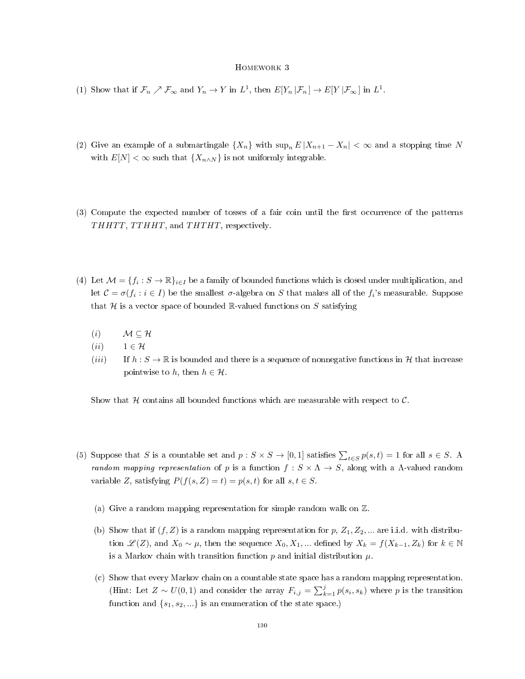- (1) Show that if  $\mathcal{F}_n \nearrow \mathcal{F}_{\infty}$  and  $Y_n \to Y$  in  $L^1$ , then  $E[Y_n | \mathcal{F}_n] \to E[Y | \mathcal{F}_{\infty}]$  in  $L^1$ .
- (2) Give an example of a submartingale  $\{X_n\}$  with  $\sup_n E |X_{n+1} X_n| < \infty$  and a stopping time N with  $E[N] < \infty$  such that  $\{X_{n \wedge N}\}\$ is not uniformly integrable.
- (3) Compute the expected number of tosses of a fair coin until the first occurrence of the patterns THHTT, TTHHT, and THTHT, respectively.
- (4) Let  $\mathcal{M} = \{f_i : S \to \mathbb{R}\}_{i \in I}$  be a family of bounded functions which is closed under multiplication, and let  $\mathcal{C} = \sigma(f_i : i \in I)$  be the smallest  $\sigma$ -algebra on  $S$  that makes all of the  $f_i$ 's measurable. Suppose that  $H$  is a vector space of bounded R-valued functions on S satisfying
	- (*i*)  $\mathcal{M} \subseteq \mathcal{H}$
	- (*ii*)  $1 \in \mathcal{H}$
	- (*iii*) If  $h : S \to \mathbb{R}$  is bounded and there is a sequence of nonnegative functions in H that increase pointwise to h, then  $h \in \mathcal{H}$ .

Show that H contains all bounded functions which are measurable with respect to  $\mathcal{C}$ .

- (5) Suppose that S is a countable set and  $p: S \times S \to [0,1]$  satisfies  $\sum_{t \in S} p(s,t) = 1$  for all  $s \in S$ . A random mapping representation of p is a function  $f: S \times \Lambda \to S$ , along with a  $\Lambda$ -valued random variable Z, satisfying  $P(f(s, Z) = t) = p(s, t)$  for all  $s, t \in S$ .
	- (a) Give a random mapping representation for simple random walk on  $\mathbb Z$ .
	- (b) Show that if  $(f, Z)$  is a random mapping representation for p,  $Z_1, Z_2, ...$  are i.i.d. with distribution  $\mathscr{L}(Z)$ , and  $X_0 \sim \mu$ , then the sequence  $X_0, X_1, \dots$  defined by  $X_k = f(X_{k-1}, Z_k)$  for  $k \in \mathbb{N}$ is a Markov chain with transition function  $p$  and initial distribution  $\mu$ .
	- (c) Show that every Markov chain on a countable state space has a random mapping representation. (Hint: Let  $Z \sim U(0,1)$  and consider the array  $F_{i,j} = \sum_{k=1}^{j} p(s_i, s_k)$  where p is the transition function and  $\{s_1, s_2, \ldots\}$  is an enumeration of the state space.)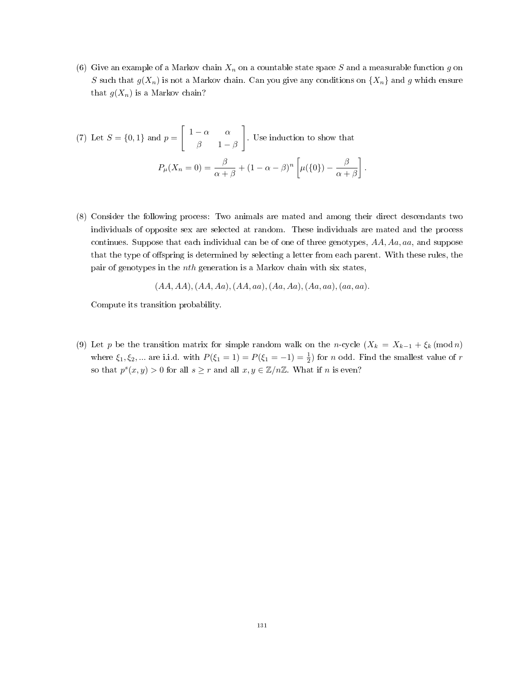(6) Give an example of a Markov chain  $X_n$  on a countable state space S and a measurable function g on S such that  $g(X_n)$  is not a Markov chain. Can you give any conditions on  $\{X_n\}$  and g which ensure that  $g(X_n)$  is a Markov chain?

(7) Let 
$$
S = \{0, 1\}
$$
 and  $p = \begin{bmatrix} 1 - \alpha & \alpha \\ \beta & 1 - \beta \end{bmatrix}$ . Use induction to show that  

$$
P_{\mu}(X_n = 0) = \frac{\beta}{\alpha + \beta} + (1 - \alpha - \beta)^n \left[ \mu(\{0\}) - \frac{\beta}{\alpha + \beta} \right].
$$

(8) Consider the following process: Two animals are mated and among their direct descendants two individuals of opposite sex are selected at random. These individuals are mated and the process continues. Suppose that each individual can be of one of three genotypes, AA, Aa, aa, and suppose that the type of offspring is determined by selecting a letter from each parent. With these rules, the pair of genotypes in the nth generation is a Markov chain with six states,

$$
(AA,AA), (AA, Aa), (AA, aa), (Aa, Aa), (Aa, aa), (aa, aa).
$$

Compute its transition probability.

(9) Let p be the transition matrix for simple random walk on the n-cycle  $(X_k = X_{k-1} + \xi_k \pmod{n}$ where  $\xi_1, \xi_2, ...$  are i.i.d. with  $P(\xi_1 = 1) = P(\xi_1 = -1) = \frac{1}{2}$  for *n* odd. Find the smallest value of *r* so that  $p^{s}(x, y) > 0$  for all  $s \geq r$  and all  $x, y \in \mathbb{Z}/n\mathbb{Z}$ . What if n is even?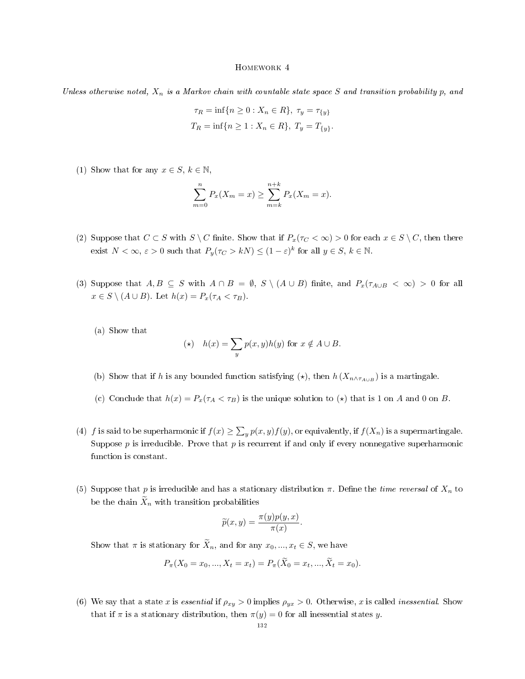Unless otherwise noted,  $X_n$  is a Markov chain with countable state space S and transition probability p, and

$$
\tau_R = \inf\{n \ge 0 : X_n \in R\}, \ \tau_y = \tau_{\{y\}}
$$

$$
T_R = \inf\{n \ge 1 : X_n \in R\}, \ T_y = T_{\{y\}}.
$$

(1) Show that for any  $x \in S, k \in \mathbb{N}$ ,

$$
\sum_{m=0}^{n} P_x(X_m = x) \ge \sum_{m=k}^{n+k} P_x(X_m = x).
$$

- (2) Suppose that  $C \subset S$  with  $S \setminus C$  finite. Show that if  $P_x(\tau_C < \infty) > 0$  for each  $x \in S \setminus C$ , then there exist  $N < \infty$ ,  $\varepsilon > 0$  such that  $P_y(\tau_C > kN) \le (1 - \varepsilon)^k$  for all  $y \in S$ ,  $k \in \mathbb{N}$ .
- (3) Suppose that  $A, B \subseteq S$  with  $A \cap B = \emptyset$ ,  $S \setminus (A \cup B)$  finite, and  $P_x(\tau_{A \cup B} < \infty) > 0$  for all  $x \in S \setminus (A \cup B)$ . Let  $h(x) = P_x(\tau_A < \tau_B)$ .

(a) Show that

$$
(\star) \quad h(x) = \sum_{y} p(x, y)h(y) \text{ for } x \notin A \cup B.
$$

- (b) Show that if h is any bounded function satisfying  $(\star)$ , then  $h(X_{n \wedge \tau_{A\cup B}})$  is a martingale.
- (c) Conclude that  $h(x) = P_x(\tau_A < \tau_B)$  is the unique solution to  $(\star)$  that is 1 on A and 0 on B.
- (4) f is said to be superharmonic if  $f(x) \ge \sum_y p(x, y) f(y)$ , or equivalently, if  $f(X_n)$  is a supermartingale. Suppose p is irreducible. Prove that p is recurrent if and only if every nonnegative superharmonic function is constant.
- (5) Suppose that p is irreducible and has a stationary distribution  $\pi$ . Define the *time reversal* of  $X_n$  to be the chain  $\widetilde{X}_n$  with transition probabilities

$$
\widetilde{p}(x,y) = \frac{\pi(y)p(y,x)}{\pi(x)}.
$$

Show that  $\pi$  is stationary for  $\widetilde{X}_n$ , and for any  $x_0, ..., x_t \in S$ , we have

$$
P_{\pi}(X_0 = x_0, ..., X_t = x_t) = P_{\pi}(\widetilde{X}_0 = x_t, ..., \widetilde{X}_t = x_0).
$$

(6) We say that a state x is essential if  $\rho_{xy} > 0$  implies  $\rho_{yx} > 0$ . Otherwise, x is called inessential. Show that if  $\pi$  is a stationary distribution, then  $\pi(y) = 0$  for all inessential states y.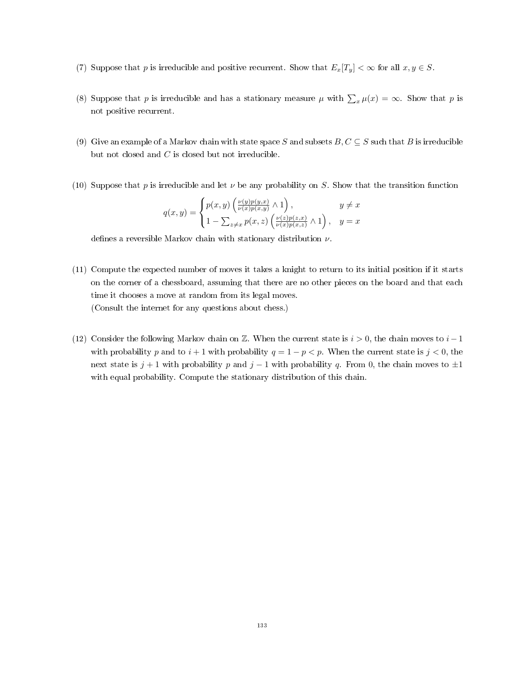- (7) Suppose that p is irreducible and positive recurrent. Show that  $E_x[T_y] < \infty$  for all  $x, y \in S$ .
- (8) Suppose that p is irreducible and has a stationary measure  $\mu$  with  $\sum_x \mu(x) = \infty$ . Show that p is not positive recurrent.
- (9) Give an example of a Markov chain with state space S and subsets  $B, C \subseteq S$  such that B is irreducible but not closed and  $C$  is closed but not irreducible.
- (10) Suppose that p is irreducible and let  $\nu$  be any probability on S. Show that the transition function

$$
q(x,y) = \begin{cases} p(x,y) \left( \frac{\nu(y)p(y,x)}{\nu(x)p(x,y)} \wedge 1 \right), & y \neq x \\ 1 - \sum_{z \neq x} p(x,z) \left( \frac{\nu(z)p(z,x)}{\nu(x)p(x,z)} \wedge 1 \right), & y = x \end{cases}
$$

defines a reversible Markov chain with stationary distribution  $\nu$ .

- (11) Compute the expected number of moves it takes a knight to return to its initial position if it starts on the corner of a chessboard, assuming that there are no other pieces on the board and that each time it chooses a move at random from its legal moves. (Consult the internet for any questions about chess.)
- (12) Consider the following Markov chain on Z. When the current state is  $i > 0$ , the chain moves to  $i 1$ with probability p and to  $i + 1$  with probability  $q = 1 - p < p$ . When the current state is  $j < 0$ , the next state is j + 1 with probability p and j − 1 with probability q. From 0, the chain moves to  $\pm 1$ with equal probability. Compute the stationary distribution of this chain.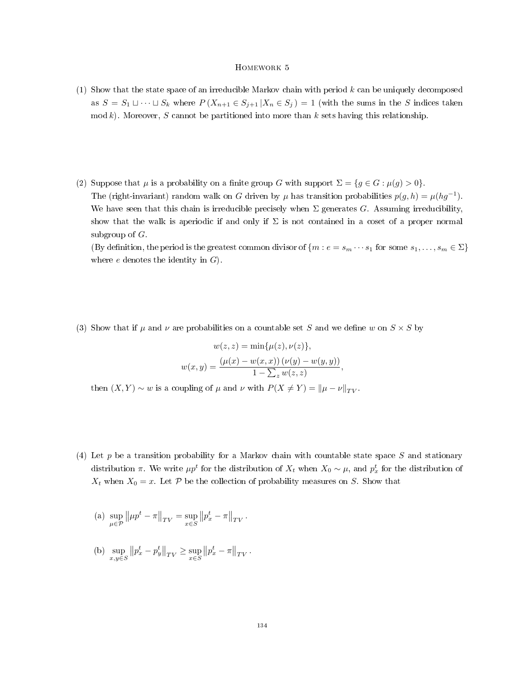- (1) Show that the state space of an irreducible Markov chain with period  $k$  can be uniquely decomposed as  $S = S_1 \sqcup \cdots \sqcup S_k$  where  $P(X_{n+1} \in S_{j+1} | X_n \in S_j) = 1$  (with the sums in the S indices taken mod k). Moreover, S cannot be partitioned into more than k sets having this relationship.
- (2) Suppose that  $\mu$  is a probability on a finite group G with support  $\Sigma = \{g \in G : \mu(g) > 0\}.$ The (right-invariant) random walk on G driven by  $\mu$  has transition probabilities  $p(g, h) = \mu(hg^{-1})$ . We have seen that this chain is irreducible precisely when  $\Sigma$  generates G. Assuming irreducibility, show that the walk is aperiodic if and only if  $\Sigma$  is not contained in a coset of a proper normal subgroup of  $G$ . (By definition, the period is the greatest common divisor of  $\{m : e = s_m \cdots s_1 \text{ for some } s_1, \ldots, s_m \in \Sigma\}$ where  $e$  denotes the identity in  $G$ .
- (3) Show that if  $\mu$  and  $\nu$  are probabilities on a countable set S and we define w on  $S \times S$  by

$$
w(z, z) = \min{\mu(z), \nu(z)},
$$
  

$$
w(x, y) = \frac{(\mu(x) - w(x, x))(\nu(y) - w(y, y))}{1 - \sum_{z} w(z, z)},
$$

then  $(X, Y) \sim w$  is a coupling of  $\mu$  and  $\nu$  with  $P(X \neq Y) = ||\mu - \nu||_{TV}$ .

- (4) Let p be a transition probability for a Markov chain with countable state space  $S$  and stationary distribution  $\pi$ . We write  $\mu p^t$  for the distribution of  $X_t$  when  $X_0 \sim \mu$ , and  $p^t_x$  for the distribution of  $X_t$  when  $X_0 = x$ . Let P be the collection of probability measures on S. Show that
	- (a) sup<br> $\mu \in \mathcal{P}$  $\left\Vert \mu p^{t}-\pi\right\Vert _{TV}=\sup_{x\in S}% ^{t}}\left\Vert \mu_{F}^{x}\right\Vert _{TV}$  $\left\|p_x^t - \pi\right\|_{TV}.$
	- (b)  $\sup_{x,y\in S}$  $\left\|p_x^t - p_y^t\right\|_{TV} \ge \sup_{x \in S}$  $||p_x^t - \pi||_{TV}$ .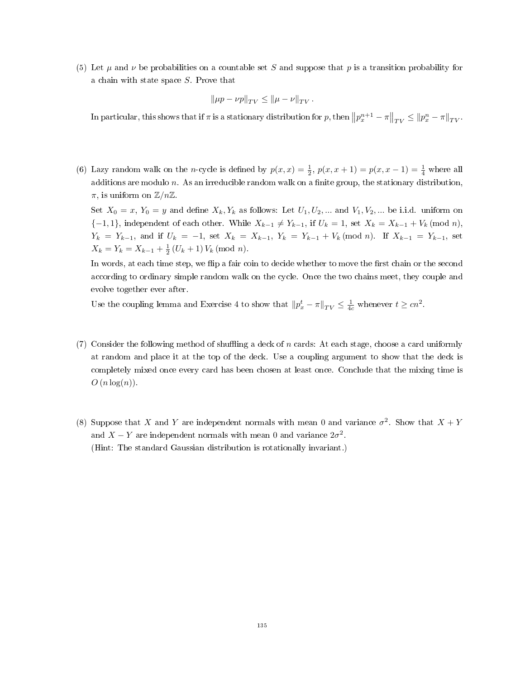(5) Let  $\mu$  and  $\nu$  be probabilities on a countable set S and suppose that p is a transition probability for a chain with state space S. Prove that

$$
\|\mu p - \nu p\|_{TV} \le \|\mu - \nu\|_{TV}.
$$

In particular, this shows that if  $\pi$  is a stationary distribution for  $p$ , then  $||p_x^{n+1} - \pi||_{TV} \le ||p_x^n - \pi||_{TV}$ .

(6) Lazy random walk on the *n*-cycle is defined by  $p(x,x) = \frac{1}{2}$ ,  $p(x,x+1) = p(x,x-1) = \frac{1}{4}$  where all additions are modulo  $n$ . As an irreducible random walk on a finite group, the stationary distribution,  $\pi$ , is uniform on  $\mathbb{Z}/n\mathbb{Z}$ .

Set  $X_0 = x$ ,  $Y_0 = y$  and define  $X_k, Y_k$  as follows: Let  $U_1, U_2, ...$  and  $V_1, V_2, ...$  be i.i.d. uniform on  ${-1, 1}$ , independent of each other. While  $X_{k-1} \neq Y_{k-1}$ , if  $U_k = 1$ , set  $X_k = X_{k-1} + V_k \pmod{n}$ ,  $Y_k = Y_{k-1}$ , and if  $U_k = -1$ , set  $X_k = X_{k-1}$ ,  $Y_k = Y_{k-1} + V_k \pmod{n}$ . If  $X_{k-1} = Y_{k-1}$ , set  $X_k = Y_k = X_{k-1} + \frac{1}{2} (U_k + 1) V_k \pmod{n}.$ 

In words, at each time step, we flip a fair coin to decide whether to move the first chain or the second according to ordinary simple random walk on the cycle. Once the two chains meet, they couple and evolve together ever after.

Use the coupling lemma and Exercise 4 to show that  $||p_x^t - \pi||_{TV} \le \frac{1}{4c}$  whenever  $t \ge cn^2$ .

- $(7)$  Consider the following method of shuffling a deck of n cards: At each stage, choose a card uniformly at random and place it at the top of the deck. Use a coupling argument to show that the deck is completely mixed once every card has been chosen at least once. Conclude that the mixing time is  $O(n \log(n)).$
- (8) Suppose that X and Y are independent normals with mean 0 and variance  $\sigma^2$ . Show that  $X + Y$ and  $X - Y$  are independent normals with mean 0 and variance  $2\sigma^2$ . (Hint: The standard Gaussian distribution is rotationally invariant.)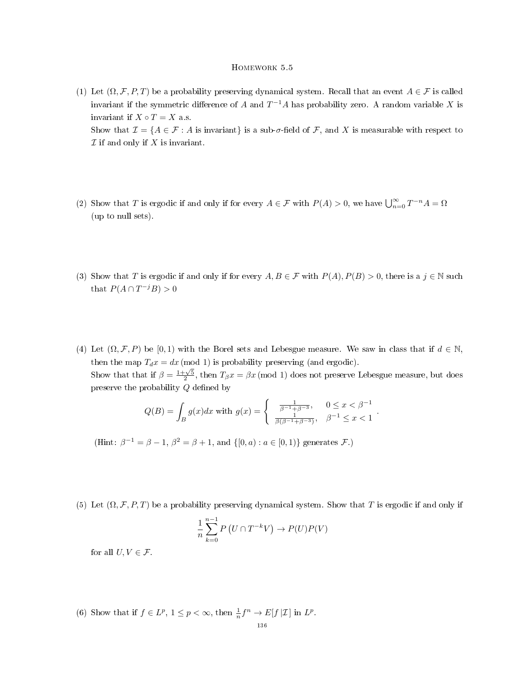# Homework 5.5

- (1) Let  $(\Omega, \mathcal{F}, P, T)$  be a probability preserving dynamical system. Recall that an event  $A \in \mathcal{F}$  is called invariant if the symmetric difference of A and  $T^{-1}A$  has probability zero. A random variable X is invariant if  $X \circ T = X$  a.s. Show that  $\mathcal{I} = \{A \in \mathcal{F} : A \text{ is invariant}\}\$ is a sub- $\sigma$ -field of  $\mathcal{F}$ , and X is measurable with respect to  $\mathcal I$  if and only if  $X$  is invariant.
- (2) Show that T is ergodic if and only if for every  $A \in \mathcal{F}$  with  $P(A) > 0$ , we have  $\bigcup_{n=0}^{\infty} T^{-n} A = \Omega$ (up to null sets).
- (3) Show that T is ergodic if and only if for every  $A, B \in \mathcal{F}$  with  $P(A), P(B) > 0$ , there is a  $j \in \mathbb{N}$  such that  $P(A \cap T^{-j}B) > 0$
- (4) Let  $(\Omega, \mathcal{F}, P)$  be  $[0, 1)$  with the Borel sets and Lebesgue measure. We saw in class that if  $d \in \mathbb{N}$ , then the map  $T_d x = dx \pmod{1}$  is probability preserving (and ergodic). Show that that if  $\beta = \frac{1+\sqrt{5}}{2}$ , then  $T_{\beta}x = \beta x \pmod{1}$  does not preserve Lebesgue measure, but does preserve the probability  $Q$  defined by

$$
Q(B) = \int_B g(x)dx \text{ with } g(x) = \begin{cases} \frac{1}{\beta^{-1} + \beta^{-3}}, & 0 \le x < \beta^{-1} \\ \frac{1}{\beta(\beta^{-1} + \beta^{-3})}, & \beta^{-1} \le x < 1 \end{cases}.
$$

(Hint:  $\beta^{-1} = \beta - 1$ ,  $\beta^2 = \beta + 1$ , and  $\{[0, a) : a \in [0, 1)\}$  generates  $\mathcal{F}$ .)

(5) Let  $(\Omega, \mathcal{F}, P, T)$  be a probability preserving dynamical system. Show that T is ergodic if and only if

$$
\frac{1}{n}\sum_{k=0}^{n-1} P\left(U \cap T^{-k}V\right) \to P(U)P(V)
$$

for all  $U, V \in \mathcal{F}$ .

(6) Show that if  $f \in L^p$ ,  $1 \leq p < \infty$ , then  $\frac{1}{n} f^n \to E[f|\mathcal{I}]$  in  $L^p$ .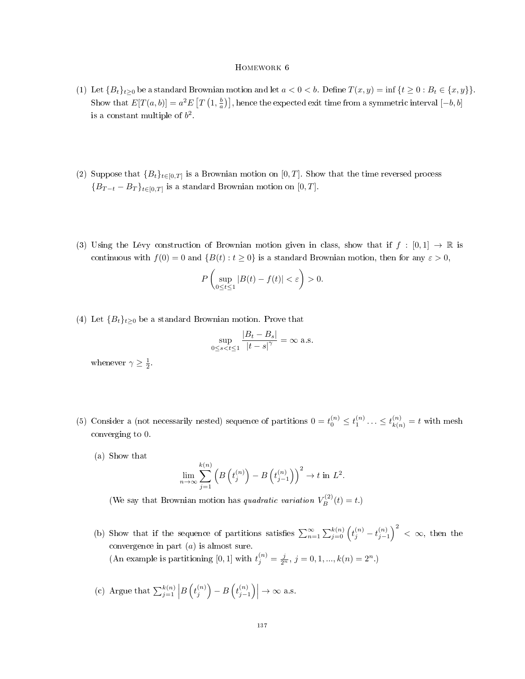- (1) Let  ${B_t}_{t\geq0}$  be a standard Brownian motion and let  $a < 0 < b$ . Define  $T(x, y) = \inf\{t \geq 0 : B_t \in \{x, y\}\}.$ Show that  $E[T(a, b)] = a^2 E[T(\frac{1}{a}, \frac{b}{a})]$ , hence the expected exit time from a symmetric interval  $[-b, b]$ is a constant multiple of  $b^2$ .
- (2) Suppose that  ${B_t}_{t \in [0,T]}$  is a Brownian motion on  $[0,T]$ . Show that the time reversed process  ${B_{T-t}-B_T}_{t\in[0,T]}$  is a standard Brownian motion on [0, T].
- (3) Using the Lévy construction of Brownian motion given in class, show that if  $f : [0,1] \to \mathbb{R}$  is continuous with  $f(0) = 0$  and  $\{B(t) : t \ge 0\}$  is a standard Brownian motion, then for any  $\varepsilon > 0$ ,

$$
P\left(\sup_{0\leq t\leq 1}|B(t)-f(t)|<\varepsilon\right)>0.
$$

(4) Let  ${B_t}_{t\geq0}$  be a standard Brownian motion. Prove that

$$
\sup_{0 \le s < t \le 1} \frac{|B_t - B_s|}{|t - s|^\gamma} = \infty \text{ a.s.}
$$

whenever  $\gamma \geq \frac{1}{2}$ .

- (5) Consider a (not necessarily nested) sequence of partitions  $0 = t_0^{(n)} \le t_1^{(n)} \ldots \le t_{k(n)}^{(n)} = t$  with mesh converging to 0.
	- (a) Show that

$$
\lim_{n \to \infty} \sum_{j=1}^{k(n)} \left( B\left(t_j^{(n)}\right) - B\left(t_{j-1}^{(n)}\right) \right)^2 \to t \text{ in } L^2.
$$

(We say that Brownian motion has quadratic variation  $V_B^{(2)}(t) = t$ .)

- (b) Show that if the sequence of partitions satisfies  $\sum_{n=1}^{\infty}\sum_{j=0}^{k(n)} (t_j^{(n)} t_{j-1}^{(n)})^2 < \infty$ , then the convergence in part  $(a)$  is almost sure. (An example is partitioning [0, 1] with  $t_j^{(n)} = \frac{j}{2^n}$ ,  $j = 0, 1, ..., k(n) = 2^n$ .)
- (c) Argue that  $\sum_{j=1}^{k(n)} \left| B\left(t_j^{(n)}\right) B\left(t_{j-1}^{(n)}\right) \right| \to \infty$  a.s.